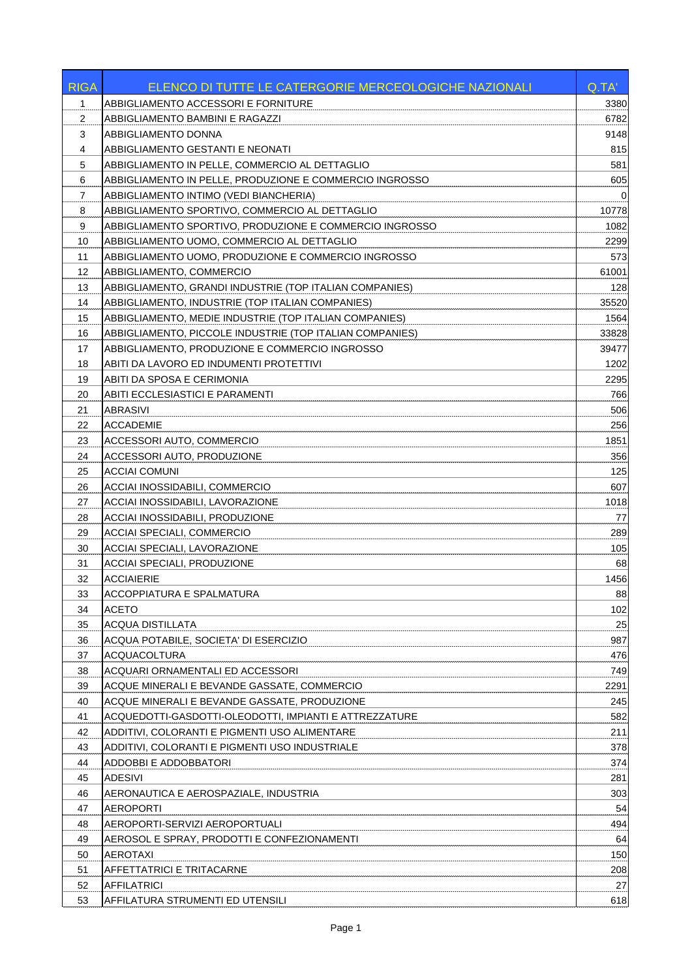| <b>RIGA</b> | ELENCO DI TUTTE LE CATERGORIE MERCEOLOGICHE NAZIONALI    | Q.TA' |
|-------------|----------------------------------------------------------|-------|
| 1           | ABBIGLIAMENTO ACCESSORI E FORNITURE                      | 3380  |
| 2           | ABBIGLIAMENTO BAMBINI E RAGAZZI                          | 6782  |
| 3           | ABBIGLIAMENTO DONNA                                      | 9148  |
| 4           | ABBIGLIAMENTO GESTANTI E NEONATI                         | 815   |
| 5           | ABBIGLIAMENTO IN PELLE, COMMERCIO AL DETTAGLIO           | 581   |
| 6           | ABBIGLIAMENTO IN PELLE, PRODUZIONE E COMMERCIO INGROSSO  | 605   |
| 7           | ABBIGLIAMENTO INTIMO (VEDI BIANCHERIA)                   | 0     |
| 8           | ABBIGLIAMENTO SPORTIVO, COMMERCIO AL DETTAGLIO           | 10778 |
| 9           | ABBIGLIAMENTO SPORTIVO, PRODUZIONE E COMMERCIO INGROSSO  | 1082  |
| 10          | ABBIGLIAMENTO UOMO, COMMERCIO AL DETTAGLIO               | 2299  |
| 11          | ABBIGLIAMENTO UOMO, PRODUZIONE E COMMERCIO INGROSSO      | 573   |
| 12          | ABBIGLIAMENTO, COMMERCIO                                 | 61001 |
| 13          | ABBIGLIAMENTO, GRANDI INDUSTRIE (TOP ITALIAN COMPANIES)  | 128   |
| 14          | ABBIGLIAMENTO, INDUSTRIE (TOP ITALIAN COMPANIES)         | 35520 |
| 15          | ABBIGLIAMENTO, MEDIE INDUSTRIE (TOP ITALIAN COMPANIES)   | 1564  |
| 16          | ABBIGLIAMENTO, PICCOLE INDUSTRIE (TOP ITALIAN COMPANIES) | 33828 |
| 17          | ABBIGLIAMENTO, PRODUZIONE E COMMERCIO INGROSSO           | 39477 |
| 18          | ABITI DA LAVORO ED INDUMENTI PROTETTIVI                  | 1202  |
| 19          | ABITI DA SPOSA E CERIMONIA                               | 2295  |
| 20          | ABITI ECCLESIASTICI E PARAMENTI                          | 766   |
| 21          | ABRASIVI                                                 | 506   |
| 22          | <b>ACCADEMIE</b>                                         | 256   |
| 23          | ACCESSORI AUTO, COMMERCIO                                | 1851  |
| 24          | ACCESSORI AUTO, PRODUZIONE                               | 356   |
| 25          | <b>ACCIAI COMUNI</b>                                     | 125   |
| 26          | ACCIAI INOSSIDABILI, COMMERCIO                           | 607   |
| 27          | ACCIAI INOSSIDABILI, LAVORAZIONE                         | 1018  |
| 28          | ACCIAI INOSSIDABILI, PRODUZIONE                          | 77    |
| 29          | <b>ACCIAI SPECIALI, COMMERCIO</b>                        | 289   |
| 30          | ACCIAI SPECIALI, LAVORAZIONE                             | 105   |
| 31          | <b>ACCIAI SPECIALI, PRODUZIONE</b>                       | 68    |
| 32          | <b>ACCIAIERIE</b>                                        | 1456  |
| 33          | ACCOPPIATURA E SPALMATURA                                | 88    |
| 34          | <b>ACETO</b>                                             | 102   |
| 35          | <b>ACQUA DISTILLATA</b>                                  | 25    |
| 36          | ACQUA POTABILE, SOCIETA' DI ESERCIZIO                    | 987   |
| 37          | <b>ACQUACOLTURA</b>                                      | 476   |
| 38          | ACQUARI ORNAMENTALI ED ACCESSORI                         | 749   |
| 39          | ACQUE MINERALI E BEVANDE GASSATE, COMMERCIO              | 2291  |
| 40          | ACQUE MINERALI E BEVANDE GASSATE, PRODUZIONE             | 245   |
| 41          | ACQUEDOTTI-GASDOTTI-OLEODOTTI, IMPIANTI E ATTREZZATURE   | 582   |
| 42          | ADDITIVI, COLORANTI E PIGMENTI USO ALIMENTARE            | 211   |
| 43          | ADDITIVI, COLORANTI E PIGMENTI USO INDUSTRIALE           | 378   |
| 44          | ADDOBBI E ADDOBBATORI                                    | 374   |
| 45          | <b>ADESIVI</b>                                           | 281   |
| 46          | AERONAUTICA E AEROSPAZIALE, INDUSTRIA                    | 303   |
| 47          | <b>AEROPORTI</b>                                         | 54    |
| 48          | AEROPORTI-SERVIZI AEROPORTUALI                           | 494   |
| 49          | AEROSOL E SPRAY, PRODOTTI E CONFEZIONAMENTI              | 64    |
| 50          | <b>AEROTAXI</b>                                          | 150   |
| 51          | AFFETTATRICI E TRITACARNE                                | 208   |
| 52          | <b>AFFILATRICI</b>                                       | 27    |
| 53          | AFFILATURA STRUMENTI ED UTENSILI                         | 618   |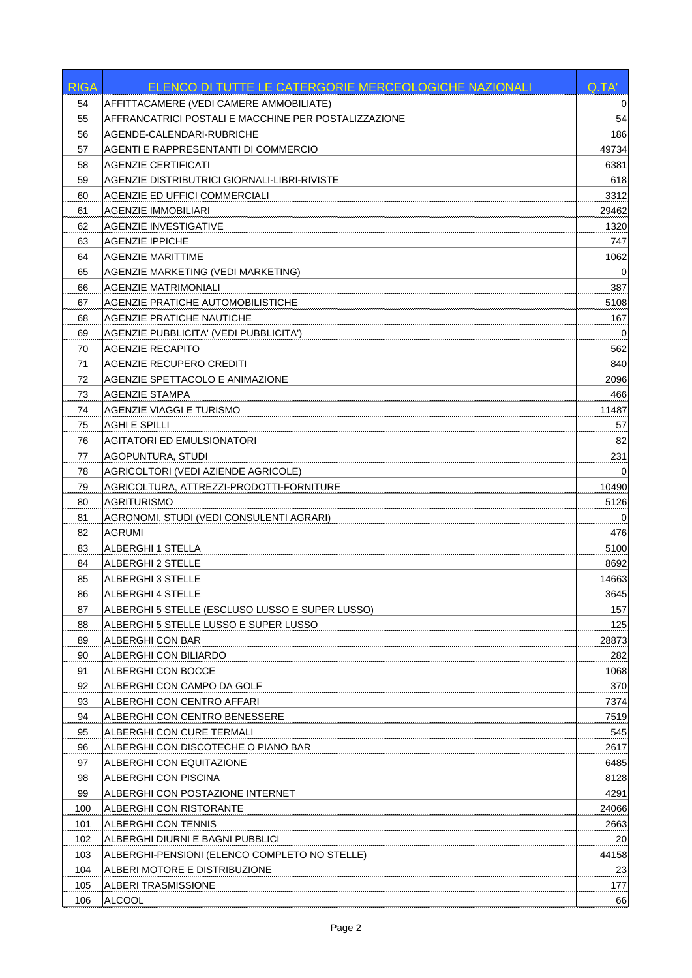| RIGA | ELENCO DI TUTTE LE CATERGORIE MERCEOLOGICHE NAZIONALI | Q.TA'       |
|------|-------------------------------------------------------|-------------|
| 54   | AFFITTACAMERE (VEDI CAMERE AMMOBILIATE)               | $\mathbf 0$ |
| 55   | AFFRANCATRICI POSTALI E MACCHINE PER POSTALIZZAZIONE  | 54          |
| 56   | AGENDE-CALENDARI-RUBRICHE                             | 186         |
| 57   | AGENTI E RAPPRESENTANTI DI COMMERCIO                  | 49734       |
| 58   | <b>AGENZIE CERTIFICATI</b>                            | 6381        |
| 59   | AGENZIE DISTRIBUTRICI GIORNALI-LIBRI-RIVISTE          | 618         |
| 60   | AGENZIE ED UFFICI COMMERCIALI                         | 3312        |
| 61   | <b>AGENZIE IMMOBILIARI</b>                            | 29462       |
| 62   | AGENZIE INVESTIGATIVE                                 | 1320        |
| 63   | <b>AGENZIE IPPICHE</b>                                | 747         |
| 64   | AGENZIE MARITTIME                                     | 1062        |
| 65   | AGENZIE MARKETING (VEDI MARKETING)                    | 0           |
| 66   | <b>AGENZIE MATRIMONIALI</b>                           | 387         |
| 67   | AGENZIE PRATICHE AUTOMOBILISTICHE                     | 5108        |
| 68   | <b>AGENZIE PRATICHE NAUTICHE</b>                      | 167         |
| 69   | <b>AGENZIE PUBBLICITA' (VEDI PUBBLICITA')</b>         | $\mathbf 0$ |
| 70   | <b>AGENZIE RECAPITO</b>                               | 562         |
| 71   | AGENZIE RECUPERO CREDITI                              | 840         |
| 72   | AGENZIE SPETTACOLO E ANIMAZIONE                       | 2096        |
| 73   | <b>AGENZIE STAMPA</b>                                 | 466         |
| 74   | AGENZIE VIAGGI E TURISMO                              | 11487       |
| 75   | <b>AGHI E SPILLI</b>                                  | 57          |
| 76   | <b>AGITATORI ED EMULSIONATORI</b>                     | 82          |
| 77   | <b>AGOPUNTURA, STUDI</b>                              | 231         |
| 78   | AGRICOLTORI (VEDI AZIENDE AGRICOLE)                   | $\Omega$    |
| 79   | AGRICOLTURA, ATTREZZI-PRODOTTI-FORNITURE              | 10490       |
| 80   | AGRITURISMO                                           | 5126        |
| 81   | AGRONOMI, STUDI (VEDI CONSULENTI AGRARI)              | 0           |
| 82   | <b>AGRUMI</b>                                         | 476         |
| 83   | <b>ALBERGHI 1 STELLA</b>                              | 5100        |
| 84   | ALBERGHI 2 STELLE                                     | 8692        |
| 85   | <b>ALBERGHI 3 STELLE</b>                              | 14663       |
| 86   | ALBERGHI 4 STELLE                                     | 3645        |
| 87   | ALBERGHI 5 STELLE (ESCLUSO LUSSO E SUPER LUSSO)       | 157         |
| 88   | ALBERGHI 5 STELLE LUSSO E SUPER LUSSO                 | 125         |
| 89   | ALBERGHI CON BAR                                      | 28873       |
| 90   | ALBERGHI CON BILIARDO                                 | 282         |
| 91   | ALBERGHI CON BOCCE                                    | 1068        |
| 92   | ALBERGHI CON CAMPO DA GOLF                            | 370         |
| 93   | ALBERGHI CON CENTRO AFFARI                            | 7374        |
| 94   | ALBERGHI CON CENTRO BENESSERE                         | 7519        |
| 95   | ALBERGHI CON CURE TERMALI                             | 545         |
| 96   | ALBERGHI CON DISCOTECHE O PIANO BAR                   | 2617        |
| 97   | ALBERGHI CON EQUITAZIONE                              | 6485        |
| 98   | ALBERGHI CON PISCINA                                  | 8128        |
| 99   | ALBERGHI CON POSTAZIONE INTERNET                      | 4291        |
| 100  | ALBERGHI CON RISTORANTE                               | 24066       |
| 101  | ALBERGHI CON TENNIS                                   | 2663        |
| 102  | ALBERGHI DIURNI E BAGNI PUBBLICI                      | 20          |
| 103  | ALBERGHI-PENSIONI (ELENCO COMPLETO NO STELLE)         | 44158       |
| 104  | ALBERI MOTORE E DISTRIBUZIONE                         | 23          |
| 105  | ALBERI TRASMISSIONE                                   | 177         |
| 106  | <b>ALCOOL</b>                                         | 66          |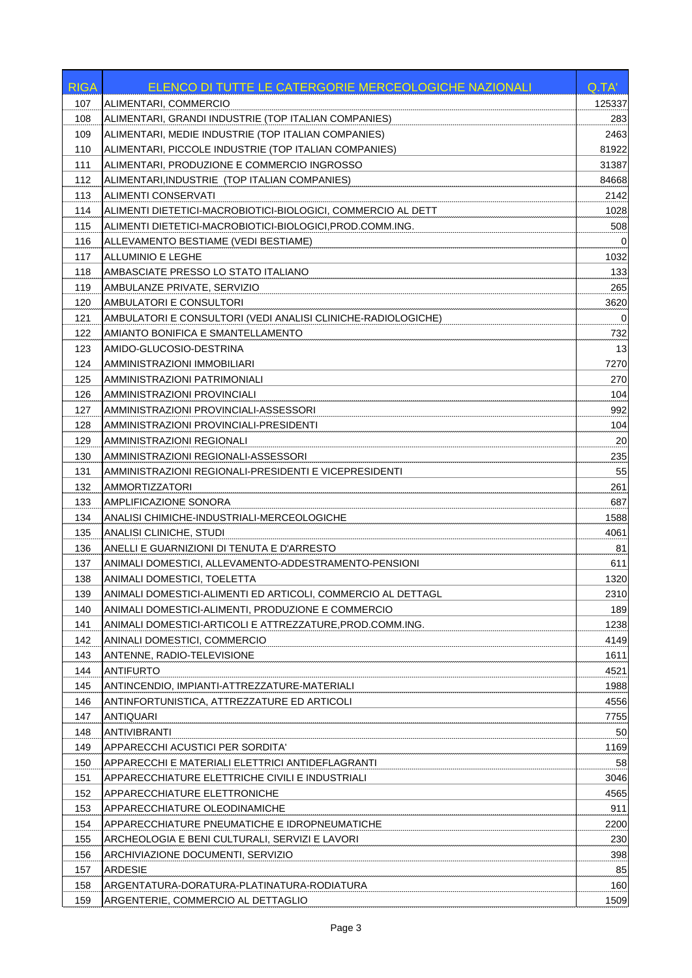| <b>RIGA</b> | ELENCO DI TUTTE LE CATERGORIE MERCEOLOGICHE NAZIONALI        | Q.TA'       |
|-------------|--------------------------------------------------------------|-------------|
| 107         | ALIMENTARI, COMMERCIO                                        | 125337      |
| 108         | ALIMENTARI, GRANDI INDUSTRIE (TOP ITALIAN COMPANIES)         | 283         |
| 109         | ALIMENTARI, MEDIE INDUSTRIE (TOP ITALIAN COMPANIES)          | 2463        |
| 110         | ALIMENTARI, PICCOLE INDUSTRIE (TOP ITALIAN COMPANIES)        | 81922       |
| 111         | ALIMENTARI, PRODUZIONE E COMMERCIO INGROSSO                  | 31387       |
| 112         | ALIMENTARI, INDUSTRIE (TOP ITALIAN COMPANIES)                | 84668       |
| 113         | ALIMENTI CONSERVATI                                          | 2142        |
| 114         | ALIMENTI DIETETICI-MACROBIOTICI-BIOLOGICI, COMMERCIO AL DETT | 1028        |
| 115         | ALIMENTI DIETETICI-MACROBIOTICI-BIOLOGICI, PROD.COMM.ING.    | 508         |
| 116         | ALLEVAMENTO BESTIAME (VEDI BESTIAME)                         | 0           |
| 117         | ALLUMINIO E LEGHE                                            | 1032        |
| 118         | AMBASCIATE PRESSO LO STATO ITALIANO                          | 133         |
| 119         | AMBULANZE PRIVATE, SERVIZIO                                  | 265         |
| 120         | AMBULATORI E CONSULTORI                                      | 3620        |
| 121         | AMBULATORI E CONSULTORI (VEDI ANALISI CLINICHE-RADIOLOGICHE) | $\mathbf 0$ |
| 122         | AMIANTO BONIFICA E SMANTELLAMENTO                            | 732         |
| 123         | AMIDO-GLUCOSIO-DESTRINA                                      | 13          |
| 124         | AMMINISTRAZIONI IMMOBILIARI                                  | 7270        |
| 125         | AMMINISTRAZIONI PATRIMONIALI                                 | 270         |
| 126         | AMMINISTRAZIONI PROVINCIALI                                  | 104         |
| 127         | AMMINISTRAZIONI PROVINCIALI-ASSESSORI                        | 992         |
| 128         | AMMINISTRAZIONI PROVINCIALI-PRESIDENTI                       | 104         |
| 129         | AMMINISTRAZIONI REGIONALI                                    | 20          |
| 130         | AMMINISTRAZIONI REGIONALI-ASSESSORI                          | 235         |
| 131         | AMMINISTRAZIONI REGIONALI-PRESIDENTI E VICEPRESIDENTI        | 55          |
| 132         | AMMORTIZZATORI                                               | 261         |
| 133         | AMPLIFICAZIONE SONORA                                        | 687         |
| 134         | ANALISI CHIMICHE-INDUSTRIALI-MERCEOLOGICHE                   | 1588        |
| 135         | ANALISI CLINICHE, STUDI                                      | 4061        |
| 136         | ANELLI E GUARNIZIONI DI TENUTA E D'ARRESTO                   | 81          |
| 137         | ANIMALI DOMESTICI, ALLEVAMENTO-ADDESTRAMENTO-PENSIONI        | 611         |
| 138         | ANIMALI DOMESTICI, TOELETTA                                  | 1320        |
| 139         | ANIMALI DOMESTICI-ALIMENTI ED ARTICOLI, COMMERCIO AL DETTAGL | 2310        |
| 140         | ANIMALI DOMESTICI-ALIMENTI, PRODUZIONE E COMMERCIO           | 189         |
| 141         | ANIMALI DOMESTICI-ARTICOLI E ATTREZZATURE.PROD.COMM.ING.     | 1238        |
| 142         | ANINALI DOMESTICI, COMMERCIO                                 | 4149        |
| 143         | ANTENNE, RADIO-TELEVISIONE                                   | 1611        |
| 144         | <b>ANTIFURTO</b>                                             | 4521        |
| 145         | ANTINCENDIO, IMPIANTI-ATTREZZATURE-MATERIALI                 | 1988        |
| 146         | ANTINFORTUNISTICA, ATTREZZATURE ED ARTICOLI                  | 4556        |
| 147         | <b>ANTIQUARI</b>                                             | 7755        |
| 148         | <b>ANTIVIBRANTI</b>                                          | 50          |
| 149         | APPARECCHI ACUSTICI PER SORDITA'                             | 1169        |
| 150         | APPARECCHI E MATERIALI ELETTRICI ANTIDEFLAGRANTI             | 58          |
| 151         | APPARECCHIATURE ELETTRICHE CIVILI E INDUSTRIALI              | 3046        |
| 152         | APPARECCHIATURE ELETTRONICHE                                 | 4565        |
| 153         | APPARECCHIATURE OLEODINAMICHE                                | 911         |
| 154         | <b>APPARECCHIATURE PNEUMATICHE E IDROPNEUMATICHE</b>         | 2200        |
| 155         | ARCHEOLOGIA E BENI CULTURALI, SERVIZI E LAVORI               | 230         |
| 156         | ARCHIVIAZIONE DOCUMENTI, SERVIZIO                            | 398         |
| 157         | ARDESIE                                                      | 85          |
| 158         | ARGENTATURA-DORATURA-PLATINATURA-RODIATURA                   | 160         |
| 159         | ARGENTERIE, COMMERCIO AL DETTAGLIO                           | 1509        |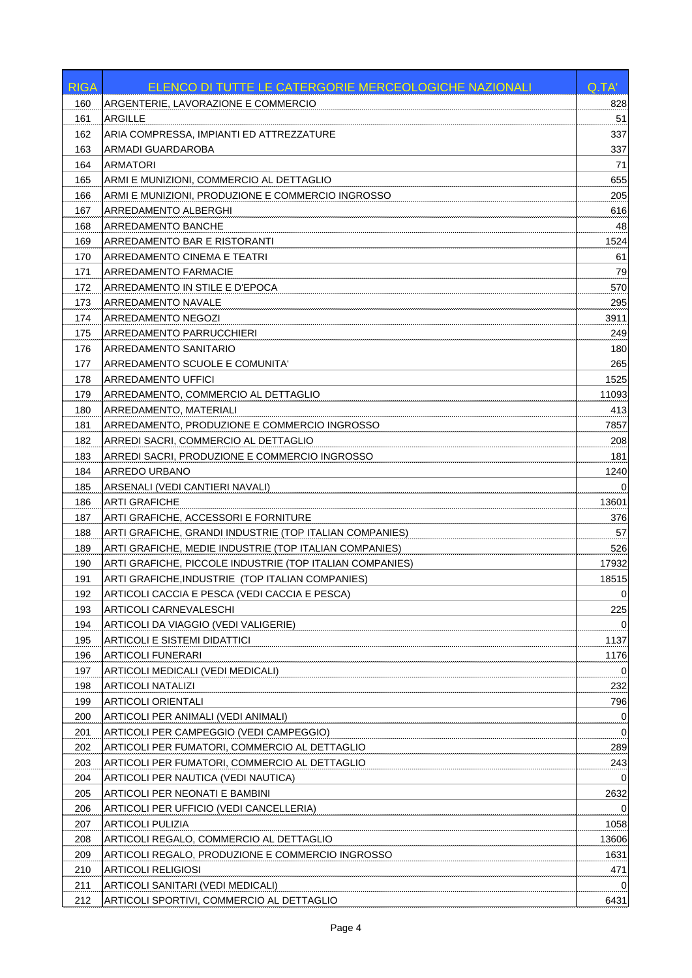| <b>RIGA</b> | ELENCO DI TUTTE LE CATERGORIE MERCEOLOGICHE NAZIONALI    | Q.TA'       |
|-------------|----------------------------------------------------------|-------------|
| 160         | ARGENTERIE, LAVORAZIONE E COMMERCIO                      | 828         |
| 161         | <b>ARGILLE</b>                                           | 51          |
| 162         | ARIA COMPRESSA, IMPIANTI ED ATTREZZATURE                 | 337         |
| 163         | ARMADI GUARDAROBA                                        | 337         |
| 164         | <b>ARMATORI</b>                                          | 71          |
| 165         | ARMI E MUNIZIONI, COMMERCIO AL DETTAGLIO                 | 655         |
| 166         | ARMI E MUNIZIONI, PRODUZIONE E COMMERCIO INGROSSO        | 205         |
| 167         | ARREDAMENTO ALBERGHI                                     | 616         |
| 168         | ARREDAMENTO BANCHE                                       | 48          |
| 169         | ARREDAMENTO BAR E RISTORANTI                             | 1524        |
| 170         | ARREDAMENTO CINEMA E TEATRI                              | 61          |
| 171         | ARREDAMENTO FARMACIE                                     | 79          |
| 172         | ARREDAMENTO IN STILE E D'EPOCA                           | 570         |
| 173         | ARREDAMENTO NAVALE                                       | 295         |
| 174         | ARREDAMENTO NEGOZI                                       | 3911        |
| 175         | ARREDAMENTO PARRUCCHIERI                                 | 249         |
| 176         | ARREDAMENTO SANITARIO                                    | 180         |
| 177         | ARREDAMENTO SCUOLE E COMUNITA'                           | 265         |
| 178         | <b>ARREDAMENTO UFFICI</b>                                | 1525        |
| 179         | ARREDAMENTO, COMMERCIO AL DETTAGLIO                      | 11093       |
| 180         | ARREDAMENTO, MATERIALI                                   | 413         |
| 181         | ARREDAMENTO, PRODUZIONE E COMMERCIO INGROSSO             | 7857        |
| 182         | ARREDI SACRI, COMMERCIO AL DETTAGLIO                     | 208         |
| 183         | ARREDI SACRI, PRODUZIONE E COMMERCIO INGROSSO            | 181         |
| 184         | <b>ARREDO URBANO</b>                                     | 1240        |
| 185         | ARSENALI (VEDI CANTIERI NAVALI)                          | 0           |
| 186         | ARTI GRAFICHE                                            | 13601       |
| 187         | ARTI GRAFICHE, ACCESSORI E FORNITURE                     | 376         |
| 188         | ARTI GRAFICHE, GRANDI INDUSTRIE (TOP ITALIAN COMPANIES)  | 57          |
| 189         | ARTI GRAFICHE, MEDIE INDUSTRIE (TOP ITALIAN COMPANIES)   | 526         |
| 190         | ARTI GRAFICHE, PICCOLE INDUSTRIE (TOP ITALIAN COMPANIES) | 17932       |
| 191         | ARTI GRAFICHE, INDUSTRIE (TOP ITALIAN COMPANIES)         | 18515       |
| 192         | ARTICOLI CACCIA E PESCA (VEDI CACCIA E PESCA)            | $\mathbf 0$ |
| 193         | ARTICOLI CARNEVALESCHI                                   | 225         |
| 194         | ARTICOLI DA VIAGGIO (VEDI VALIGERIE)                     | 0           |
| 195         | <b>ARTICOLI E SISTEMI DIDATTICI</b>                      | 1137        |
| 196         | <b>ARTICOLI FUNERARI</b>                                 | 1176        |
| 197         | ARTICOLI MEDICALI (VEDI MEDICALI)                        | 0           |
| 198         | <b>ARTICOLI NATALIZI</b>                                 | 232         |
| 199         | <b>ARTICOLI ORIENTALI</b>                                | 796         |
| 200         | ARTICOLI PER ANIMALI (VEDI ANIMALI)                      | $\mathbf 0$ |
| 201         | ARTICOLI PER CAMPEGGIO (VEDI CAMPEGGIO)                  | $\mathbf 0$ |
| 202         | ARTICOLI PER FUMATORI, COMMERCIO AL DETTAGLIO            | 289         |
| 203         | ARTICOLI PER FUMATORI, COMMERCIO AL DETTAGLIO            | 243         |
| 204         | ARTICOLI PER NAUTICA (VEDI NAUTICA)                      |             |
| 205         | ARTICOLI PER NEONATI E BAMBINI                           | 2632        |
| 206         | ARTICOLI PER UFFICIO (VEDI CANCELLERIA)                  | 0           |
| 207         | <b>ARTICOLI PULIZIA</b>                                  | 1058        |
| 208         | ARTICOLI REGALO, COMMERCIO AL DETTAGLIO                  | 13606       |
| 209         | ARTICOLI REGALO, PRODUZIONE E COMMERCIO INGROSSO         | 1631        |
| 210         | <b>ARTICOLI RELIGIOSI</b>                                | 471         |
| 211         | ARTICOLI SANITARI (VEDI MEDICALI)                        | 0           |
| 212         | ARTICOLI SPORTIVI, COMMERCIO AL DETTAGLIO                | 6431        |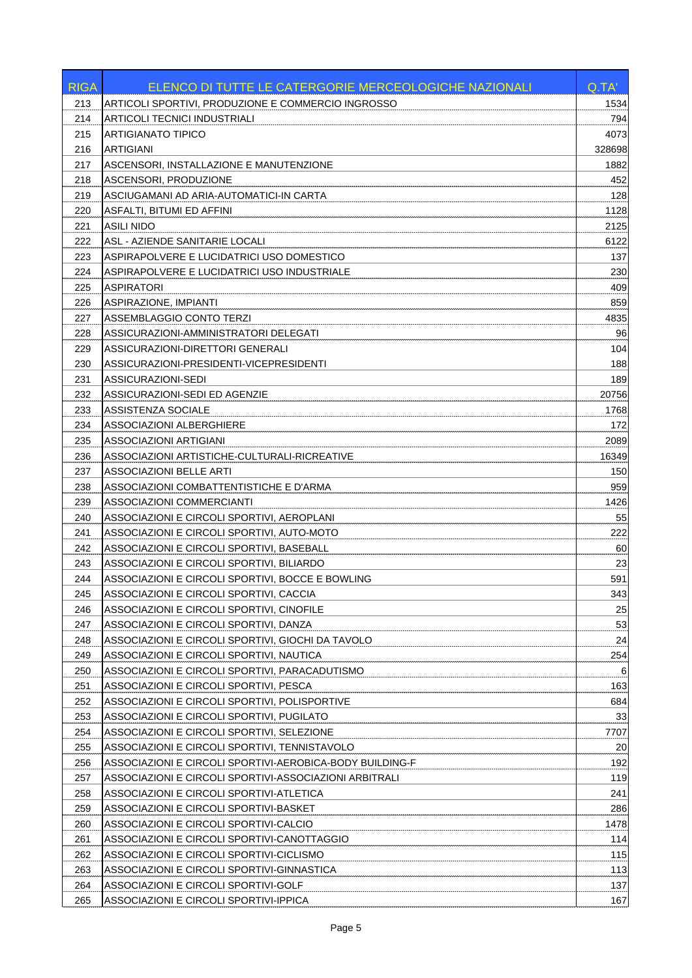| <b>RIGA</b> | ELENCO DI TUTTE LE CATERGORIE MERCEOLOGICHE NAZIONALI    | Q.TA'  |
|-------------|----------------------------------------------------------|--------|
| 213         | ARTICOLI SPORTIVI, PRODUZIONE E COMMERCIO INGROSSO       | 1534   |
| 214         | ARTICOLI TECNICI INDUSTRIALI                             | 794    |
| 215         | <b>ARTIGIANATO TIPICO</b>                                | 4073   |
| 216         | <b>ARTIGIANI</b>                                         | 328698 |
| 217         | ASCENSORI, INSTALLAZIONE E MANUTENZIONE                  | 1882   |
| 218         | ASCENSORI, PRODUZIONE                                    | 452    |
| 219         | ASCIUGAMANI AD ARIA-AUTOMATICI-IN CARTA                  | 128    |
| 220         | ASFALTI, BITUMI ED AFFINI                                | 1128   |
| 221         | <b>ASILI NIDO</b>                                        | 2125   |
| 222         | ASL - AZIENDE SANITARIE LOCALI                           | 6122   |
| 223         | ASPIRAPOLVERE E LUCIDATRICI USO DOMESTICO                | 137    |
| 224         | ASPIRAPOLVERE E LUCIDATRICI USO INDUSTRIALE              | 230    |
| 225         | <b>ASPIRATORI</b>                                        | 409    |
| 226         | <b>ASPIRAZIONE, IMPIANTI</b>                             | 859    |
| 227         | ASSEMBLAGGIO CONTO TERZI                                 | 4835   |
| 228         | ASSICURAZIONI-AMMINISTRATORI DELEGATI                    | 96     |
| 229         | ASSICURAZIONI-DIRETTORI GENERALI                         | 104    |
| 230         | ASSICURAZIONI-PRESIDENTI-VICEPRESIDENTI                  | 188    |
| 231         | ASSICURAZIONI-SEDI                                       | 189    |
| 232         | ASSICURAZIONI-SEDI ED AGENZIE                            | 20756  |
| 233         | ASSISTENZA SOCIALE                                       | 1768   |
| 234         | ASSOCIAZIONI ALBERGHIERE                                 | 172    |
| 235         | <b>ASSOCIAZIONI ARTIGIANI</b>                            | 2089   |
| 236         | ASSOCIAZIONI ARTISTICHE-CULTURALI-RICREATIVE             | 16349  |
| 237         | <b>ASSOCIAZIONI BELLE ARTI</b>                           | 150    |
| 238         | ASSOCIAZIONI COMBATTENTISTICHE E D'ARMA                  | 959    |
| 239         | ASSOCIAZIONI COMMERCIANTI                                | 1426   |
| 240         | ASSOCIAZIONI E CIRCOLI SPORTIVI, AEROPLANI               | 55     |
| 241         | ASSOCIAZIONI E CIRCOLI SPORTIVI, AUTO-MOTO               | 222    |
| 242         | ASSOCIAZIONI E CIRCOLI SPORTIVI, BASEBALL                | 60     |
| 243         | ASSOCIAZIONI E CIRCOLI SPORTIVI. BILIARDO                | 23     |
| 244         | ASSOCIAZIONI E CIRCOLI SPORTIVI, BOCCE E BOWLING         | 591    |
| 245         | ASSOCIAZIONI E CIRCOLI SPORTIVI, CACCIA                  | 343    |
| 246         | ASSOCIAZIONI E CIRCOLI SPORTIVI, CINOFILE                | 25     |
| 247         | ASSOCIAZIONI E CIRCOLI SPORTIVI, DANZA                   | 53     |
| 248         | ASSOCIAZIONI E CIRCOLI SPORTIVI, GIOCHI DA TAVOLO        | 24     |
| 249         | ASSOCIAZIONI E CIRCOLI SPORTIVI, NAUTICA                 | 254    |
| 250         | ASSOCIAZIONI E CIRCOLI SPORTIVI, PARACADUTISMO           | 6      |
| 251         | ASSOCIAZIONI E CIRCOLI SPORTIVI, PESCA                   | 163    |
| 252         | ASSOCIAZIONI E CIRCOLI SPORTIVI, POLISPORTIVE            | 684    |
| 253         | ASSOCIAZIONI E CIRCOLI SPORTIVI, PUGILATO                | 33     |
| 254         | ASSOCIAZIONI E CIRCOLI SPORTIVI, SELEZIONE               | 7707   |
| 255         | ASSOCIAZIONI E CIRCOLI SPORTIVI, TENNISTAVOLO            | 20     |
| 256         | ASSOCIAZIONI E CIRCOLI SPORTIVI-AEROBICA-BODY BUILDING-F | 192    |
| 257         | ASSOCIAZIONI E CIRCOLI SPORTIVI-ASSOCIAZIONI ARBITRALI   | 119    |
| 258         | ASSOCIAZIONI E CIRCOLI SPORTIVI-ATLETICA                 | 241    |
| 259         | ASSOCIAZIONI E CIRCOLI SPORTIVI-BASKET                   | 286    |
| 260         | ASSOCIAZIONI E CIRCOLI SPORTIVI-CALCIO                   | 1478   |
| 261         | ASSOCIAZIONI E CIRCOLI SPORTIVI-CANOTTAGGIO              | 114    |
| 262         | ASSOCIAZIONI E CIRCOLI SPORTIVI-CICLISMO                 | 115    |
| 263         | ASSOCIAZIONI E CIRCOLI SPORTIVI-GINNASTICA               | 113    |
| 264         | ASSOCIAZIONI E CIRCOLI SPORTIVI-GOLF                     | 137    |
| 265         | ASSOCIAZIONI E CIRCOLI SPORTIVI-IPPICA                   | 167    |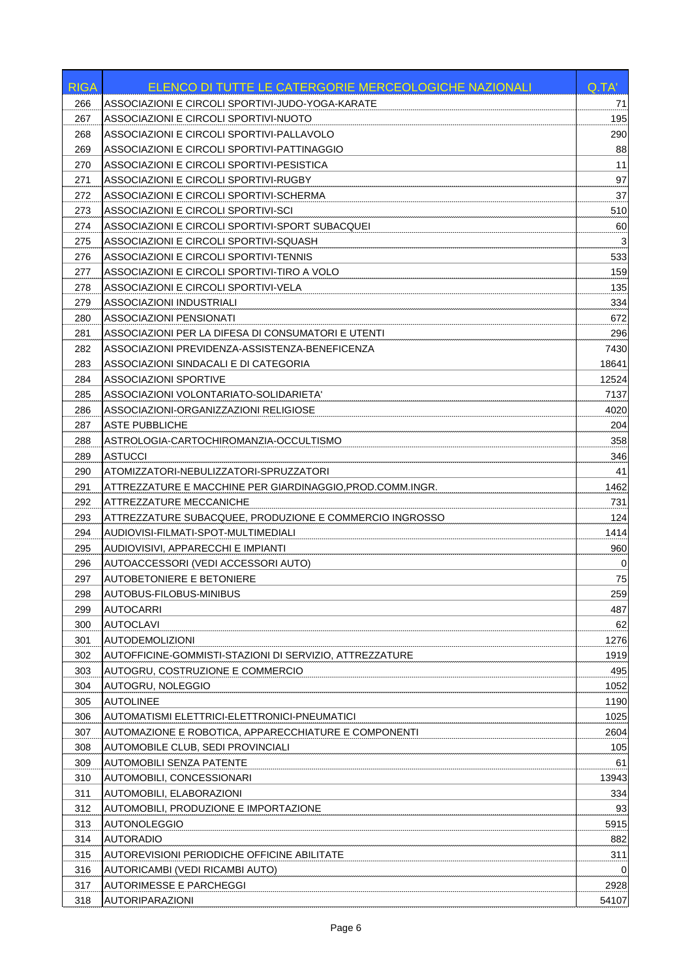| <b>RIGA</b> | <b>ELENCO DI TUTTE LE CATERGORIE MERCEOLOGICHE NAZIONALI</b> | Q.TA' |
|-------------|--------------------------------------------------------------|-------|
| 266         | ASSOCIAZIONI E CIRCOLI SPORTIVI-JUDO-YOGA-KARATE             | 71    |
| 267         | ASSOCIAZIONI E CIRCOLI SPORTIVI-NUOTO                        | 195   |
| 268         | ASSOCIAZIONI E CIRCOLI SPORTIVI-PALLAVOLO                    | 290   |
| 269         | ASSOCIAZIONI E CIRCOLI SPORTIVI-PATTINAGGIO                  | 88    |
| 270         | ASSOCIAZIONI E CIRCOLI SPORTIVI-PESISTICA                    | 11    |
| 271         | ASSOCIAZIONI E CIRCOLI SPORTIVI-RUGBY                        | 97    |
| 272         | ASSOCIAZIONI E CIRCOLI SPORTIVI-SCHERMA                      | 37    |
| 273         | ASSOCIAZIONI E CIRCOLI SPORTIVI-SCI                          | 510   |
| 274         | ASSOCIAZIONI E CIRCOLI SPORTIVI-SPORT SUBACQUEI              | 60    |
| 275         | ASSOCIAZIONI E CIRCOLI SPORTIVI-SQUASH                       | 3     |
| 276         | ASSOCIAZIONI E CIRCOLI SPORTIVI-TENNIS                       | 533   |
| 277         | ASSOCIAZIONI E CIRCOLI SPORTIVI-TIRO A VOLO                  | 159   |
| 278         | ASSOCIAZIONI E CIRCOLI SPORTIVI-VELA                         | 135   |
| 279         | ASSOCIAZIONI INDUSTRIALI                                     | 334   |
| 280         | ASSOCIAZIONI PENSIONATI                                      | 672   |
| 281         | ASSOCIAZIONI PER LA DIFESA DI CONSUMATORI E UTENTI           | 296   |
| 282         | ASSOCIAZIONI PREVIDENZA-ASSISTENZA-BENEFICENZA               | 7430  |
| 283         | ASSOCIAZIONI SINDACALI E DI CATEGORIA                        | 18641 |
| 284         | <b>ASSOCIAZIONI SPORTIVE</b>                                 | 12524 |
| 285         | ASSOCIAZIONI VOLONTARIATO-SOLIDARIETA'                       | 7137  |
| 286         | ASSOCIAZIONI-ORGANIZZAZIONI RELIGIOSE                        | 4020  |
| 287         | <b>ASTE PUBBLICHE</b>                                        | 204   |
| 288         | ASTROLOGIA-CARTOCHIROMANZIA-OCCULTISMO                       | 358   |
| 289         | <b>ASTUCCI</b>                                               | 346   |
| 290         | ATOMIZZATORI-NEBULIZZATORI-SPRUZZATORI                       | 41    |
| 291         | ATTREZZATURE E MACCHINE PER GIARDINAGGIO.PROD.COMM.INGR.     | 1462  |
| 292         | ATTREZZATURE MECCANICHE                                      | 731   |
| 293         | ATTREZZATURE SUBACQUEE, PRODUZIONE E COMMERCIO INGROSSO      | 124   |
| 294         | AUDIOVISI-FILMATI-SPOT-MULTIMEDIALI                          | 1414  |
| 295         | AUDIOVISIVI, APPARECCHI E IMPIANTI                           | 960   |
| 296         | AUTOACCESSORI (VEDI ACCESSORI AUTO)                          | 0     |
| 297         | AUTOBETONIERE E BETONIERE                                    | 75    |
| 298         | AUTOBUS-FILOBUS-MINIBUS                                      | 259   |
| 299         | <b>AUTOCARRI</b>                                             | 487   |
| 300         | <b>AUTOCLAVI</b>                                             | 62    |
| 301         | <b>AUTODEMOLIZIONI</b>                                       | 1276  |
| 302         | AUTOFFICINE-GOMMISTI-STAZIONI DI SERVIZIO, ATTREZZATURE      | 1919  |
| 303         | AUTOGRU, COSTRUZIONE E COMMERCIO                             | 495   |
| 304         | AUTOGRU, NOLEGGIO                                            | 1052  |
| 305         | <b>AUTOLINEE</b>                                             | 1190  |
| 306         | AUTOMATISMI ELETTRICI-ELETTRONICI-PNEUMATICI                 | 1025  |
| 307         | AUTOMAZIONE E ROBOTICA, APPARECCHIATURE E COMPONENTI         | 2604  |
| 308         | AUTOMOBILE CLUB, SEDI PROVINCIALI                            | 105   |
| 309         | <b>AUTOMOBILI SENZA PATENTE</b>                              | 61    |
| 310         | AUTOMOBILI, CONCESSIONARI                                    | 13943 |
| 311         | AUTOMOBILI, ELABORAZIONI                                     | 334   |
| 312         | AUTOMOBILI, PRODUZIONE E IMPORTAZIONE                        | 93    |
| 313         | <b>AUTONOLEGGIO</b>                                          | 5915  |
| 314         | <b>AUTORADIO</b>                                             | 882   |
| 315         | <b>AUTOREVISIONI PERIODICHE OFFICINE ABILITATE</b>           | 311   |
| 316         | AUTORICAMBI (VEDI RICAMBI AUTO)                              |       |
| 317         | <b>AUTORIMESSE E PARCHEGGI</b>                               | 2928  |
| 318         | <b>AUTORIPARAZIONI</b>                                       | 54107 |
|             |                                                              |       |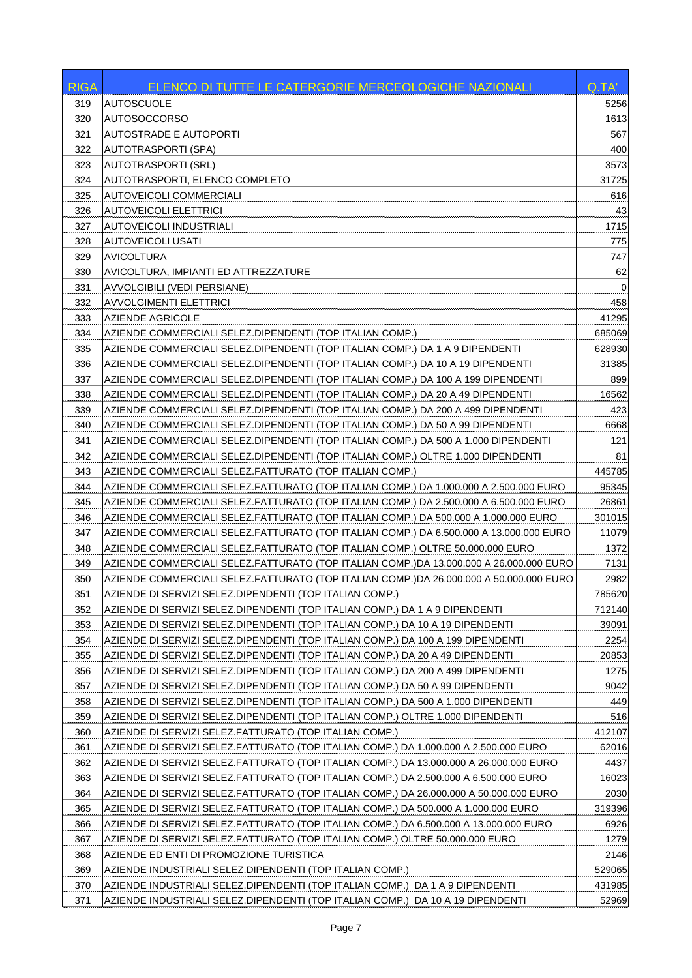| <b>RIGA</b> | ELENCO DI TUTTE LE CATERGORIE MERCEOLOGICHE NAZIONALI                                               | Q.TA'           |
|-------------|-----------------------------------------------------------------------------------------------------|-----------------|
| 319         | <b>AUTOSCUOLE</b>                                                                                   | 5256            |
| 320         | AUTOSOCCORSO                                                                                        | 1613            |
| 321         | <b>AUTOSTRADE E AUTOPORTI</b>                                                                       | 567             |
| 322         | <b>AUTOTRASPORTI (SPA)</b>                                                                          | 400             |
| 323         | AUTOTRASPORTI (SRL)                                                                                 | 3573            |
| 324         | AUTOTRASPORTI, ELENCO COMPLETO                                                                      | 31725           |
| 325         | AUTOVEICOLI COMMERCIALI                                                                             | 616             |
| 326         | <b>AUTOVEICOLI ELETTRICI</b>                                                                        | 43              |
| 327         | AUTOVEICOLI INDUSTRIALI                                                                             | 1715            |
| 328         | <b>AUTOVEICOLI USATI</b>                                                                            | 775             |
| 329         | <b>AVICOLTURA</b>                                                                                   | 747             |
| 330         | AVICOLTURA, IMPIANTI ED ATTREZZATURE                                                                | 62              |
| 331         | AVVOLGIBILI (VEDI PERSIANE)                                                                         | 0               |
| 332         | <b>AVVOLGIMENTI ELETTRICI</b>                                                                       | 458             |
| 333         | <b>AZIENDE AGRICOLE</b>                                                                             | 41295           |
| 334         | AZIENDE COMMERCIALI SELEZ.DIPENDENTI (TOP ITALIAN COMP.)                                            | 685069          |
| 335         | AZIENDE COMMERCIALI SELEZ.DIPENDENTI (TOP ITALIAN COMP.) DA 1 A 9 DIPENDENTI                        | 628930          |
| 336         | AZIENDE COMMERCIALI SELEZ.DIPENDENTI (TOP ITALIAN COMP.) DA 10 A 19 DIPENDENTI                      | 31385           |
| 337         | AZIENDE COMMERCIALI SELEZ.DIPENDENTI (TOP ITALIAN COMP.) DA 100 A 199 DIPENDENTI                    | 899             |
| 338         | AZIENDE COMMERCIALI SELEZ.DIPENDENTI (TOP ITALIAN COMP.) DA 20 A 49 DIPENDENTI                      | 16562           |
| 339         | AZIENDE COMMERCIALI SELEZ.DIPENDENTI (TOP ITALIAN COMP.) DA 200 A 499 DIPENDENTI                    | 423             |
| 340         | AZIENDE COMMERCIALI SELEZ.DIPENDENTI (TOP ITALIAN COMP.) DA 50 A 99 DIPENDENTI                      | 6668            |
| 341         | AZIENDE COMMERCIALI SELEZ.DIPENDENTI (TOP ITALIAN COMP.) DA 500 A 1.000 DIPENDENTI                  | 121             |
| 342         | AZIENDE COMMERCIALI SELEZ.DIPENDENTI (TOP ITALIAN COMP.) OLTRE 1.000 DIPENDENTI                     | 81              |
| 343         | AZIENDE COMMERCIALI SELEZ.FATTURATO (TOP ITALIAN COMP.)                                             | 445785          |
| 344         | AZIENDE COMMERCIALI SELEZ.FATTURATO (TOP ITALIAN COMP.) DA 1.000.000 A 2.500.000 EURO               | 95345           |
| 345         | AZIENDE COMMERCIALI SELEZ.FATTURATO (TOP ITALIAN COMP.) DA 2.500.000 A 6.500.000 EURO               | 26861           |
| 346         | AZIENDE COMMERCIALI SELEZ.FATTURATO (TOP ITALIAN COMP.) DA 500.000 A 1.000.000 EURO                 | 301015          |
| 347         | AZIENDE COMMERCIALI SELEZ.FATTURATO (TOP ITALIAN COMP.) DA 6.500.000 A 13.000.000 EURO              | 11079           |
| 348         | AZIENDE COMMERCIALI SELEZ.FATTURATO (TOP ITALIAN COMP.) OLTRE 50.000.000 EURO                       | 1372            |
| 349         | AZIENDE COMMERCIALI SELEZ.FATTURATO (TOP ITALIAN COMP.)DA 13.000.000 A 26.000.000 EURO              | 7131            |
| 350         | AZIENDE COMMERCIALI SELEZ.FATTURATO (TOP ITALIAN COMP.)DA 26.000.000 A 50.000.000 EURO              | 2982            |
| 351         | AZIENDE DI SERVIZI SELEZ.DIPENDENTI (TOP ITALIAN COMP.)                                             | 785620          |
| 352         | AZIENDE DI SERVIZI SELEZ.DIPENDENTI (TOP ITALIAN COMP.) DA 1 A 9 DIPENDENTI                         | 712140          |
| 353         | AZIENDE DI SERVIZI SELEZ.DIPENDENTI (TOP ITALIAN COMP.) DA 10 A 19 DIPENDENTI                       | 39091           |
| 354         | AZIENDE DI SERVIZI SELEZ.DIPENDENTI (TOP ITALIAN COMP.) DA 100 A 199 DIPENDENTI                     | 2254            |
| 355         | AZIENDE DI SERVIZI SELEZ.DIPENDENTI (TOP ITALIAN COMP.) DA 20 A 49 DIPENDENTI                       | 20853           |
| 356         | AZIENDE DI SERVIZI SELEZ.DIPENDENTI (TOP ITALIAN COMP.) DA 200 A 499 DIPENDENTI                     | 1275            |
| 357         | AZIENDE DI SERVIZI SELEZ.DIPENDENTI (TOP ITALIAN COMP.) DA 50 A 99 DIPENDENTI                       | 9042            |
| 358         | AZIENDE DI SERVIZI SELEZ.DIPENDENTI (TOP ITALIAN COMP.) DA 500 A 1.000 DIPENDENTI                   | 449             |
| 359         | AZIENDE DI SERVIZI SELEZ.DIPENDENTI (TOP ITALIAN COMP.) OLTRE 1.000 DIPENDENTI                      | 516             |
| 360         | AZIENDE DI SERVIZI SELEZ.FATTURATO (TOP ITALIAN COMP.)                                              | 412107          |
| 361         | AZIENDE DI SERVIZI SELEZ.FATTURATO (TOP ITALIAN COMP.) DA 1.000.000 A 2.500.000 EURO                | 62016           |
| 362         | AZIENDE DI SERVIZI SELEZ.FATTURATO (TOP ITALIAN COMP.) DA 13.000.000 A 26.000.000 EURO              | 4437            |
| 363         | AZIENDE DI SERVIZI SELEZ.FATTURATO (TOP ITALIAN COMP.) DA 2.500.000 A 6.500.000 EURO                | 16023           |
| 364         | AZIENDE DI SERVIZI SELEZ.FATTURATO (TOP ITALIAN COMP.) DA 26.000.000 A 50.000.000 EURO              | 2030            |
| 365         | AZIENDE DI SERVIZI SELEZ.FATTURATO (TOP ITALIAN COMP.) DA 500.000 A 1.000.000 EURO                  | 319396          |
| 366         | AZIENDE DI SERVIZI SELEZ.FATTURATO (TOP ITALIAN COMP.) DA 6.500.000 A 13.000.000 EURO               | 6926            |
| 367         | AZIENDE DI SERVIZI SELEZ.FATTURATO (TOP ITALIAN COMP.) OLTRE 50.000.000 EURO                        | 1279            |
| 368<br>369  | AZIENDE ED ENTI DI PROMOZIONE TURISTICA<br>AZIENDE INDUSTRIALI SELEZ.DIPENDENTI (TOP ITALIAN COMP.) | 2146<br>529065  |
| 370         |                                                                                                     |                 |
| 371         | AZIENDE INDUSTRIALI SELEZ.DIPENDENTI (TOP ITALIAN COMP.) DA 1 A 9 DIPENDENTI                        | 431985<br>52969 |
|             | AZIENDE INDUSTRIALI SELEZ.DIPENDENTI (TOP ITALIAN COMP.) DA 10 A 19 DIPENDENTI                      |                 |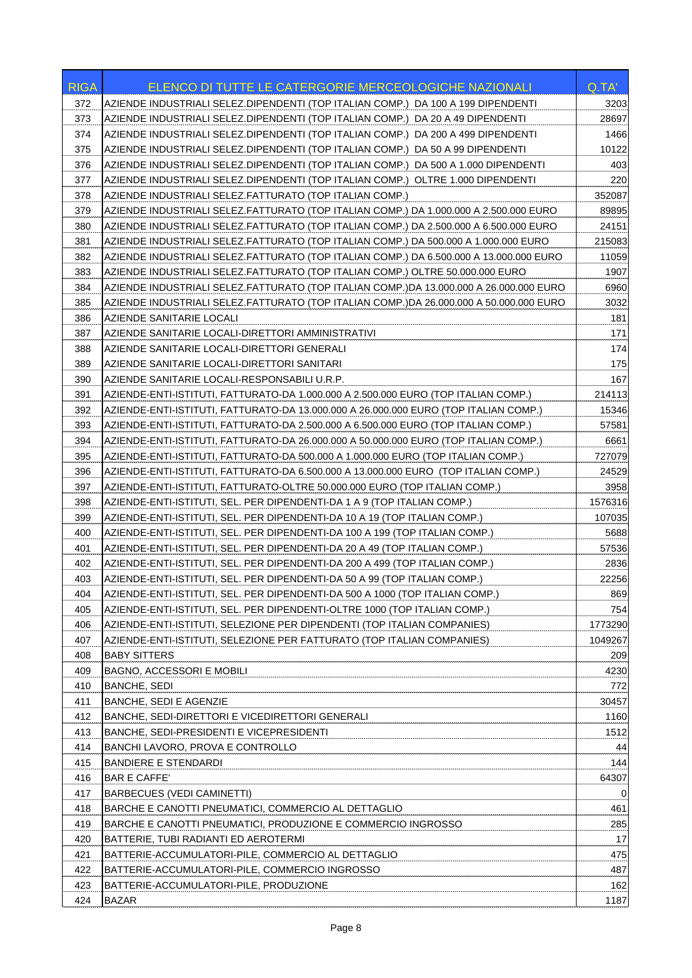| <b>RIGA</b> | <b>ELENCO DI TUTTE LE CATERGORIE MERCEOLOGICHE NAZIONALI</b>                           | Q.TA'     |
|-------------|----------------------------------------------------------------------------------------|-----------|
| 372         | AZIENDE INDUSTRIALI SELEZ.DIPENDENTI (TOP ITALIAN COMP.) DA 100 A 199 DIPENDENTI       | 3203      |
| 373         | AZIENDE INDUSTRIALI SELEZ.DIPENDENTI (TOP ITALIAN COMP.) DA 20 A 49 DIPENDENTI         | 28697     |
| 374         | AZIENDE INDUSTRIALI SELEZ.DIPENDENTI (TOP ITALIAN COMP.) DA 200 A 499 DIPENDENTI       | 1466      |
| 375         | AZIENDE INDUSTRIALI SELEZ.DIPENDENTI (TOP ITALIAN COMP.) DA 50 A 99 DIPENDENTI         | 10122     |
| 376         | AZIENDE INDUSTRIALI SELEZ.DIPENDENTI (TOP ITALIAN COMP.)  DA 500 A 1.000 DIPENDENTI    | 403       |
| 377         | AZIENDE INDUSTRIALI SELEZ.DIPENDENTI (TOP ITALIAN COMP.)  OLTRE 1.000 DIPENDENTI       | 220       |
| 378         | AZIENDE INDUSTRIALI SELEZ.FATTURATO (TOP ITALIAN COMP.)                                | 352087    |
| 379         | AZIENDE INDUSTRIALI SELEZ.FATTURATO (TOP ITALIAN COMP.) DA 1.000.000 A 2.500.000 EURO  | 89895     |
| 380         | AZIENDE INDUSTRIALI SELEZ.FATTURATO (TOP ITALIAN COMP.) DA 2.500.000 A 6.500.000 EURO  | 24151     |
| 381         | AZIENDE INDUSTRIALI SELEZ.FATTURATO (TOP ITALIAN COMP.) DA 500.000 A 1.000.000 EURO    | 215083    |
| 382         | AZIENDE INDUSTRIALI SELEZ.FATTURATO (TOP ITALIAN COMP.) DA 6.500.000 A 13.000.000 EURO | 11059     |
| 383         | AZIENDE INDUSTRIALI SELEZ.FATTURATO (TOP ITALIAN COMP.) OLTRE 50.000.000 EURO          | 1907      |
| 384         | AZIENDE INDUSTRIALI SELEZ.FATTURATO (TOP ITALIAN COMP.)DA 13.000.000 A 26.000.000 EURO | 6960      |
| 385         | AZIENDE INDUSTRIALI SELEZ.FATTURATO (TOP ITALIAN COMP.)DA 26.000.000 A 50.000.000 EURO | 3032      |
| 386         | AZIENDE SANITARIE LOCALI                                                               | 181       |
| 387         | AZIENDE SANITARIE LOCALI-DIRETTORI AMMINISTRATIVI                                      | 171       |
| 388         | AZIENDE SANITARIE LOCALI-DIRETTORI GENERALI                                            | 174       |
| 389         | AZIENDE SANITARIE LOCALI-DIRETTORI SANITARI                                            | 175       |
| 390         | AZIENDE SANITARIE LOCALI-RESPONSABILI U.R.P.                                           | 167       |
| 391         | AZIENDE-ENTI-ISTITUTI, FATTURATO-DA 1.000.000 A 2.500.000 EURO (TOP ITALIAN COMP.)     | 214113    |
| 392         | AZIENDE-ENTI-ISTITUTI, FATTURATO-DA 13.000.000 A 26.000.000 EURO (TOP ITALIAN COMP.)   | 15346     |
| 393         | AZIENDE-ENTI-ISTITUTI, FATTURATO-DA 2.500.000 A 6.500.000 EURO (TOP ITALIAN COMP.)     | 57581     |
| 394         | AZIENDE-ENTI-ISTITUTI, FATTURATO-DA 26.000.000 A 50.000.000 EURO (TOP ITALIAN COMP.)   | 6661      |
| 395         | AZIENDE-ENTI-ISTITUTI, FATTURATO-DA 500.000 A 1.000.000 EURO (TOP ITALIAN COMP.)       | 727079    |
| 396         | AZIENDE-ENTI-ISTITUTI, FATTURATO-DA 6.500.000 A 13.000.000 EURO  (TOP ITALIAN COMP.)   | 24529     |
| 397         | AZIENDE-ENTI-ISTITUTI, FATTURATO-OLTRE 50.000.000 EURO (TOP ITALIAN COMP.)             | 3958      |
| 398         | AZIENDE-ENTI-ISTITUTI, SEL. PER DIPENDENTI-DA 1 A 9 (TOP ITALIAN COMP.)                | 1576316   |
| 399         | AZIENDE-ENTI-ISTITUTI, SEL. PER DIPENDENTI-DA 10 A 19 (TOP ITALIAN COMP.)              | 107035    |
| 400         | AZIENDE-ENTI-ISTITUTI, SEL. PER DIPENDENTI-DA 100 A 199 (TOP ITALIAN COMP.)            | 5688      |
| 401         | AZIENDE-ENTI-ISTITUTI, SEL. PER DIPENDENTI-DA 20 A 49 (TOP ITALIAN COMP.)              | 57536     |
| 402         | AZIENDE-ENTI-ISTITUTI, SEL. PER DIPENDENTI-DA 200 A 499 (TOP ITALIAN COMP.)            | 2836      |
| 403         | AZIENDE-ENTI-ISTITUTI, SEL. PER DIPENDENTI-DA 50 A 99 (TOP ITALIAN COMP.)              | 22256     |
| 404         | AZIENDE-ENTI-ISTITUTI, SEL. PER DIPENDENTI-DA 500 A 1000 (TOP ITALIAN COMP.)           | 869       |
| 405         | AZIENDE-ENTI-ISTITUTI, SEL. PER DIPENDENTI-OLTRE 1000 (TOP ITALIAN COMP.)              | 754       |
| 406         | AZIENDE-ENTI-ISTITUTI, SELEZIONE PER DIPENDENTI (TOP ITALIAN COMPANIES)                | 1773290   |
| 407         | AZIENDE-ENTI-ISTITUTI, SELEZIONE PER FATTURATO (TOP ITALIAN COMPANIES)                 | 1049267   |
| 408         | <b>BABY SITTERS</b>                                                                    | 209       |
| 409         | <b>BAGNO, ACCESSORI E MOBILI</b>                                                       | 4230      |
| 410         | <b>BANCHE, SEDI</b>                                                                    | 772       |
| 411         | <b>BANCHE, SEDI E AGENZIE</b>                                                          | 30457     |
| 412         | BANCHE, SEDI-DIRETTORI E VICEDIRETTORI GENERALI                                        | 1160      |
| 413         | BANCHE, SEDI-PRESIDENTI E VICEPRESIDENTI                                               | 1512      |
| 414<br>415  | <b>BANCHI LAVORO, PROVA E CONTROLLO</b>                                                | 44<br>144 |
| 416         | BANDIERE E STENDARDI<br><b>BAR E CAFFE'</b>                                            | 64307     |
| 417         | <b>BARBECUES (VEDI CAMINETTI)</b>                                                      | 0         |
| 418         | BARCHE E CANOTTI PNEUMATICI, COMMERCIO AL DETTAGLIO                                    | 461       |
| 419         | BARCHE E CANOTTI PNEUMATICI, PRODUZIONE E COMMERCIO INGROSSO                           | 285       |
| 420         | BATTERIE, TUBI RADIANTI ED AEROTERMI                                                   | 17        |
| 421         | BATTERIE-ACCUMULATORI-PILE, COMMERCIO AL DETTAGLIO                                     | 475       |
| 422         | BATTERIE-ACCUMULATORI-PILE, COMMERCIO INGROSSO                                         | 487       |
| 423         | BATTERIE-ACCUMULATORI-PILE, PRODUZIONE                                                 | 162       |
| 424         | <b>BAZAR</b>                                                                           | 1187      |
|             |                                                                                        |           |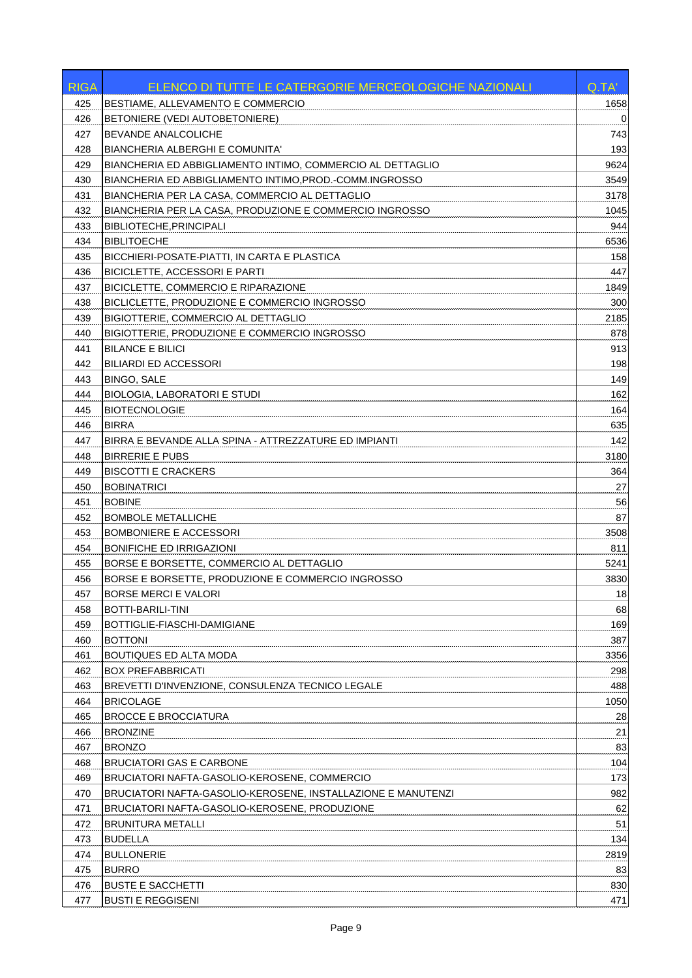| <b>RIGA</b> | ELENCO DI TUTTE LE CATERGORIE MERCEOLOGICHE NAZIONALI        | Q.TA' |
|-------------|--------------------------------------------------------------|-------|
| 425         | BESTIAME, ALLEVAMENTO E COMMERCIO                            | 1658  |
| 426         | BETONIERE (VEDI AUTOBETONIERE)                               | 0     |
| 427         | BEVANDE ANALCOLICHE                                          | 743   |
| 428         | <b>BIANCHERIA ALBERGHI E COMUNITA'</b>                       | 193   |
| 429         | BIANCHERIA ED ABBIGLIAMENTO INTIMO, COMMERCIO AL DETTAGLIO   | 9624  |
| 430         | BIANCHERIA ED ABBIGLIAMENTO INTIMO, PROD.-COMM. INGROSSO     | 3549  |
| 431         | BIANCHERIA PER LA CASA, COMMERCIO AL DETTAGLIO               | 3178  |
| 432         | BIANCHERIA PER LA CASA, PRODUZIONE E COMMERCIO INGROSSO      | 1045  |
| 433         | <b>BIBLIOTECHE.PRINCIPALI</b>                                | 944   |
| 434         | <b>BIBLITOECHE</b>                                           | 6536  |
| 435         | BICCHIERI-POSATE-PIATTI, IN CARTA E PLASTICA                 | 158   |
| 436         | BICICLETTE, ACCESSORI E PARTI                                | 447   |
| 437         | BICICLETTE, COMMERCIO E RIPARAZIONE                          | 1849  |
| 438         | BICLICLETTE, PRODUZIONE E COMMERCIO INGROSSO                 | 300   |
| 439         | BIGIOTTERIE, COMMERCIO AL DETTAGLIO                          | 2185  |
| 440         | BIGIOTTERIE, PRODUZIONE E COMMERCIO INGROSSO                 | 878   |
| 441         | <b>BILANCE E BILICI</b>                                      | 913   |
| 442         | <b>BILIARDI ED ACCESSORI</b>                                 | 198   |
| 443         | <b>BINGO, SALE</b>                                           | 149   |
| 444         | <b>BIOLOGIA, LABORATORI E STUDI</b>                          | 162   |
| 445         | <b>BIOTECNOLOGIE</b>                                         | 164   |
| 446         | <b>BIRRA</b>                                                 | 635   |
| 447         | BIRRA E BEVANDE ALLA SPINA - ATTREZZATURE ED IMPIANTI        | 142   |
| 448         | <b>BIRRERIE E PUBS</b>                                       | 3180  |
| 449         | <b>BISCOTTI E CRACKERS</b>                                   | 364   |
| 450         | <b>BOBINATRICI</b>                                           | 27    |
| 451         | <b>BOBINE</b>                                                | 56    |
| 452         | <b>BOMBOLE METALLICHE</b>                                    | 87    |
| 453         | <b>BOMBONIERE E ACCESSORI</b>                                | 3508  |
| 454         | <b>BONIFICHE ED IRRIGAZIONI</b>                              | 811   |
| 455         | BORSE E BORSETTE, COMMERCIO AL DETTAGLIO                     | 5241  |
| 456         | BORSE E BORSETTE, PRODUZIONE E COMMERCIO INGROSSO            | 3830  |
| 457         | <b>BORSE MERCI E VALORI</b>                                  | 18    |
| 458         | BOTTI-BARILI-TINI                                            | 68    |
| 459         | BOTTIGLIE-FIASCHI-DAMIGIANE                                  | 169   |
| 460         | <b>BOTTONI</b>                                               | 387   |
| 461         | <b>BOUTIQUES ED ALTA MODA</b>                                | 3356  |
| 462         | <b>BOX PREFABBRICATI</b>                                     | 298   |
| 463         | BREVETTI D'INVENZIONE, CONSULENZA TECNICO LEGALE             | 488   |
| 464         | <b>BRICOLAGE</b>                                             | 1050  |
| 465         | <b>BROCCE E BROCCIATURA</b>                                  | 28    |
| 466         | <b>BRONZINE</b>                                              | 21    |
| 467         | <b>BRONZO</b>                                                | 83    |
| 468         | <b>BRUCIATORI GAS E CARBONE</b>                              | 104   |
| 469         | BRUCIATORI NAFTA-GASOLIO-KEROSENE, COMMERCIO                 | 173   |
| 470         | BRUCIATORI NAFTA-GASOLIO-KEROSENE, INSTALLAZIONE E MANUTENZI | 982   |
| 471         | BRUCIATORI NAFTA-GASOLIO-KEROSENE, PRODUZIONE                | 62    |
| 472         | <b>BRUNITURA METALLI</b>                                     | 51    |
| 473         | <b>BUDELLA</b>                                               | 134   |
| 474         | <b>BULLONERIE</b>                                            | 2819  |
| 475         | <b>BURRO</b>                                                 | 83    |
| 476         | <b>BUSTE E SACCHETTI</b>                                     | 830   |
| 477         | <b>BUSTI E REGGISENI</b>                                     | 471   |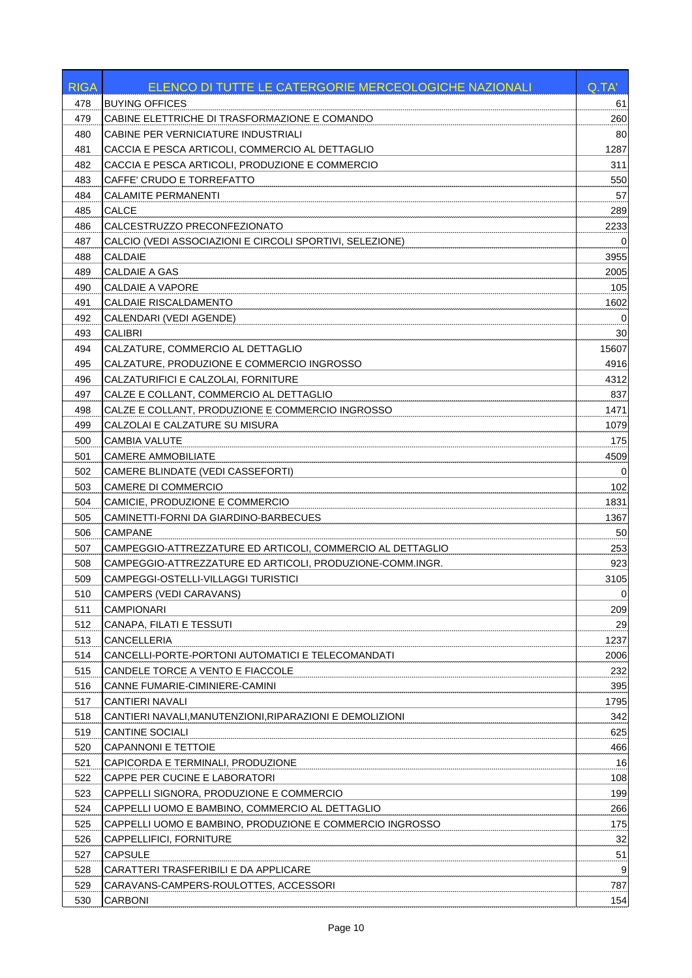| <b>RIGA</b> | ELENCO DI TUTTE LE CATERGORIE MERCEOLOGICHE NAZIONALI      | Q.TA'          |
|-------------|------------------------------------------------------------|----------------|
| 478         | <b>BUYING OFFICES</b>                                      | 61             |
| 479         | CABINE ELETTRICHE DI TRASFORMAZIONE E COMANDO              | 260            |
| 480         | CABINE PER VERNICIATURE INDUSTRIALI                        | 80             |
| 481         | CACCIA E PESCA ARTICOLI, COMMERCIO AL DETTAGLIO            | 1287           |
| 482         | CACCIA E PESCA ARTICOLI, PRODUZIONE E COMMERCIO            | 311            |
| 483         | CAFFE' CRUDO E TORREFATTO                                  | 550            |
| 484         | <b>CALAMITE PERMANENTI</b>                                 | 57             |
| 485         | <b>CALCE</b>                                               | 289            |
| 486         | CALCESTRUZZO PRECONFEZIONATO                               | 2233           |
| 487         | CALCIO (VEDI ASSOCIAZIONI E CIRCOLI SPORTIVI, SELEZIONE)   | 0              |
| 488         | <b>CALDAIE</b>                                             | 3955           |
| 489         | <b>CALDAIE A GAS</b>                                       | 2005           |
| 490         | <b>CALDAIE A VAPORE</b>                                    | 105            |
| 491         | CALDAIE RISCALDAMENTO                                      | 1602           |
| 492         | CALENDARI (VEDI AGENDE)                                    | 0              |
| 493         | <b>CALIBRI</b>                                             | 30             |
| 494         | CALZATURE, COMMERCIO AL DETTAGLIO                          | 15607          |
| 495         | CALZATURE, PRODUZIONE E COMMERCIO INGROSSO                 | 4916           |
| 496         | CALZATURIFICI E CALZOLAI, FORNITURE                        | 4312           |
| 497         | CALZE E COLLANT, COMMERCIO AL DETTAGLIO                    | 837            |
| 498         | CALZE E COLLANT, PRODUZIONE E COMMERCIO INGROSSO           | 1471           |
| 499         | CALZOLAI E CALZATURE SU MISURA                             | 1079           |
| 500         | <b>CAMBIA VALUTE</b>                                       | 175            |
| 501         | <b>CAMERE AMMOBILIATE</b>                                  | 4509           |
| 502         | <b>CAMERE BLINDATE (VEDI CASSEFORTI)</b>                   | 0              |
| 503         | <b>CAMERE DI COMMERCIO</b>                                 | 102            |
| 504         | CAMICIE, PRODUZIONE E COMMERCIO                            | 1831           |
| 505         | CAMINETTI-FORNI DA GIARDINO-BARBECUES                      | 1367           |
| 506         | <b>CAMPANE</b>                                             | 50             |
| 507         | CAMPEGGIO-ATTREZZATURE ED ARTICOLI, COMMERCIO AL DETTAGLIO | 253            |
| 508         | CAMPEGGIO-ATTREZZATURE ED ARTICOLI, PRODUZIONE-COMM.INGR.  | 923            |
| 509         | CAMPEGGI-OSTELLI-VILLAGGI TURISTICI                        | 3105           |
| 510         | CAMPERS (VEDI CARAVANS)                                    | $\overline{0}$ |
| 511         | <b>CAMPIONARI</b>                                          | 209            |
| 512         | CANAPA, FILATI E TESSUTI                                   | 29             |
| 513         | <b>CANCELLERIA</b>                                         | 1237           |
| 514         | CANCELLI-PORTE-PORTONI AUTOMATICI E TELECOMANDATI          | 2006           |
| 515         | CANDELE TORCE A VENTO E FIACCOLE                           | 232            |
| 516         | CANNE FUMARIE-CIMINIERE-CAMINI                             | 395            |
| 517         | CANTIERI NAVALI                                            | 1795           |
| 518         | CANTIERI NAVALI, MANUTENZIONI, RIPARAZIONI E DEMOLIZIONI   | 342            |
| 519         | <b>CANTINE SOCIALI</b>                                     | 625            |
| 520         | <b>CAPANNONI E TETTOIE</b>                                 | 466            |
| 521         | CAPICORDA E TERMINALI, PRODUZIONE                          | 16             |
| 522         | CAPPE PER CUCINE E LABORATORI                              | 108            |
| 523         | CAPPELLI SIGNORA, PRODUZIONE E COMMERCIO                   | 199            |
| 524         | CAPPELLI UOMO E BAMBINO, COMMERCIO AL DETTAGLIO            | 266            |
| 525         | CAPPELLI UOMO E BAMBINO, PRODUZIONE E COMMERCIO INGROSSO   | 175            |
| 526         | CAPPELLIFICI, FORNITURE                                    | 32             |
| 527         | <b>CAPSULE</b>                                             | 51             |
| 528         | CARATTERI TRASFERIBILI E DA APPLICARE                      | 9              |
| 529         | CARAVANS-CAMPERS-ROULOTTES, ACCESSORI                      | 787            |
| 530         | <b>CARBONI</b>                                             | 154            |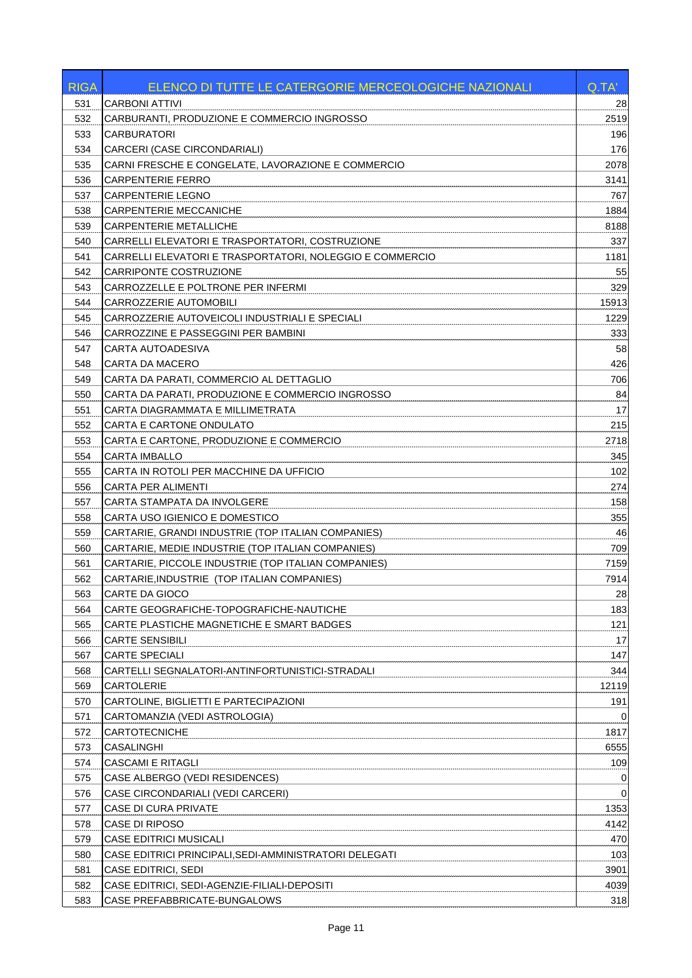| <b>RIGA</b> | ELENCO DI TUTTE LE CATERGORIE MERCEOLOGICHE NAZIONALI    | Q.TA'       |
|-------------|----------------------------------------------------------|-------------|
| 531         | <b>CARBONI ATTIVI</b>                                    | 28          |
| 532         | CARBURANTI, PRODUZIONE E COMMERCIO INGROSSO              | 2519        |
| 533         | <b>CARBURATORI</b>                                       | 196         |
| 534         | CARCERI (CASE CIRCONDARIALI)                             | 176         |
| 535         | CARNI FRESCHE E CONGELATE, LAVORAZIONE E COMMERCIO       | 2078        |
| 536         | <b>CARPENTERIE FERRO</b>                                 | 3141        |
| 537         | CARPENTERIE LEGNO                                        | 767         |
| 538         | <b>CARPENTERIE MECCANICHE</b>                            | 1884        |
| 539         | <b>CARPENTERIE METALLICHE</b>                            | 8188        |
| 540         | CARRELLI ELEVATORI E TRASPORTATORI, COSTRUZIONE          | 337         |
| 541         | CARRELLI ELEVATORI E TRASPORTATORI, NOLEGGIO E COMMERCIO | 1181        |
| 542         | CARRIPONTE COSTRUZIONE                                   | 55          |
| 543         | CARROZZELLE E POLTRONE PER INFERMI                       | 329         |
| 544         | CARROZZERIE AUTOMOBILI                                   | 15913       |
| 545         | CARROZZERIE AUTOVEICOLI INDUSTRIALI E SPECIALI           | 1229        |
| 546         | CARROZZINE E PASSEGGINI PER BAMBINI                      | 333         |
| 547         | CARTA AUTOADESIVA                                        | 58          |
| 548         | CARTA DA MACERO                                          | 426         |
| 549         | CARTA DA PARATI, COMMERCIO AL DETTAGLIO                  | 706         |
| 550         | CARTA DA PARATI, PRODUZIONE E COMMERCIO INGROSSO         | 84          |
| 551         | CARTA DIAGRAMMATA E MILLIMETRATA                         | 17          |
| 552         | CARTA E CARTONE ONDULATO                                 | 215         |
| 553         | CARTA E CARTONE, PRODUZIONE E COMMERCIO                  | 2718        |
| 554         | <b>CARTA IMBALLO</b>                                     | 345         |
| 555         | CARTA IN ROTOLI PER MACCHINE DA UFFICIO                  | 102         |
| 556         | <b>CARTA PER ALIMENTI</b>                                | 274         |
| 557         | CARTA STAMPATA DA INVOLGERE                              | 158         |
| 558         | CARTA USO IGIENICO E DOMESTICO                           | 355         |
| 559         | CARTARIE, GRANDI INDUSTRIE (TOP ITALIAN COMPANIES)       | 46          |
| 560         | CARTARIE, MEDIE INDUSTRIE (TOP ITALIAN COMPANIES)        | 709         |
| 561         | CARTARIE, PICCOLE INDUSTRIE (TOP ITALIAN COMPANIES)      | 7159        |
| 562         | CARTARIE, INDUSTRIE (TOP ITALIAN COMPANIES)              | 7914        |
| 563         | CARTE DA GIOCO                                           | 28          |
| 564         | CARTE GEOGRAFICHE-TOPOGRAFICHE-NAUTICHE                  | 183         |
| 565         | CARTE PLASTICHE MAGNETICHE E SMART BADGES                | 121         |
| 566         | <b>CARTE SENSIBILI</b>                                   | 17          |
| 567         | CARTE SPECIALI                                           | 147         |
| 568         | CARTELLI SEGNALATORI-ANTINFORTUNISTICI-STRADALI          | 344         |
| 569         | <b>CARTOLERIE</b>                                        | 12119       |
| 570         | CARTOLINE, BIGLIETTI E PARTECIPAZIONI                    | 191         |
| 571         | CARTOMANZIA (VEDI ASTROLOGIA)                            | 0           |
| 572         | CARTOTECNICHE                                            | 1817        |
| 573         | CASALINGHI                                               | 6555        |
| 574         | <b>CASCAMI E RITAGLI</b>                                 | 109         |
| 575         | CASE ALBERGO (VEDI RESIDENCES)                           | 0           |
| 576         | CASE CIRCONDARIALI (VEDI CARCERI)                        | $\mathbf 0$ |
| 577         | CASE DI CURA PRIVATE                                     | 1353        |
| 578         | CASE DI RIPOSO                                           | 4142        |
| 579         | <b>CASE EDITRICI MUSICALI</b>                            | 470         |
| 580         | CASE EDITRICI PRINCIPALI, SEDI-AMMINISTRATORI DELEGATI   | 103         |
| 581         | <b>CASE EDITRICI, SEDI</b>                               | 3901        |
| 582         | CASE EDITRICI, SEDI-AGENZIE-FILIALI-DEPOSITI             | 4039        |
| 583         | CASE PREFABBRICATE-BUNGALOWS                             | 318         |
|             |                                                          |             |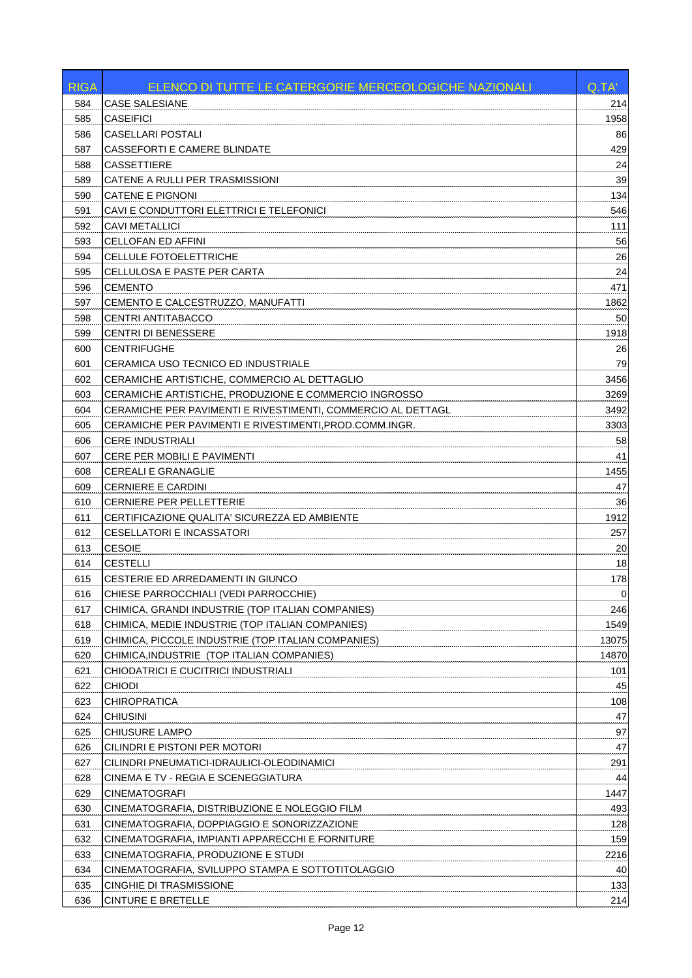| <b>RIGA</b> | ELENCO DI TUTTE LE CATERGORIE MERCEOLOGICHE NAZIONALI        | Q.TA'       |
|-------------|--------------------------------------------------------------|-------------|
| 584         | <b>CASE SALESIANE</b>                                        | 214         |
| 585         | CASEIFICI                                                    | 1958        |
| 586         | <b>CASELLARI POSTALI</b>                                     | 86          |
| 587         | CASSEFORTI E CAMERE BLINDATE                                 | 429         |
| 588         | <b>CASSETTIERE</b>                                           | 24          |
| 589         | CATENE A RULLI PER TRASMISSIONI                              | 39          |
| 590         | CATENE E PIGNONI                                             | 134         |
| 591         | CAVI E CONDUTTORI ELETTRICI E TELEFONICI                     | 546         |
| 592         | <b>CAVI METALLICI</b>                                        | 111         |
| 593         | <b>CELLOFAN ED AFFINI</b>                                    | 56          |
| 594         | CELLULE FOTOELETTRICHE                                       | 26          |
| 595         | CELLULOSA E PASTE PER CARTA                                  | 24          |
| 596         | <b>CEMENTO</b>                                               | 471         |
| 597         | CEMENTO E CALCESTRUZZO, MANUFATTI                            | 1862        |
| 598         | CENTRI ANTITABACCO                                           | 50          |
| 599         | CENTRI DI BENESSERE                                          | 1918        |
| 600         | CENTRIFUGHE                                                  | 26          |
| 601         | CERAMICA USO TECNICO ED INDUSTRIALE                          | 79          |
| 602         | CERAMICHE ARTISTICHE, COMMERCIO AL DETTAGLIO                 | 3456        |
| 603         | CERAMICHE ARTISTICHE, PRODUZIONE E COMMERCIO INGROSSO        | 3269        |
| 604         | CERAMICHE PER PAVIMENTI E RIVESTIMENTI. COMMERCIO AL DETTAGL | 3492        |
| 605         | CERAMICHE PER PAVIMENTI E RIVESTIMENTI, PROD.COMM.INGR.      | 3303        |
| 606         | <b>CERE INDUSTRIALI</b>                                      | 58          |
| 607         | CERE PER MOBILI E PAVIMENTI                                  | 41          |
| 608         | <b>CEREALI E GRANAGLIE</b>                                   | 1455        |
| 609         | CERNIERE E CARDINI                                           | 47          |
| 610         | CERNIERE PER PELLETTERIE                                     | 36          |
| 611         | CERTIFICAZIONE QUALITA' SICUREZZA ED AMBIENTE                | 1912        |
| 612         | CESELLATORI E INCASSATORI                                    | 257         |
| 613         | <b>CESOIE</b>                                                | 20          |
| 614         | CESTELLI                                                     | 18          |
| 615         | CESTERIE ED ARREDAMENTI IN GIUNCO                            | 178         |
| 616         | CHIESE PARROCCHIALI (VEDI PARROCCHIE)                        | $\mathbf 0$ |
| 617         | CHIMICA, GRANDI INDUSTRIE (TOP ITALIAN COMPANIES)            | 246         |
| 618         | CHIMICA, MEDIE INDUSTRIE (TOP ITALIAN COMPANIES)             | 1549        |
| 619         | CHIMICA, PICCOLE INDUSTRIE (TOP ITALIAN COMPANIES)           | 13075       |
| 620         | CHIMICA,INDUSTRIE (TOP ITALIAN COMPANIES)                    | 14870       |
| 621         | CHIODATRICI E CUCITRICI INDUSTRIALI                          | 101         |
| 622         | <b>CHIODI</b>                                                | 45          |
| 623         | <b>CHIROPRATICA</b>                                          | 108         |
| 624         | <b>CHIUSINI</b>                                              | 47          |
| 625         | <b>CHIUSURE LAMPO</b>                                        | 97          |
| 626         | CILINDRI E PISTONI PER MOTORI                                | 47          |
| 627         | CILINDRI PNEUMATICI-IDRAULICI-OLEODINAMICI                   | 291         |
| 628         | CINEMA E TV - REGIA E SCENEGGIATURA                          | 44          |
| 629         | <b>CINEMATOGRAFI</b>                                         | 1447        |
| 630         | CINEMATOGRAFIA, DISTRIBUZIONE E NOLEGGIO FILM                | 493         |
| 631         | CINEMATOGRAFIA, DOPPIAGGIO E SONORIZZAZIONE                  | 128         |
| 632         | CINEMATOGRAFIA, IMPIANTI APPARECCHI E FORNITURE              | 159         |
| 633         | CINEMATOGRAFIA, PRODUZIONE E STUDI                           | 2216        |
| 634         | CINEMATOGRAFIA, SVILUPPO STAMPA E SOTTOTITOLAGGIO            | 40          |
| 635         | CINGHIE DI TRASMISSIONE                                      | 133         |
| 636         | <b>CINTURE E BRETELLE</b>                                    | 214         |
|             |                                                              |             |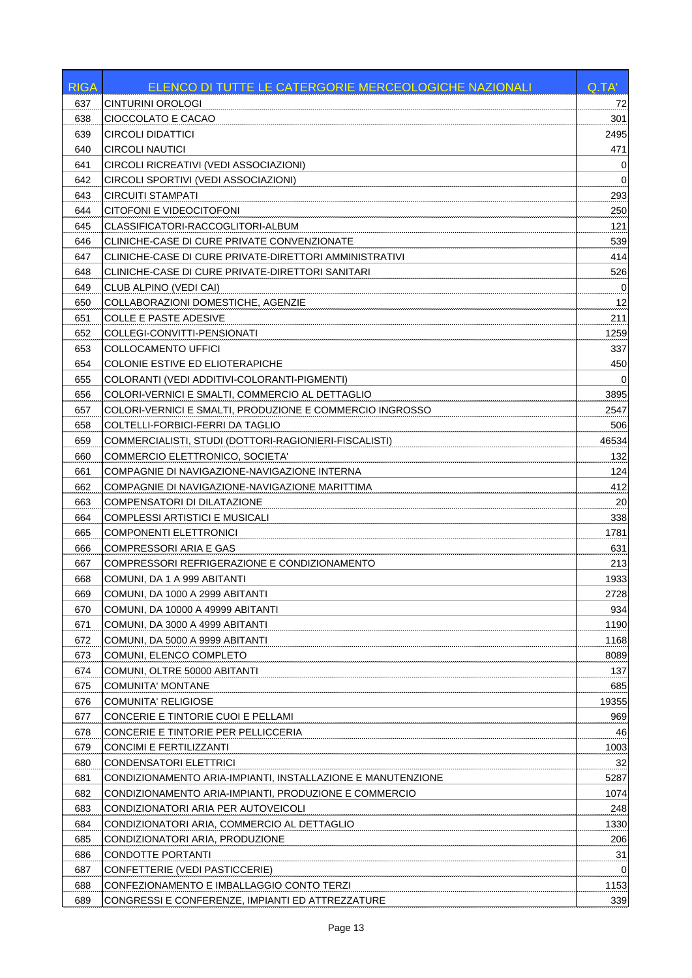| <b>RIGA</b> | ELENCO DI TUTTE LE CATERGORIE MERCEOLOGICHE NAZIONALI       | Q.TA'       |
|-------------|-------------------------------------------------------------|-------------|
| 637         | CINTURINI OROLOGI                                           | 72          |
| 638         | CIOCCOLATO E CACAO                                          | 301         |
| 639         | <b>CIRCOLI DIDATTICI</b>                                    | 2495        |
| 640         | <b>CIRCOLI NAUTICI</b>                                      | 471         |
| 641         | CIRCOLI RICREATIVI (VEDI ASSOCIAZIONI)                      | 0           |
| 642         | CIRCOLI SPORTIVI (VEDI ASSOCIAZIONI)                        | $\mathbf 0$ |
| 643         | CIRCUITI STAMPATI                                           | 293         |
| 644         | CITOFONI E VIDEOCITOFONI                                    | 250         |
| 645         | CLASSIFICATORI-RACCOGLITORI-ALBUM                           | 121         |
| 646         | CLINICHE-CASE DI CURE PRIVATE CONVENZIONATE                 | 539         |
| 647         | CLINICHE-CASE DI CURE PRIVATE-DIRETTORI AMMINISTRATIVI      | 414         |
| 648         | CLINICHE-CASE DI CURE PRIVATE-DIRETTORI SANITARI            | 526         |
| 649         | CLUB ALPINO (VEDI CAI)                                      | 0           |
| 650         | COLLABORAZIONI DOMESTICHE, AGENZIE                          | 12          |
| 651         | <b>COLLE E PASTE ADESIVE</b>                                | 211         |
| 652         | COLLEGI-CONVITTI-PENSIONATI                                 | 1259        |
| 653         | COLLOCAMENTO UFFICI                                         | 337         |
| 654         | COLONIE ESTIVE ED ELIOTERAPICHE                             | 450         |
| 655         | COLORANTI (VEDI ADDITIVI-COLORANTI-PIGMENTI)                | 0           |
| 656         | COLORI-VERNICI E SMALTI, COMMERCIO AL DETTAGLIO             | 3895        |
| 657         | COLORI-VERNICI E SMALTI, PRODUZIONE E COMMERCIO INGROSSO    | 2547        |
| 658         | COLTELLI-FORBICI-FERRI DA TAGLIO                            | 506         |
| 659         | COMMERCIALISTI, STUDI (DOTTORI-RAGIONIERI-FISCALISTI)       | 46534       |
| 660         | COMMERCIO ELETTRONICO, SOCIETA'                             | 132         |
| 661         | COMPAGNIE DI NAVIGAZIONE-NAVIGAZIONE INTERNA                | 124         |
| 662         | COMPAGNIE DI NAVIGAZIONE-NAVIGAZIONE MARITTIMA              | 412         |
| 663         | COMPENSATORI DI DILATAZIONE                                 | 20          |
| 664         | COMPLESSI ARTISTICI E MUSICALI                              | 338         |
| 665         | <b>COMPONENTI ELETTRONICI</b>                               | 1781        |
| 666         | <b>COMPRESSORI ARIA E GAS</b>                               | 631         |
| 667         | COMPRESSORI REFRIGERAZIONE E CONDIZIONAMENTO                | 213         |
| 668         | COMUNI, DA 1 A 999 ABITANTI                                 | 1933        |
| 669         | COMUNI, DA 1000 A 2999 ABITANTI                             | 2728        |
| 670         | COMUNI, DA 10000 A 49999 ABITANTI                           | 934         |
| 671         | COMUNI, DA 3000 A 4999 ABITANTI                             | 1190        |
| 672         | COMUNI, DA 5000 A 9999 ABITANTI                             | 1168        |
| 673         | COMUNI, ELENCO COMPLETO                                     | 8089        |
| 674         | COMUNI, OLTRE 50000 ABITANTI                                | 137         |
| 675         | <b>COMUNITA' MONTANE</b>                                    | 685         |
| 676         | COMUNITA' RELIGIOSE                                         | 19355       |
| 677         | CONCERIE E TINTORIE CUOI E PELLAMI                          | 969         |
| 678         | CONCERIE E TINTORIE PER PELLICCERIA                         | 46          |
| 679         | CONCIMI E FERTILIZZANTI                                     | 1003        |
| 680         | CONDENSATORI ELETTRICI                                      | 32          |
| 681         | CONDIZIONAMENTO ARIA-IMPIANTI, INSTALLAZIONE E MANUTENZIONE | 5287        |
| 682         | CONDIZIONAMENTO ARIA-IMPIANTI, PRODUZIONE E COMMERCIO       | 1074        |
| 683         | CONDIZIONATORI ARIA PER AUTOVEICOLI                         | 248         |
| 684         | CONDIZIONATORI ARIA, COMMERCIO AL DETTAGLIO                 | 1330        |
| 685         | CONDIZIONATORI ARIA, PRODUZIONE                             | 206         |
| 686         | CONDOTTE PORTANTI                                           | 31          |
| 687         | CONFETTERIE (VEDI PASTICCERIE)                              | 0           |
| 688         | CONFEZIONAMENTO E IMBALLAGGIO CONTO TERZI                   | 1153        |
| 689         | CONGRESSI E CONFERENZE, IMPIANTI ED ATTREZZATURE            | 339         |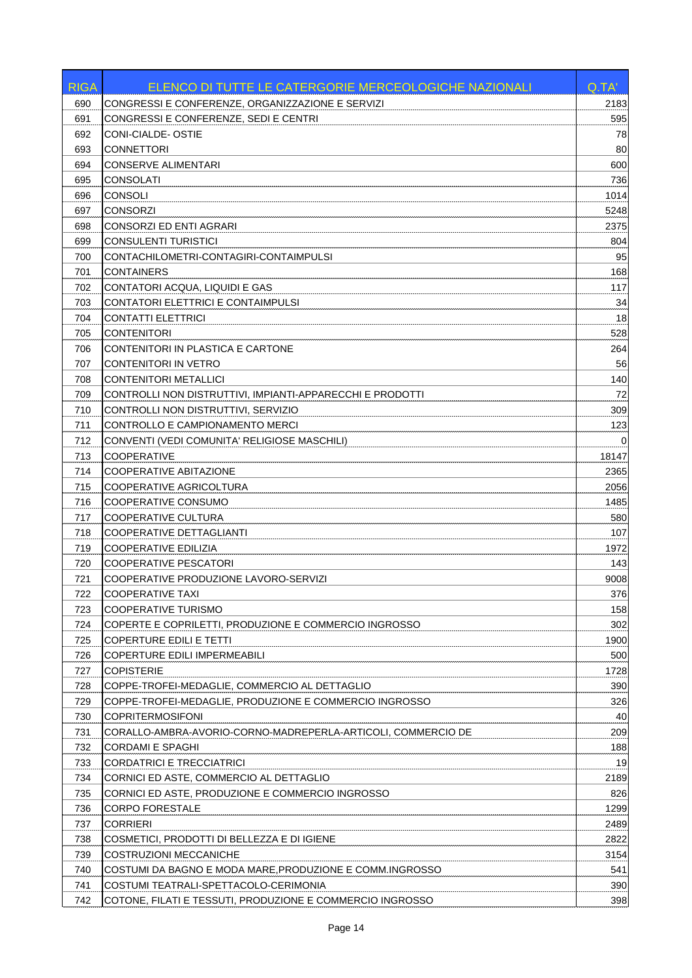| <b>RIGA</b> | ELENCO DI TUTTE LE CATERGORIE MERCEOLOGICHE NAZIONALI        | Q.TA'       |
|-------------|--------------------------------------------------------------|-------------|
| 690         | CONGRESSI E CONFERENZE, ORGANIZZAZIONE E SERVIZI             | 2183        |
| 691         | CONGRESSI E CONFERENZE, SEDI E CENTRI                        | 595         |
| 692         | CONI-CIALDE- OSTIE                                           | 78          |
| 693         | <b>CONNETTORI</b>                                            | 80          |
| 694         | <b>CONSERVE ALIMENTARI</b>                                   | 600         |
| 695         | <b>CONSOLATI</b>                                             | 736         |
| 696         | <b>CONSOLI</b>                                               | 1014        |
| 697         | <b>CONSORZI</b>                                              | 5248        |
| 698         | <b>CONSORZI ED ENTI AGRARI</b>                               | 2375        |
| 699         | CONSULENTI TURISTICI                                         | 804         |
| 700         | CONTACHILOMETRI-CONTAGIRI-CONTAIMPULSI                       | 95          |
| 701         | <b>CONTAINERS</b>                                            | 168         |
| 702         | CONTATORI ACQUA, LIQUIDI E GAS                               | 117         |
| 703         | CONTATORI ELETTRICI E CONTAIMPULSI                           | 34          |
| 704         | <b>CONTATTI ELETTRICI</b>                                    | 18          |
| 705         | <b>CONTENITORI</b>                                           | 528         |
| 706         | CONTENITORI IN PLASTICA E CARTONE                            | 264         |
| 707         | <b>CONTENITORI IN VETRO</b>                                  | 56          |
| 708         | <b>CONTENITORI METALLICI</b>                                 | 140         |
| 709         | CONTROLLI NON DISTRUTTIVI, IMPIANTI-APPARECCHI E PRODOTTI    | 72          |
| 710         | CONTROLLI NON DISTRUTTIVI, SERVIZIO                          | 309         |
| 711         | CONTROLLO E CAMPIONAMENTO MERCI                              | 123         |
| 712         | CONVENTI (VEDI COMUNITA' RELIGIOSE MASCHILI)                 | $\Omega$    |
| 713         | COOPERATIVE                                                  | 18147       |
| 714         | COOPERATIVE ABITAZIONE                                       | 2365        |
| 715         | COOPERATIVE AGRICOLTURA                                      | 2056        |
| 716         | COOPERATIVE CONSUMO                                          | 1485        |
| 717         | COOPERATIVE CULTURA                                          | 580         |
| 718         | COOPERATIVE DETTAGLIANTI                                     | 107         |
| 719         | COOPERATIVE EDILIZIA                                         | 1972        |
| 720         | <b>COOPERATIVE PESCATORI</b>                                 | 143         |
| 721         | COOPERATIVE PRODUZIONE LAVORO-SERVIZI                        | 9008        |
| 722         | <b>COOPERATIVE TAXI</b>                                      | 376         |
| 723         | COOPERATIVE TURISMO                                          | 158         |
| 724         | COPERTE E COPRILETTI, PRODUZIONE E COMMERCIO INGROSSO        | 302         |
| 725         | <b>COPERTURE EDILI E TETTI</b>                               | 1900        |
| 726         | COPERTURE EDILI IMPERMEABILI<br><b>COPISTERIE</b>            | 500         |
| 727<br>728  | COPPE-TROFEI-MEDAGLIE, COMMERCIO AL DETTAGLIO                | 1728<br>390 |
| 729         | COPPE-TROFEI-MEDAGLIE, PRODUZIONE E COMMERCIO INGROSSO       | 326         |
| 730         | <b>COPRITERMOSIFONI</b>                                      | 40          |
| 731         | CORALLO-AMBRA-AVORIO-CORNO-MADREPERLA-ARTICOLI, COMMERCIO DE | 209         |
| 732         | <b>CORDAMI E SPAGHI</b>                                      | 188         |
| 733         | <b>CORDATRICI E TRECCIATRICI</b>                             | 19          |
| 734         | CORNICI ED ASTE, COMMERCIO AL DETTAGLIO                      | 2189        |
| 735         | CORNICI ED ASTE, PRODUZIONE E COMMERCIO INGROSSO             | 826         |
| 736         | <b>CORPO FORESTALE</b>                                       | 1299        |
| 737         | <b>CORRIERI</b>                                              | 2489        |
| 738         | COSMETICI, PRODOTTI DI BELLEZZA E DI IGIENE                  | 2822        |
| 739         | COSTRUZIONI MECCANICHE                                       | 3154        |
| 740         | COSTUMI DA BAGNO E MODA MARE, PRODUZIONE E COMM. INGROSSO    | 541         |
| 741         | COSTUMI TEATRALI-SPETTACOLO-CERIMONIA                        | 390         |
| 742         | COTONE, FILATI E TESSUTI, PRODUZIONE E COMMERCIO INGROSSO    | 398         |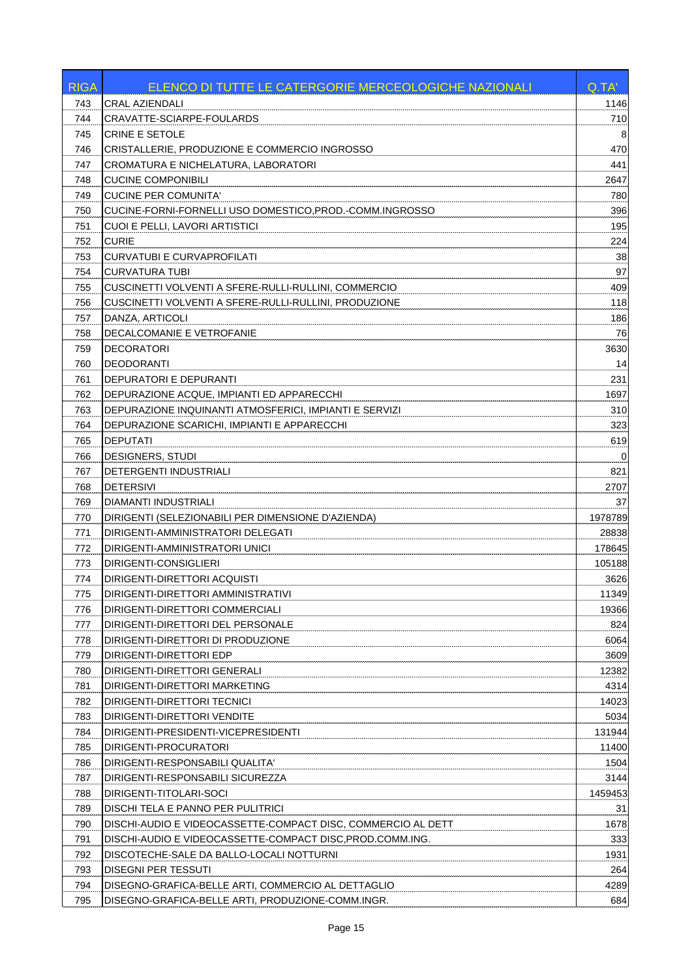| 743<br>CRAL AZIENDALI<br>1146<br>CRAVATTE-SCIARPE-FOULARDS<br>710<br>744<br><b>CRINE E SETOLE</b><br>745<br>8<br>470<br>CRISTALLERIE, PRODUZIONE E COMMERCIO INGROSSO<br>746<br>441<br>CROMATURA E NICHELATURA, LABORATORI<br>747<br><b>CUCINE COMPONIBILI</b><br>2647<br>748<br>CUCINE PER COMUNITA'<br>780<br>749<br>396<br>750<br>CUCINE-FORNI-FORNELLI USO DOMESTICO, PROD.-COMM.INGROSSO<br>CUOI E PELLI, LAVORI ARTISTICI<br>195<br>751<br>752<br><b>CURIE</b><br>224<br><b>CURVATUBI E CURVAPROFILATI</b><br>38<br>753<br>97<br>754<br>CURVATURA TUBI<br>409<br>CUSCINETTI VOLVENTI A SFERE-RULLI-RULLINI, COMMERCIO<br>755<br>118<br>CUSCINETTI VOLVENTI A SFERE-RULLI-RULLINI. PRODUZIONE<br>756<br>DANZA, ARTICOLI<br>186<br>757<br>76<br>758<br>DECALCOMANIE E VETROFANIE<br>759<br>DECORATORI<br>3630<br><b>DEODORANTI</b><br>14<br>760<br>231<br>761<br>DEPURATORI E DEPURANTI<br>DEPURAZIONE ACQUE, IMPIANTI ED APPARECCHI<br>1697<br>762<br>DEPURAZIONE INQUINANTI ATMOSFERICI. IMPIANTI E SERVIZI<br>310<br>763<br>323<br>764<br>DEPURAZIONE SCARICHI, IMPIANTI E APPARECCHI<br><b>DEPUTATI</b><br>619<br>765<br>DESIGNERS, STUDI<br>766<br>0<br>821<br>767<br>DETERGENTI INDUSTRIALI<br><b>DETERSIVI</b><br>768<br>2707<br>769<br>DIAMANTI INDUSTRIALI<br>37<br>1978789<br>770<br>DIRIGENTI (SELEZIONABILI PER DIMENSIONE D'AZIENDA)<br>DIRIGENTI-AMMINISTRATORI DELEGATI<br>28838<br>771<br>178645<br>772<br>DIRIGENTI-AMMINISTRATORI UNICI<br>773<br>DIRIGENTI-CONSIGLIERI<br>105188<br>DIRIGENTI-DIRETTORI ACQUISTI<br>774<br>3626<br><u>775</u><br>11349<br>DIRIGENTI-DIRETTORI AMMINISTRATIVI<br>19366<br>DIRIGENTI-DIRETTORI COMMERCIALI<br>776<br>824<br>777<br>DIRIGENTI-DIRETTORI DEL PERSONALE<br>778<br>DIRIGENTI-DIRETTORI DI PRODUZIONE<br>6064<br>779<br>DIRIGENTI-DIRETTORI EDP<br>3609<br>12382<br>780<br>DIRIGENTI-DIRETTORI GENERALI<br>781<br>DIRIGENTI-DIRETTORI MARKETING<br>4314<br>782<br>DIRIGENTI-DIRETTORI TECNICI<br>14023<br>783<br>DIRIGENTI-DIRETTORI VENDITE<br>5034<br>784<br>131944<br>DIRIGENTI-PRESIDENTI-VICEPRESIDENTI<br>785<br>DIRIGENTI-PROCURATORI<br>11400<br>786<br>1504<br>DIRIGENTI-RESPONSABILI QUALITA'<br>3144<br>787<br>DIRIGENTI-RESPONSABILI SICUREZZA<br>788<br>DIRIGENTI-TITOLARI-SOCI<br>1459453<br>789<br>DISCHI TELA E PANNO PER PULITRICI<br>31<br>790<br>DISCHI-AUDIO E VIDEOCASSETTE-COMPACT DISC, COMMERCIO AL DETT<br>1678<br>DISCHI-AUDIO E VIDEOCASSETTE-COMPACT DISC, PROD.COMM.ING.<br>333<br>791<br>1931<br>792<br>DISCOTECHE-SALE DA BALLO-LOCALI NOTTURNI<br>793<br>DISEGNI PER TESSUTI<br>264<br>794<br>DISEGNO-GRAFICA-BELLE ARTI, COMMERCIO AL DETTAGLIO<br>4289<br>795<br>DISEGNO-GRAFICA-BELLE ARTI, PRODUZIONE-COMM.INGR.<br>684 | <b>RIGA</b> | ELENCO DI TUTTE LE CATERGORIE MERCEOLOGICHE NAZIONALI | Q.TA' |
|-----------------------------------------------------------------------------------------------------------------------------------------------------------------------------------------------------------------------------------------------------------------------------------------------------------------------------------------------------------------------------------------------------------------------------------------------------------------------------------------------------------------------------------------------------------------------------------------------------------------------------------------------------------------------------------------------------------------------------------------------------------------------------------------------------------------------------------------------------------------------------------------------------------------------------------------------------------------------------------------------------------------------------------------------------------------------------------------------------------------------------------------------------------------------------------------------------------------------------------------------------------------------------------------------------------------------------------------------------------------------------------------------------------------------------------------------------------------------------------------------------------------------------------------------------------------------------------------------------------------------------------------------------------------------------------------------------------------------------------------------------------------------------------------------------------------------------------------------------------------------------------------------------------------------------------------------------------------------------------------------------------------------------------------------------------------------------------------------------------------------------------------------------------------------------------------------------------------------------------------------------------------------------------------------------------------------------------------------------------------------------------------------------------------------------------------------------------------------------------------------------------------------------------------------------------------------------------------------------------------------------------------------------------------------------------------------------------------------------|-------------|-------------------------------------------------------|-------|
|                                                                                                                                                                                                                                                                                                                                                                                                                                                                                                                                                                                                                                                                                                                                                                                                                                                                                                                                                                                                                                                                                                                                                                                                                                                                                                                                                                                                                                                                                                                                                                                                                                                                                                                                                                                                                                                                                                                                                                                                                                                                                                                                                                                                                                                                                                                                                                                                                                                                                                                                                                                                                                                                                                                             |             |                                                       |       |
|                                                                                                                                                                                                                                                                                                                                                                                                                                                                                                                                                                                                                                                                                                                                                                                                                                                                                                                                                                                                                                                                                                                                                                                                                                                                                                                                                                                                                                                                                                                                                                                                                                                                                                                                                                                                                                                                                                                                                                                                                                                                                                                                                                                                                                                                                                                                                                                                                                                                                                                                                                                                                                                                                                                             |             |                                                       |       |
|                                                                                                                                                                                                                                                                                                                                                                                                                                                                                                                                                                                                                                                                                                                                                                                                                                                                                                                                                                                                                                                                                                                                                                                                                                                                                                                                                                                                                                                                                                                                                                                                                                                                                                                                                                                                                                                                                                                                                                                                                                                                                                                                                                                                                                                                                                                                                                                                                                                                                                                                                                                                                                                                                                                             |             |                                                       |       |
|                                                                                                                                                                                                                                                                                                                                                                                                                                                                                                                                                                                                                                                                                                                                                                                                                                                                                                                                                                                                                                                                                                                                                                                                                                                                                                                                                                                                                                                                                                                                                                                                                                                                                                                                                                                                                                                                                                                                                                                                                                                                                                                                                                                                                                                                                                                                                                                                                                                                                                                                                                                                                                                                                                                             |             |                                                       |       |
|                                                                                                                                                                                                                                                                                                                                                                                                                                                                                                                                                                                                                                                                                                                                                                                                                                                                                                                                                                                                                                                                                                                                                                                                                                                                                                                                                                                                                                                                                                                                                                                                                                                                                                                                                                                                                                                                                                                                                                                                                                                                                                                                                                                                                                                                                                                                                                                                                                                                                                                                                                                                                                                                                                                             |             |                                                       |       |
|                                                                                                                                                                                                                                                                                                                                                                                                                                                                                                                                                                                                                                                                                                                                                                                                                                                                                                                                                                                                                                                                                                                                                                                                                                                                                                                                                                                                                                                                                                                                                                                                                                                                                                                                                                                                                                                                                                                                                                                                                                                                                                                                                                                                                                                                                                                                                                                                                                                                                                                                                                                                                                                                                                                             |             |                                                       |       |
|                                                                                                                                                                                                                                                                                                                                                                                                                                                                                                                                                                                                                                                                                                                                                                                                                                                                                                                                                                                                                                                                                                                                                                                                                                                                                                                                                                                                                                                                                                                                                                                                                                                                                                                                                                                                                                                                                                                                                                                                                                                                                                                                                                                                                                                                                                                                                                                                                                                                                                                                                                                                                                                                                                                             |             |                                                       |       |
|                                                                                                                                                                                                                                                                                                                                                                                                                                                                                                                                                                                                                                                                                                                                                                                                                                                                                                                                                                                                                                                                                                                                                                                                                                                                                                                                                                                                                                                                                                                                                                                                                                                                                                                                                                                                                                                                                                                                                                                                                                                                                                                                                                                                                                                                                                                                                                                                                                                                                                                                                                                                                                                                                                                             |             |                                                       |       |
|                                                                                                                                                                                                                                                                                                                                                                                                                                                                                                                                                                                                                                                                                                                                                                                                                                                                                                                                                                                                                                                                                                                                                                                                                                                                                                                                                                                                                                                                                                                                                                                                                                                                                                                                                                                                                                                                                                                                                                                                                                                                                                                                                                                                                                                                                                                                                                                                                                                                                                                                                                                                                                                                                                                             |             |                                                       |       |
|                                                                                                                                                                                                                                                                                                                                                                                                                                                                                                                                                                                                                                                                                                                                                                                                                                                                                                                                                                                                                                                                                                                                                                                                                                                                                                                                                                                                                                                                                                                                                                                                                                                                                                                                                                                                                                                                                                                                                                                                                                                                                                                                                                                                                                                                                                                                                                                                                                                                                                                                                                                                                                                                                                                             |             |                                                       |       |
|                                                                                                                                                                                                                                                                                                                                                                                                                                                                                                                                                                                                                                                                                                                                                                                                                                                                                                                                                                                                                                                                                                                                                                                                                                                                                                                                                                                                                                                                                                                                                                                                                                                                                                                                                                                                                                                                                                                                                                                                                                                                                                                                                                                                                                                                                                                                                                                                                                                                                                                                                                                                                                                                                                                             |             |                                                       |       |
|                                                                                                                                                                                                                                                                                                                                                                                                                                                                                                                                                                                                                                                                                                                                                                                                                                                                                                                                                                                                                                                                                                                                                                                                                                                                                                                                                                                                                                                                                                                                                                                                                                                                                                                                                                                                                                                                                                                                                                                                                                                                                                                                                                                                                                                                                                                                                                                                                                                                                                                                                                                                                                                                                                                             |             |                                                       |       |
|                                                                                                                                                                                                                                                                                                                                                                                                                                                                                                                                                                                                                                                                                                                                                                                                                                                                                                                                                                                                                                                                                                                                                                                                                                                                                                                                                                                                                                                                                                                                                                                                                                                                                                                                                                                                                                                                                                                                                                                                                                                                                                                                                                                                                                                                                                                                                                                                                                                                                                                                                                                                                                                                                                                             |             |                                                       |       |
|                                                                                                                                                                                                                                                                                                                                                                                                                                                                                                                                                                                                                                                                                                                                                                                                                                                                                                                                                                                                                                                                                                                                                                                                                                                                                                                                                                                                                                                                                                                                                                                                                                                                                                                                                                                                                                                                                                                                                                                                                                                                                                                                                                                                                                                                                                                                                                                                                                                                                                                                                                                                                                                                                                                             |             |                                                       |       |
|                                                                                                                                                                                                                                                                                                                                                                                                                                                                                                                                                                                                                                                                                                                                                                                                                                                                                                                                                                                                                                                                                                                                                                                                                                                                                                                                                                                                                                                                                                                                                                                                                                                                                                                                                                                                                                                                                                                                                                                                                                                                                                                                                                                                                                                                                                                                                                                                                                                                                                                                                                                                                                                                                                                             |             |                                                       |       |
|                                                                                                                                                                                                                                                                                                                                                                                                                                                                                                                                                                                                                                                                                                                                                                                                                                                                                                                                                                                                                                                                                                                                                                                                                                                                                                                                                                                                                                                                                                                                                                                                                                                                                                                                                                                                                                                                                                                                                                                                                                                                                                                                                                                                                                                                                                                                                                                                                                                                                                                                                                                                                                                                                                                             |             |                                                       |       |
|                                                                                                                                                                                                                                                                                                                                                                                                                                                                                                                                                                                                                                                                                                                                                                                                                                                                                                                                                                                                                                                                                                                                                                                                                                                                                                                                                                                                                                                                                                                                                                                                                                                                                                                                                                                                                                                                                                                                                                                                                                                                                                                                                                                                                                                                                                                                                                                                                                                                                                                                                                                                                                                                                                                             |             |                                                       |       |
|                                                                                                                                                                                                                                                                                                                                                                                                                                                                                                                                                                                                                                                                                                                                                                                                                                                                                                                                                                                                                                                                                                                                                                                                                                                                                                                                                                                                                                                                                                                                                                                                                                                                                                                                                                                                                                                                                                                                                                                                                                                                                                                                                                                                                                                                                                                                                                                                                                                                                                                                                                                                                                                                                                                             |             |                                                       |       |
|                                                                                                                                                                                                                                                                                                                                                                                                                                                                                                                                                                                                                                                                                                                                                                                                                                                                                                                                                                                                                                                                                                                                                                                                                                                                                                                                                                                                                                                                                                                                                                                                                                                                                                                                                                                                                                                                                                                                                                                                                                                                                                                                                                                                                                                                                                                                                                                                                                                                                                                                                                                                                                                                                                                             |             |                                                       |       |
|                                                                                                                                                                                                                                                                                                                                                                                                                                                                                                                                                                                                                                                                                                                                                                                                                                                                                                                                                                                                                                                                                                                                                                                                                                                                                                                                                                                                                                                                                                                                                                                                                                                                                                                                                                                                                                                                                                                                                                                                                                                                                                                                                                                                                                                                                                                                                                                                                                                                                                                                                                                                                                                                                                                             |             |                                                       |       |
|                                                                                                                                                                                                                                                                                                                                                                                                                                                                                                                                                                                                                                                                                                                                                                                                                                                                                                                                                                                                                                                                                                                                                                                                                                                                                                                                                                                                                                                                                                                                                                                                                                                                                                                                                                                                                                                                                                                                                                                                                                                                                                                                                                                                                                                                                                                                                                                                                                                                                                                                                                                                                                                                                                                             |             |                                                       |       |
|                                                                                                                                                                                                                                                                                                                                                                                                                                                                                                                                                                                                                                                                                                                                                                                                                                                                                                                                                                                                                                                                                                                                                                                                                                                                                                                                                                                                                                                                                                                                                                                                                                                                                                                                                                                                                                                                                                                                                                                                                                                                                                                                                                                                                                                                                                                                                                                                                                                                                                                                                                                                                                                                                                                             |             |                                                       |       |
|                                                                                                                                                                                                                                                                                                                                                                                                                                                                                                                                                                                                                                                                                                                                                                                                                                                                                                                                                                                                                                                                                                                                                                                                                                                                                                                                                                                                                                                                                                                                                                                                                                                                                                                                                                                                                                                                                                                                                                                                                                                                                                                                                                                                                                                                                                                                                                                                                                                                                                                                                                                                                                                                                                                             |             |                                                       |       |
|                                                                                                                                                                                                                                                                                                                                                                                                                                                                                                                                                                                                                                                                                                                                                                                                                                                                                                                                                                                                                                                                                                                                                                                                                                                                                                                                                                                                                                                                                                                                                                                                                                                                                                                                                                                                                                                                                                                                                                                                                                                                                                                                                                                                                                                                                                                                                                                                                                                                                                                                                                                                                                                                                                                             |             |                                                       |       |
|                                                                                                                                                                                                                                                                                                                                                                                                                                                                                                                                                                                                                                                                                                                                                                                                                                                                                                                                                                                                                                                                                                                                                                                                                                                                                                                                                                                                                                                                                                                                                                                                                                                                                                                                                                                                                                                                                                                                                                                                                                                                                                                                                                                                                                                                                                                                                                                                                                                                                                                                                                                                                                                                                                                             |             |                                                       |       |
|                                                                                                                                                                                                                                                                                                                                                                                                                                                                                                                                                                                                                                                                                                                                                                                                                                                                                                                                                                                                                                                                                                                                                                                                                                                                                                                                                                                                                                                                                                                                                                                                                                                                                                                                                                                                                                                                                                                                                                                                                                                                                                                                                                                                                                                                                                                                                                                                                                                                                                                                                                                                                                                                                                                             |             |                                                       |       |
|                                                                                                                                                                                                                                                                                                                                                                                                                                                                                                                                                                                                                                                                                                                                                                                                                                                                                                                                                                                                                                                                                                                                                                                                                                                                                                                                                                                                                                                                                                                                                                                                                                                                                                                                                                                                                                                                                                                                                                                                                                                                                                                                                                                                                                                                                                                                                                                                                                                                                                                                                                                                                                                                                                                             |             |                                                       |       |
|                                                                                                                                                                                                                                                                                                                                                                                                                                                                                                                                                                                                                                                                                                                                                                                                                                                                                                                                                                                                                                                                                                                                                                                                                                                                                                                                                                                                                                                                                                                                                                                                                                                                                                                                                                                                                                                                                                                                                                                                                                                                                                                                                                                                                                                                                                                                                                                                                                                                                                                                                                                                                                                                                                                             |             |                                                       |       |
|                                                                                                                                                                                                                                                                                                                                                                                                                                                                                                                                                                                                                                                                                                                                                                                                                                                                                                                                                                                                                                                                                                                                                                                                                                                                                                                                                                                                                                                                                                                                                                                                                                                                                                                                                                                                                                                                                                                                                                                                                                                                                                                                                                                                                                                                                                                                                                                                                                                                                                                                                                                                                                                                                                                             |             |                                                       |       |
|                                                                                                                                                                                                                                                                                                                                                                                                                                                                                                                                                                                                                                                                                                                                                                                                                                                                                                                                                                                                                                                                                                                                                                                                                                                                                                                                                                                                                                                                                                                                                                                                                                                                                                                                                                                                                                                                                                                                                                                                                                                                                                                                                                                                                                                                                                                                                                                                                                                                                                                                                                                                                                                                                                                             |             |                                                       |       |
|                                                                                                                                                                                                                                                                                                                                                                                                                                                                                                                                                                                                                                                                                                                                                                                                                                                                                                                                                                                                                                                                                                                                                                                                                                                                                                                                                                                                                                                                                                                                                                                                                                                                                                                                                                                                                                                                                                                                                                                                                                                                                                                                                                                                                                                                                                                                                                                                                                                                                                                                                                                                                                                                                                                             |             |                                                       |       |
|                                                                                                                                                                                                                                                                                                                                                                                                                                                                                                                                                                                                                                                                                                                                                                                                                                                                                                                                                                                                                                                                                                                                                                                                                                                                                                                                                                                                                                                                                                                                                                                                                                                                                                                                                                                                                                                                                                                                                                                                                                                                                                                                                                                                                                                                                                                                                                                                                                                                                                                                                                                                                                                                                                                             |             |                                                       |       |
|                                                                                                                                                                                                                                                                                                                                                                                                                                                                                                                                                                                                                                                                                                                                                                                                                                                                                                                                                                                                                                                                                                                                                                                                                                                                                                                                                                                                                                                                                                                                                                                                                                                                                                                                                                                                                                                                                                                                                                                                                                                                                                                                                                                                                                                                                                                                                                                                                                                                                                                                                                                                                                                                                                                             |             |                                                       |       |
|                                                                                                                                                                                                                                                                                                                                                                                                                                                                                                                                                                                                                                                                                                                                                                                                                                                                                                                                                                                                                                                                                                                                                                                                                                                                                                                                                                                                                                                                                                                                                                                                                                                                                                                                                                                                                                                                                                                                                                                                                                                                                                                                                                                                                                                                                                                                                                                                                                                                                                                                                                                                                                                                                                                             |             |                                                       |       |
|                                                                                                                                                                                                                                                                                                                                                                                                                                                                                                                                                                                                                                                                                                                                                                                                                                                                                                                                                                                                                                                                                                                                                                                                                                                                                                                                                                                                                                                                                                                                                                                                                                                                                                                                                                                                                                                                                                                                                                                                                                                                                                                                                                                                                                                                                                                                                                                                                                                                                                                                                                                                                                                                                                                             |             |                                                       |       |
|                                                                                                                                                                                                                                                                                                                                                                                                                                                                                                                                                                                                                                                                                                                                                                                                                                                                                                                                                                                                                                                                                                                                                                                                                                                                                                                                                                                                                                                                                                                                                                                                                                                                                                                                                                                                                                                                                                                                                                                                                                                                                                                                                                                                                                                                                                                                                                                                                                                                                                                                                                                                                                                                                                                             |             |                                                       |       |
|                                                                                                                                                                                                                                                                                                                                                                                                                                                                                                                                                                                                                                                                                                                                                                                                                                                                                                                                                                                                                                                                                                                                                                                                                                                                                                                                                                                                                                                                                                                                                                                                                                                                                                                                                                                                                                                                                                                                                                                                                                                                                                                                                                                                                                                                                                                                                                                                                                                                                                                                                                                                                                                                                                                             |             |                                                       |       |
|                                                                                                                                                                                                                                                                                                                                                                                                                                                                                                                                                                                                                                                                                                                                                                                                                                                                                                                                                                                                                                                                                                                                                                                                                                                                                                                                                                                                                                                                                                                                                                                                                                                                                                                                                                                                                                                                                                                                                                                                                                                                                                                                                                                                                                                                                                                                                                                                                                                                                                                                                                                                                                                                                                                             |             |                                                       |       |
|                                                                                                                                                                                                                                                                                                                                                                                                                                                                                                                                                                                                                                                                                                                                                                                                                                                                                                                                                                                                                                                                                                                                                                                                                                                                                                                                                                                                                                                                                                                                                                                                                                                                                                                                                                                                                                                                                                                                                                                                                                                                                                                                                                                                                                                                                                                                                                                                                                                                                                                                                                                                                                                                                                                             |             |                                                       |       |
|                                                                                                                                                                                                                                                                                                                                                                                                                                                                                                                                                                                                                                                                                                                                                                                                                                                                                                                                                                                                                                                                                                                                                                                                                                                                                                                                                                                                                                                                                                                                                                                                                                                                                                                                                                                                                                                                                                                                                                                                                                                                                                                                                                                                                                                                                                                                                                                                                                                                                                                                                                                                                                                                                                                             |             |                                                       |       |
|                                                                                                                                                                                                                                                                                                                                                                                                                                                                                                                                                                                                                                                                                                                                                                                                                                                                                                                                                                                                                                                                                                                                                                                                                                                                                                                                                                                                                                                                                                                                                                                                                                                                                                                                                                                                                                                                                                                                                                                                                                                                                                                                                                                                                                                                                                                                                                                                                                                                                                                                                                                                                                                                                                                             |             |                                                       |       |
|                                                                                                                                                                                                                                                                                                                                                                                                                                                                                                                                                                                                                                                                                                                                                                                                                                                                                                                                                                                                                                                                                                                                                                                                                                                                                                                                                                                                                                                                                                                                                                                                                                                                                                                                                                                                                                                                                                                                                                                                                                                                                                                                                                                                                                                                                                                                                                                                                                                                                                                                                                                                                                                                                                                             |             |                                                       |       |
|                                                                                                                                                                                                                                                                                                                                                                                                                                                                                                                                                                                                                                                                                                                                                                                                                                                                                                                                                                                                                                                                                                                                                                                                                                                                                                                                                                                                                                                                                                                                                                                                                                                                                                                                                                                                                                                                                                                                                                                                                                                                                                                                                                                                                                                                                                                                                                                                                                                                                                                                                                                                                                                                                                                             |             |                                                       |       |
|                                                                                                                                                                                                                                                                                                                                                                                                                                                                                                                                                                                                                                                                                                                                                                                                                                                                                                                                                                                                                                                                                                                                                                                                                                                                                                                                                                                                                                                                                                                                                                                                                                                                                                                                                                                                                                                                                                                                                                                                                                                                                                                                                                                                                                                                                                                                                                                                                                                                                                                                                                                                                                                                                                                             |             |                                                       |       |
|                                                                                                                                                                                                                                                                                                                                                                                                                                                                                                                                                                                                                                                                                                                                                                                                                                                                                                                                                                                                                                                                                                                                                                                                                                                                                                                                                                                                                                                                                                                                                                                                                                                                                                                                                                                                                                                                                                                                                                                                                                                                                                                                                                                                                                                                                                                                                                                                                                                                                                                                                                                                                                                                                                                             |             |                                                       |       |
|                                                                                                                                                                                                                                                                                                                                                                                                                                                                                                                                                                                                                                                                                                                                                                                                                                                                                                                                                                                                                                                                                                                                                                                                                                                                                                                                                                                                                                                                                                                                                                                                                                                                                                                                                                                                                                                                                                                                                                                                                                                                                                                                                                                                                                                                                                                                                                                                                                                                                                                                                                                                                                                                                                                             |             |                                                       |       |
|                                                                                                                                                                                                                                                                                                                                                                                                                                                                                                                                                                                                                                                                                                                                                                                                                                                                                                                                                                                                                                                                                                                                                                                                                                                                                                                                                                                                                                                                                                                                                                                                                                                                                                                                                                                                                                                                                                                                                                                                                                                                                                                                                                                                                                                                                                                                                                                                                                                                                                                                                                                                                                                                                                                             |             |                                                       |       |
|                                                                                                                                                                                                                                                                                                                                                                                                                                                                                                                                                                                                                                                                                                                                                                                                                                                                                                                                                                                                                                                                                                                                                                                                                                                                                                                                                                                                                                                                                                                                                                                                                                                                                                                                                                                                                                                                                                                                                                                                                                                                                                                                                                                                                                                                                                                                                                                                                                                                                                                                                                                                                                                                                                                             |             |                                                       |       |
|                                                                                                                                                                                                                                                                                                                                                                                                                                                                                                                                                                                                                                                                                                                                                                                                                                                                                                                                                                                                                                                                                                                                                                                                                                                                                                                                                                                                                                                                                                                                                                                                                                                                                                                                                                                                                                                                                                                                                                                                                                                                                                                                                                                                                                                                                                                                                                                                                                                                                                                                                                                                                                                                                                                             |             |                                                       |       |
|                                                                                                                                                                                                                                                                                                                                                                                                                                                                                                                                                                                                                                                                                                                                                                                                                                                                                                                                                                                                                                                                                                                                                                                                                                                                                                                                                                                                                                                                                                                                                                                                                                                                                                                                                                                                                                                                                                                                                                                                                                                                                                                                                                                                                                                                                                                                                                                                                                                                                                                                                                                                                                                                                                                             |             |                                                       |       |
|                                                                                                                                                                                                                                                                                                                                                                                                                                                                                                                                                                                                                                                                                                                                                                                                                                                                                                                                                                                                                                                                                                                                                                                                                                                                                                                                                                                                                                                                                                                                                                                                                                                                                                                                                                                                                                                                                                                                                                                                                                                                                                                                                                                                                                                                                                                                                                                                                                                                                                                                                                                                                                                                                                                             |             |                                                       |       |
|                                                                                                                                                                                                                                                                                                                                                                                                                                                                                                                                                                                                                                                                                                                                                                                                                                                                                                                                                                                                                                                                                                                                                                                                                                                                                                                                                                                                                                                                                                                                                                                                                                                                                                                                                                                                                                                                                                                                                                                                                                                                                                                                                                                                                                                                                                                                                                                                                                                                                                                                                                                                                                                                                                                             |             |                                                       |       |
|                                                                                                                                                                                                                                                                                                                                                                                                                                                                                                                                                                                                                                                                                                                                                                                                                                                                                                                                                                                                                                                                                                                                                                                                                                                                                                                                                                                                                                                                                                                                                                                                                                                                                                                                                                                                                                                                                                                                                                                                                                                                                                                                                                                                                                                                                                                                                                                                                                                                                                                                                                                                                                                                                                                             |             |                                                       |       |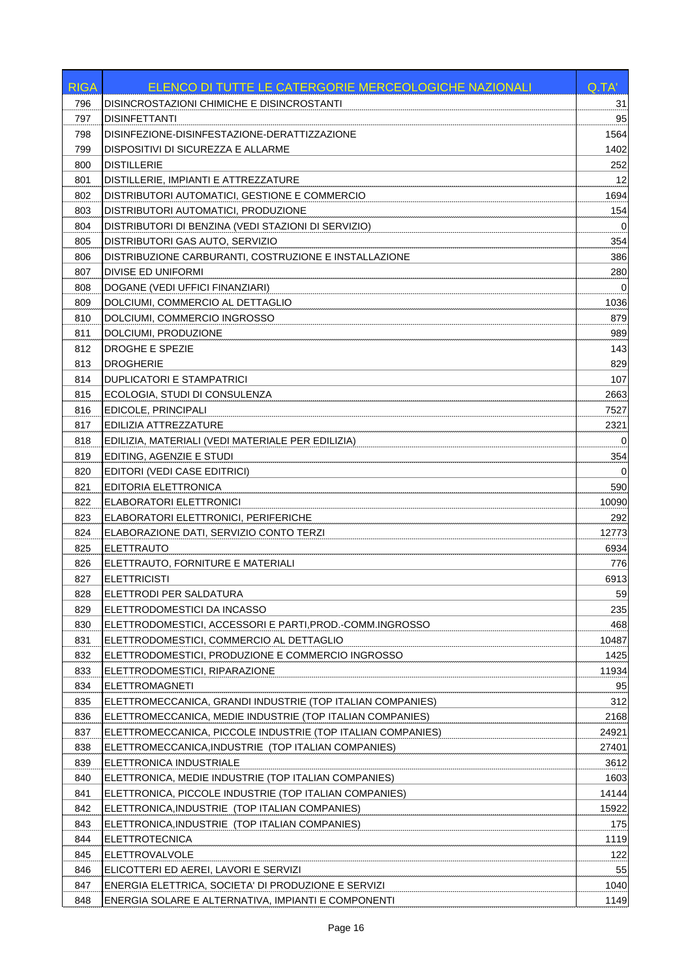| DISINCROSTAZIONI CHIMICHE E DISINCROSTANTI<br>31<br>796<br>95<br>797<br><b>DISINFETTANTI</b><br>DISINFEZIONE-DISINFESTAZIONE-DERATTIZZAZIONE<br>1564<br>798<br>DISPOSITIVI DI SICUREZZA E ALLARME<br>1402<br>799<br><b>DISTILLERIE</b><br>252<br>800<br>12<br>801<br>DISTILLERIE, IMPIANTI E ATTREZZATURE<br>1694<br>802<br>DISTRIBUTORI AUTOMATICI, GESTIONE E COMMERCIO<br>154<br>803<br>DISTRIBUTORI AUTOMATICI, PRODUZIONE<br>DISTRIBUTORI DI BENZINA (VEDI STAZIONI DI SERVIZIO)<br>804<br>0<br>DISTRIBUTORI GAS AUTO, SERVIZIO<br>354<br>805<br>386<br>806<br>DISTRIBUZIONE CARBURANTI, COSTRUZIONE E INSTALLAZIONE<br>280<br>807<br>DIVISE ED UNIFORMI<br>808<br>DOGANE (VEDI UFFICI FINANZIARI)<br>0<br>DOLCIUMI, COMMERCIO AL DETTAGLIO<br>1036<br>809<br>DOLCIUMI, COMMERCIO INGROSSO<br>879<br>810<br>989<br>811<br>DOLCIUMI, PRODUZIONE<br>DROGHE E SPEZIE<br>143<br>812<br><b>DROGHERIE</b><br>829<br>813<br>107<br>DUPLICATORI E STAMPATRICI<br>814<br>ECOLOGIA, STUDI DI CONSULENZA<br>2663<br>815<br>816<br>EDICOLE, PRINCIPALI<br>7527<br>EDILIZIA ATTREZZATURE<br>2321<br>817<br>818<br>EDILIZIA, MATERIALI (VEDI MATERIALE PER EDILIZIA)<br>0<br>EDITING, AGENZIE E STUDI<br>819<br>354<br>EDITORI (VEDI CASE EDITRICI)<br>$\Omega$<br>820<br>590<br>821<br>EDITORIA ELETTRONICA<br>10090<br>822<br>ELABORATORI ELETTRONICI<br>823<br>ELABORATORI ELETTRONICI, PERIFERICHE<br>292<br>824<br>ELABORAZIONE DATI, SERVIZIO CONTO TERZI<br>12773<br><b>ELETTRAUTO</b><br>6934<br>825<br>826<br>ELETTRAUTO, FORNITURE E MATERIALI<br>776<br><b>ELETTRICISTI</b><br>827<br>6913<br>828<br>59<br>ELETTRODI PER SALDATURA<br>829<br>ELETTRODOMESTICI DA INCASSO<br>235<br>ELETTRODOMESTICI, ACCESSORI E PARTI, PROD.-COMM.INGROSSO<br>468<br>830<br>831<br>ELETTRODOMESTICI, COMMERCIO AL DETTAGLIO<br>10487<br>1425<br>832<br>ELETTRODOMESTICI, PRODUZIONE E COMMERCIO INGROSSO<br>833<br>ELETTRODOMESTICI, RIPARAZIONE<br>11934<br><b>ELETTROMAGNETI</b><br>95<br>834<br>312<br>835<br>ELETTROMECCANICA, GRANDI INDUSTRIE (TOP ITALIAN COMPANIES)<br>ELETTROMECCANICA, MEDIE INDUSTRIE (TOP ITALIAN COMPANIES)<br>2168<br>836<br>837<br>ELETTROMECCANICA, PICCOLE INDUSTRIE (TOP ITALIAN COMPANIES)<br>24921<br>838<br>ELETTROMECCANICA, INDUSTRIE (TOP ITALIAN COMPANIES)<br>27401<br>839<br>ELETTRONICA INDUSTRIALE<br>3612<br>840<br>ELETTRONICA, MEDIE INDUSTRIE (TOP ITALIAN COMPANIES)<br>1603<br>ELETTRONICA, PICCOLE INDUSTRIE (TOP ITALIAN COMPANIES)<br>14144<br>841<br>842<br>ELETTRONICA, INDUSTRIE (TOP ITALIAN COMPANIES)<br>15922<br>843<br>ELETTRONICA, INDUSTRIE (TOP ITALIAN COMPANIES)<br>175<br><b>ELETTROTECNICA</b><br>1119<br>844<br>ELETTROVALVOLE<br>845<br>122<br>ELICOTTERI ED AEREI, LAVORI E SERVIZI<br>55<br>846<br>847<br>ENERGIA ELETTRICA, SOCIETA' DI PRODUZIONE E SERVIZI<br>1040<br>848<br>ENERGIA SOLARE E ALTERNATIVA, IMPIANTI E COMPONENTI<br>1149 | <b>RIGA</b> | ELENCO DI TUTTE LE CATERGORIE MERCEOLOGICHE NAZIONALI | Q.TA' |
|---------------------------------------------------------------------------------------------------------------------------------------------------------------------------------------------------------------------------------------------------------------------------------------------------------------------------------------------------------------------------------------------------------------------------------------------------------------------------------------------------------------------------------------------------------------------------------------------------------------------------------------------------------------------------------------------------------------------------------------------------------------------------------------------------------------------------------------------------------------------------------------------------------------------------------------------------------------------------------------------------------------------------------------------------------------------------------------------------------------------------------------------------------------------------------------------------------------------------------------------------------------------------------------------------------------------------------------------------------------------------------------------------------------------------------------------------------------------------------------------------------------------------------------------------------------------------------------------------------------------------------------------------------------------------------------------------------------------------------------------------------------------------------------------------------------------------------------------------------------------------------------------------------------------------------------------------------------------------------------------------------------------------------------------------------------------------------------------------------------------------------------------------------------------------------------------------------------------------------------------------------------------------------------------------------------------------------------------------------------------------------------------------------------------------------------------------------------------------------------------------------------------------------------------------------------------------------------------------------------------------------------------------------------------------------------------------------------------------------------------------------------------------------------------------------------------------------------------------------------------------------------------------------|-------------|-------------------------------------------------------|-------|
|                                                                                                                                                                                                                                                                                                                                                                                                                                                                                                                                                                                                                                                                                                                                                                                                                                                                                                                                                                                                                                                                                                                                                                                                                                                                                                                                                                                                                                                                                                                                                                                                                                                                                                                                                                                                                                                                                                                                                                                                                                                                                                                                                                                                                                                                                                                                                                                                                                                                                                                                                                                                                                                                                                                                                                                                                                                                                                         |             |                                                       |       |
|                                                                                                                                                                                                                                                                                                                                                                                                                                                                                                                                                                                                                                                                                                                                                                                                                                                                                                                                                                                                                                                                                                                                                                                                                                                                                                                                                                                                                                                                                                                                                                                                                                                                                                                                                                                                                                                                                                                                                                                                                                                                                                                                                                                                                                                                                                                                                                                                                                                                                                                                                                                                                                                                                                                                                                                                                                                                                                         |             |                                                       |       |
|                                                                                                                                                                                                                                                                                                                                                                                                                                                                                                                                                                                                                                                                                                                                                                                                                                                                                                                                                                                                                                                                                                                                                                                                                                                                                                                                                                                                                                                                                                                                                                                                                                                                                                                                                                                                                                                                                                                                                                                                                                                                                                                                                                                                                                                                                                                                                                                                                                                                                                                                                                                                                                                                                                                                                                                                                                                                                                         |             |                                                       |       |
|                                                                                                                                                                                                                                                                                                                                                                                                                                                                                                                                                                                                                                                                                                                                                                                                                                                                                                                                                                                                                                                                                                                                                                                                                                                                                                                                                                                                                                                                                                                                                                                                                                                                                                                                                                                                                                                                                                                                                                                                                                                                                                                                                                                                                                                                                                                                                                                                                                                                                                                                                                                                                                                                                                                                                                                                                                                                                                         |             |                                                       |       |
|                                                                                                                                                                                                                                                                                                                                                                                                                                                                                                                                                                                                                                                                                                                                                                                                                                                                                                                                                                                                                                                                                                                                                                                                                                                                                                                                                                                                                                                                                                                                                                                                                                                                                                                                                                                                                                                                                                                                                                                                                                                                                                                                                                                                                                                                                                                                                                                                                                                                                                                                                                                                                                                                                                                                                                                                                                                                                                         |             |                                                       |       |
|                                                                                                                                                                                                                                                                                                                                                                                                                                                                                                                                                                                                                                                                                                                                                                                                                                                                                                                                                                                                                                                                                                                                                                                                                                                                                                                                                                                                                                                                                                                                                                                                                                                                                                                                                                                                                                                                                                                                                                                                                                                                                                                                                                                                                                                                                                                                                                                                                                                                                                                                                                                                                                                                                                                                                                                                                                                                                                         |             |                                                       |       |
|                                                                                                                                                                                                                                                                                                                                                                                                                                                                                                                                                                                                                                                                                                                                                                                                                                                                                                                                                                                                                                                                                                                                                                                                                                                                                                                                                                                                                                                                                                                                                                                                                                                                                                                                                                                                                                                                                                                                                                                                                                                                                                                                                                                                                                                                                                                                                                                                                                                                                                                                                                                                                                                                                                                                                                                                                                                                                                         |             |                                                       |       |
|                                                                                                                                                                                                                                                                                                                                                                                                                                                                                                                                                                                                                                                                                                                                                                                                                                                                                                                                                                                                                                                                                                                                                                                                                                                                                                                                                                                                                                                                                                                                                                                                                                                                                                                                                                                                                                                                                                                                                                                                                                                                                                                                                                                                                                                                                                                                                                                                                                                                                                                                                                                                                                                                                                                                                                                                                                                                                                         |             |                                                       |       |
|                                                                                                                                                                                                                                                                                                                                                                                                                                                                                                                                                                                                                                                                                                                                                                                                                                                                                                                                                                                                                                                                                                                                                                                                                                                                                                                                                                                                                                                                                                                                                                                                                                                                                                                                                                                                                                                                                                                                                                                                                                                                                                                                                                                                                                                                                                                                                                                                                                                                                                                                                                                                                                                                                                                                                                                                                                                                                                         |             |                                                       |       |
|                                                                                                                                                                                                                                                                                                                                                                                                                                                                                                                                                                                                                                                                                                                                                                                                                                                                                                                                                                                                                                                                                                                                                                                                                                                                                                                                                                                                                                                                                                                                                                                                                                                                                                                                                                                                                                                                                                                                                                                                                                                                                                                                                                                                                                                                                                                                                                                                                                                                                                                                                                                                                                                                                                                                                                                                                                                                                                         |             |                                                       |       |
|                                                                                                                                                                                                                                                                                                                                                                                                                                                                                                                                                                                                                                                                                                                                                                                                                                                                                                                                                                                                                                                                                                                                                                                                                                                                                                                                                                                                                                                                                                                                                                                                                                                                                                                                                                                                                                                                                                                                                                                                                                                                                                                                                                                                                                                                                                                                                                                                                                                                                                                                                                                                                                                                                                                                                                                                                                                                                                         |             |                                                       |       |
|                                                                                                                                                                                                                                                                                                                                                                                                                                                                                                                                                                                                                                                                                                                                                                                                                                                                                                                                                                                                                                                                                                                                                                                                                                                                                                                                                                                                                                                                                                                                                                                                                                                                                                                                                                                                                                                                                                                                                                                                                                                                                                                                                                                                                                                                                                                                                                                                                                                                                                                                                                                                                                                                                                                                                                                                                                                                                                         |             |                                                       |       |
|                                                                                                                                                                                                                                                                                                                                                                                                                                                                                                                                                                                                                                                                                                                                                                                                                                                                                                                                                                                                                                                                                                                                                                                                                                                                                                                                                                                                                                                                                                                                                                                                                                                                                                                                                                                                                                                                                                                                                                                                                                                                                                                                                                                                                                                                                                                                                                                                                                                                                                                                                                                                                                                                                                                                                                                                                                                                                                         |             |                                                       |       |
|                                                                                                                                                                                                                                                                                                                                                                                                                                                                                                                                                                                                                                                                                                                                                                                                                                                                                                                                                                                                                                                                                                                                                                                                                                                                                                                                                                                                                                                                                                                                                                                                                                                                                                                                                                                                                                                                                                                                                                                                                                                                                                                                                                                                                                                                                                                                                                                                                                                                                                                                                                                                                                                                                                                                                                                                                                                                                                         |             |                                                       |       |
|                                                                                                                                                                                                                                                                                                                                                                                                                                                                                                                                                                                                                                                                                                                                                                                                                                                                                                                                                                                                                                                                                                                                                                                                                                                                                                                                                                                                                                                                                                                                                                                                                                                                                                                                                                                                                                                                                                                                                                                                                                                                                                                                                                                                                                                                                                                                                                                                                                                                                                                                                                                                                                                                                                                                                                                                                                                                                                         |             |                                                       |       |
|                                                                                                                                                                                                                                                                                                                                                                                                                                                                                                                                                                                                                                                                                                                                                                                                                                                                                                                                                                                                                                                                                                                                                                                                                                                                                                                                                                                                                                                                                                                                                                                                                                                                                                                                                                                                                                                                                                                                                                                                                                                                                                                                                                                                                                                                                                                                                                                                                                                                                                                                                                                                                                                                                                                                                                                                                                                                                                         |             |                                                       |       |
|                                                                                                                                                                                                                                                                                                                                                                                                                                                                                                                                                                                                                                                                                                                                                                                                                                                                                                                                                                                                                                                                                                                                                                                                                                                                                                                                                                                                                                                                                                                                                                                                                                                                                                                                                                                                                                                                                                                                                                                                                                                                                                                                                                                                                                                                                                                                                                                                                                                                                                                                                                                                                                                                                                                                                                                                                                                                                                         |             |                                                       |       |
|                                                                                                                                                                                                                                                                                                                                                                                                                                                                                                                                                                                                                                                                                                                                                                                                                                                                                                                                                                                                                                                                                                                                                                                                                                                                                                                                                                                                                                                                                                                                                                                                                                                                                                                                                                                                                                                                                                                                                                                                                                                                                                                                                                                                                                                                                                                                                                                                                                                                                                                                                                                                                                                                                                                                                                                                                                                                                                         |             |                                                       |       |
|                                                                                                                                                                                                                                                                                                                                                                                                                                                                                                                                                                                                                                                                                                                                                                                                                                                                                                                                                                                                                                                                                                                                                                                                                                                                                                                                                                                                                                                                                                                                                                                                                                                                                                                                                                                                                                                                                                                                                                                                                                                                                                                                                                                                                                                                                                                                                                                                                                                                                                                                                                                                                                                                                                                                                                                                                                                                                                         |             |                                                       |       |
|                                                                                                                                                                                                                                                                                                                                                                                                                                                                                                                                                                                                                                                                                                                                                                                                                                                                                                                                                                                                                                                                                                                                                                                                                                                                                                                                                                                                                                                                                                                                                                                                                                                                                                                                                                                                                                                                                                                                                                                                                                                                                                                                                                                                                                                                                                                                                                                                                                                                                                                                                                                                                                                                                                                                                                                                                                                                                                         |             |                                                       |       |
|                                                                                                                                                                                                                                                                                                                                                                                                                                                                                                                                                                                                                                                                                                                                                                                                                                                                                                                                                                                                                                                                                                                                                                                                                                                                                                                                                                                                                                                                                                                                                                                                                                                                                                                                                                                                                                                                                                                                                                                                                                                                                                                                                                                                                                                                                                                                                                                                                                                                                                                                                                                                                                                                                                                                                                                                                                                                                                         |             |                                                       |       |
|                                                                                                                                                                                                                                                                                                                                                                                                                                                                                                                                                                                                                                                                                                                                                                                                                                                                                                                                                                                                                                                                                                                                                                                                                                                                                                                                                                                                                                                                                                                                                                                                                                                                                                                                                                                                                                                                                                                                                                                                                                                                                                                                                                                                                                                                                                                                                                                                                                                                                                                                                                                                                                                                                                                                                                                                                                                                                                         |             |                                                       |       |
|                                                                                                                                                                                                                                                                                                                                                                                                                                                                                                                                                                                                                                                                                                                                                                                                                                                                                                                                                                                                                                                                                                                                                                                                                                                                                                                                                                                                                                                                                                                                                                                                                                                                                                                                                                                                                                                                                                                                                                                                                                                                                                                                                                                                                                                                                                                                                                                                                                                                                                                                                                                                                                                                                                                                                                                                                                                                                                         |             |                                                       |       |
|                                                                                                                                                                                                                                                                                                                                                                                                                                                                                                                                                                                                                                                                                                                                                                                                                                                                                                                                                                                                                                                                                                                                                                                                                                                                                                                                                                                                                                                                                                                                                                                                                                                                                                                                                                                                                                                                                                                                                                                                                                                                                                                                                                                                                                                                                                                                                                                                                                                                                                                                                                                                                                                                                                                                                                                                                                                                                                         |             |                                                       |       |
|                                                                                                                                                                                                                                                                                                                                                                                                                                                                                                                                                                                                                                                                                                                                                                                                                                                                                                                                                                                                                                                                                                                                                                                                                                                                                                                                                                                                                                                                                                                                                                                                                                                                                                                                                                                                                                                                                                                                                                                                                                                                                                                                                                                                                                                                                                                                                                                                                                                                                                                                                                                                                                                                                                                                                                                                                                                                                                         |             |                                                       |       |
|                                                                                                                                                                                                                                                                                                                                                                                                                                                                                                                                                                                                                                                                                                                                                                                                                                                                                                                                                                                                                                                                                                                                                                                                                                                                                                                                                                                                                                                                                                                                                                                                                                                                                                                                                                                                                                                                                                                                                                                                                                                                                                                                                                                                                                                                                                                                                                                                                                                                                                                                                                                                                                                                                                                                                                                                                                                                                                         |             |                                                       |       |
|                                                                                                                                                                                                                                                                                                                                                                                                                                                                                                                                                                                                                                                                                                                                                                                                                                                                                                                                                                                                                                                                                                                                                                                                                                                                                                                                                                                                                                                                                                                                                                                                                                                                                                                                                                                                                                                                                                                                                                                                                                                                                                                                                                                                                                                                                                                                                                                                                                                                                                                                                                                                                                                                                                                                                                                                                                                                                                         |             |                                                       |       |
|                                                                                                                                                                                                                                                                                                                                                                                                                                                                                                                                                                                                                                                                                                                                                                                                                                                                                                                                                                                                                                                                                                                                                                                                                                                                                                                                                                                                                                                                                                                                                                                                                                                                                                                                                                                                                                                                                                                                                                                                                                                                                                                                                                                                                                                                                                                                                                                                                                                                                                                                                                                                                                                                                                                                                                                                                                                                                                         |             |                                                       |       |
|                                                                                                                                                                                                                                                                                                                                                                                                                                                                                                                                                                                                                                                                                                                                                                                                                                                                                                                                                                                                                                                                                                                                                                                                                                                                                                                                                                                                                                                                                                                                                                                                                                                                                                                                                                                                                                                                                                                                                                                                                                                                                                                                                                                                                                                                                                                                                                                                                                                                                                                                                                                                                                                                                                                                                                                                                                                                                                         |             |                                                       |       |
|                                                                                                                                                                                                                                                                                                                                                                                                                                                                                                                                                                                                                                                                                                                                                                                                                                                                                                                                                                                                                                                                                                                                                                                                                                                                                                                                                                                                                                                                                                                                                                                                                                                                                                                                                                                                                                                                                                                                                                                                                                                                                                                                                                                                                                                                                                                                                                                                                                                                                                                                                                                                                                                                                                                                                                                                                                                                                                         |             |                                                       |       |
|                                                                                                                                                                                                                                                                                                                                                                                                                                                                                                                                                                                                                                                                                                                                                                                                                                                                                                                                                                                                                                                                                                                                                                                                                                                                                                                                                                                                                                                                                                                                                                                                                                                                                                                                                                                                                                                                                                                                                                                                                                                                                                                                                                                                                                                                                                                                                                                                                                                                                                                                                                                                                                                                                                                                                                                                                                                                                                         |             |                                                       |       |
|                                                                                                                                                                                                                                                                                                                                                                                                                                                                                                                                                                                                                                                                                                                                                                                                                                                                                                                                                                                                                                                                                                                                                                                                                                                                                                                                                                                                                                                                                                                                                                                                                                                                                                                                                                                                                                                                                                                                                                                                                                                                                                                                                                                                                                                                                                                                                                                                                                                                                                                                                                                                                                                                                                                                                                                                                                                                                                         |             |                                                       |       |
|                                                                                                                                                                                                                                                                                                                                                                                                                                                                                                                                                                                                                                                                                                                                                                                                                                                                                                                                                                                                                                                                                                                                                                                                                                                                                                                                                                                                                                                                                                                                                                                                                                                                                                                                                                                                                                                                                                                                                                                                                                                                                                                                                                                                                                                                                                                                                                                                                                                                                                                                                                                                                                                                                                                                                                                                                                                                                                         |             |                                                       |       |
|                                                                                                                                                                                                                                                                                                                                                                                                                                                                                                                                                                                                                                                                                                                                                                                                                                                                                                                                                                                                                                                                                                                                                                                                                                                                                                                                                                                                                                                                                                                                                                                                                                                                                                                                                                                                                                                                                                                                                                                                                                                                                                                                                                                                                                                                                                                                                                                                                                                                                                                                                                                                                                                                                                                                                                                                                                                                                                         |             |                                                       |       |
|                                                                                                                                                                                                                                                                                                                                                                                                                                                                                                                                                                                                                                                                                                                                                                                                                                                                                                                                                                                                                                                                                                                                                                                                                                                                                                                                                                                                                                                                                                                                                                                                                                                                                                                                                                                                                                                                                                                                                                                                                                                                                                                                                                                                                                                                                                                                                                                                                                                                                                                                                                                                                                                                                                                                                                                                                                                                                                         |             |                                                       |       |
|                                                                                                                                                                                                                                                                                                                                                                                                                                                                                                                                                                                                                                                                                                                                                                                                                                                                                                                                                                                                                                                                                                                                                                                                                                                                                                                                                                                                                                                                                                                                                                                                                                                                                                                                                                                                                                                                                                                                                                                                                                                                                                                                                                                                                                                                                                                                                                                                                                                                                                                                                                                                                                                                                                                                                                                                                                                                                                         |             |                                                       |       |
|                                                                                                                                                                                                                                                                                                                                                                                                                                                                                                                                                                                                                                                                                                                                                                                                                                                                                                                                                                                                                                                                                                                                                                                                                                                                                                                                                                                                                                                                                                                                                                                                                                                                                                                                                                                                                                                                                                                                                                                                                                                                                                                                                                                                                                                                                                                                                                                                                                                                                                                                                                                                                                                                                                                                                                                                                                                                                                         |             |                                                       |       |
|                                                                                                                                                                                                                                                                                                                                                                                                                                                                                                                                                                                                                                                                                                                                                                                                                                                                                                                                                                                                                                                                                                                                                                                                                                                                                                                                                                                                                                                                                                                                                                                                                                                                                                                                                                                                                                                                                                                                                                                                                                                                                                                                                                                                                                                                                                                                                                                                                                                                                                                                                                                                                                                                                                                                                                                                                                                                                                         |             |                                                       |       |
|                                                                                                                                                                                                                                                                                                                                                                                                                                                                                                                                                                                                                                                                                                                                                                                                                                                                                                                                                                                                                                                                                                                                                                                                                                                                                                                                                                                                                                                                                                                                                                                                                                                                                                                                                                                                                                                                                                                                                                                                                                                                                                                                                                                                                                                                                                                                                                                                                                                                                                                                                                                                                                                                                                                                                                                                                                                                                                         |             |                                                       |       |
|                                                                                                                                                                                                                                                                                                                                                                                                                                                                                                                                                                                                                                                                                                                                                                                                                                                                                                                                                                                                                                                                                                                                                                                                                                                                                                                                                                                                                                                                                                                                                                                                                                                                                                                                                                                                                                                                                                                                                                                                                                                                                                                                                                                                                                                                                                                                                                                                                                                                                                                                                                                                                                                                                                                                                                                                                                                                                                         |             |                                                       |       |
|                                                                                                                                                                                                                                                                                                                                                                                                                                                                                                                                                                                                                                                                                                                                                                                                                                                                                                                                                                                                                                                                                                                                                                                                                                                                                                                                                                                                                                                                                                                                                                                                                                                                                                                                                                                                                                                                                                                                                                                                                                                                                                                                                                                                                                                                                                                                                                                                                                                                                                                                                                                                                                                                                                                                                                                                                                                                                                         |             |                                                       |       |
|                                                                                                                                                                                                                                                                                                                                                                                                                                                                                                                                                                                                                                                                                                                                                                                                                                                                                                                                                                                                                                                                                                                                                                                                                                                                                                                                                                                                                                                                                                                                                                                                                                                                                                                                                                                                                                                                                                                                                                                                                                                                                                                                                                                                                                                                                                                                                                                                                                                                                                                                                                                                                                                                                                                                                                                                                                                                                                         |             |                                                       |       |
|                                                                                                                                                                                                                                                                                                                                                                                                                                                                                                                                                                                                                                                                                                                                                                                                                                                                                                                                                                                                                                                                                                                                                                                                                                                                                                                                                                                                                                                                                                                                                                                                                                                                                                                                                                                                                                                                                                                                                                                                                                                                                                                                                                                                                                                                                                                                                                                                                                                                                                                                                                                                                                                                                                                                                                                                                                                                                                         |             |                                                       |       |
|                                                                                                                                                                                                                                                                                                                                                                                                                                                                                                                                                                                                                                                                                                                                                                                                                                                                                                                                                                                                                                                                                                                                                                                                                                                                                                                                                                                                                                                                                                                                                                                                                                                                                                                                                                                                                                                                                                                                                                                                                                                                                                                                                                                                                                                                                                                                                                                                                                                                                                                                                                                                                                                                                                                                                                                                                                                                                                         |             |                                                       |       |
|                                                                                                                                                                                                                                                                                                                                                                                                                                                                                                                                                                                                                                                                                                                                                                                                                                                                                                                                                                                                                                                                                                                                                                                                                                                                                                                                                                                                                                                                                                                                                                                                                                                                                                                                                                                                                                                                                                                                                                                                                                                                                                                                                                                                                                                                                                                                                                                                                                                                                                                                                                                                                                                                                                                                                                                                                                                                                                         |             |                                                       |       |
|                                                                                                                                                                                                                                                                                                                                                                                                                                                                                                                                                                                                                                                                                                                                                                                                                                                                                                                                                                                                                                                                                                                                                                                                                                                                                                                                                                                                                                                                                                                                                                                                                                                                                                                                                                                                                                                                                                                                                                                                                                                                                                                                                                                                                                                                                                                                                                                                                                                                                                                                                                                                                                                                                                                                                                                                                                                                                                         |             |                                                       |       |
|                                                                                                                                                                                                                                                                                                                                                                                                                                                                                                                                                                                                                                                                                                                                                                                                                                                                                                                                                                                                                                                                                                                                                                                                                                                                                                                                                                                                                                                                                                                                                                                                                                                                                                                                                                                                                                                                                                                                                                                                                                                                                                                                                                                                                                                                                                                                                                                                                                                                                                                                                                                                                                                                                                                                                                                                                                                                                                         |             |                                                       |       |
|                                                                                                                                                                                                                                                                                                                                                                                                                                                                                                                                                                                                                                                                                                                                                                                                                                                                                                                                                                                                                                                                                                                                                                                                                                                                                                                                                                                                                                                                                                                                                                                                                                                                                                                                                                                                                                                                                                                                                                                                                                                                                                                                                                                                                                                                                                                                                                                                                                                                                                                                                                                                                                                                                                                                                                                                                                                                                                         |             |                                                       |       |
|                                                                                                                                                                                                                                                                                                                                                                                                                                                                                                                                                                                                                                                                                                                                                                                                                                                                                                                                                                                                                                                                                                                                                                                                                                                                                                                                                                                                                                                                                                                                                                                                                                                                                                                                                                                                                                                                                                                                                                                                                                                                                                                                                                                                                                                                                                                                                                                                                                                                                                                                                                                                                                                                                                                                                                                                                                                                                                         |             |                                                       |       |
|                                                                                                                                                                                                                                                                                                                                                                                                                                                                                                                                                                                                                                                                                                                                                                                                                                                                                                                                                                                                                                                                                                                                                                                                                                                                                                                                                                                                                                                                                                                                                                                                                                                                                                                                                                                                                                                                                                                                                                                                                                                                                                                                                                                                                                                                                                                                                                                                                                                                                                                                                                                                                                                                                                                                                                                                                                                                                                         |             |                                                       |       |
|                                                                                                                                                                                                                                                                                                                                                                                                                                                                                                                                                                                                                                                                                                                                                                                                                                                                                                                                                                                                                                                                                                                                                                                                                                                                                                                                                                                                                                                                                                                                                                                                                                                                                                                                                                                                                                                                                                                                                                                                                                                                                                                                                                                                                                                                                                                                                                                                                                                                                                                                                                                                                                                                                                                                                                                                                                                                                                         |             |                                                       |       |
|                                                                                                                                                                                                                                                                                                                                                                                                                                                                                                                                                                                                                                                                                                                                                                                                                                                                                                                                                                                                                                                                                                                                                                                                                                                                                                                                                                                                                                                                                                                                                                                                                                                                                                                                                                                                                                                                                                                                                                                                                                                                                                                                                                                                                                                                                                                                                                                                                                                                                                                                                                                                                                                                                                                                                                                                                                                                                                         |             |                                                       |       |
|                                                                                                                                                                                                                                                                                                                                                                                                                                                                                                                                                                                                                                                                                                                                                                                                                                                                                                                                                                                                                                                                                                                                                                                                                                                                                                                                                                                                                                                                                                                                                                                                                                                                                                                                                                                                                                                                                                                                                                                                                                                                                                                                                                                                                                                                                                                                                                                                                                                                                                                                                                                                                                                                                                                                                                                                                                                                                                         |             |                                                       |       |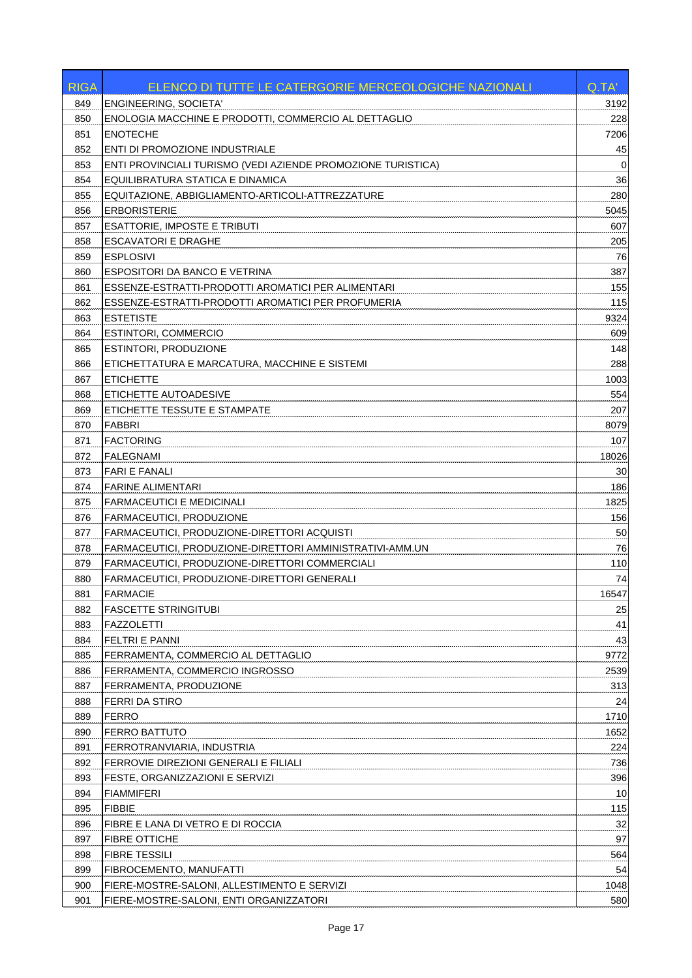| <b>RIGA</b> | ELENCO DI TUTTE LE CATERGORIE MERCEOLOGICHE NAZIONALI               | Q.TA'       |
|-------------|---------------------------------------------------------------------|-------------|
| 849         | ENGINEERING, SOCIETA'                                               | 3192        |
| 850         | ENOLOGIA MACCHINE E PRODOTTI, COMMERCIO AL DETTAGLIO                | 228         |
| 851         | <b>ENOTECHE</b>                                                     | 7206        |
| 852         | ENTI DI PROMOZIONE INDUSTRIALE                                      | 45          |
| 853         | <b>ENTI PROVINCIALI TURISMO (VEDI AZIENDE PROMOZIONE TURISTICA)</b> | $\mathbf 0$ |
| 854         | EQUILIBRATURA STATICA E DINAMICA                                    | 36          |
| 855         | EQUITAZIONE, ABBIGLIAMENTO-ARTICOLI-ATTREZZATURE                    | 280         |
| 856         | <b>ERBORISTERIE</b>                                                 | 5045        |
| 857         | <b>ESATTORIE, IMPOSTE E TRIBUTI</b>                                 | 607         |
| 858         | <b>ESCAVATORI E DRAGHE</b>                                          | 205         |
| 859         | <b>ESPLOSIVI</b>                                                    | 76          |
| 860         | ESPOSITORI DA BANCO E VETRINA                                       | 387         |
| 861         | ESSENZE-ESTRATTI-PRODOTTI AROMATICI PER ALIMENTARI                  | 155         |
| 862         | ESSENZE-ESTRATTI-PRODOTTI AROMATICI PER PROFUMERIA                  | 115         |
| 863         | <b>ESTETISTE</b>                                                    | 9324        |
| 864         | <b>ESTINTORI, COMMERCIO</b>                                         | 609         |
| 865         | <b>ESTINTORI, PRODUZIONE</b>                                        | 148         |
| 866         | ETICHETTATURA E MARCATURA, MACCHINE E SISTEMI                       | 288         |
| 867         | <b>ETICHETTE</b>                                                    | 1003        |
| 868         | ETICHETTE AUTOADESIVE                                               | 554         |
| 869         | ETICHETTE TESSUTE E STAMPATE                                        | 207         |
| 870         | FABBRI                                                              | 8079        |
| 871         | <b>FACTORING</b>                                                    | 107         |
| 872         | <b>FALEGNAMI</b>                                                    | 18026       |
| 873         | <b>FARI E FANALI</b>                                                | 30          |
| 874         | <b>FARINE ALIMENTARI</b>                                            | 186         |
| 875         | <b>FARMACEUTICI E MEDICINALI</b>                                    | 1825        |
| 876         | <b>FARMACEUTICI, PRODUZIONE</b>                                     | 156         |
| 877         | <b>FARMACEUTICI, PRODUZIONE-DIRETTORI ACQUISTI</b>                  | 50          |
| 878         | FARMACEUTICI, PRODUZIONE-DIRETTORI AMMINISTRATIVI-AMM.UN            | 76          |
| 879         | FARMACEUTICI, PRODUZIONE-DIRETTORI COMMERCIALI                      | 110         |
| 880         | FARMACEUTICI, PRODUZIONE-DIRETTORI GENERALI                         | 74          |
| 881         | <b>FARMACIE</b>                                                     | 16547       |
| 882         | <b>FASCETTE STRINGITUBI</b>                                         | 25          |
| 883         | <b>FAZZOLETTI</b>                                                   | 41          |
| 884         | <b>FELTRI E PANNI</b>                                               | 43          |
| 885         | FERRAMENTA, COMMERCIO AL DETTAGLIO                                  | 9772        |
| 886         | FERRAMENTA, COMMERCIO INGROSSO                                      | 2539        |
| 887         | FERRAMENTA, PRODUZIONE                                              | 313         |
| 888         | <b>FERRI DA STIRO</b>                                               | 24          |
| 889         | <b>FERRO</b>                                                        | 1710        |
| 890         | <b>FERRO BATTUTO</b>                                                | 1652        |
| 891         | FERROTRANVIARIA, INDUSTRIA                                          | 224         |
| 892         | <b>FERROVIE DIREZIONI GENERALI E FILIALI</b>                        | 736         |
| 893         | FESTE, ORGANIZZAZIONI E SERVIZI                                     | 396         |
| 894         | <b>FIAMMIFERI</b>                                                   | 10          |
| 895         | <b>FIBBIE</b>                                                       | 115         |
| 896         | FIBRE E LANA DI VETRO E DI ROCCIA                                   | 32          |
| 897         | <b>FIBRE OTTICHE</b>                                                | 97          |
| 898         | <b>FIBRE TESSILI</b>                                                | 564         |
| 899         | FIBROCEMENTO, MANUFATTI                                             | 54          |
| 900         | FIERE-MOSTRE-SALONI, ALLESTIMENTO E SERVIZI                         | 1048        |
| 901         | FIERE-MOSTRE-SALONI, ENTI ORGANIZZATORI                             | 580         |
|             |                                                                     |             |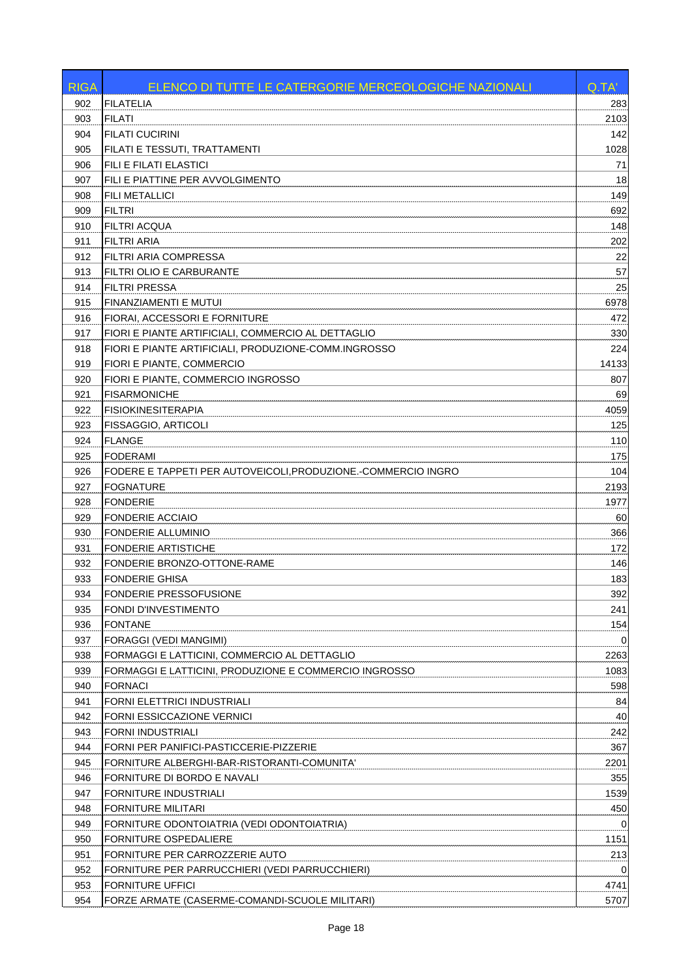| <b>FILATELIA</b><br>902                                              |       |
|----------------------------------------------------------------------|-------|
|                                                                      | 283   |
| 903<br><b>FILATI</b>                                                 | 2103  |
| 904<br><b>FILATI CUCIRINI</b>                                        | 142   |
| FILATI E TESSUTI, TRATTAMENTI<br>905                                 | 1028  |
| 906<br>FILI E FILATI ELASTICI                                        | 71    |
| 907<br>FILI E PIATTINE PER AVVOLGIMENTO                              | 18    |
| 908<br>FILI METALLICI                                                | 149   |
| 909<br><b>FILTRI</b>                                                 | 692   |
| 910<br><b>FILTRI ACQUA</b>                                           | 148   |
| <b>FILTRI ARIA</b><br>911                                            | 202   |
| FILTRI ARIA COMPRESSA<br>912                                         | 22    |
| FILTRI OLIO E CARBURANTE<br>913                                      | 57    |
| 914<br><b>FILTRI PRESSA</b>                                          | 25    |
| FINANZIAMENTI E MUTUI<br>915                                         | 6978  |
| FIORAI, ACCESSORI E FORNITURE<br>916                                 | 472   |
| FIORI E PIANTE ARTIFICIALI, COMMERCIO AL DETTAGLIO<br>917            | 330   |
| FIORI E PIANTE ARTIFICIALI, PRODUZIONE-COMM.INGROSSO<br>918          | 224   |
| FIORI E PIANTE, COMMERCIO<br>919                                     | 14133 |
| 920<br>FIORI E PIANTE, COMMERCIO INGROSSO                            | 807   |
| 921<br><b>FISARMONICHE</b>                                           | 69    |
| 922<br><b>FISIOKINESITERAPIA</b>                                     | 4059  |
| FISSAGGIO, ARTICOLI<br>923                                           | 125   |
| 924<br><b>FLANGE</b>                                                 | 110   |
| 925<br><b>FODERAMI</b>                                               | 175   |
| FODERE E TAPPETI PER AUTOVEICOLI, PRODUZIONE.-COMMERCIO INGRO<br>926 | 104   |
| <b>FOGNATURE</b><br>927                                              | 2193  |
| 928<br><b>FONDERIE</b>                                               | 1977  |
| 929<br><b>FONDERIE ACCIAIO</b>                                       | 60    |
| 930<br>FONDERIE ALLUMINIO                                            | 366   |
| 931<br><b>FONDERIE ARTISTICHE</b>                                    | 172   |
| 932<br>FONDERIE BRONZO-OTTONE-RAME                                   | 146   |
| 933<br><b>FONDERIE GHISA</b>                                         | 183   |
| 934<br>FONDERIE PRESSOFUSIONE                                        | 392   |
| FONDI D'INVESTIMENTO<br>935                                          | 241   |
| 936<br><b>FONTANE</b>                                                | 154   |
| 937<br>FORAGGI (VEDI MANGIMI)                                        | 0     |
| 938<br>FORMAGGI E LATTICINI, COMMERCIO AL DETTAGLIO                  | 2263  |
| 939<br>FORMAGGI E LATTICINI, PRODUZIONE E COMMERCIO INGROSSO         | 1083  |
| 940<br><b>FORNACI</b>                                                | 598   |
| FORNI ELETTRICI INDUSTRIALI<br>941                                   | 84    |
| 942<br>FORNI ESSICCAZIONE VERNICI                                    | 40    |
| 943<br>FORNI INDUSTRIALI                                             | 242   |
| 944<br>FORNI PER PANIFICI-PASTICCERIE-PIZZERIE                       | 367   |
| 945<br>FORNITURE ALBERGHI-BAR-RISTORANTI-COMUNITA'                   | 2201  |
| 946<br>FORNITURE DI BORDO E NAVALI                                   | 355   |
| 947<br>FORNITURE INDUSTRIALI                                         | 1539  |
| 948<br><b>FORNITURE MILITARI</b>                                     | 450   |
| 949<br>FORNITURE ODONTOIATRIA (VEDI ODONTOIATRIA)                    | 0     |
| 950<br>FORNITURE OSPEDALIERE                                         | 1151  |
| FORNITURE PER CARROZZERIE AUTO<br>951                                | 213   |
| 952<br>FORNITURE PER PARRUCCHIERI (VEDI PARRUCCHIERI)                | 0     |
| 953<br>FORNITURE UFFICI                                              | 4741  |
| 954<br>FORZE ARMATE (CASERME-COMANDI-SCUOLE MILITARI)                | 5707  |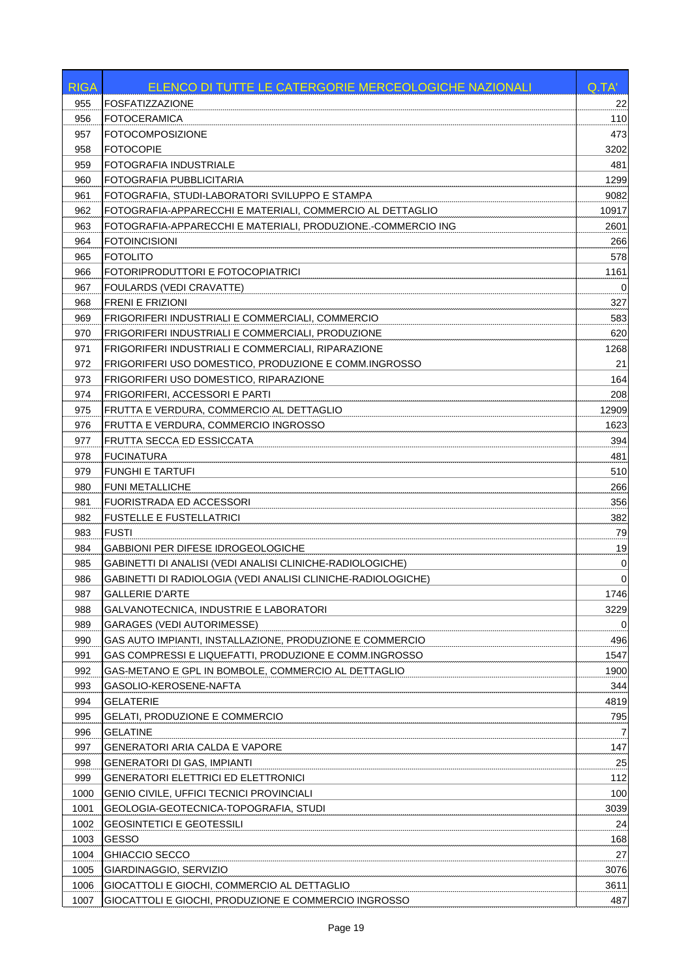| <b>RIGA</b> | ELENCO DI TUTTE LE CATERGORIE MERCEOLOGICHE NAZIONALI        | Q.TA'       |
|-------------|--------------------------------------------------------------|-------------|
| 955         | <b>FOSFATIZZAZIONE</b>                                       | 22          |
| 956         | <b>FOTOCERAMICA</b>                                          | 110         |
| 957         | <b>FOTOCOMPOSIZIONE</b>                                      | 473         |
| 958         | <b>FOTOCOPIE</b>                                             | 3202        |
| 959         | FOTOGRAFIA INDUSTRIALE                                       | 481         |
| 960         | FOTOGRAFIA PUBBLICITARIA                                     | 1299        |
| 961         | FOTOGRAFIA. STUDI-LABORATORI SVILUPPO E STAMPA               | 9082        |
| 962         | FOTOGRAFIA-APPARECCHI E MATERIALI, COMMERCIO AL DETTAGLIO    | 10917       |
| 963         | FOTOGRAFIA-APPARECCHI E MATERIALI, PRODUZIONE.-COMMERCIO ING | 2601        |
| 964         | <b>FOTOINCISIONI</b>                                         | 266         |
| 965         | <b>FOTOLITO</b>                                              | 578         |
| 966         | FOTORIPRODUTTORI E FOTOCOPIATRICI                            | 1161        |
| 967         | <b>FOULARDS (VEDI CRAVATTE)</b>                              | 0           |
| 968         | <b>FRENI E FRIZIONI</b>                                      | 327         |
| 969         | FRIGORIFERI INDUSTRIALI E COMMERCIALI, COMMERCIO             | 583         |
| 970         | FRIGORIFERI INDUSTRIALI E COMMERCIALI, PRODUZIONE            | 620         |
| 971         | FRIGORIFERI INDUSTRIALI E COMMERCIALI. RIPARAZIONE           | 1268        |
| 972         | FRIGORIFERI USO DOMESTICO, PRODUZIONE E COMM.INGROSSO        | 21          |
| 973         | FRIGORIFERI USO DOMESTICO, RIPARAZIONE                       | 164         |
| 974         | FRIGORIFERI, ACCESSORI E PARTI                               | 208         |
| 975         | FRUTTA E VERDURA, COMMERCIO AL DETTAGLIO                     | 12909       |
| 976         | FRUTTA E VERDURA, COMMERCIO INGROSSO                         | 1623        |
| 977         | FRUTTA SECCA ED ESSICCATA                                    | 394         |
| 978         | <b>FUCINATURA</b>                                            | 481         |
| 979         | <b>FUNGHI E TARTUFI</b>                                      | 510         |
| 980         | <b>FUNI METALLICHE</b>                                       | 266         |
| 981         | FUORISTRADA ED ACCESSORI                                     | 356         |
| 982         | <b>FUSTELLE E FUSTELLATRICI</b>                              | 382         |
| 983         | <b>FUSTI</b>                                                 | 79          |
| 984         | GABBIONI PER DIFESE IDROGEOLOGICHE                           | 19          |
| 985         | GABINETTI DI ANALISI (VEDI ANALISI CLINICHE-RADIOLOGICHE)    | 0           |
| 986         | GABINETTI DI RADIOLOGIA (VEDI ANALISI CLINICHE-RADIOLOGICHE) | $\mathbf 0$ |
| 987         | <b>GALLERIE D'ARTE</b>                                       | 1746        |
| 988         | GALVANOTECNICA, INDUSTRIE E LABORATORI                       | 3229        |
| 989         | GARAGES (VEDI AUTORIMESSE)                                   | 0           |
| 990         | GAS AUTO IMPIANTI, INSTALLAZIONE, PRODUZIONE E COMMERCIO     | 496         |
| 991         | GAS COMPRESSI E LIQUEFATTI, PRODUZIONE E COMM.INGROSSO       | 1547        |
| 992         | GAS-METANO E GPL IN BOMBOLE, COMMERCIO AL DETTAGLIO          | 1900        |
| 993         | GASOLIO-KEROSENE-NAFTA                                       | 344         |
| 994         | <b>GELATERIE</b>                                             | 4819        |
| 995         | <b>GELATI, PRODUZIONE E COMMERCIO</b>                        | 795         |
| 996         | <b>GELATINE</b>                                              |             |
| 997         | GENERATORI ARIA CALDA E VAPORE                               | 147         |
| 998         | <b>GENERATORI DI GAS, IMPIANTI</b>                           | 25          |
| 999         | <b>GENERATORI ELETTRICI ED ELETTRONICI</b>                   | 112         |
| 1000        | <b>GENIO CIVILE, UFFICI TECNICI PROVINCIALI</b>              | 100         |
| 1001        | GEOLOGIA-GEOTECNICA-TOPOGRAFIA, STUDI                        | 3039        |
| 1002        | <b>GEOSINTETICI E GEOTESSILI</b>                             | 24          |
| 1003        | <b>GESSO</b>                                                 | 168         |
| 1004        | GHIACCIO SECCO                                               | 27          |
| 1005        | GIARDINAGGIO, SERVIZIO                                       | 3076        |
| 1006        | GIOCATTOLI E GIOCHI, COMMERCIO AL DETTAGLIO                  | 3611        |
| 1007        | GIOCATTOLI E GIOCHI, PRODUZIONE E COMMERCIO INGROSSO         | 487         |
|             |                                                              |             |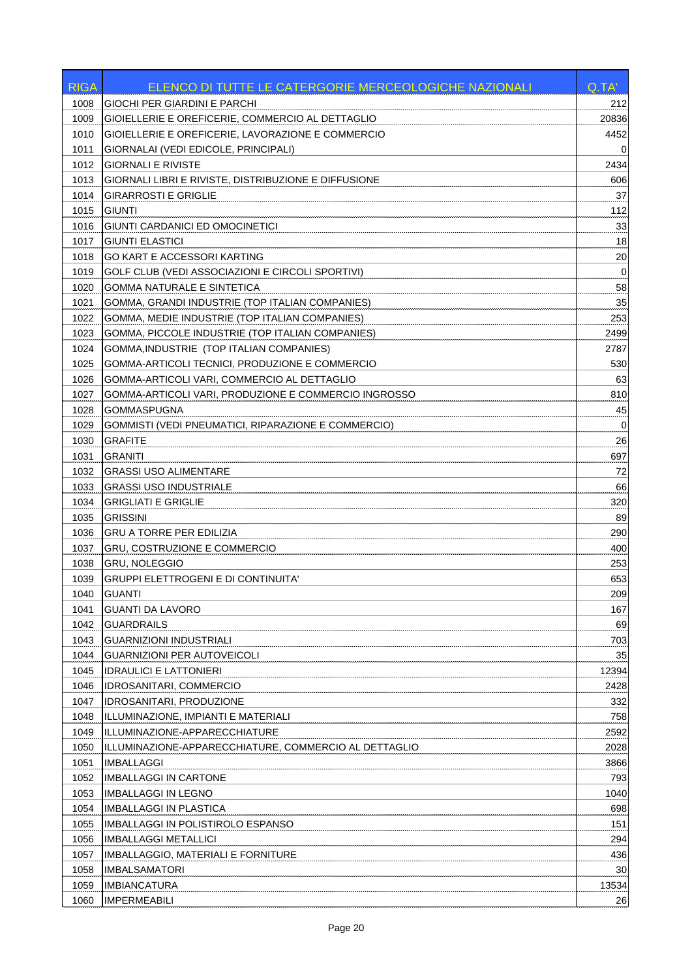| 1008<br>GIOCHI PER GIARDINI E PARCHI<br>212<br>GIOIELLERIE E OREFICERIE, COMMERCIO AL DETTAGLIO<br>1009<br>20836<br>GIOIELLERIE E OREFICERIE, LAVORAZIONE E COMMERCIO<br>1010<br>4452<br>1011<br>GIORNALAI (VEDI EDICOLE, PRINCIPALI)<br>0<br>1012<br><b>GIORNALI E RIVISTE</b><br>2434<br>1013<br>GIORNALI LIBRI E RIVISTE, DISTRIBUZIONE E DIFFUSIONE<br>606<br>37<br>1014<br><b>GIRARROSTI E GRIGLIE</b><br>112<br>1015<br><b>GIUNTI</b><br><b>GIUNTI CARDANICI ED OMOCINETICI</b><br>33<br>1016<br><b>GIUNTI ELASTICI</b><br>18<br>1017<br>20<br>1018<br><b>GO KART E ACCESSORI KARTING</b><br>1019<br>GOLF CLUB (VEDI ASSOCIAZIONI E CIRCOLI SPORTIVI)<br>0<br><b>GOMMA NATURALE E SINTETICA</b><br>58<br>1020<br>1021<br>GOMMA, GRANDI INDUSTRIE (TOP ITALIAN COMPANIES)<br>35<br>GOMMA, MEDIE INDUSTRIE (TOP ITALIAN COMPANIES)<br>253<br>1022<br>1023<br>GOMMA, PICCOLE INDUSTRIE (TOP ITALIAN COMPANIES)<br>2499<br>1024<br>GOMMA, INDUSTRIE (TOP ITALIAN COMPANIES)<br>2787<br>530<br>1025<br>GOMMA-ARTICOLI TECNICI, PRODUZIONE E COMMERCIO<br>1026<br>GOMMA-ARTICOLI VARI, COMMERCIO AL DETTAGLIO<br>63<br>810<br>1027<br>GOMMA-ARTICOLI VARI, PRODUZIONE E COMMERCIO INGROSSO<br>45<br>1028<br><b>GOMMASPUGNA</b><br><b>GOMMISTI (VEDI PNEUMATICI, RIPARAZIONE E COMMERCIO)</b><br>1029<br>0<br>1030<br><b>GRAFITE</b><br>26<br><b>GRANITI</b><br>1031<br>697<br>1032<br>72<br><b>GRASSI USO ALIMENTARE</b><br>1033<br><b>GRASSI USO INDUSTRIALE</b><br>66<br>320<br>1034<br><b>GRIGLIATI E GRIGLIE</b><br><b>GRISSINI</b><br>1035<br>89<br>1036<br><b>GRU A TORRE PER EDILIZIA</b><br>290<br>400<br>1037<br><b>GRU, COSTRUZIONE E COMMERCIO</b><br>1038<br><b>GRU, NOLEGGIO</b><br>253<br>653<br>1039<br><b>GRUPPI ELETTROGENI E DI CONTINUITA'</b><br><b>GUANTI</b><br>209<br>1040<br>167<br>1041<br><b>GUANTI DA LAVORO</b><br>69<br>1042<br><b>GUARDRAILS</b><br>1043<br><b>GUARNIZIONI INDUSTRIALI</b><br>703<br>1044<br><b>GUARNIZIONI PER AUTOVEICOLI</b><br>35<br>12394<br>1045<br><b>IDRAULICI E LATTONIERI</b><br>1046<br>2428<br><b>IDROSANITARI, COMMERCIO</b><br>332<br>1047<br><b>IDROSANITARI, PRODUZIONE</b><br>1048<br>ILLUMINAZIONE, IMPIANTI E MATERIALI<br>758<br>1049<br>ILLUMINAZIONE-APPARECCHIATURE<br>2592<br>1050<br>ILLUMINAZIONE-APPARECCHIATURE, COMMERCIO AL DETTAGLIO<br>2028<br>1051<br><b>IMBALLAGGI</b><br>3866<br>793<br>1052<br><b>IMBALLAGGI IN CARTONE</b><br>1040<br>1053<br><b>IMBALLAGGI IN LEGNO</b><br>1054<br>IMBALLAGGI IN PLASTICA<br>698<br>151<br>1055<br>IMBALLAGGI IN POLISTIROLO ESPANSO<br>1056<br><b>IMBALLAGGI METALLICI</b><br>294<br>436<br>1057<br><b>IMBALLAGGIO, MATERIALI E FORNITURE</b><br>30<br>1058<br><b>IMBALSAMATORI</b><br>1059<br><b>IMBIANCATURA</b><br>13534<br><b>IMPERMEABILI</b><br>1060<br>26 | <b>RIGA</b> | ELENCO DI TUTTE LE CATERGORIE MERCEOLOGICHE NAZIONALI | Q.TA' |
|---------------------------------------------------------------------------------------------------------------------------------------------------------------------------------------------------------------------------------------------------------------------------------------------------------------------------------------------------------------------------------------------------------------------------------------------------------------------------------------------------------------------------------------------------------------------------------------------------------------------------------------------------------------------------------------------------------------------------------------------------------------------------------------------------------------------------------------------------------------------------------------------------------------------------------------------------------------------------------------------------------------------------------------------------------------------------------------------------------------------------------------------------------------------------------------------------------------------------------------------------------------------------------------------------------------------------------------------------------------------------------------------------------------------------------------------------------------------------------------------------------------------------------------------------------------------------------------------------------------------------------------------------------------------------------------------------------------------------------------------------------------------------------------------------------------------------------------------------------------------------------------------------------------------------------------------------------------------------------------------------------------------------------------------------------------------------------------------------------------------------------------------------------------------------------------------------------------------------------------------------------------------------------------------------------------------------------------------------------------------------------------------------------------------------------------------------------------------------------------------------------------------------------------------------------------------------------------------------------------------------------------------------------------------------------------------------------------------------------------------------------------------------------------|-------------|-------------------------------------------------------|-------|
|                                                                                                                                                                                                                                                                                                                                                                                                                                                                                                                                                                                                                                                                                                                                                                                                                                                                                                                                                                                                                                                                                                                                                                                                                                                                                                                                                                                                                                                                                                                                                                                                                                                                                                                                                                                                                                                                                                                                                                                                                                                                                                                                                                                                                                                                                                                                                                                                                                                                                                                                                                                                                                                                                                                                                                                       |             |                                                       |       |
|                                                                                                                                                                                                                                                                                                                                                                                                                                                                                                                                                                                                                                                                                                                                                                                                                                                                                                                                                                                                                                                                                                                                                                                                                                                                                                                                                                                                                                                                                                                                                                                                                                                                                                                                                                                                                                                                                                                                                                                                                                                                                                                                                                                                                                                                                                                                                                                                                                                                                                                                                                                                                                                                                                                                                                                       |             |                                                       |       |
|                                                                                                                                                                                                                                                                                                                                                                                                                                                                                                                                                                                                                                                                                                                                                                                                                                                                                                                                                                                                                                                                                                                                                                                                                                                                                                                                                                                                                                                                                                                                                                                                                                                                                                                                                                                                                                                                                                                                                                                                                                                                                                                                                                                                                                                                                                                                                                                                                                                                                                                                                                                                                                                                                                                                                                                       |             |                                                       |       |
|                                                                                                                                                                                                                                                                                                                                                                                                                                                                                                                                                                                                                                                                                                                                                                                                                                                                                                                                                                                                                                                                                                                                                                                                                                                                                                                                                                                                                                                                                                                                                                                                                                                                                                                                                                                                                                                                                                                                                                                                                                                                                                                                                                                                                                                                                                                                                                                                                                                                                                                                                                                                                                                                                                                                                                                       |             |                                                       |       |
|                                                                                                                                                                                                                                                                                                                                                                                                                                                                                                                                                                                                                                                                                                                                                                                                                                                                                                                                                                                                                                                                                                                                                                                                                                                                                                                                                                                                                                                                                                                                                                                                                                                                                                                                                                                                                                                                                                                                                                                                                                                                                                                                                                                                                                                                                                                                                                                                                                                                                                                                                                                                                                                                                                                                                                                       |             |                                                       |       |
|                                                                                                                                                                                                                                                                                                                                                                                                                                                                                                                                                                                                                                                                                                                                                                                                                                                                                                                                                                                                                                                                                                                                                                                                                                                                                                                                                                                                                                                                                                                                                                                                                                                                                                                                                                                                                                                                                                                                                                                                                                                                                                                                                                                                                                                                                                                                                                                                                                                                                                                                                                                                                                                                                                                                                                                       |             |                                                       |       |
|                                                                                                                                                                                                                                                                                                                                                                                                                                                                                                                                                                                                                                                                                                                                                                                                                                                                                                                                                                                                                                                                                                                                                                                                                                                                                                                                                                                                                                                                                                                                                                                                                                                                                                                                                                                                                                                                                                                                                                                                                                                                                                                                                                                                                                                                                                                                                                                                                                                                                                                                                                                                                                                                                                                                                                                       |             |                                                       |       |
|                                                                                                                                                                                                                                                                                                                                                                                                                                                                                                                                                                                                                                                                                                                                                                                                                                                                                                                                                                                                                                                                                                                                                                                                                                                                                                                                                                                                                                                                                                                                                                                                                                                                                                                                                                                                                                                                                                                                                                                                                                                                                                                                                                                                                                                                                                                                                                                                                                                                                                                                                                                                                                                                                                                                                                                       |             |                                                       |       |
|                                                                                                                                                                                                                                                                                                                                                                                                                                                                                                                                                                                                                                                                                                                                                                                                                                                                                                                                                                                                                                                                                                                                                                                                                                                                                                                                                                                                                                                                                                                                                                                                                                                                                                                                                                                                                                                                                                                                                                                                                                                                                                                                                                                                                                                                                                                                                                                                                                                                                                                                                                                                                                                                                                                                                                                       |             |                                                       |       |
|                                                                                                                                                                                                                                                                                                                                                                                                                                                                                                                                                                                                                                                                                                                                                                                                                                                                                                                                                                                                                                                                                                                                                                                                                                                                                                                                                                                                                                                                                                                                                                                                                                                                                                                                                                                                                                                                                                                                                                                                                                                                                                                                                                                                                                                                                                                                                                                                                                                                                                                                                                                                                                                                                                                                                                                       |             |                                                       |       |
|                                                                                                                                                                                                                                                                                                                                                                                                                                                                                                                                                                                                                                                                                                                                                                                                                                                                                                                                                                                                                                                                                                                                                                                                                                                                                                                                                                                                                                                                                                                                                                                                                                                                                                                                                                                                                                                                                                                                                                                                                                                                                                                                                                                                                                                                                                                                                                                                                                                                                                                                                                                                                                                                                                                                                                                       |             |                                                       |       |
|                                                                                                                                                                                                                                                                                                                                                                                                                                                                                                                                                                                                                                                                                                                                                                                                                                                                                                                                                                                                                                                                                                                                                                                                                                                                                                                                                                                                                                                                                                                                                                                                                                                                                                                                                                                                                                                                                                                                                                                                                                                                                                                                                                                                                                                                                                                                                                                                                                                                                                                                                                                                                                                                                                                                                                                       |             |                                                       |       |
|                                                                                                                                                                                                                                                                                                                                                                                                                                                                                                                                                                                                                                                                                                                                                                                                                                                                                                                                                                                                                                                                                                                                                                                                                                                                                                                                                                                                                                                                                                                                                                                                                                                                                                                                                                                                                                                                                                                                                                                                                                                                                                                                                                                                                                                                                                                                                                                                                                                                                                                                                                                                                                                                                                                                                                                       |             |                                                       |       |
|                                                                                                                                                                                                                                                                                                                                                                                                                                                                                                                                                                                                                                                                                                                                                                                                                                                                                                                                                                                                                                                                                                                                                                                                                                                                                                                                                                                                                                                                                                                                                                                                                                                                                                                                                                                                                                                                                                                                                                                                                                                                                                                                                                                                                                                                                                                                                                                                                                                                                                                                                                                                                                                                                                                                                                                       |             |                                                       |       |
|                                                                                                                                                                                                                                                                                                                                                                                                                                                                                                                                                                                                                                                                                                                                                                                                                                                                                                                                                                                                                                                                                                                                                                                                                                                                                                                                                                                                                                                                                                                                                                                                                                                                                                                                                                                                                                                                                                                                                                                                                                                                                                                                                                                                                                                                                                                                                                                                                                                                                                                                                                                                                                                                                                                                                                                       |             |                                                       |       |
|                                                                                                                                                                                                                                                                                                                                                                                                                                                                                                                                                                                                                                                                                                                                                                                                                                                                                                                                                                                                                                                                                                                                                                                                                                                                                                                                                                                                                                                                                                                                                                                                                                                                                                                                                                                                                                                                                                                                                                                                                                                                                                                                                                                                                                                                                                                                                                                                                                                                                                                                                                                                                                                                                                                                                                                       |             |                                                       |       |
|                                                                                                                                                                                                                                                                                                                                                                                                                                                                                                                                                                                                                                                                                                                                                                                                                                                                                                                                                                                                                                                                                                                                                                                                                                                                                                                                                                                                                                                                                                                                                                                                                                                                                                                                                                                                                                                                                                                                                                                                                                                                                                                                                                                                                                                                                                                                                                                                                                                                                                                                                                                                                                                                                                                                                                                       |             |                                                       |       |
|                                                                                                                                                                                                                                                                                                                                                                                                                                                                                                                                                                                                                                                                                                                                                                                                                                                                                                                                                                                                                                                                                                                                                                                                                                                                                                                                                                                                                                                                                                                                                                                                                                                                                                                                                                                                                                                                                                                                                                                                                                                                                                                                                                                                                                                                                                                                                                                                                                                                                                                                                                                                                                                                                                                                                                                       |             |                                                       |       |
|                                                                                                                                                                                                                                                                                                                                                                                                                                                                                                                                                                                                                                                                                                                                                                                                                                                                                                                                                                                                                                                                                                                                                                                                                                                                                                                                                                                                                                                                                                                                                                                                                                                                                                                                                                                                                                                                                                                                                                                                                                                                                                                                                                                                                                                                                                                                                                                                                                                                                                                                                                                                                                                                                                                                                                                       |             |                                                       |       |
|                                                                                                                                                                                                                                                                                                                                                                                                                                                                                                                                                                                                                                                                                                                                                                                                                                                                                                                                                                                                                                                                                                                                                                                                                                                                                                                                                                                                                                                                                                                                                                                                                                                                                                                                                                                                                                                                                                                                                                                                                                                                                                                                                                                                                                                                                                                                                                                                                                                                                                                                                                                                                                                                                                                                                                                       |             |                                                       |       |
|                                                                                                                                                                                                                                                                                                                                                                                                                                                                                                                                                                                                                                                                                                                                                                                                                                                                                                                                                                                                                                                                                                                                                                                                                                                                                                                                                                                                                                                                                                                                                                                                                                                                                                                                                                                                                                                                                                                                                                                                                                                                                                                                                                                                                                                                                                                                                                                                                                                                                                                                                                                                                                                                                                                                                                                       |             |                                                       |       |
|                                                                                                                                                                                                                                                                                                                                                                                                                                                                                                                                                                                                                                                                                                                                                                                                                                                                                                                                                                                                                                                                                                                                                                                                                                                                                                                                                                                                                                                                                                                                                                                                                                                                                                                                                                                                                                                                                                                                                                                                                                                                                                                                                                                                                                                                                                                                                                                                                                                                                                                                                                                                                                                                                                                                                                                       |             |                                                       |       |
|                                                                                                                                                                                                                                                                                                                                                                                                                                                                                                                                                                                                                                                                                                                                                                                                                                                                                                                                                                                                                                                                                                                                                                                                                                                                                                                                                                                                                                                                                                                                                                                                                                                                                                                                                                                                                                                                                                                                                                                                                                                                                                                                                                                                                                                                                                                                                                                                                                                                                                                                                                                                                                                                                                                                                                                       |             |                                                       |       |
|                                                                                                                                                                                                                                                                                                                                                                                                                                                                                                                                                                                                                                                                                                                                                                                                                                                                                                                                                                                                                                                                                                                                                                                                                                                                                                                                                                                                                                                                                                                                                                                                                                                                                                                                                                                                                                                                                                                                                                                                                                                                                                                                                                                                                                                                                                                                                                                                                                                                                                                                                                                                                                                                                                                                                                                       |             |                                                       |       |
|                                                                                                                                                                                                                                                                                                                                                                                                                                                                                                                                                                                                                                                                                                                                                                                                                                                                                                                                                                                                                                                                                                                                                                                                                                                                                                                                                                                                                                                                                                                                                                                                                                                                                                                                                                                                                                                                                                                                                                                                                                                                                                                                                                                                                                                                                                                                                                                                                                                                                                                                                                                                                                                                                                                                                                                       |             |                                                       |       |
|                                                                                                                                                                                                                                                                                                                                                                                                                                                                                                                                                                                                                                                                                                                                                                                                                                                                                                                                                                                                                                                                                                                                                                                                                                                                                                                                                                                                                                                                                                                                                                                                                                                                                                                                                                                                                                                                                                                                                                                                                                                                                                                                                                                                                                                                                                                                                                                                                                                                                                                                                                                                                                                                                                                                                                                       |             |                                                       |       |
|                                                                                                                                                                                                                                                                                                                                                                                                                                                                                                                                                                                                                                                                                                                                                                                                                                                                                                                                                                                                                                                                                                                                                                                                                                                                                                                                                                                                                                                                                                                                                                                                                                                                                                                                                                                                                                                                                                                                                                                                                                                                                                                                                                                                                                                                                                                                                                                                                                                                                                                                                                                                                                                                                                                                                                                       |             |                                                       |       |
|                                                                                                                                                                                                                                                                                                                                                                                                                                                                                                                                                                                                                                                                                                                                                                                                                                                                                                                                                                                                                                                                                                                                                                                                                                                                                                                                                                                                                                                                                                                                                                                                                                                                                                                                                                                                                                                                                                                                                                                                                                                                                                                                                                                                                                                                                                                                                                                                                                                                                                                                                                                                                                                                                                                                                                                       |             |                                                       |       |
|                                                                                                                                                                                                                                                                                                                                                                                                                                                                                                                                                                                                                                                                                                                                                                                                                                                                                                                                                                                                                                                                                                                                                                                                                                                                                                                                                                                                                                                                                                                                                                                                                                                                                                                                                                                                                                                                                                                                                                                                                                                                                                                                                                                                                                                                                                                                                                                                                                                                                                                                                                                                                                                                                                                                                                                       |             |                                                       |       |
|                                                                                                                                                                                                                                                                                                                                                                                                                                                                                                                                                                                                                                                                                                                                                                                                                                                                                                                                                                                                                                                                                                                                                                                                                                                                                                                                                                                                                                                                                                                                                                                                                                                                                                                                                                                                                                                                                                                                                                                                                                                                                                                                                                                                                                                                                                                                                                                                                                                                                                                                                                                                                                                                                                                                                                                       |             |                                                       |       |
|                                                                                                                                                                                                                                                                                                                                                                                                                                                                                                                                                                                                                                                                                                                                                                                                                                                                                                                                                                                                                                                                                                                                                                                                                                                                                                                                                                                                                                                                                                                                                                                                                                                                                                                                                                                                                                                                                                                                                                                                                                                                                                                                                                                                                                                                                                                                                                                                                                                                                                                                                                                                                                                                                                                                                                                       |             |                                                       |       |
|                                                                                                                                                                                                                                                                                                                                                                                                                                                                                                                                                                                                                                                                                                                                                                                                                                                                                                                                                                                                                                                                                                                                                                                                                                                                                                                                                                                                                                                                                                                                                                                                                                                                                                                                                                                                                                                                                                                                                                                                                                                                                                                                                                                                                                                                                                                                                                                                                                                                                                                                                                                                                                                                                                                                                                                       |             |                                                       |       |
|                                                                                                                                                                                                                                                                                                                                                                                                                                                                                                                                                                                                                                                                                                                                                                                                                                                                                                                                                                                                                                                                                                                                                                                                                                                                                                                                                                                                                                                                                                                                                                                                                                                                                                                                                                                                                                                                                                                                                                                                                                                                                                                                                                                                                                                                                                                                                                                                                                                                                                                                                                                                                                                                                                                                                                                       |             |                                                       |       |
|                                                                                                                                                                                                                                                                                                                                                                                                                                                                                                                                                                                                                                                                                                                                                                                                                                                                                                                                                                                                                                                                                                                                                                                                                                                                                                                                                                                                                                                                                                                                                                                                                                                                                                                                                                                                                                                                                                                                                                                                                                                                                                                                                                                                                                                                                                                                                                                                                                                                                                                                                                                                                                                                                                                                                                                       |             |                                                       |       |
|                                                                                                                                                                                                                                                                                                                                                                                                                                                                                                                                                                                                                                                                                                                                                                                                                                                                                                                                                                                                                                                                                                                                                                                                                                                                                                                                                                                                                                                                                                                                                                                                                                                                                                                                                                                                                                                                                                                                                                                                                                                                                                                                                                                                                                                                                                                                                                                                                                                                                                                                                                                                                                                                                                                                                                                       |             |                                                       |       |
|                                                                                                                                                                                                                                                                                                                                                                                                                                                                                                                                                                                                                                                                                                                                                                                                                                                                                                                                                                                                                                                                                                                                                                                                                                                                                                                                                                                                                                                                                                                                                                                                                                                                                                                                                                                                                                                                                                                                                                                                                                                                                                                                                                                                                                                                                                                                                                                                                                                                                                                                                                                                                                                                                                                                                                                       |             |                                                       |       |
|                                                                                                                                                                                                                                                                                                                                                                                                                                                                                                                                                                                                                                                                                                                                                                                                                                                                                                                                                                                                                                                                                                                                                                                                                                                                                                                                                                                                                                                                                                                                                                                                                                                                                                                                                                                                                                                                                                                                                                                                                                                                                                                                                                                                                                                                                                                                                                                                                                                                                                                                                                                                                                                                                                                                                                                       |             |                                                       |       |
|                                                                                                                                                                                                                                                                                                                                                                                                                                                                                                                                                                                                                                                                                                                                                                                                                                                                                                                                                                                                                                                                                                                                                                                                                                                                                                                                                                                                                                                                                                                                                                                                                                                                                                                                                                                                                                                                                                                                                                                                                                                                                                                                                                                                                                                                                                                                                                                                                                                                                                                                                                                                                                                                                                                                                                                       |             |                                                       |       |
|                                                                                                                                                                                                                                                                                                                                                                                                                                                                                                                                                                                                                                                                                                                                                                                                                                                                                                                                                                                                                                                                                                                                                                                                                                                                                                                                                                                                                                                                                                                                                                                                                                                                                                                                                                                                                                                                                                                                                                                                                                                                                                                                                                                                                                                                                                                                                                                                                                                                                                                                                                                                                                                                                                                                                                                       |             |                                                       |       |
|                                                                                                                                                                                                                                                                                                                                                                                                                                                                                                                                                                                                                                                                                                                                                                                                                                                                                                                                                                                                                                                                                                                                                                                                                                                                                                                                                                                                                                                                                                                                                                                                                                                                                                                                                                                                                                                                                                                                                                                                                                                                                                                                                                                                                                                                                                                                                                                                                                                                                                                                                                                                                                                                                                                                                                                       |             |                                                       |       |
|                                                                                                                                                                                                                                                                                                                                                                                                                                                                                                                                                                                                                                                                                                                                                                                                                                                                                                                                                                                                                                                                                                                                                                                                                                                                                                                                                                                                                                                                                                                                                                                                                                                                                                                                                                                                                                                                                                                                                                                                                                                                                                                                                                                                                                                                                                                                                                                                                                                                                                                                                                                                                                                                                                                                                                                       |             |                                                       |       |
|                                                                                                                                                                                                                                                                                                                                                                                                                                                                                                                                                                                                                                                                                                                                                                                                                                                                                                                                                                                                                                                                                                                                                                                                                                                                                                                                                                                                                                                                                                                                                                                                                                                                                                                                                                                                                                                                                                                                                                                                                                                                                                                                                                                                                                                                                                                                                                                                                                                                                                                                                                                                                                                                                                                                                                                       |             |                                                       |       |
|                                                                                                                                                                                                                                                                                                                                                                                                                                                                                                                                                                                                                                                                                                                                                                                                                                                                                                                                                                                                                                                                                                                                                                                                                                                                                                                                                                                                                                                                                                                                                                                                                                                                                                                                                                                                                                                                                                                                                                                                                                                                                                                                                                                                                                                                                                                                                                                                                                                                                                                                                                                                                                                                                                                                                                                       |             |                                                       |       |
|                                                                                                                                                                                                                                                                                                                                                                                                                                                                                                                                                                                                                                                                                                                                                                                                                                                                                                                                                                                                                                                                                                                                                                                                                                                                                                                                                                                                                                                                                                                                                                                                                                                                                                                                                                                                                                                                                                                                                                                                                                                                                                                                                                                                                                                                                                                                                                                                                                                                                                                                                                                                                                                                                                                                                                                       |             |                                                       |       |
|                                                                                                                                                                                                                                                                                                                                                                                                                                                                                                                                                                                                                                                                                                                                                                                                                                                                                                                                                                                                                                                                                                                                                                                                                                                                                                                                                                                                                                                                                                                                                                                                                                                                                                                                                                                                                                                                                                                                                                                                                                                                                                                                                                                                                                                                                                                                                                                                                                                                                                                                                                                                                                                                                                                                                                                       |             |                                                       |       |
|                                                                                                                                                                                                                                                                                                                                                                                                                                                                                                                                                                                                                                                                                                                                                                                                                                                                                                                                                                                                                                                                                                                                                                                                                                                                                                                                                                                                                                                                                                                                                                                                                                                                                                                                                                                                                                                                                                                                                                                                                                                                                                                                                                                                                                                                                                                                                                                                                                                                                                                                                                                                                                                                                                                                                                                       |             |                                                       |       |
|                                                                                                                                                                                                                                                                                                                                                                                                                                                                                                                                                                                                                                                                                                                                                                                                                                                                                                                                                                                                                                                                                                                                                                                                                                                                                                                                                                                                                                                                                                                                                                                                                                                                                                                                                                                                                                                                                                                                                                                                                                                                                                                                                                                                                                                                                                                                                                                                                                                                                                                                                                                                                                                                                                                                                                                       |             |                                                       |       |
|                                                                                                                                                                                                                                                                                                                                                                                                                                                                                                                                                                                                                                                                                                                                                                                                                                                                                                                                                                                                                                                                                                                                                                                                                                                                                                                                                                                                                                                                                                                                                                                                                                                                                                                                                                                                                                                                                                                                                                                                                                                                                                                                                                                                                                                                                                                                                                                                                                                                                                                                                                                                                                                                                                                                                                                       |             |                                                       |       |
|                                                                                                                                                                                                                                                                                                                                                                                                                                                                                                                                                                                                                                                                                                                                                                                                                                                                                                                                                                                                                                                                                                                                                                                                                                                                                                                                                                                                                                                                                                                                                                                                                                                                                                                                                                                                                                                                                                                                                                                                                                                                                                                                                                                                                                                                                                                                                                                                                                                                                                                                                                                                                                                                                                                                                                                       |             |                                                       |       |
|                                                                                                                                                                                                                                                                                                                                                                                                                                                                                                                                                                                                                                                                                                                                                                                                                                                                                                                                                                                                                                                                                                                                                                                                                                                                                                                                                                                                                                                                                                                                                                                                                                                                                                                                                                                                                                                                                                                                                                                                                                                                                                                                                                                                                                                                                                                                                                                                                                                                                                                                                                                                                                                                                                                                                                                       |             |                                                       |       |
|                                                                                                                                                                                                                                                                                                                                                                                                                                                                                                                                                                                                                                                                                                                                                                                                                                                                                                                                                                                                                                                                                                                                                                                                                                                                                                                                                                                                                                                                                                                                                                                                                                                                                                                                                                                                                                                                                                                                                                                                                                                                                                                                                                                                                                                                                                                                                                                                                                                                                                                                                                                                                                                                                                                                                                                       |             |                                                       |       |
|                                                                                                                                                                                                                                                                                                                                                                                                                                                                                                                                                                                                                                                                                                                                                                                                                                                                                                                                                                                                                                                                                                                                                                                                                                                                                                                                                                                                                                                                                                                                                                                                                                                                                                                                                                                                                                                                                                                                                                                                                                                                                                                                                                                                                                                                                                                                                                                                                                                                                                                                                                                                                                                                                                                                                                                       |             |                                                       |       |
|                                                                                                                                                                                                                                                                                                                                                                                                                                                                                                                                                                                                                                                                                                                                                                                                                                                                                                                                                                                                                                                                                                                                                                                                                                                                                                                                                                                                                                                                                                                                                                                                                                                                                                                                                                                                                                                                                                                                                                                                                                                                                                                                                                                                                                                                                                                                                                                                                                                                                                                                                                                                                                                                                                                                                                                       |             |                                                       |       |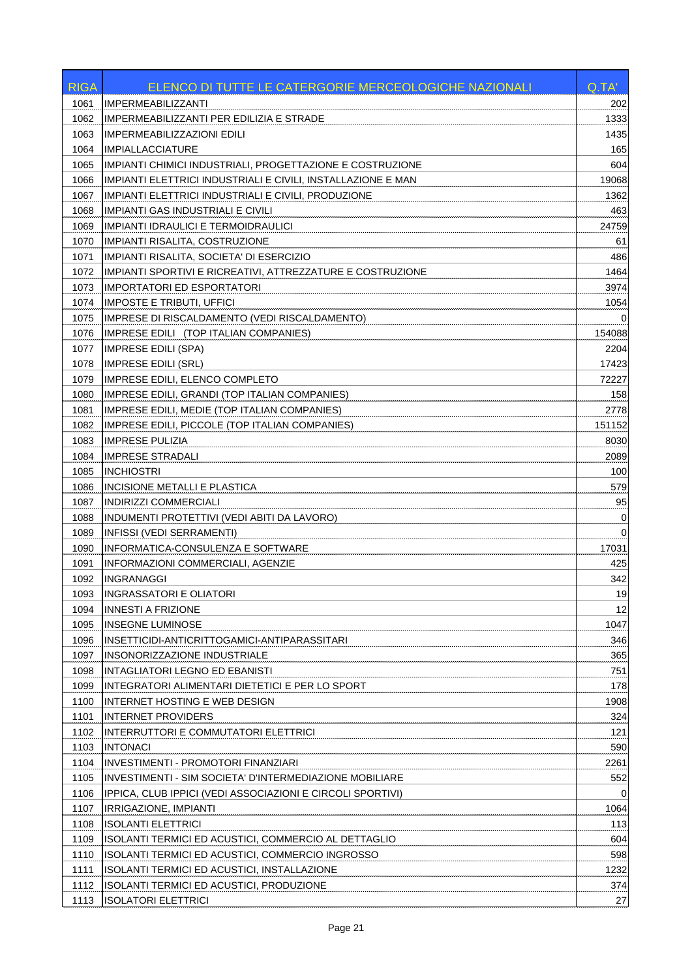| <b>RIGA</b> | ELENCO DI TUTTE LE CATERGORIE MERCEOLOGICHE NAZIONALI        | Q.TA'    |
|-------------|--------------------------------------------------------------|----------|
| 1061        | <b>IMPERMEABILIZZANTI</b>                                    | 202      |
| 1062        | IMPERMEABILIZZANTI PER EDILIZIA E STRADE                     | 1333     |
| 1063        | <b>IMPERMEABILIZZAZIONI EDILI</b>                            | 1435     |
| 1064        | <b>IMPIALLACCIATURE</b>                                      | 165      |
| 1065        | IMPIANTI CHIMICI INDUSTRIALI, PROGETTAZIONE E COSTRUZIONE    | 604      |
| 1066        | IMPIANTI ELETTRICI INDUSTRIALI E CIVILI, INSTALLAZIONE E MAN | 19068    |
| 1067        | IMPIANTI ELETTRICI INDUSTRIALI E CIVILI, PRODUZIONE          | 1362     |
| 1068        | <b>IMPIANTI GAS INDUSTRIALI E CIVILI</b>                     | 463      |
| 1069        | <b>IMPIANTI IDRAULICI E TERMOIDRAULICI</b>                   | 24759    |
| 1070        | IMPIANTI RISALITA, COSTRUZIONE                               | 61       |
| 1071        | IMPIANTI RISALITA, SOCIETA' DI ESERCIZIO                     | 486      |
| 1072        | IMPIANTI SPORTIVI E RICREATIVI, ATTREZZATURE E COSTRUZIONE   | 1464     |
| 1073        | <b>IMPORTATORI ED ESPORTATORI</b>                            | 3974     |
| 1074        | IMPOSTE E TRIBUTI, UFFICI                                    | 1054     |
| 1075        | IMPRESE DI RISCALDAMENTO (VEDI RISCALDAMENTO)                | $\Omega$ |
| 1076        | IMPRESE EDILI (TOP ITALIAN COMPANIES)                        | 154088   |
| 1077        | <b>IMPRESE EDILI (SPA)</b>                                   | 2204     |
| 1078        | <b>IMPRESE EDILI (SRL)</b>                                   | 17423    |
| 1079        | <b>IMPRESE EDILI, ELENCO COMPLETO</b>                        | 72227    |
| 1080        | IMPRESE EDILI, GRANDI (TOP ITALIAN COMPANIES)                | 158      |
| 1081        | IMPRESE EDILI, MEDIE (TOP ITALIAN COMPANIES)                 | 2778     |
| 1082        | IMPRESE EDILI, PICCOLE (TOP ITALIAN COMPANIES)               | 151152   |
| 1083        | <b>IMPRESE PULIZIA</b>                                       | 8030     |
| 1084        | <b>IMPRESE STRADALI</b>                                      | 2089     |
| 1085        | <b>INCHIOSTRI</b>                                            | 100      |
| 1086        | INCISIONE METALLI E PLASTICA                                 | 579      |
| 1087        | <b>INDIRIZZI COMMERCIALI</b>                                 | 95       |
| 1088        | INDUMENTI PROTETTIVI (VEDI ABITI DA LAVORO)                  | 0        |
| 1089        | <b>INFISSI (VEDI SERRAMENTI)</b>                             | 0        |
| 1090        | INFORMATICA-CONSULENZA E SOFTWARE                            | 17031    |
| 1091        | INFORMAZIONI COMMERCIALI, AGENZIE                            | 425      |
| 1092        | <b>INGRANAGGI</b>                                            | 342      |
| 1093        | <b>INGRASSATORI E OLIATORI</b>                               | 19       |
| 1094        | INNESTI A FRIZIONE                                           | 12       |
| 1095        | <b>INSEGNE LUMINOSE</b>                                      | 1047     |
| 1096        | INSETTICIDI-ANTICRITTOGAMICI-ANTIPARASSITARI                 | 346      |
| 1097        | INSONORIZZAZIONE INDUSTRIALE                                 | 365      |
| 1098        | INTAGLIATORI LEGNO ED EBANISTI                               | 751      |
| 1099        | INTEGRATORI ALIMENTARI DIETETICI E PER LO SPORT              | 178      |
| 1100        | INTERNET HOSTING E WEB DESIGN                                | 1908     |
| 1101        | <b>INTERNET PROVIDERS</b>                                    | 324      |
| 1102        | INTERRUTTORI E COMMUTATORI ELETTRICI                         | 121      |
| 1103        | <b>INTONACI</b>                                              | 590      |
| 1104        | <b>INVESTIMENTI - PROMOTORI FINANZIARI</b>                   | 2261     |
| 1105        | INVESTIMENTI - SIM SOCIETA' D'INTERMEDIAZIONE MOBILIARE      | 552      |
| 1106        | IPPICA, CLUB IPPICI (VEDI ASSOCIAZIONI E CIRCOLI SPORTIVI)   | 0        |
| 1107        | IRRIGAZIONE, IMPIANTI                                        | 1064     |
| 1108        | <b>ISOLANTI ELETTRICI</b>                                    | 113      |
| 1109        | ISOLANTI TERMICI ED ACUSTICI, COMMERCIO AL DETTAGLIO         | 604      |
| 1110        | ISOLANTI TERMICI ED ACUSTICI, COMMERCIO INGROSSO             | 598      |
| 1111        | ISOLANTI TERMICI ED ACUSTICI, INSTALLAZIONE                  | 1232     |
| 1112        | ISOLANTI TERMICI ED ACUSTICI, PRODUZIONE                     | 374      |
| 1113        | ISOLATORI ELETTRICI                                          | 27       |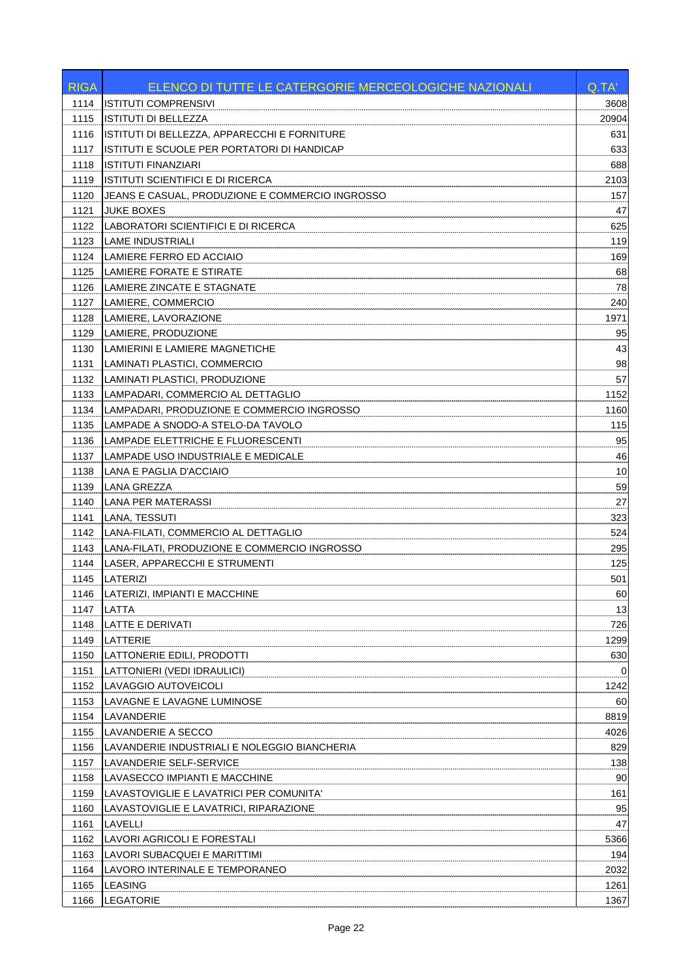| 1114<br><b>ISTITUTI COMPRENSIVI</b><br>3608<br><b>ISTITUTI DI BELLEZZA</b><br>1115<br>20904<br>ISTITUTI DI BELLEZZA, APPARECCHI E FORNITURE<br>1116<br>631<br>ISTITUTI E SCUOLE PER PORTATORI DI HANDICAP<br>633<br>1117<br><b>ISTITUTI FINANZIARI</b><br>688<br>1118<br>2103<br>1119<br>ISTITUTI SCIENTIFICI E DI RICERCA<br>1120<br>JEANS E CASUAL, PRODUZIONE E COMMERCIO INGROSSO<br>157<br><b>JUKE BOXES</b><br>47<br>1121<br>LABORATORI SCIENTIFICI E DI RICERCA<br>625<br>1122<br>119<br>1123<br><b>LAME INDUSTRIALI</b><br>169<br>1124<br>LAMIERE FERRO ED ACCIAIO<br>1125<br>LAMIERE FORATE E STIRATE<br>68<br>78<br>1126<br>LAMIERE ZINCATE E STAGNATE<br>1127<br>LAMIERE, COMMERCIO<br>240<br>1128<br>LAMIERE, LAVORAZIONE<br>1971<br>1129<br>LAMIERE, PRODUZIONE<br>95<br>1130<br>LAMIERINI E LAMIERE MAGNETICHE<br>43<br>98<br>1131<br>LAMINATI PLASTICI, COMMERCIO<br>LAMINATI PLASTICI, PRODUZIONE<br>57<br>1132<br>1133<br>LAMPADARI, COMMERCIO AL DETTAGLIO<br>1152<br>LAMPADARI, PRODUZIONE E COMMERCIO INGROSSO<br>1134<br>1160<br>115<br>1135<br>LAMPADE A SNODO-A STELO-DA TAVOLO<br>95<br>1136<br>LAMPADE ELETTRICHE E FLUORESCENTI<br>LAMPADE USO INDUSTRIALE E MEDICALE<br>1137<br>46<br>10<br>1138<br>LANA E PAGLIA D'ACCIAIO<br>59<br>1139<br>LANA GREZZA<br>27<br>1140<br>LANA PER MATERASSI<br>323<br>1141<br>LANA, TESSUTI<br>LANA-FILATI, COMMERCIO AL DETTAGLIO<br>524<br>1142<br>LANA-FILATI, PRODUZIONE E COMMERCIO INGROSSO<br>295<br>1143<br>1144<br>LASER, APPARECCHI E STRUMENTI<br>125<br>501<br>1145<br>LATERIZI<br>60<br>LATERIZI, IMPIANTI E MACCHINE<br>1146<br>13<br>1147<br>LATTA<br><b>LATTE E DERIVATI</b><br>726<br>1148<br>1299<br>1149<br>LATTERIE<br>1150<br>LATTONERIE EDILI, PRODOTTI<br>630<br>1151<br>LATTONIERI (VEDI IDRAULICI)<br>0<br>1152<br>LAVAGGIO AUTOVEICOLI<br>1242<br>LAVAGNE E LAVAGNE LUMINOSE<br>60<br>1153<br>8819<br>1154<br>LAVANDERIE<br>1155<br>LAVANDERIE A SECCO<br>4026<br>829<br>1156<br>LAVANDERIE INDUSTRIALI E NOLEGGIO BIANCHERIA<br>138<br>1157<br>LAVANDERIE SELF-SERVICE<br>90<br>1158<br>LAVASECCO IMPIANTI E MACCHINE<br>LAVASTOVIGLIE E LAVATRICI PER COMUNITA'<br>161<br>1159<br>1160<br>LAVASTOVIGLIE E LAVATRICI, RIPARAZIONE<br>95<br><b>LAVELLI</b><br>47<br>1161<br>LAVORI AGRICOLI E FORESTALI<br>5366<br>1162<br>194<br>1163<br>LAVORI SUBACQUEI E MARITTIMI<br>1164<br>LAVORO INTERINALE E TEMPORANEO<br>2032<br>1165<br><b>LEASING</b><br>1261<br>LEGATORIE<br>1367<br>1166 | <b>RIGA</b> | ELENCO DI TUTTE LE CATERGORIE MERCEOLOGICHE NAZIONALI | Q.TA' |
|-------------------------------------------------------------------------------------------------------------------------------------------------------------------------------------------------------------------------------------------------------------------------------------------------------------------------------------------------------------------------------------------------------------------------------------------------------------------------------------------------------------------------------------------------------------------------------------------------------------------------------------------------------------------------------------------------------------------------------------------------------------------------------------------------------------------------------------------------------------------------------------------------------------------------------------------------------------------------------------------------------------------------------------------------------------------------------------------------------------------------------------------------------------------------------------------------------------------------------------------------------------------------------------------------------------------------------------------------------------------------------------------------------------------------------------------------------------------------------------------------------------------------------------------------------------------------------------------------------------------------------------------------------------------------------------------------------------------------------------------------------------------------------------------------------------------------------------------------------------------------------------------------------------------------------------------------------------------------------------------------------------------------------------------------------------------------------------------------------------------------------------------------------------------------------------------------------------------------------------------------------------------------------------------------------------------------------------------------------------------------------------------------------------------------------------------------------------------------------|-------------|-------------------------------------------------------|-------|
|                                                                                                                                                                                                                                                                                                                                                                                                                                                                                                                                                                                                                                                                                                                                                                                                                                                                                                                                                                                                                                                                                                                                                                                                                                                                                                                                                                                                                                                                                                                                                                                                                                                                                                                                                                                                                                                                                                                                                                                                                                                                                                                                                                                                                                                                                                                                                                                                                                                                               |             |                                                       |       |
|                                                                                                                                                                                                                                                                                                                                                                                                                                                                                                                                                                                                                                                                                                                                                                                                                                                                                                                                                                                                                                                                                                                                                                                                                                                                                                                                                                                                                                                                                                                                                                                                                                                                                                                                                                                                                                                                                                                                                                                                                                                                                                                                                                                                                                                                                                                                                                                                                                                                               |             |                                                       |       |
|                                                                                                                                                                                                                                                                                                                                                                                                                                                                                                                                                                                                                                                                                                                                                                                                                                                                                                                                                                                                                                                                                                                                                                                                                                                                                                                                                                                                                                                                                                                                                                                                                                                                                                                                                                                                                                                                                                                                                                                                                                                                                                                                                                                                                                                                                                                                                                                                                                                                               |             |                                                       |       |
|                                                                                                                                                                                                                                                                                                                                                                                                                                                                                                                                                                                                                                                                                                                                                                                                                                                                                                                                                                                                                                                                                                                                                                                                                                                                                                                                                                                                                                                                                                                                                                                                                                                                                                                                                                                                                                                                                                                                                                                                                                                                                                                                                                                                                                                                                                                                                                                                                                                                               |             |                                                       |       |
|                                                                                                                                                                                                                                                                                                                                                                                                                                                                                                                                                                                                                                                                                                                                                                                                                                                                                                                                                                                                                                                                                                                                                                                                                                                                                                                                                                                                                                                                                                                                                                                                                                                                                                                                                                                                                                                                                                                                                                                                                                                                                                                                                                                                                                                                                                                                                                                                                                                                               |             |                                                       |       |
|                                                                                                                                                                                                                                                                                                                                                                                                                                                                                                                                                                                                                                                                                                                                                                                                                                                                                                                                                                                                                                                                                                                                                                                                                                                                                                                                                                                                                                                                                                                                                                                                                                                                                                                                                                                                                                                                                                                                                                                                                                                                                                                                                                                                                                                                                                                                                                                                                                                                               |             |                                                       |       |
|                                                                                                                                                                                                                                                                                                                                                                                                                                                                                                                                                                                                                                                                                                                                                                                                                                                                                                                                                                                                                                                                                                                                                                                                                                                                                                                                                                                                                                                                                                                                                                                                                                                                                                                                                                                                                                                                                                                                                                                                                                                                                                                                                                                                                                                                                                                                                                                                                                                                               |             |                                                       |       |
|                                                                                                                                                                                                                                                                                                                                                                                                                                                                                                                                                                                                                                                                                                                                                                                                                                                                                                                                                                                                                                                                                                                                                                                                                                                                                                                                                                                                                                                                                                                                                                                                                                                                                                                                                                                                                                                                                                                                                                                                                                                                                                                                                                                                                                                                                                                                                                                                                                                                               |             |                                                       |       |
|                                                                                                                                                                                                                                                                                                                                                                                                                                                                                                                                                                                                                                                                                                                                                                                                                                                                                                                                                                                                                                                                                                                                                                                                                                                                                                                                                                                                                                                                                                                                                                                                                                                                                                                                                                                                                                                                                                                                                                                                                                                                                                                                                                                                                                                                                                                                                                                                                                                                               |             |                                                       |       |
|                                                                                                                                                                                                                                                                                                                                                                                                                                                                                                                                                                                                                                                                                                                                                                                                                                                                                                                                                                                                                                                                                                                                                                                                                                                                                                                                                                                                                                                                                                                                                                                                                                                                                                                                                                                                                                                                                                                                                                                                                                                                                                                                                                                                                                                                                                                                                                                                                                                                               |             |                                                       |       |
|                                                                                                                                                                                                                                                                                                                                                                                                                                                                                                                                                                                                                                                                                                                                                                                                                                                                                                                                                                                                                                                                                                                                                                                                                                                                                                                                                                                                                                                                                                                                                                                                                                                                                                                                                                                                                                                                                                                                                                                                                                                                                                                                                                                                                                                                                                                                                                                                                                                                               |             |                                                       |       |
|                                                                                                                                                                                                                                                                                                                                                                                                                                                                                                                                                                                                                                                                                                                                                                                                                                                                                                                                                                                                                                                                                                                                                                                                                                                                                                                                                                                                                                                                                                                                                                                                                                                                                                                                                                                                                                                                                                                                                                                                                                                                                                                                                                                                                                                                                                                                                                                                                                                                               |             |                                                       |       |
|                                                                                                                                                                                                                                                                                                                                                                                                                                                                                                                                                                                                                                                                                                                                                                                                                                                                                                                                                                                                                                                                                                                                                                                                                                                                                                                                                                                                                                                                                                                                                                                                                                                                                                                                                                                                                                                                                                                                                                                                                                                                                                                                                                                                                                                                                                                                                                                                                                                                               |             |                                                       |       |
|                                                                                                                                                                                                                                                                                                                                                                                                                                                                                                                                                                                                                                                                                                                                                                                                                                                                                                                                                                                                                                                                                                                                                                                                                                                                                                                                                                                                                                                                                                                                                                                                                                                                                                                                                                                                                                                                                                                                                                                                                                                                                                                                                                                                                                                                                                                                                                                                                                                                               |             |                                                       |       |
|                                                                                                                                                                                                                                                                                                                                                                                                                                                                                                                                                                                                                                                                                                                                                                                                                                                                                                                                                                                                                                                                                                                                                                                                                                                                                                                                                                                                                                                                                                                                                                                                                                                                                                                                                                                                                                                                                                                                                                                                                                                                                                                                                                                                                                                                                                                                                                                                                                                                               |             |                                                       |       |
|                                                                                                                                                                                                                                                                                                                                                                                                                                                                                                                                                                                                                                                                                                                                                                                                                                                                                                                                                                                                                                                                                                                                                                                                                                                                                                                                                                                                                                                                                                                                                                                                                                                                                                                                                                                                                                                                                                                                                                                                                                                                                                                                                                                                                                                                                                                                                                                                                                                                               |             |                                                       |       |
|                                                                                                                                                                                                                                                                                                                                                                                                                                                                                                                                                                                                                                                                                                                                                                                                                                                                                                                                                                                                                                                                                                                                                                                                                                                                                                                                                                                                                                                                                                                                                                                                                                                                                                                                                                                                                                                                                                                                                                                                                                                                                                                                                                                                                                                                                                                                                                                                                                                                               |             |                                                       |       |
|                                                                                                                                                                                                                                                                                                                                                                                                                                                                                                                                                                                                                                                                                                                                                                                                                                                                                                                                                                                                                                                                                                                                                                                                                                                                                                                                                                                                                                                                                                                                                                                                                                                                                                                                                                                                                                                                                                                                                                                                                                                                                                                                                                                                                                                                                                                                                                                                                                                                               |             |                                                       |       |
|                                                                                                                                                                                                                                                                                                                                                                                                                                                                                                                                                                                                                                                                                                                                                                                                                                                                                                                                                                                                                                                                                                                                                                                                                                                                                                                                                                                                                                                                                                                                                                                                                                                                                                                                                                                                                                                                                                                                                                                                                                                                                                                                                                                                                                                                                                                                                                                                                                                                               |             |                                                       |       |
|                                                                                                                                                                                                                                                                                                                                                                                                                                                                                                                                                                                                                                                                                                                                                                                                                                                                                                                                                                                                                                                                                                                                                                                                                                                                                                                                                                                                                                                                                                                                                                                                                                                                                                                                                                                                                                                                                                                                                                                                                                                                                                                                                                                                                                                                                                                                                                                                                                                                               |             |                                                       |       |
|                                                                                                                                                                                                                                                                                                                                                                                                                                                                                                                                                                                                                                                                                                                                                                                                                                                                                                                                                                                                                                                                                                                                                                                                                                                                                                                                                                                                                                                                                                                                                                                                                                                                                                                                                                                                                                                                                                                                                                                                                                                                                                                                                                                                                                                                                                                                                                                                                                                                               |             |                                                       |       |
|                                                                                                                                                                                                                                                                                                                                                                                                                                                                                                                                                                                                                                                                                                                                                                                                                                                                                                                                                                                                                                                                                                                                                                                                                                                                                                                                                                                                                                                                                                                                                                                                                                                                                                                                                                                                                                                                                                                                                                                                                                                                                                                                                                                                                                                                                                                                                                                                                                                                               |             |                                                       |       |
|                                                                                                                                                                                                                                                                                                                                                                                                                                                                                                                                                                                                                                                                                                                                                                                                                                                                                                                                                                                                                                                                                                                                                                                                                                                                                                                                                                                                                                                                                                                                                                                                                                                                                                                                                                                                                                                                                                                                                                                                                                                                                                                                                                                                                                                                                                                                                                                                                                                                               |             |                                                       |       |
|                                                                                                                                                                                                                                                                                                                                                                                                                                                                                                                                                                                                                                                                                                                                                                                                                                                                                                                                                                                                                                                                                                                                                                                                                                                                                                                                                                                                                                                                                                                                                                                                                                                                                                                                                                                                                                                                                                                                                                                                                                                                                                                                                                                                                                                                                                                                                                                                                                                                               |             |                                                       |       |
|                                                                                                                                                                                                                                                                                                                                                                                                                                                                                                                                                                                                                                                                                                                                                                                                                                                                                                                                                                                                                                                                                                                                                                                                                                                                                                                                                                                                                                                                                                                                                                                                                                                                                                                                                                                                                                                                                                                                                                                                                                                                                                                                                                                                                                                                                                                                                                                                                                                                               |             |                                                       |       |
|                                                                                                                                                                                                                                                                                                                                                                                                                                                                                                                                                                                                                                                                                                                                                                                                                                                                                                                                                                                                                                                                                                                                                                                                                                                                                                                                                                                                                                                                                                                                                                                                                                                                                                                                                                                                                                                                                                                                                                                                                                                                                                                                                                                                                                                                                                                                                                                                                                                                               |             |                                                       |       |
|                                                                                                                                                                                                                                                                                                                                                                                                                                                                                                                                                                                                                                                                                                                                                                                                                                                                                                                                                                                                                                                                                                                                                                                                                                                                                                                                                                                                                                                                                                                                                                                                                                                                                                                                                                                                                                                                                                                                                                                                                                                                                                                                                                                                                                                                                                                                                                                                                                                                               |             |                                                       |       |
|                                                                                                                                                                                                                                                                                                                                                                                                                                                                                                                                                                                                                                                                                                                                                                                                                                                                                                                                                                                                                                                                                                                                                                                                                                                                                                                                                                                                                                                                                                                                                                                                                                                                                                                                                                                                                                                                                                                                                                                                                                                                                                                                                                                                                                                                                                                                                                                                                                                                               |             |                                                       |       |
|                                                                                                                                                                                                                                                                                                                                                                                                                                                                                                                                                                                                                                                                                                                                                                                                                                                                                                                                                                                                                                                                                                                                                                                                                                                                                                                                                                                                                                                                                                                                                                                                                                                                                                                                                                                                                                                                                                                                                                                                                                                                                                                                                                                                                                                                                                                                                                                                                                                                               |             |                                                       |       |
|                                                                                                                                                                                                                                                                                                                                                                                                                                                                                                                                                                                                                                                                                                                                                                                                                                                                                                                                                                                                                                                                                                                                                                                                                                                                                                                                                                                                                                                                                                                                                                                                                                                                                                                                                                                                                                                                                                                                                                                                                                                                                                                                                                                                                                                                                                                                                                                                                                                                               |             |                                                       |       |
|                                                                                                                                                                                                                                                                                                                                                                                                                                                                                                                                                                                                                                                                                                                                                                                                                                                                                                                                                                                                                                                                                                                                                                                                                                                                                                                                                                                                                                                                                                                                                                                                                                                                                                                                                                                                                                                                                                                                                                                                                                                                                                                                                                                                                                                                                                                                                                                                                                                                               |             |                                                       |       |
|                                                                                                                                                                                                                                                                                                                                                                                                                                                                                                                                                                                                                                                                                                                                                                                                                                                                                                                                                                                                                                                                                                                                                                                                                                                                                                                                                                                                                                                                                                                                                                                                                                                                                                                                                                                                                                                                                                                                                                                                                                                                                                                                                                                                                                                                                                                                                                                                                                                                               |             |                                                       |       |
|                                                                                                                                                                                                                                                                                                                                                                                                                                                                                                                                                                                                                                                                                                                                                                                                                                                                                                                                                                                                                                                                                                                                                                                                                                                                                                                                                                                                                                                                                                                                                                                                                                                                                                                                                                                                                                                                                                                                                                                                                                                                                                                                                                                                                                                                                                                                                                                                                                                                               |             |                                                       |       |
|                                                                                                                                                                                                                                                                                                                                                                                                                                                                                                                                                                                                                                                                                                                                                                                                                                                                                                                                                                                                                                                                                                                                                                                                                                                                                                                                                                                                                                                                                                                                                                                                                                                                                                                                                                                                                                                                                                                                                                                                                                                                                                                                                                                                                                                                                                                                                                                                                                                                               |             |                                                       |       |
|                                                                                                                                                                                                                                                                                                                                                                                                                                                                                                                                                                                                                                                                                                                                                                                                                                                                                                                                                                                                                                                                                                                                                                                                                                                                                                                                                                                                                                                                                                                                                                                                                                                                                                                                                                                                                                                                                                                                                                                                                                                                                                                                                                                                                                                                                                                                                                                                                                                                               |             |                                                       |       |
|                                                                                                                                                                                                                                                                                                                                                                                                                                                                                                                                                                                                                                                                                                                                                                                                                                                                                                                                                                                                                                                                                                                                                                                                                                                                                                                                                                                                                                                                                                                                                                                                                                                                                                                                                                                                                                                                                                                                                                                                                                                                                                                                                                                                                                                                                                                                                                                                                                                                               |             |                                                       |       |
|                                                                                                                                                                                                                                                                                                                                                                                                                                                                                                                                                                                                                                                                                                                                                                                                                                                                                                                                                                                                                                                                                                                                                                                                                                                                                                                                                                                                                                                                                                                                                                                                                                                                                                                                                                                                                                                                                                                                                                                                                                                                                                                                                                                                                                                                                                                                                                                                                                                                               |             |                                                       |       |
|                                                                                                                                                                                                                                                                                                                                                                                                                                                                                                                                                                                                                                                                                                                                                                                                                                                                                                                                                                                                                                                                                                                                                                                                                                                                                                                                                                                                                                                                                                                                                                                                                                                                                                                                                                                                                                                                                                                                                                                                                                                                                                                                                                                                                                                                                                                                                                                                                                                                               |             |                                                       |       |
|                                                                                                                                                                                                                                                                                                                                                                                                                                                                                                                                                                                                                                                                                                                                                                                                                                                                                                                                                                                                                                                                                                                                                                                                                                                                                                                                                                                                                                                                                                                                                                                                                                                                                                                                                                                                                                                                                                                                                                                                                                                                                                                                                                                                                                                                                                                                                                                                                                                                               |             |                                                       |       |
|                                                                                                                                                                                                                                                                                                                                                                                                                                                                                                                                                                                                                                                                                                                                                                                                                                                                                                                                                                                                                                                                                                                                                                                                                                                                                                                                                                                                                                                                                                                                                                                                                                                                                                                                                                                                                                                                                                                                                                                                                                                                                                                                                                                                                                                                                                                                                                                                                                                                               |             |                                                       |       |
|                                                                                                                                                                                                                                                                                                                                                                                                                                                                                                                                                                                                                                                                                                                                                                                                                                                                                                                                                                                                                                                                                                                                                                                                                                                                                                                                                                                                                                                                                                                                                                                                                                                                                                                                                                                                                                                                                                                                                                                                                                                                                                                                                                                                                                                                                                                                                                                                                                                                               |             |                                                       |       |
|                                                                                                                                                                                                                                                                                                                                                                                                                                                                                                                                                                                                                                                                                                                                                                                                                                                                                                                                                                                                                                                                                                                                                                                                                                                                                                                                                                                                                                                                                                                                                                                                                                                                                                                                                                                                                                                                                                                                                                                                                                                                                                                                                                                                                                                                                                                                                                                                                                                                               |             |                                                       |       |
|                                                                                                                                                                                                                                                                                                                                                                                                                                                                                                                                                                                                                                                                                                                                                                                                                                                                                                                                                                                                                                                                                                                                                                                                                                                                                                                                                                                                                                                                                                                                                                                                                                                                                                                                                                                                                                                                                                                                                                                                                                                                                                                                                                                                                                                                                                                                                                                                                                                                               |             |                                                       |       |
|                                                                                                                                                                                                                                                                                                                                                                                                                                                                                                                                                                                                                                                                                                                                                                                                                                                                                                                                                                                                                                                                                                                                                                                                                                                                                                                                                                                                                                                                                                                                                                                                                                                                                                                                                                                                                                                                                                                                                                                                                                                                                                                                                                                                                                                                                                                                                                                                                                                                               |             |                                                       |       |
|                                                                                                                                                                                                                                                                                                                                                                                                                                                                                                                                                                                                                                                                                                                                                                                                                                                                                                                                                                                                                                                                                                                                                                                                                                                                                                                                                                                                                                                                                                                                                                                                                                                                                                                                                                                                                                                                                                                                                                                                                                                                                                                                                                                                                                                                                                                                                                                                                                                                               |             |                                                       |       |
|                                                                                                                                                                                                                                                                                                                                                                                                                                                                                                                                                                                                                                                                                                                                                                                                                                                                                                                                                                                                                                                                                                                                                                                                                                                                                                                                                                                                                                                                                                                                                                                                                                                                                                                                                                                                                                                                                                                                                                                                                                                                                                                                                                                                                                                                                                                                                                                                                                                                               |             |                                                       |       |
|                                                                                                                                                                                                                                                                                                                                                                                                                                                                                                                                                                                                                                                                                                                                                                                                                                                                                                                                                                                                                                                                                                                                                                                                                                                                                                                                                                                                                                                                                                                                                                                                                                                                                                                                                                                                                                                                                                                                                                                                                                                                                                                                                                                                                                                                                                                                                                                                                                                                               |             |                                                       |       |
|                                                                                                                                                                                                                                                                                                                                                                                                                                                                                                                                                                                                                                                                                                                                                                                                                                                                                                                                                                                                                                                                                                                                                                                                                                                                                                                                                                                                                                                                                                                                                                                                                                                                                                                                                                                                                                                                                                                                                                                                                                                                                                                                                                                                                                                                                                                                                                                                                                                                               |             |                                                       |       |
|                                                                                                                                                                                                                                                                                                                                                                                                                                                                                                                                                                                                                                                                                                                                                                                                                                                                                                                                                                                                                                                                                                                                                                                                                                                                                                                                                                                                                                                                                                                                                                                                                                                                                                                                                                                                                                                                                                                                                                                                                                                                                                                                                                                                                                                                                                                                                                                                                                                                               |             |                                                       |       |
|                                                                                                                                                                                                                                                                                                                                                                                                                                                                                                                                                                                                                                                                                                                                                                                                                                                                                                                                                                                                                                                                                                                                                                                                                                                                                                                                                                                                                                                                                                                                                                                                                                                                                                                                                                                                                                                                                                                                                                                                                                                                                                                                                                                                                                                                                                                                                                                                                                                                               |             |                                                       |       |
|                                                                                                                                                                                                                                                                                                                                                                                                                                                                                                                                                                                                                                                                                                                                                                                                                                                                                                                                                                                                                                                                                                                                                                                                                                                                                                                                                                                                                                                                                                                                                                                                                                                                                                                                                                                                                                                                                                                                                                                                                                                                                                                                                                                                                                                                                                                                                                                                                                                                               |             |                                                       |       |
|                                                                                                                                                                                                                                                                                                                                                                                                                                                                                                                                                                                                                                                                                                                                                                                                                                                                                                                                                                                                                                                                                                                                                                                                                                                                                                                                                                                                                                                                                                                                                                                                                                                                                                                                                                                                                                                                                                                                                                                                                                                                                                                                                                                                                                                                                                                                                                                                                                                                               |             |                                                       |       |
|                                                                                                                                                                                                                                                                                                                                                                                                                                                                                                                                                                                                                                                                                                                                                                                                                                                                                                                                                                                                                                                                                                                                                                                                                                                                                                                                                                                                                                                                                                                                                                                                                                                                                                                                                                                                                                                                                                                                                                                                                                                                                                                                                                                                                                                                                                                                                                                                                                                                               |             |                                                       |       |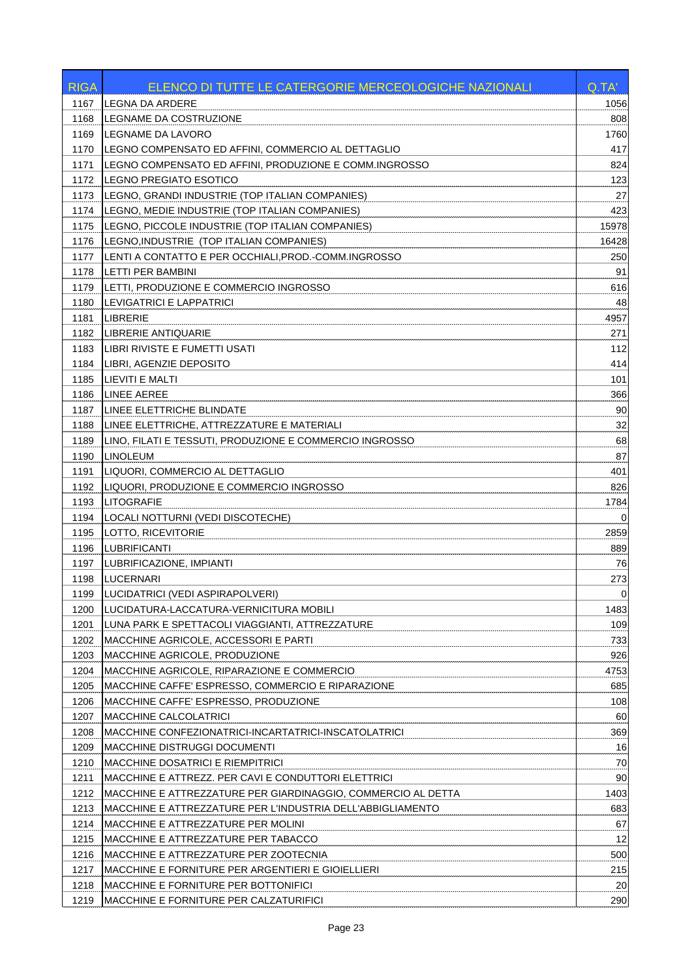| <b>LEGNA DA ARDERE</b><br>1167<br>1056<br>LEGNAME DA COSTRUZIONE<br>808<br>1168<br>LEGNAME DA LAVORO<br>1760<br>1169<br>LEGNO COMPENSATO ED AFFINI, COMMERCIO AL DETTAGLIO<br>417<br>1170<br>LEGNO COMPENSATO ED AFFINI, PRODUZIONE E COMM.INGROSSO<br>824<br>1171<br>LEGNO PREGIATO ESOTICO<br>123<br>1172<br>27<br>LEGNO, GRANDI INDUSTRIE (TOP ITALIAN COMPANIES)<br>1173<br>LEGNO, MEDIE INDUSTRIE (TOP ITALIAN COMPANIES)<br>423<br>1174<br>LEGNO, PICCOLE INDUSTRIE (TOP ITALIAN COMPANIES)<br>15978<br>1175<br>LEGNO, INDUSTRIE (TOP ITALIAN COMPANIES)<br>1176<br>16428<br>LENTI A CONTATTO E PER OCCHIALI, PROD.-COMM.INGROSSO<br>250<br>1177<br>91<br>1178<br>LETTI PER BAMBINI<br>616<br>1179<br>LETTI, PRODUZIONE E COMMERCIO INGROSSO<br>1180<br>LEVIGATRICI E LAPPATRICI<br>48<br><b>LIBRERIE</b><br>1181<br>4957<br>1182<br>LIBRERIE ANTIQUARIE<br>271<br>112<br>1183<br>LIBRI RIVISTE E FUMETTI USATI<br>LIBRI, AGENZIE DEPOSITO<br>414<br>1184<br><b>LIEVITI E MALTI</b><br>101<br>1185<br><b>LINEE AEREE</b><br>366<br>1186<br>90<br>1187<br>LINEE ELETTRICHE BLINDATE<br>32<br>LINEE ELETTRICHE, ATTREZZATURE E MATERIALI<br>1188<br>68<br>1189<br>LINO, FILATI E TESSUTI, PRODUZIONE E COMMERCIO INGROSSO<br><b>LINOLEUM</b><br>87<br>1190<br>LIQUORI, COMMERCIO AL DETTAGLIO<br>401<br>1191<br>LIQUORI, PRODUZIONE E COMMERCIO INGROSSO<br>826<br>1192<br><b>LITOGRAFIE</b><br>1784<br>1193<br>1194<br>LOCALI NOTTURNI (VEDI DISCOTECHE)<br>$\Omega$<br>1195<br>LOTTO, RICEVITORIE<br>2859<br><b>LUBRIFICANTI</b><br>889<br>1196<br>LUBRIFICAZIONE, IMPIANTI<br>76<br>1197<br>1198<br><b>LUCERNARI</b><br>273<br>$\mathbf 0$<br>1199<br>LUCIDATRICI (VEDI ASPIRAPOLVERI)<br>1483<br>1200<br>LUCIDATURA-LACCATURA-VERNICITURA MOBILI<br>109<br>1201<br>LUNA PARK E SPETTACOLI VIAGGIANTI, ATTREZZATURE<br>1202<br>733<br>MACCHINE AGRICOLE, ACCESSORI E PARTI<br>926<br>1203<br>MACCHINE AGRICOLE, PRODUZIONE<br>1204<br>MACCHINE AGRICOLE, RIPARAZIONE E COMMERCIO<br>4753<br>685<br>1205<br>MACCHINE CAFFE' ESPRESSO, COMMERCIO E RIPARAZIONE<br>108<br>1206<br>MACCHINE CAFFE' ESPRESSO, PRODUZIONE<br>60<br>1207<br><b>MACCHINE CALCOLATRICI</b><br>369<br>1208<br>MACCHINE CONFEZIONATRICI-INCARTATRICI-INSCATOLATRICI<br>1209<br>MACCHINE DISTRUGGI DOCUMENTI<br>16<br>1210<br><b>MACCHINE DOSATRICI E RIEMPITRICI</b><br>70 |
|--------------------------------------------------------------------------------------------------------------------------------------------------------------------------------------------------------------------------------------------------------------------------------------------------------------------------------------------------------------------------------------------------------------------------------------------------------------------------------------------------------------------------------------------------------------------------------------------------------------------------------------------------------------------------------------------------------------------------------------------------------------------------------------------------------------------------------------------------------------------------------------------------------------------------------------------------------------------------------------------------------------------------------------------------------------------------------------------------------------------------------------------------------------------------------------------------------------------------------------------------------------------------------------------------------------------------------------------------------------------------------------------------------------------------------------------------------------------------------------------------------------------------------------------------------------------------------------------------------------------------------------------------------------------------------------------------------------------------------------------------------------------------------------------------------------------------------------------------------------------------------------------------------------------------------------------------------------------------------------------------------------------------------------------------------------------------------------------------------------------------------------------------------------------------------------------------------------------------------------------------------------------------------------------------------------------------------------------------------|
|                                                                                                                                                                                                                                                                                                                                                                                                                                                                                                                                                                                                                                                                                                                                                                                                                                                                                                                                                                                                                                                                                                                                                                                                                                                                                                                                                                                                                                                                                                                                                                                                                                                                                                                                                                                                                                                                                                                                                                                                                                                                                                                                                                                                                                                                                                                                                        |
|                                                                                                                                                                                                                                                                                                                                                                                                                                                                                                                                                                                                                                                                                                                                                                                                                                                                                                                                                                                                                                                                                                                                                                                                                                                                                                                                                                                                                                                                                                                                                                                                                                                                                                                                                                                                                                                                                                                                                                                                                                                                                                                                                                                                                                                                                                                                                        |
|                                                                                                                                                                                                                                                                                                                                                                                                                                                                                                                                                                                                                                                                                                                                                                                                                                                                                                                                                                                                                                                                                                                                                                                                                                                                                                                                                                                                                                                                                                                                                                                                                                                                                                                                                                                                                                                                                                                                                                                                                                                                                                                                                                                                                                                                                                                                                        |
|                                                                                                                                                                                                                                                                                                                                                                                                                                                                                                                                                                                                                                                                                                                                                                                                                                                                                                                                                                                                                                                                                                                                                                                                                                                                                                                                                                                                                                                                                                                                                                                                                                                                                                                                                                                                                                                                                                                                                                                                                                                                                                                                                                                                                                                                                                                                                        |
|                                                                                                                                                                                                                                                                                                                                                                                                                                                                                                                                                                                                                                                                                                                                                                                                                                                                                                                                                                                                                                                                                                                                                                                                                                                                                                                                                                                                                                                                                                                                                                                                                                                                                                                                                                                                                                                                                                                                                                                                                                                                                                                                                                                                                                                                                                                                                        |
|                                                                                                                                                                                                                                                                                                                                                                                                                                                                                                                                                                                                                                                                                                                                                                                                                                                                                                                                                                                                                                                                                                                                                                                                                                                                                                                                                                                                                                                                                                                                                                                                                                                                                                                                                                                                                                                                                                                                                                                                                                                                                                                                                                                                                                                                                                                                                        |
|                                                                                                                                                                                                                                                                                                                                                                                                                                                                                                                                                                                                                                                                                                                                                                                                                                                                                                                                                                                                                                                                                                                                                                                                                                                                                                                                                                                                                                                                                                                                                                                                                                                                                                                                                                                                                                                                                                                                                                                                                                                                                                                                                                                                                                                                                                                                                        |
|                                                                                                                                                                                                                                                                                                                                                                                                                                                                                                                                                                                                                                                                                                                                                                                                                                                                                                                                                                                                                                                                                                                                                                                                                                                                                                                                                                                                                                                                                                                                                                                                                                                                                                                                                                                                                                                                                                                                                                                                                                                                                                                                                                                                                                                                                                                                                        |
|                                                                                                                                                                                                                                                                                                                                                                                                                                                                                                                                                                                                                                                                                                                                                                                                                                                                                                                                                                                                                                                                                                                                                                                                                                                                                                                                                                                                                                                                                                                                                                                                                                                                                                                                                                                                                                                                                                                                                                                                                                                                                                                                                                                                                                                                                                                                                        |
|                                                                                                                                                                                                                                                                                                                                                                                                                                                                                                                                                                                                                                                                                                                                                                                                                                                                                                                                                                                                                                                                                                                                                                                                                                                                                                                                                                                                                                                                                                                                                                                                                                                                                                                                                                                                                                                                                                                                                                                                                                                                                                                                                                                                                                                                                                                                                        |
|                                                                                                                                                                                                                                                                                                                                                                                                                                                                                                                                                                                                                                                                                                                                                                                                                                                                                                                                                                                                                                                                                                                                                                                                                                                                                                                                                                                                                                                                                                                                                                                                                                                                                                                                                                                                                                                                                                                                                                                                                                                                                                                                                                                                                                                                                                                                                        |
|                                                                                                                                                                                                                                                                                                                                                                                                                                                                                                                                                                                                                                                                                                                                                                                                                                                                                                                                                                                                                                                                                                                                                                                                                                                                                                                                                                                                                                                                                                                                                                                                                                                                                                                                                                                                                                                                                                                                                                                                                                                                                                                                                                                                                                                                                                                                                        |
|                                                                                                                                                                                                                                                                                                                                                                                                                                                                                                                                                                                                                                                                                                                                                                                                                                                                                                                                                                                                                                                                                                                                                                                                                                                                                                                                                                                                                                                                                                                                                                                                                                                                                                                                                                                                                                                                                                                                                                                                                                                                                                                                                                                                                                                                                                                                                        |
|                                                                                                                                                                                                                                                                                                                                                                                                                                                                                                                                                                                                                                                                                                                                                                                                                                                                                                                                                                                                                                                                                                                                                                                                                                                                                                                                                                                                                                                                                                                                                                                                                                                                                                                                                                                                                                                                                                                                                                                                                                                                                                                                                                                                                                                                                                                                                        |
|                                                                                                                                                                                                                                                                                                                                                                                                                                                                                                                                                                                                                                                                                                                                                                                                                                                                                                                                                                                                                                                                                                                                                                                                                                                                                                                                                                                                                                                                                                                                                                                                                                                                                                                                                                                                                                                                                                                                                                                                                                                                                                                                                                                                                                                                                                                                                        |
|                                                                                                                                                                                                                                                                                                                                                                                                                                                                                                                                                                                                                                                                                                                                                                                                                                                                                                                                                                                                                                                                                                                                                                                                                                                                                                                                                                                                                                                                                                                                                                                                                                                                                                                                                                                                                                                                                                                                                                                                                                                                                                                                                                                                                                                                                                                                                        |
|                                                                                                                                                                                                                                                                                                                                                                                                                                                                                                                                                                                                                                                                                                                                                                                                                                                                                                                                                                                                                                                                                                                                                                                                                                                                                                                                                                                                                                                                                                                                                                                                                                                                                                                                                                                                                                                                                                                                                                                                                                                                                                                                                                                                                                                                                                                                                        |
|                                                                                                                                                                                                                                                                                                                                                                                                                                                                                                                                                                                                                                                                                                                                                                                                                                                                                                                                                                                                                                                                                                                                                                                                                                                                                                                                                                                                                                                                                                                                                                                                                                                                                                                                                                                                                                                                                                                                                                                                                                                                                                                                                                                                                                                                                                                                                        |
|                                                                                                                                                                                                                                                                                                                                                                                                                                                                                                                                                                                                                                                                                                                                                                                                                                                                                                                                                                                                                                                                                                                                                                                                                                                                                                                                                                                                                                                                                                                                                                                                                                                                                                                                                                                                                                                                                                                                                                                                                                                                                                                                                                                                                                                                                                                                                        |
|                                                                                                                                                                                                                                                                                                                                                                                                                                                                                                                                                                                                                                                                                                                                                                                                                                                                                                                                                                                                                                                                                                                                                                                                                                                                                                                                                                                                                                                                                                                                                                                                                                                                                                                                                                                                                                                                                                                                                                                                                                                                                                                                                                                                                                                                                                                                                        |
|                                                                                                                                                                                                                                                                                                                                                                                                                                                                                                                                                                                                                                                                                                                                                                                                                                                                                                                                                                                                                                                                                                                                                                                                                                                                                                                                                                                                                                                                                                                                                                                                                                                                                                                                                                                                                                                                                                                                                                                                                                                                                                                                                                                                                                                                                                                                                        |
|                                                                                                                                                                                                                                                                                                                                                                                                                                                                                                                                                                                                                                                                                                                                                                                                                                                                                                                                                                                                                                                                                                                                                                                                                                                                                                                                                                                                                                                                                                                                                                                                                                                                                                                                                                                                                                                                                                                                                                                                                                                                                                                                                                                                                                                                                                                                                        |
|                                                                                                                                                                                                                                                                                                                                                                                                                                                                                                                                                                                                                                                                                                                                                                                                                                                                                                                                                                                                                                                                                                                                                                                                                                                                                                                                                                                                                                                                                                                                                                                                                                                                                                                                                                                                                                                                                                                                                                                                                                                                                                                                                                                                                                                                                                                                                        |
|                                                                                                                                                                                                                                                                                                                                                                                                                                                                                                                                                                                                                                                                                                                                                                                                                                                                                                                                                                                                                                                                                                                                                                                                                                                                                                                                                                                                                                                                                                                                                                                                                                                                                                                                                                                                                                                                                                                                                                                                                                                                                                                                                                                                                                                                                                                                                        |
|                                                                                                                                                                                                                                                                                                                                                                                                                                                                                                                                                                                                                                                                                                                                                                                                                                                                                                                                                                                                                                                                                                                                                                                                                                                                                                                                                                                                                                                                                                                                                                                                                                                                                                                                                                                                                                                                                                                                                                                                                                                                                                                                                                                                                                                                                                                                                        |
|                                                                                                                                                                                                                                                                                                                                                                                                                                                                                                                                                                                                                                                                                                                                                                                                                                                                                                                                                                                                                                                                                                                                                                                                                                                                                                                                                                                                                                                                                                                                                                                                                                                                                                                                                                                                                                                                                                                                                                                                                                                                                                                                                                                                                                                                                                                                                        |
|                                                                                                                                                                                                                                                                                                                                                                                                                                                                                                                                                                                                                                                                                                                                                                                                                                                                                                                                                                                                                                                                                                                                                                                                                                                                                                                                                                                                                                                                                                                                                                                                                                                                                                                                                                                                                                                                                                                                                                                                                                                                                                                                                                                                                                                                                                                                                        |
|                                                                                                                                                                                                                                                                                                                                                                                                                                                                                                                                                                                                                                                                                                                                                                                                                                                                                                                                                                                                                                                                                                                                                                                                                                                                                                                                                                                                                                                                                                                                                                                                                                                                                                                                                                                                                                                                                                                                                                                                                                                                                                                                                                                                                                                                                                                                                        |
|                                                                                                                                                                                                                                                                                                                                                                                                                                                                                                                                                                                                                                                                                                                                                                                                                                                                                                                                                                                                                                                                                                                                                                                                                                                                                                                                                                                                                                                                                                                                                                                                                                                                                                                                                                                                                                                                                                                                                                                                                                                                                                                                                                                                                                                                                                                                                        |
|                                                                                                                                                                                                                                                                                                                                                                                                                                                                                                                                                                                                                                                                                                                                                                                                                                                                                                                                                                                                                                                                                                                                                                                                                                                                                                                                                                                                                                                                                                                                                                                                                                                                                                                                                                                                                                                                                                                                                                                                                                                                                                                                                                                                                                                                                                                                                        |
|                                                                                                                                                                                                                                                                                                                                                                                                                                                                                                                                                                                                                                                                                                                                                                                                                                                                                                                                                                                                                                                                                                                                                                                                                                                                                                                                                                                                                                                                                                                                                                                                                                                                                                                                                                                                                                                                                                                                                                                                                                                                                                                                                                                                                                                                                                                                                        |
|                                                                                                                                                                                                                                                                                                                                                                                                                                                                                                                                                                                                                                                                                                                                                                                                                                                                                                                                                                                                                                                                                                                                                                                                                                                                                                                                                                                                                                                                                                                                                                                                                                                                                                                                                                                                                                                                                                                                                                                                                                                                                                                                                                                                                                                                                                                                                        |
|                                                                                                                                                                                                                                                                                                                                                                                                                                                                                                                                                                                                                                                                                                                                                                                                                                                                                                                                                                                                                                                                                                                                                                                                                                                                                                                                                                                                                                                                                                                                                                                                                                                                                                                                                                                                                                                                                                                                                                                                                                                                                                                                                                                                                                                                                                                                                        |
|                                                                                                                                                                                                                                                                                                                                                                                                                                                                                                                                                                                                                                                                                                                                                                                                                                                                                                                                                                                                                                                                                                                                                                                                                                                                                                                                                                                                                                                                                                                                                                                                                                                                                                                                                                                                                                                                                                                                                                                                                                                                                                                                                                                                                                                                                                                                                        |
|                                                                                                                                                                                                                                                                                                                                                                                                                                                                                                                                                                                                                                                                                                                                                                                                                                                                                                                                                                                                                                                                                                                                                                                                                                                                                                                                                                                                                                                                                                                                                                                                                                                                                                                                                                                                                                                                                                                                                                                                                                                                                                                                                                                                                                                                                                                                                        |
|                                                                                                                                                                                                                                                                                                                                                                                                                                                                                                                                                                                                                                                                                                                                                                                                                                                                                                                                                                                                                                                                                                                                                                                                                                                                                                                                                                                                                                                                                                                                                                                                                                                                                                                                                                                                                                                                                                                                                                                                                                                                                                                                                                                                                                                                                                                                                        |
|                                                                                                                                                                                                                                                                                                                                                                                                                                                                                                                                                                                                                                                                                                                                                                                                                                                                                                                                                                                                                                                                                                                                                                                                                                                                                                                                                                                                                                                                                                                                                                                                                                                                                                                                                                                                                                                                                                                                                                                                                                                                                                                                                                                                                                                                                                                                                        |
|                                                                                                                                                                                                                                                                                                                                                                                                                                                                                                                                                                                                                                                                                                                                                                                                                                                                                                                                                                                                                                                                                                                                                                                                                                                                                                                                                                                                                                                                                                                                                                                                                                                                                                                                                                                                                                                                                                                                                                                                                                                                                                                                                                                                                                                                                                                                                        |
|                                                                                                                                                                                                                                                                                                                                                                                                                                                                                                                                                                                                                                                                                                                                                                                                                                                                                                                                                                                                                                                                                                                                                                                                                                                                                                                                                                                                                                                                                                                                                                                                                                                                                                                                                                                                                                                                                                                                                                                                                                                                                                                                                                                                                                                                                                                                                        |
|                                                                                                                                                                                                                                                                                                                                                                                                                                                                                                                                                                                                                                                                                                                                                                                                                                                                                                                                                                                                                                                                                                                                                                                                                                                                                                                                                                                                                                                                                                                                                                                                                                                                                                                                                                                                                                                                                                                                                                                                                                                                                                                                                                                                                                                                                                                                                        |
|                                                                                                                                                                                                                                                                                                                                                                                                                                                                                                                                                                                                                                                                                                                                                                                                                                                                                                                                                                                                                                                                                                                                                                                                                                                                                                                                                                                                                                                                                                                                                                                                                                                                                                                                                                                                                                                                                                                                                                                                                                                                                                                                                                                                                                                                                                                                                        |
|                                                                                                                                                                                                                                                                                                                                                                                                                                                                                                                                                                                                                                                                                                                                                                                                                                                                                                                                                                                                                                                                                                                                                                                                                                                                                                                                                                                                                                                                                                                                                                                                                                                                                                                                                                                                                                                                                                                                                                                                                                                                                                                                                                                                                                                                                                                                                        |
|                                                                                                                                                                                                                                                                                                                                                                                                                                                                                                                                                                                                                                                                                                                                                                                                                                                                                                                                                                                                                                                                                                                                                                                                                                                                                                                                                                                                                                                                                                                                                                                                                                                                                                                                                                                                                                                                                                                                                                                                                                                                                                                                                                                                                                                                                                                                                        |
|                                                                                                                                                                                                                                                                                                                                                                                                                                                                                                                                                                                                                                                                                                                                                                                                                                                                                                                                                                                                                                                                                                                                                                                                                                                                                                                                                                                                                                                                                                                                                                                                                                                                                                                                                                                                                                                                                                                                                                                                                                                                                                                                                                                                                                                                                                                                                        |
| 90<br>1211<br>MACCHINE E ATTREZZ. PER CAVI E CONDUTTORI ELETTRICI                                                                                                                                                                                                                                                                                                                                                                                                                                                                                                                                                                                                                                                                                                                                                                                                                                                                                                                                                                                                                                                                                                                                                                                                                                                                                                                                                                                                                                                                                                                                                                                                                                                                                                                                                                                                                                                                                                                                                                                                                                                                                                                                                                                                                                                                                      |
| 1403<br>1212<br>MACCHINE E ATTREZZATURE PER GIARDINAGGIO, COMMERCIO AL DETTA                                                                                                                                                                                                                                                                                                                                                                                                                                                                                                                                                                                                                                                                                                                                                                                                                                                                                                                                                                                                                                                                                                                                                                                                                                                                                                                                                                                                                                                                                                                                                                                                                                                                                                                                                                                                                                                                                                                                                                                                                                                                                                                                                                                                                                                                           |
| 1213<br>MACCHINE E ATTREZZATURE PER L'INDUSTRIA DELL'ABBIGLIAMENTO<br>683                                                                                                                                                                                                                                                                                                                                                                                                                                                                                                                                                                                                                                                                                                                                                                                                                                                                                                                                                                                                                                                                                                                                                                                                                                                                                                                                                                                                                                                                                                                                                                                                                                                                                                                                                                                                                                                                                                                                                                                                                                                                                                                                                                                                                                                                              |
| 1214<br>MACCHINE E ATTREZZATURE PER MOLINI<br>67                                                                                                                                                                                                                                                                                                                                                                                                                                                                                                                                                                                                                                                                                                                                                                                                                                                                                                                                                                                                                                                                                                                                                                                                                                                                                                                                                                                                                                                                                                                                                                                                                                                                                                                                                                                                                                                                                                                                                                                                                                                                                                                                                                                                                                                                                                       |
| 12<br>1215<br>MACCHINE E ATTREZZATURE PER TABACCO                                                                                                                                                                                                                                                                                                                                                                                                                                                                                                                                                                                                                                                                                                                                                                                                                                                                                                                                                                                                                                                                                                                                                                                                                                                                                                                                                                                                                                                                                                                                                                                                                                                                                                                                                                                                                                                                                                                                                                                                                                                                                                                                                                                                                                                                                                      |
| 500<br>1216<br>MACCHINE E ATTREZZATURE PER ZOOTECNIA                                                                                                                                                                                                                                                                                                                                                                                                                                                                                                                                                                                                                                                                                                                                                                                                                                                                                                                                                                                                                                                                                                                                                                                                                                                                                                                                                                                                                                                                                                                                                                                                                                                                                                                                                                                                                                                                                                                                                                                                                                                                                                                                                                                                                                                                                                   |
| 1217<br>215<br>MACCHINE E FORNITURE PER ARGENTIERI E GIOIELLIERI                                                                                                                                                                                                                                                                                                                                                                                                                                                                                                                                                                                                                                                                                                                                                                                                                                                                                                                                                                                                                                                                                                                                                                                                                                                                                                                                                                                                                                                                                                                                                                                                                                                                                                                                                                                                                                                                                                                                                                                                                                                                                                                                                                                                                                                                                       |
| 1218<br>MACCHINE E FORNITURE PER BOTTONIFICI<br>20                                                                                                                                                                                                                                                                                                                                                                                                                                                                                                                                                                                                                                                                                                                                                                                                                                                                                                                                                                                                                                                                                                                                                                                                                                                                                                                                                                                                                                                                                                                                                                                                                                                                                                                                                                                                                                                                                                                                                                                                                                                                                                                                                                                                                                                                                                     |
| 290<br>1219<br>MACCHINE E FORNITURE PER CALZATURIFICI                                                                                                                                                                                                                                                                                                                                                                                                                                                                                                                                                                                                                                                                                                                                                                                                                                                                                                                                                                                                                                                                                                                                                                                                                                                                                                                                                                                                                                                                                                                                                                                                                                                                                                                                                                                                                                                                                                                                                                                                                                                                                                                                                                                                                                                                                                  |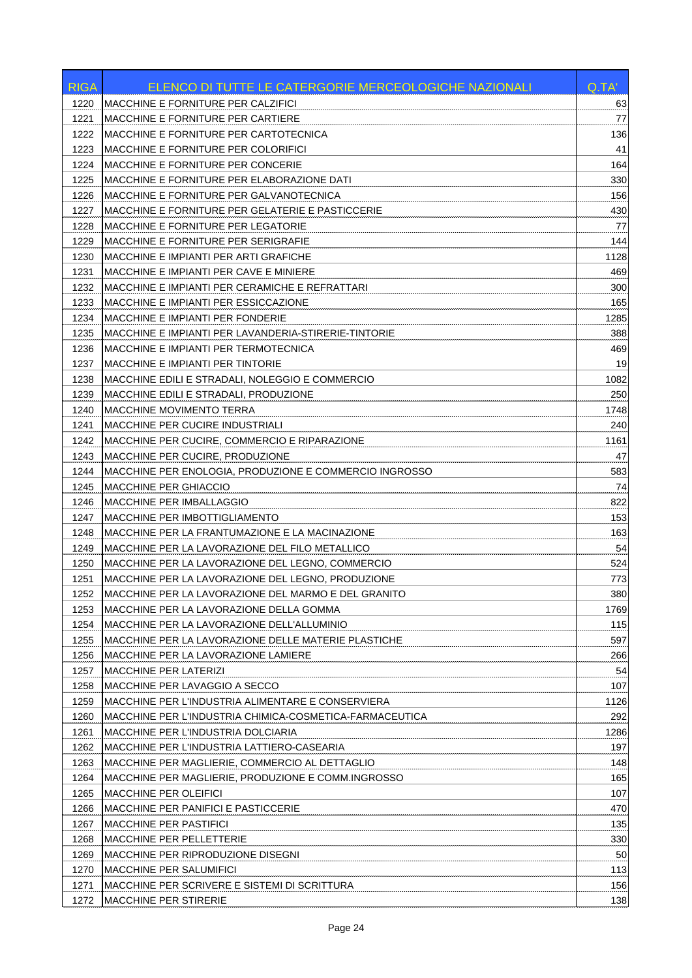| <b>RIGA</b>  | ELENCO DI TUTTE LE CATERGORIE MERCEOLOGICHE NAZIONALI                                                | Q.TA'      |
|--------------|------------------------------------------------------------------------------------------------------|------------|
| 1220         | <b>MACCHINE E FORNITURE PER CALZIFICI</b>                                                            | 63         |
| 1221         | <b>MACCHINE E FORNITURE PER CARTIERE</b>                                                             | 77         |
| 1222         | MACCHINE E FORNITURE PER CARTOTECNICA                                                                | 136        |
| 1223         | <b>MACCHINE E FORNITURE PER COLORIFICI</b>                                                           | 41         |
| 1224         | <b>MACCHINE E FORNITURE PER CONCERIE</b>                                                             | 164        |
| 1225         | MACCHINE E FORNITURE PER ELABORAZIONE DATI                                                           | 330        |
| 1226         | MACCHINE E FORNITURE PER GALVANOTECNICA                                                              | 156        |
| 1227         | MACCHINE E FORNITURE PER GELATERIE E PASTICCERIE                                                     | 430        |
| 1228         | <b>MACCHINE E FORNITURE PER LEGATORIE</b>                                                            | 77         |
| 1229         | MACCHINE E FORNITURE PER SERIGRAFIE                                                                  | 144        |
| 1230         | <b>MACCHINE E IMPIANTI PER ARTI GRAFICHE</b>                                                         | 1128       |
| 1231         | <b>MACCHINE E IMPIANTI PER CAVE E MINIERE</b>                                                        | 469        |
| 1232         | MACCHINE E IMPIANTI PER CERAMICHE E REFRATTARI                                                       | 300        |
| 1233         | MACCHINE E IMPIANTI PER ESSICCAZIONE                                                                 | 165        |
| 1234         | <b>MACCHINE E IMPIANTI PER FONDERIE</b>                                                              | 1285       |
| 1235         | MACCHINE E IMPIANTI PER LAVANDERIA-STIRERIE-TINTORIE                                                 | 388        |
| 1236         | MACCHINE E IMPIANTI PER TERMOTECNICA                                                                 | 469        |
| 1237         | <b>MACCHINE E IMPIANTI PER TINTORIE</b>                                                              | 19         |
| 1238         | MACCHINE EDILI E STRADALI, NOLEGGIO E COMMERCIO                                                      | 1082       |
| 1239         | MACCHINE EDILI E STRADALI, PRODUZIONE                                                                | 250        |
| 1240         | <b>MACCHINE MOVIMENTO TERRA</b>                                                                      | 1748       |
| 1241         | <b>MACCHINE PER CUCIRE INDUSTRIALI</b>                                                               | 240        |
| 1242         | MACCHINE PER CUCIRE, COMMERCIO E RIPARAZIONE                                                         | 1161       |
| 1243         | MACCHINE PER CUCIRE, PRODUZIONE                                                                      | 47         |
| 1244         | MACCHINE PER ENOLOGIA, PRODUZIONE E COMMERCIO INGROSSO                                               | 583        |
| 1245         | <b>MACCHINE PER GHIACCIO</b>                                                                         | 74         |
| 1246         | <b>MACCHINE PER IMBALLAGGIO</b>                                                                      | 822        |
| 1247         | MACCHINE PER IMBOTTIGLIAMENTO                                                                        | 153        |
| 1248         | MACCHINE PER LA FRANTUMAZIONE E LA MACINAZIONE                                                       | 163        |
| 1249         | MACCHINE PER LA LAVORAZIONE DEL FILO METALLICO                                                       | 54         |
| 1250         | MACCHINE PER LA LAVORAZIONE DEL LEGNO, COMMERCIO                                                     | 524        |
| 1251         | MACCHINE PER LA LAVORAZIONE DEL LEGNO, PRODUZIONE                                                    | 773        |
| 1252         | MACCHINE PER LA LAVORAZIONE DEL MARMO E DEL GRANITO                                                  | 380        |
| 1253         | IMACCHINE PER LA LAVORAZIONE DELLA GOMMA                                                             | 1769       |
| 1254         | MACCHINE PER LA LAVORAZIONE DELL'ALLUMINIO                                                           | 115        |
| 1255         | MACCHINE PER LA LAVORAZIONE DELLE MATERIE PLASTICHE                                                  | 597        |
| 1256         | MACCHINE PER LA LAVORAZIONE LAMIERE                                                                  | 266        |
| 1257         | <b>MACCHINE PER LATERIZI</b>                                                                         | 54         |
| 1258         | MACCHINE PER LAVAGGIO A SECCO                                                                        | 107        |
| 1259         | MACCHINE PER L'INDUSTRIA ALIMENTARE E CONSERVIERA                                                    | 1126       |
| 1260         | MACCHINE PER L'INDUSTRIA CHIMICA-COSMETICA-FARMACEUTICA                                              | 292        |
| 1261         | MACCHINE PER L'INDUSTRIA DOLCIARIA                                                                   | 1286       |
| 1262         | MACCHINE PER L'INDUSTRIA LATTIERO-CASEARIA                                                           | 197        |
|              |                                                                                                      |            |
| 1263<br>1264 | MACCHINE PER MAGLIERIE, COMMERCIO AL DETTAGLIO<br>MACCHINE PER MAGLIERIE, PRODUZIONE E COMM.INGROSSO | 148<br>165 |
| 1265         | MACCHINE PER OLEIFICI                                                                                | 107        |
|              |                                                                                                      | 470        |
| 1266         | <b>MACCHINE PER PANIFICI E PASTICCERIE</b>                                                           |            |
| 1267         | <b>MACCHINE PER PASTIFICI</b>                                                                        | 135        |
| 1268         | <b>MACCHINE PER PELLETTERIE</b>                                                                      | 330        |
| 1269         | MACCHINE PER RIPRODUZIONE DISEGNI                                                                    | 50         |
| 1270         | <b>MACCHINE PER SALUMIFICI</b>                                                                       | 113        |
| 1271         | MACCHINE PER SCRIVERE E SISTEMI DI SCRITTURA                                                         | 156        |
| 1272         | MACCHINE PER STIRERIE                                                                                | 138        |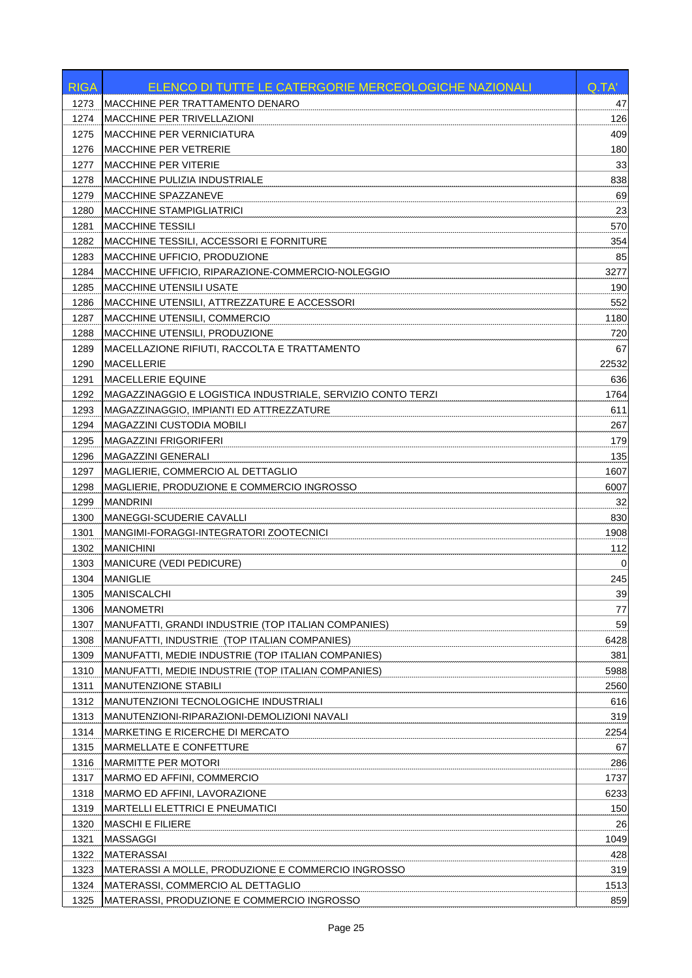| <b>RIGA</b> | ELENCO DI TUTTE LE CATERGORIE MERCEOLOGICHE NAZIONALI       | Q.TA' |
|-------------|-------------------------------------------------------------|-------|
| 1273        | MACCHINE PER TRATTAMENTO DENARO                             | 47    |
| 1274        | <b>MACCHINE PER TRIVELLAZIONI</b>                           | 126   |
| 1275        | <b>MACCHINE PER VERNICIATURA</b>                            | 409   |
| 1276        | <b>IMACCHINE PER VETRERIE</b>                               | 180   |
| 1277        | <b>MACCHINE PER VITERIE</b>                                 | 33    |
| 1278        | <b>MACCHINE PULIZIA INDUSTRIALE</b>                         | 838   |
| 1279        | <b>MACCHINE SPAZZANEVE</b>                                  | 69    |
| 1280        | <b>MACCHINE STAMPIGLIATRICI</b>                             | 23    |
| 1281        | <b>MACCHINE TESSILI</b>                                     | 570   |
| 1282        | MACCHINE TESSILI, ACCESSORI E FORNITURE                     | 354   |
| 1283        | <b>MACCHINE UFFICIO, PRODUZIONE</b>                         | 85    |
| 1284        | MACCHINE UFFICIO, RIPARAZIONE-COMMERCIO-NOLEGGIO            | 3277  |
| 1285        | <b>MACCHINE UTENSILI USATE</b>                              | 190   |
| 1286        | MACCHINE UTENSILI. ATTREZZATURE E ACCESSORI                 | 552   |
| 1287        | MACCHINE UTENSILI, COMMERCIO                                | 1180  |
| 1288        | MACCHINE UTENSILI, PRODUZIONE                               | 720   |
| 1289        | MACELLAZIONE RIFIUTI, RACCOLTA E TRATTAMENTO                | 67    |
| 1290        | <b>MACELLERIE</b>                                           | 22532 |
| 1291        | <b>MACELLERIE EQUINE</b>                                    | 636   |
| 1292        | MAGAZZINAGGIO E LOGISTICA INDUSTRIALE, SERVIZIO CONTO TERZI | 1764  |
| 1293        | MAGAZZINAGGIO, IMPIANTI ED ATTREZZATURE                     | 611   |
| 1294        | MAGAZZINI CUSTODIA MOBILI                                   | 267   |
| 1295        | <b>MAGAZZINI FRIGORIFERI</b>                                | 179   |
|             |                                                             |       |
| 1296        | <b>MAGAZZINI GENERALI</b>                                   | 135   |
| 1297        | MAGLIERIE, COMMERCIO AL DETTAGLIO                           | 1607  |
| 1298        | MAGLIERIE, PRODUZIONE E COMMERCIO INGROSSO                  | 6007  |
| 1299        | <b>MANDRINI</b>                                             | 32    |
| 1300        | MANEGGI-SCUDERIE CAVALLI                                    | 830   |
| 1301        | MANGIMI-FORAGGI-INTEGRATORI ZOOTECNICI                      | 1908  |
| 1302        | <b>MANICHINI</b>                                            | 112   |
| 1303        | MANICURE (VEDI PEDICURE)                                    | 0     |
| 1304        | <b>MANIGLIE</b>                                             | 245   |
| 1305        | MANISCALCHI                                                 | 39    |
| 1306        | <b>MANOMETRI</b>                                            | 77    |
| 1307        | MANUFATTI, GRANDI INDUSTRIE (TOP ITALIAN COMPANIES)         | 59    |
| 1308        | MANUFATTI, INDUSTRIE (TOP ITALIAN COMPANIES)                | 6428  |
| 1309        | MANUFATTI, MEDIE INDUSTRIE (TOP ITALIAN COMPANIES)          | 381   |
| 1310        | MANUFATTI, MEDIE INDUSTRIE (TOP ITALIAN COMPANIES)          | 5988  |
| 1311        | MANUTENZIONE STABILI                                        | 2560  |
| 1312        | MANUTENZIONI TECNOLOGICHE INDUSTRIALI                       | 616   |
| 1313        | MANUTENZIONI-RIPARAZIONI-DEMOLIZIONI NAVALI                 | 319   |
| 1314        | MARKETING E RICERCHE DI MERCATO                             | 2254  |
| 1315        | <b>MARMELLATE E CONFETTURE</b>                              | 67    |
| 1316        | <b>MARMITTE PER MOTORI</b>                                  | 286   |
| 1317        | <b>MARMO ED AFFINI, COMMERCIO</b>                           | 1737  |
| 1318        | MARMO ED AFFINI, LAVORAZIONE                                | 6233  |
| 1319        | <b>MARTELLI ELETTRICI E PNEUMATICI</b>                      | 150   |
| 1320        | <b>MASCHI E FILIERE</b>                                     | 26    |
| 1321        | <b>MASSAGGI</b>                                             | 1049  |
| 1322        | <b>MATERASSAI</b>                                           | 428   |
| 1323        | MATERASSI A MOLLE, PRODUZIONE E COMMERCIO INGROSSO          | 319   |
| 1324        | MATERASSI, COMMERCIO AL DETTAGLIO                           | 1513  |
| 1325        | MATERASSI, PRODUZIONE E COMMERCIO INGROSSO                  | 859   |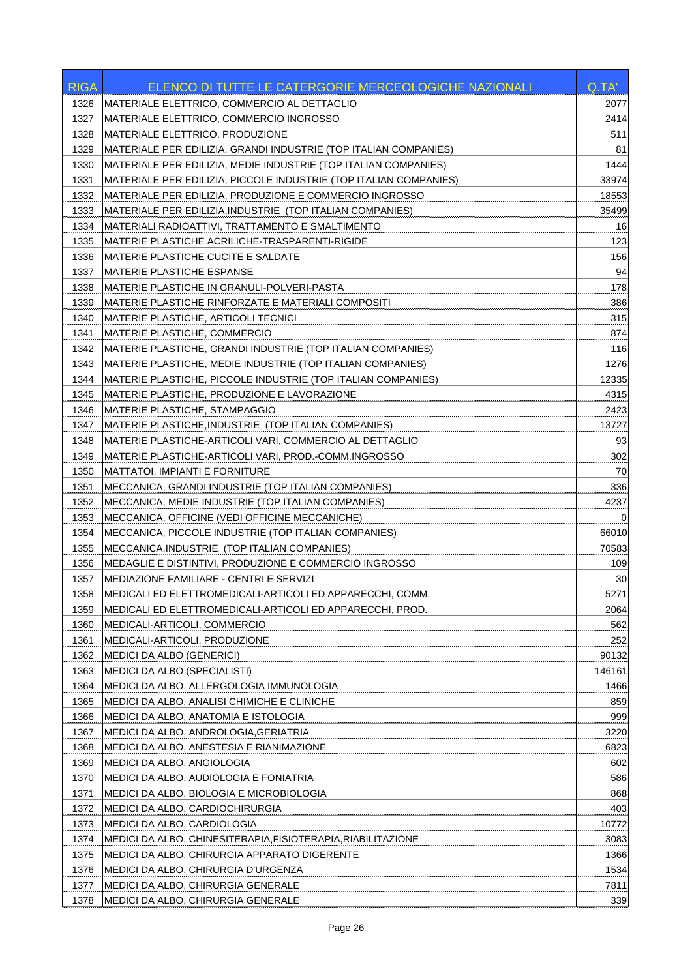| <b>RIGA</b> | ELENCO DI TUTTE LE CATERGORIE MERCEOLOGICHE NAZIONALI             | Q.TA'    |
|-------------|-------------------------------------------------------------------|----------|
| 1326        | MATERIALE ELETTRICO, COMMERCIO AL DETTAGLIO                       | 2077     |
| 1327        | MATERIALE ELETTRICO, COMMERCIO INGROSSO                           | 2414     |
| 1328        | MATERIALE ELETTRICO, PRODUZIONE                                   | 511      |
| 1329        | MATERIALE PER EDILIZIA, GRANDI INDUSTRIE (TOP ITALIAN COMPANIES)  | 81       |
| 1330        | MATERIALE PER EDILIZIA, MEDIE INDUSTRIE (TOP ITALIAN COMPANIES)   | 1444     |
| 1331        | MATERIALE PER EDILIZIA, PICCOLE INDUSTRIE (TOP ITALIAN COMPANIES) | 33974    |
| 1332        | MATERIALE PER EDILIZIA. PRODUZIONE E COMMERCIO INGROSSO           | 18553    |
| 1333        | MATERIALE PER EDILIZIA, INDUSTRIE (TOP ITALIAN COMPANIES)         | 35499    |
| 1334        | MATERIALI RADIOATTIVI, TRATTAMENTO E SMALTIMENTO                  | 16       |
| 1335        | MATERIE PLASTICHE ACRILICHE-TRASPARENTI-RIGIDE                    | 123      |
| 1336        | <b>MATERIE PLASTICHE CUCITE E SALDATE</b>                         | 156      |
| 1337        | <b>MATERIE PLASTICHE ESPANSE</b>                                  | 94       |
| 1338        | MATERIE PLASTICHE IN GRANULI-POLVERI-PASTA                        | 178      |
| 1339        | MATERIE PLASTICHE RINFORZATE E MATERIALI COMPOSITI                | 386      |
| 1340        | MATERIE PLASTICHE, ARTICOLI TECNICI                               | 315      |
| 1341        | <b>MATERIE PLASTICHE, COMMERCIO</b>                               | 874      |
| 1342        | MATERIE PLASTICHE, GRANDI INDUSTRIE (TOP ITALIAN COMPANIES)       | 116      |
| 1343        | MATERIE PLASTICHE, MEDIE INDUSTRIE (TOP ITALIAN COMPANIES)        | 1276     |
| 1344        | MATERIE PLASTICHE, PICCOLE INDUSTRIE (TOP ITALIAN COMPANIES)      | 12335    |
| 1345        | MATERIE PLASTICHE, PRODUZIONE E LAVORAZIONE                       | 4315     |
| 1346        | <b>MATERIE PLASTICHE, STAMPAGGIO</b>                              | 2423     |
| 1347        | MATERIE PLASTICHE, INDUSTRIE (TOP ITALIAN COMPANIES)              | 13727    |
| 1348        | MATERIE PLASTICHE-ARTICOLI VARI, COMMERCIO AL DETTAGLIO           | 93       |
| 1349        | MATERIE PLASTICHE-ARTICOLI VARI, PROD.-COMM.INGROSSO              | 302      |
| 1350        | <b>MATTATOI, IMPIANTI E FORNITURE</b>                             | 70       |
| 1351        | MECCANICA, GRANDI INDUSTRIE (TOP ITALIAN COMPANIES)               | 336      |
| 1352        | MECCANICA, MEDIE INDUSTRIE (TOP ITALIAN COMPANIES)                | 4237     |
| 1353        | MECCANICA, OFFICINE (VEDI OFFICINE MECCANICHE)                    | $\Omega$ |
| 1354        | MECCANICA, PICCOLE INDUSTRIE (TOP ITALIAN COMPANIES)              | 66010    |
| 1355        | MECCANICA, INDUSTRIE (TOP ITALIAN COMPANIES)                      | 70583    |
| 1356        | MEDAGLIE E DISTINTIVI, PRODUZIONE E COMMERCIO INGROSSO            | 109      |
| 1357        | MEDIAZIONE FAMILIARE - CENTRI E SERVIZI                           | 30       |
| 1358        | MEDICALI ED ELETTROMEDICALI-ARTICOLI ED APPARECCHI, COMM.         | 5271     |
| 1359        | MEDICALI ED ELETTROMEDICALI-ARTICOLI ED APPARECCHI, PROD.         | 2064     |
| 1360        | MEDICALI-ARTICOLI, COMMERCIO                                      | 562      |
| 1361        | MEDICALI-ARTICOLI, PRODUZIONE                                     | 252      |
| 1362        | <b>MEDICI DA ALBO (GENERICI)</b>                                  | 90132    |
| 1363        | MEDICI DA ALBO (SPECIALISTI)                                      | 146161   |
| 1364        | MEDICI DA ALBO, ALLERGOLOGIA IMMUNOLOGIA                          | 1466     |
| 1365        | MEDICI DA ALBO, ANALISI CHIMICHE E CLINICHE                       | 859      |
| 1366        | MEDICI DA ALBO, ANATOMIA E ISTOLOGIA                              | 999      |
| 1367        | MEDICI DA ALBO, ANDROLOGIA, GERIATRIA                             | 3220     |
| 1368        | MEDICI DA ALBO, ANESTESIA E RIANIMAZIONE                          | 6823     |
| 1369        | MEDICI DA ALBO, ANGIOLOGIA                                        | 602      |
| 1370        | MEDICI DA ALBO, AUDIOLOGIA E FONIATRIA                            | 586      |
| 1371        | MEDICI DA ALBO, BIOLOGIA E MICROBIOLOGIA                          | 868      |
| 1372        | MEDICI DA ALBO, CARDIOCHIRURGIA                                   | 403      |
| 1373        | MEDICI DA ALBO, CARDIOLOGIA                                       | 10772    |
| 1374        | MEDICI DA ALBO, CHINESITERAPIA,FISIOTERAPIA,RIABILITAZIONE        | 3083     |
| 1375        | MEDICI DA ALBO, CHIRURGIA APPARATO DIGERENTE                      | 1366     |
| 1376        | MEDICI DA ALBO, CHIRURGIA D'URGENZA                               | 1534     |
| 1377        | MEDICI DA ALBO, CHIRURGIA GENERALE                                | 7811     |
| 1378        | MEDICI DA ALBO, CHIRURGIA GENERALE                                | 339      |
|             |                                                                   |          |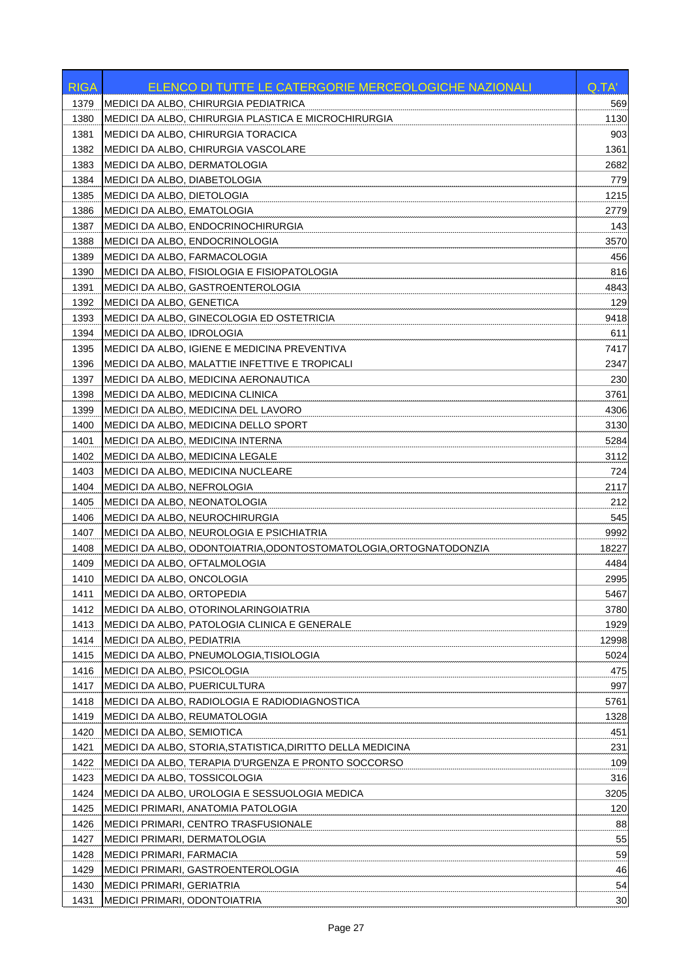| <b>RIGA</b>  | ELENCO DI TUTTE LE CATERGORIE MERCEOLOGICHE NAZIONALI                         | Q.TA'       |
|--------------|-------------------------------------------------------------------------------|-------------|
| 1379         | MEDICI DA ALBO, CHIRURGIA PEDIATRICA                                          | 569         |
| 1380         | MEDICI DA ALBO, CHIRURGIA PLASTICA E MICROCHIRURGIA                           | 1130        |
| 1381         | MEDICI DA ALBO, CHIRURGIA TORACICA                                            | 903         |
| 1382         | MEDICI DA ALBO, CHIRURGIA VASCOLARE                                           | 1361        |
| 1383         | MEDICI DA ALBO, DERMATOLOGIA                                                  | 2682        |
| 1384         | MEDICI DA ALBO, DIABETOLOGIA                                                  | 779         |
| 1385         | MEDICI DA ALBO, DIETOLOGIA                                                    | 1215        |
| 1386         | MEDICI DA ALBO, EMATOLOGIA                                                    | 2779        |
| 1387         | MEDICI DA ALBO, ENDOCRINOCHIRURGIA                                            | 143         |
| 1388         | MEDICI DA ALBO, ENDOCRINOLOGIA                                                | 3570        |
| 1389         | MEDICI DA ALBO, FARMACOLOGIA                                                  | 456         |
| 1390         | MEDICI DA ALBO, FISIOLOGIA E FISIOPATOLOGIA                                   | 816         |
| 1391         | MEDICI DA ALBO, GASTROENTEROLOGIA                                             | 4843        |
| 1392         | MEDICI DA ALBO, GENETICA                                                      | 129         |
| 1393         | MEDICI DA ALBO, GINECOLOGIA ED OSTETRICIA                                     | 9418        |
| 1394         | MEDICI DA ALBO, IDROLOGIA                                                     | 611         |
| 1395         | MEDICI DA ALBO, IGIENE E MEDICINA PREVENTIVA                                  | 7417        |
| 1396         | MEDICI DA ALBO, MALATTIE INFETTIVE E TROPICALI                                | 2347        |
| 1397         | MEDICI DA ALBO, MEDICINA AERONAUTICA                                          | 230         |
| 1398         | MEDICI DA ALBO, MEDICINA CLINICA                                              | 3761        |
| 1399         | MEDICI DA ALBO, MEDICINA DEL LAVORO                                           | 4306        |
| 1400         | MEDICI DA ALBO, MEDICINA DELLO SPORT                                          | 3130        |
| 1401         | MEDICI DA ALBO, MEDICINA INTERNA                                              | 5284        |
| 1402         | MEDICI DA ALBO, MEDICINA LEGALE                                               | 3112        |
| 1403         | MEDICI DA ALBO, MEDICINA NUCLEARE                                             | 724         |
| 1404         | MEDICI DA ALBO, NEFROLOGIA                                                    | 2117        |
| 1405         | MEDICI DA ALBO, NEONATOLOGIA                                                  | 212         |
| 1406         | MEDICI DA ALBO, NEUROCHIRURGIA                                                | 545         |
| 1407         | MEDICI DA ALBO, NEUROLOGIA E PSICHIATRIA                                      | 9992        |
| 1408         | MEDICI DA ALBO, ODONTOIATRIA,ODONTOSTOMATOLOGIA,ORTOGNATODONZIA               | 18227       |
| 1409         | MEDICI DA ALBO, OFTALMOLOGIA                                                  | 4484        |
| 1410         | MEDICI DA ALBO, ONCOLOGIA                                                     | 2995        |
| 1411         | MEDICI DA ALBO, ORTOPEDIA                                                     | 5467        |
| 1412         | MEDICI DA ALBO, OTORINOLARINGOIATRIA                                          | 3780        |
| 1413         | MEDICI DA ALBO, PATOLOGIA CLINICA E GENERALE                                  | 1929        |
| 1414         | MEDICI DA ALBO, PEDIATRIA                                                     | 12998       |
| 1415         | MEDICI DA ALBO, PNEUMOLOGIA, TISIOLOGIA                                       | 5024        |
|              |                                                                               |             |
| 1416         | MEDICI DA ALBO, PSICOLOGIA                                                    | 475         |
| 1417<br>1418 | MEDICI DA ALBO, PUERICULTURA<br>MEDICI DA ALBO, RADIOLOGIA E RADIODIAGNOSTICA | 997<br>5761 |
| 1419         | MEDICI DA ALBO, REUMATOLOGIA                                                  | 1328        |
| 1420         | MEDICI DA ALBO, SEMIOTICA                                                     | 451         |
|              |                                                                               |             |
| 1421         | MEDICI DA ALBO, STORIA, STATISTICA, DIRITTO DELLA MEDICINA                    | 231         |
| 1422         | MEDICI DA ALBO, TERAPIA D'URGENZA E PRONTO SOCCORSO                           | 109         |
| 1423         | MEDICI DA ALBO, TOSSICOLOGIA                                                  | 316         |
| 1424         | MEDICI DA ALBO, UROLOGIA E SESSUOLOGIA MEDICA                                 | 3205        |
| 1425         | MEDICI PRIMARI, ANATOMIA PATOLOGIA                                            | 120         |
| 1426         | MEDICI PRIMARI, CENTRO TRASFUSIONALE                                          | 88          |
| 1427         | MEDICI PRIMARI, DERMATOLOGIA                                                  | 55          |
| 1428         | MEDICI PRIMARI, FARMACIA                                                      | 59          |
| 1429         | MEDICI PRIMARI, GASTROENTEROLOGIA                                             | 46          |
| 1430         | MEDICI PRIMARI, GERIATRIA                                                     | 54          |
| 1431         | MEDICI PRIMARI, ODONTOIATRIA                                                  | 30          |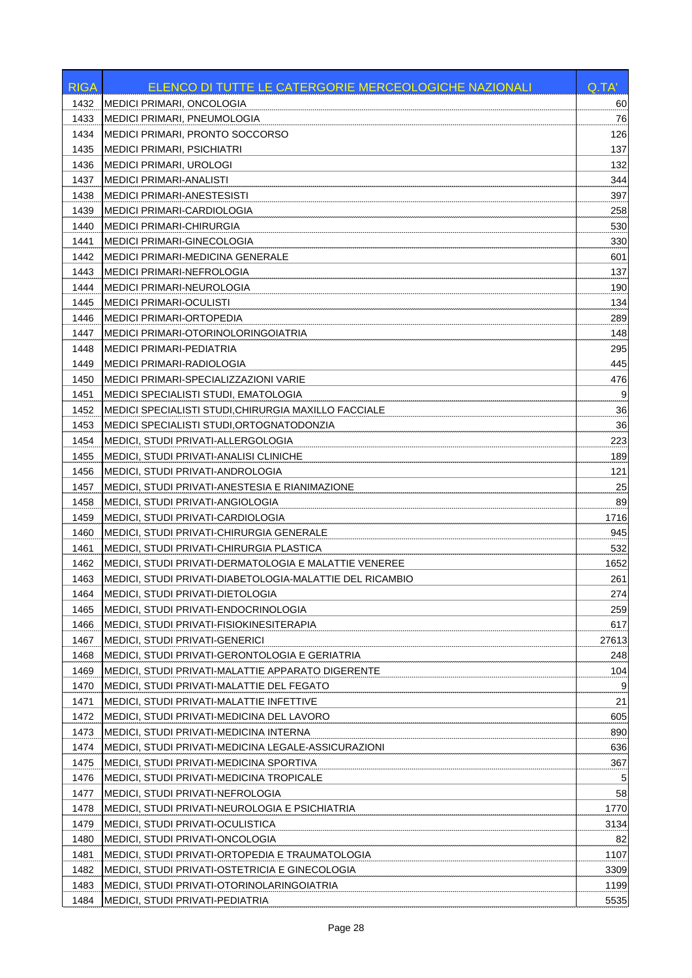| MEDICI PRIMARI, ONCOLOGIA<br>60<br>1432<br>76<br>1433<br><b>MEDICI PRIMARI, PNEUMOLOGIA</b><br>126<br>1434<br>MEDICI PRIMARI, PRONTO SOCCORSO<br>137<br>1435<br><b>MEDICI PRIMARI, PSICHIATRI</b><br>1436<br><b>MEDICI PRIMARI, UROLOGI</b><br>132<br>344<br>MEDICI PRIMARI-ANALISTI<br>1437<br>1438<br>397<br>MEDICI PRIMARI-ANESTESISTI<br>1439<br>258<br>MEDICI PRIMARI-CARDIOLOGIA<br>1440<br><b>MEDICI PRIMARI-CHIRURGIA</b><br>530<br>1441<br><b>MEDICI PRIMARI-GINECOLOGIA</b><br>330<br>1442<br><b>MEDICI PRIMARI-MEDICINA GENERALE</b><br>601<br>137<br>1443<br>MEDICI PRIMARI-NEFROLOGIA<br>190<br>1444<br><b>MEDICI PRIMARI-NEUROLOGIA</b><br>134<br>1445<br><b>MEDICI PRIMARI-OCULISTI</b><br>1446<br><b>MEDICI PRIMARI-ORTOPEDIA</b><br>289<br>148<br>1447<br>MEDICI PRIMARI-OTORINOLORINGOIATRIA<br>295<br>1448<br><b>MEDICI PRIMARI-PEDIATRIA</b><br>445<br>1449<br>MEDICI PRIMARI-RADIOLOGIA<br>476<br>1450<br>MEDICI PRIMARI-SPECIALIZZAZIONI VARIE<br>9<br>1451<br>MEDICI SPECIALISTI STUDI, EMATOLOGIA<br>36<br>MEDICI SPECIALISTI STUDI, CHIRURGIA MAXILLO FACCIALE<br>1452<br>36<br>1453<br>MEDICI SPECIALISTI STUDI, ORTOGNATODONZIA<br>1454<br>MEDICI, STUDI PRIVATI-ALLERGOLOGIA<br>223<br>MEDICI, STUDI PRIVATI-ANALISI CLINICHE<br>189<br>1455<br>MEDICI, STUDI PRIVATI-ANDROLOGIA<br>121<br>1456<br>25<br>MEDICI, STUDI PRIVATI-ANESTESIA E RIANIMAZIONE<br>1457<br>89<br>1458<br>MEDICI, STUDI PRIVATI-ANGIOLOGIA<br>1459<br>MEDICI, STUDI PRIVATI-CARDIOLOGIA<br>1716<br>945<br>1460<br>MEDICI, STUDI PRIVATI-CHIRURGIA GENERALE<br>532<br>1461<br><b>MEDICI, STUDI PRIVATI-CHIRURGIA PLASTICA</b><br>MEDICI, STUDI PRIVATI-DERMATOLOGIA E MALATTIE VENEREE<br>1462<br>1652<br>MEDICI, STUDI PRIVATI-DIABETOLOGIA-MALATTIE DEL RICAMBIO<br>261<br>1463<br>274<br>1464<br>IMEDICI, STUDI PRIVATI-DIETOLOGIA<br>MEDICI, STUDI PRIVATI-ENDOCRINOLOGIA<br>1465<br>259<br>617<br>1466<br>MEDICI, STUDI PRIVATI-FISIOKINESITERAPIA<br>1467<br><b>MEDICI, STUDI PRIVATI-GENERICI</b><br>27613<br>1468<br>MEDICI, STUDI PRIVATI-GERONTOLOGIA E GERIATRIA<br>248<br>1469<br>MEDICI, STUDI PRIVATI-MALATTIE APPARATO DIGERENTE<br>104<br>MEDICI, STUDI PRIVATI-MALATTIE DEL FEGATO<br>9<br>1470<br>21<br>1471<br>MEDICI, STUDI PRIVATI-MALATTIE INFETTIVE<br>605<br>1472<br>MEDICI, STUDI PRIVATI-MEDICINA DEL LAVORO<br>890<br>1473<br><b>MEDICI, STUDI PRIVATI-MEDICINA INTERNA</b><br>1474<br>MEDICI, STUDI PRIVATI-MEDICINA LEGALE-ASSICURAZIONI<br>636<br>MEDICI, STUDI PRIVATI-MEDICINA SPORTIVA<br>367<br>1475<br>1476<br>MEDICI, STUDI PRIVATI-MEDICINA TROPICALE<br>5<br>58<br>1477<br>MEDICI, STUDI PRIVATI-NEFROLOGIA<br>1478<br>MEDICI, STUDI PRIVATI-NEUROLOGIA E PSICHIATRIA<br>1770<br>1479<br>MEDICI, STUDI PRIVATI-OCULISTICA<br>3134<br>MEDICI, STUDI PRIVATI-ONCOLOGIA<br>1480<br>82<br>1481<br>MEDICI, STUDI PRIVATI-ORTOPEDIA E TRAUMATOLOGIA<br>1107<br>1482<br>MEDICI, STUDI PRIVATI-OSTETRICIA E GINECOLOGIA<br>3309<br>1483<br>MEDICI, STUDI PRIVATI-OTORINOLARINGOIATRIA<br>1199<br>1484<br>MEDICI, STUDI PRIVATI-PEDIATRIA<br>5535 | <b>RIGA</b> | ELENCO DI TUTTE LE CATERGORIE MERCEOLOGICHE NAZIONALI | Q.TA' |
|----------------------------------------------------------------------------------------------------------------------------------------------------------------------------------------------------------------------------------------------------------------------------------------------------------------------------------------------------------------------------------------------------------------------------------------------------------------------------------------------------------------------------------------------------------------------------------------------------------------------------------------------------------------------------------------------------------------------------------------------------------------------------------------------------------------------------------------------------------------------------------------------------------------------------------------------------------------------------------------------------------------------------------------------------------------------------------------------------------------------------------------------------------------------------------------------------------------------------------------------------------------------------------------------------------------------------------------------------------------------------------------------------------------------------------------------------------------------------------------------------------------------------------------------------------------------------------------------------------------------------------------------------------------------------------------------------------------------------------------------------------------------------------------------------------------------------------------------------------------------------------------------------------------------------------------------------------------------------------------------------------------------------------------------------------------------------------------------------------------------------------------------------------------------------------------------------------------------------------------------------------------------------------------------------------------------------------------------------------------------------------------------------------------------------------------------------------------------------------------------------------------------------------------------------------------------------------------------------------------------------------------------------------------------------------------------------------------------------------------------------------------------------------------------------------------------------------------------------------------------------------------------------------------------------------------------------------------------------------------------------------------------------------------------------------------------------------|-------------|-------------------------------------------------------|-------|
|                                                                                                                                                                                                                                                                                                                                                                                                                                                                                                                                                                                                                                                                                                                                                                                                                                                                                                                                                                                                                                                                                                                                                                                                                                                                                                                                                                                                                                                                                                                                                                                                                                                                                                                                                                                                                                                                                                                                                                                                                                                                                                                                                                                                                                                                                                                                                                                                                                                                                                                                                                                                                                                                                                                                                                                                                                                                                                                                                                                                                                                                                  |             |                                                       |       |
|                                                                                                                                                                                                                                                                                                                                                                                                                                                                                                                                                                                                                                                                                                                                                                                                                                                                                                                                                                                                                                                                                                                                                                                                                                                                                                                                                                                                                                                                                                                                                                                                                                                                                                                                                                                                                                                                                                                                                                                                                                                                                                                                                                                                                                                                                                                                                                                                                                                                                                                                                                                                                                                                                                                                                                                                                                                                                                                                                                                                                                                                                  |             |                                                       |       |
|                                                                                                                                                                                                                                                                                                                                                                                                                                                                                                                                                                                                                                                                                                                                                                                                                                                                                                                                                                                                                                                                                                                                                                                                                                                                                                                                                                                                                                                                                                                                                                                                                                                                                                                                                                                                                                                                                                                                                                                                                                                                                                                                                                                                                                                                                                                                                                                                                                                                                                                                                                                                                                                                                                                                                                                                                                                                                                                                                                                                                                                                                  |             |                                                       |       |
|                                                                                                                                                                                                                                                                                                                                                                                                                                                                                                                                                                                                                                                                                                                                                                                                                                                                                                                                                                                                                                                                                                                                                                                                                                                                                                                                                                                                                                                                                                                                                                                                                                                                                                                                                                                                                                                                                                                                                                                                                                                                                                                                                                                                                                                                                                                                                                                                                                                                                                                                                                                                                                                                                                                                                                                                                                                                                                                                                                                                                                                                                  |             |                                                       |       |
|                                                                                                                                                                                                                                                                                                                                                                                                                                                                                                                                                                                                                                                                                                                                                                                                                                                                                                                                                                                                                                                                                                                                                                                                                                                                                                                                                                                                                                                                                                                                                                                                                                                                                                                                                                                                                                                                                                                                                                                                                                                                                                                                                                                                                                                                                                                                                                                                                                                                                                                                                                                                                                                                                                                                                                                                                                                                                                                                                                                                                                                                                  |             |                                                       |       |
|                                                                                                                                                                                                                                                                                                                                                                                                                                                                                                                                                                                                                                                                                                                                                                                                                                                                                                                                                                                                                                                                                                                                                                                                                                                                                                                                                                                                                                                                                                                                                                                                                                                                                                                                                                                                                                                                                                                                                                                                                                                                                                                                                                                                                                                                                                                                                                                                                                                                                                                                                                                                                                                                                                                                                                                                                                                                                                                                                                                                                                                                                  |             |                                                       |       |
|                                                                                                                                                                                                                                                                                                                                                                                                                                                                                                                                                                                                                                                                                                                                                                                                                                                                                                                                                                                                                                                                                                                                                                                                                                                                                                                                                                                                                                                                                                                                                                                                                                                                                                                                                                                                                                                                                                                                                                                                                                                                                                                                                                                                                                                                                                                                                                                                                                                                                                                                                                                                                                                                                                                                                                                                                                                                                                                                                                                                                                                                                  |             |                                                       |       |
|                                                                                                                                                                                                                                                                                                                                                                                                                                                                                                                                                                                                                                                                                                                                                                                                                                                                                                                                                                                                                                                                                                                                                                                                                                                                                                                                                                                                                                                                                                                                                                                                                                                                                                                                                                                                                                                                                                                                                                                                                                                                                                                                                                                                                                                                                                                                                                                                                                                                                                                                                                                                                                                                                                                                                                                                                                                                                                                                                                                                                                                                                  |             |                                                       |       |
|                                                                                                                                                                                                                                                                                                                                                                                                                                                                                                                                                                                                                                                                                                                                                                                                                                                                                                                                                                                                                                                                                                                                                                                                                                                                                                                                                                                                                                                                                                                                                                                                                                                                                                                                                                                                                                                                                                                                                                                                                                                                                                                                                                                                                                                                                                                                                                                                                                                                                                                                                                                                                                                                                                                                                                                                                                                                                                                                                                                                                                                                                  |             |                                                       |       |
|                                                                                                                                                                                                                                                                                                                                                                                                                                                                                                                                                                                                                                                                                                                                                                                                                                                                                                                                                                                                                                                                                                                                                                                                                                                                                                                                                                                                                                                                                                                                                                                                                                                                                                                                                                                                                                                                                                                                                                                                                                                                                                                                                                                                                                                                                                                                                                                                                                                                                                                                                                                                                                                                                                                                                                                                                                                                                                                                                                                                                                                                                  |             |                                                       |       |
|                                                                                                                                                                                                                                                                                                                                                                                                                                                                                                                                                                                                                                                                                                                                                                                                                                                                                                                                                                                                                                                                                                                                                                                                                                                                                                                                                                                                                                                                                                                                                                                                                                                                                                                                                                                                                                                                                                                                                                                                                                                                                                                                                                                                                                                                                                                                                                                                                                                                                                                                                                                                                                                                                                                                                                                                                                                                                                                                                                                                                                                                                  |             |                                                       |       |
|                                                                                                                                                                                                                                                                                                                                                                                                                                                                                                                                                                                                                                                                                                                                                                                                                                                                                                                                                                                                                                                                                                                                                                                                                                                                                                                                                                                                                                                                                                                                                                                                                                                                                                                                                                                                                                                                                                                                                                                                                                                                                                                                                                                                                                                                                                                                                                                                                                                                                                                                                                                                                                                                                                                                                                                                                                                                                                                                                                                                                                                                                  |             |                                                       |       |
|                                                                                                                                                                                                                                                                                                                                                                                                                                                                                                                                                                                                                                                                                                                                                                                                                                                                                                                                                                                                                                                                                                                                                                                                                                                                                                                                                                                                                                                                                                                                                                                                                                                                                                                                                                                                                                                                                                                                                                                                                                                                                                                                                                                                                                                                                                                                                                                                                                                                                                                                                                                                                                                                                                                                                                                                                                                                                                                                                                                                                                                                                  |             |                                                       |       |
|                                                                                                                                                                                                                                                                                                                                                                                                                                                                                                                                                                                                                                                                                                                                                                                                                                                                                                                                                                                                                                                                                                                                                                                                                                                                                                                                                                                                                                                                                                                                                                                                                                                                                                                                                                                                                                                                                                                                                                                                                                                                                                                                                                                                                                                                                                                                                                                                                                                                                                                                                                                                                                                                                                                                                                                                                                                                                                                                                                                                                                                                                  |             |                                                       |       |
|                                                                                                                                                                                                                                                                                                                                                                                                                                                                                                                                                                                                                                                                                                                                                                                                                                                                                                                                                                                                                                                                                                                                                                                                                                                                                                                                                                                                                                                                                                                                                                                                                                                                                                                                                                                                                                                                                                                                                                                                                                                                                                                                                                                                                                                                                                                                                                                                                                                                                                                                                                                                                                                                                                                                                                                                                                                                                                                                                                                                                                                                                  |             |                                                       |       |
|                                                                                                                                                                                                                                                                                                                                                                                                                                                                                                                                                                                                                                                                                                                                                                                                                                                                                                                                                                                                                                                                                                                                                                                                                                                                                                                                                                                                                                                                                                                                                                                                                                                                                                                                                                                                                                                                                                                                                                                                                                                                                                                                                                                                                                                                                                                                                                                                                                                                                                                                                                                                                                                                                                                                                                                                                                                                                                                                                                                                                                                                                  |             |                                                       |       |
|                                                                                                                                                                                                                                                                                                                                                                                                                                                                                                                                                                                                                                                                                                                                                                                                                                                                                                                                                                                                                                                                                                                                                                                                                                                                                                                                                                                                                                                                                                                                                                                                                                                                                                                                                                                                                                                                                                                                                                                                                                                                                                                                                                                                                                                                                                                                                                                                                                                                                                                                                                                                                                                                                                                                                                                                                                                                                                                                                                                                                                                                                  |             |                                                       |       |
|                                                                                                                                                                                                                                                                                                                                                                                                                                                                                                                                                                                                                                                                                                                                                                                                                                                                                                                                                                                                                                                                                                                                                                                                                                                                                                                                                                                                                                                                                                                                                                                                                                                                                                                                                                                                                                                                                                                                                                                                                                                                                                                                                                                                                                                                                                                                                                                                                                                                                                                                                                                                                                                                                                                                                                                                                                                                                                                                                                                                                                                                                  |             |                                                       |       |
|                                                                                                                                                                                                                                                                                                                                                                                                                                                                                                                                                                                                                                                                                                                                                                                                                                                                                                                                                                                                                                                                                                                                                                                                                                                                                                                                                                                                                                                                                                                                                                                                                                                                                                                                                                                                                                                                                                                                                                                                                                                                                                                                                                                                                                                                                                                                                                                                                                                                                                                                                                                                                                                                                                                                                                                                                                                                                                                                                                                                                                                                                  |             |                                                       |       |
|                                                                                                                                                                                                                                                                                                                                                                                                                                                                                                                                                                                                                                                                                                                                                                                                                                                                                                                                                                                                                                                                                                                                                                                                                                                                                                                                                                                                                                                                                                                                                                                                                                                                                                                                                                                                                                                                                                                                                                                                                                                                                                                                                                                                                                                                                                                                                                                                                                                                                                                                                                                                                                                                                                                                                                                                                                                                                                                                                                                                                                                                                  |             |                                                       |       |
|                                                                                                                                                                                                                                                                                                                                                                                                                                                                                                                                                                                                                                                                                                                                                                                                                                                                                                                                                                                                                                                                                                                                                                                                                                                                                                                                                                                                                                                                                                                                                                                                                                                                                                                                                                                                                                                                                                                                                                                                                                                                                                                                                                                                                                                                                                                                                                                                                                                                                                                                                                                                                                                                                                                                                                                                                                                                                                                                                                                                                                                                                  |             |                                                       |       |
|                                                                                                                                                                                                                                                                                                                                                                                                                                                                                                                                                                                                                                                                                                                                                                                                                                                                                                                                                                                                                                                                                                                                                                                                                                                                                                                                                                                                                                                                                                                                                                                                                                                                                                                                                                                                                                                                                                                                                                                                                                                                                                                                                                                                                                                                                                                                                                                                                                                                                                                                                                                                                                                                                                                                                                                                                                                                                                                                                                                                                                                                                  |             |                                                       |       |
|                                                                                                                                                                                                                                                                                                                                                                                                                                                                                                                                                                                                                                                                                                                                                                                                                                                                                                                                                                                                                                                                                                                                                                                                                                                                                                                                                                                                                                                                                                                                                                                                                                                                                                                                                                                                                                                                                                                                                                                                                                                                                                                                                                                                                                                                                                                                                                                                                                                                                                                                                                                                                                                                                                                                                                                                                                                                                                                                                                                                                                                                                  |             |                                                       |       |
|                                                                                                                                                                                                                                                                                                                                                                                                                                                                                                                                                                                                                                                                                                                                                                                                                                                                                                                                                                                                                                                                                                                                                                                                                                                                                                                                                                                                                                                                                                                                                                                                                                                                                                                                                                                                                                                                                                                                                                                                                                                                                                                                                                                                                                                                                                                                                                                                                                                                                                                                                                                                                                                                                                                                                                                                                                                                                                                                                                                                                                                                                  |             |                                                       |       |
|                                                                                                                                                                                                                                                                                                                                                                                                                                                                                                                                                                                                                                                                                                                                                                                                                                                                                                                                                                                                                                                                                                                                                                                                                                                                                                                                                                                                                                                                                                                                                                                                                                                                                                                                                                                                                                                                                                                                                                                                                                                                                                                                                                                                                                                                                                                                                                                                                                                                                                                                                                                                                                                                                                                                                                                                                                                                                                                                                                                                                                                                                  |             |                                                       |       |
|                                                                                                                                                                                                                                                                                                                                                                                                                                                                                                                                                                                                                                                                                                                                                                                                                                                                                                                                                                                                                                                                                                                                                                                                                                                                                                                                                                                                                                                                                                                                                                                                                                                                                                                                                                                                                                                                                                                                                                                                                                                                                                                                                                                                                                                                                                                                                                                                                                                                                                                                                                                                                                                                                                                                                                                                                                                                                                                                                                                                                                                                                  |             |                                                       |       |
|                                                                                                                                                                                                                                                                                                                                                                                                                                                                                                                                                                                                                                                                                                                                                                                                                                                                                                                                                                                                                                                                                                                                                                                                                                                                                                                                                                                                                                                                                                                                                                                                                                                                                                                                                                                                                                                                                                                                                                                                                                                                                                                                                                                                                                                                                                                                                                                                                                                                                                                                                                                                                                                                                                                                                                                                                                                                                                                                                                                                                                                                                  |             |                                                       |       |
|                                                                                                                                                                                                                                                                                                                                                                                                                                                                                                                                                                                                                                                                                                                                                                                                                                                                                                                                                                                                                                                                                                                                                                                                                                                                                                                                                                                                                                                                                                                                                                                                                                                                                                                                                                                                                                                                                                                                                                                                                                                                                                                                                                                                                                                                                                                                                                                                                                                                                                                                                                                                                                                                                                                                                                                                                                                                                                                                                                                                                                                                                  |             |                                                       |       |
|                                                                                                                                                                                                                                                                                                                                                                                                                                                                                                                                                                                                                                                                                                                                                                                                                                                                                                                                                                                                                                                                                                                                                                                                                                                                                                                                                                                                                                                                                                                                                                                                                                                                                                                                                                                                                                                                                                                                                                                                                                                                                                                                                                                                                                                                                                                                                                                                                                                                                                                                                                                                                                                                                                                                                                                                                                                                                                                                                                                                                                                                                  |             |                                                       |       |
|                                                                                                                                                                                                                                                                                                                                                                                                                                                                                                                                                                                                                                                                                                                                                                                                                                                                                                                                                                                                                                                                                                                                                                                                                                                                                                                                                                                                                                                                                                                                                                                                                                                                                                                                                                                                                                                                                                                                                                                                                                                                                                                                                                                                                                                                                                                                                                                                                                                                                                                                                                                                                                                                                                                                                                                                                                                                                                                                                                                                                                                                                  |             |                                                       |       |
|                                                                                                                                                                                                                                                                                                                                                                                                                                                                                                                                                                                                                                                                                                                                                                                                                                                                                                                                                                                                                                                                                                                                                                                                                                                                                                                                                                                                                                                                                                                                                                                                                                                                                                                                                                                                                                                                                                                                                                                                                                                                                                                                                                                                                                                                                                                                                                                                                                                                                                                                                                                                                                                                                                                                                                                                                                                                                                                                                                                                                                                                                  |             |                                                       |       |
|                                                                                                                                                                                                                                                                                                                                                                                                                                                                                                                                                                                                                                                                                                                                                                                                                                                                                                                                                                                                                                                                                                                                                                                                                                                                                                                                                                                                                                                                                                                                                                                                                                                                                                                                                                                                                                                                                                                                                                                                                                                                                                                                                                                                                                                                                                                                                                                                                                                                                                                                                                                                                                                                                                                                                                                                                                                                                                                                                                                                                                                                                  |             |                                                       |       |
|                                                                                                                                                                                                                                                                                                                                                                                                                                                                                                                                                                                                                                                                                                                                                                                                                                                                                                                                                                                                                                                                                                                                                                                                                                                                                                                                                                                                                                                                                                                                                                                                                                                                                                                                                                                                                                                                                                                                                                                                                                                                                                                                                                                                                                                                                                                                                                                                                                                                                                                                                                                                                                                                                                                                                                                                                                                                                                                                                                                                                                                                                  |             |                                                       |       |
|                                                                                                                                                                                                                                                                                                                                                                                                                                                                                                                                                                                                                                                                                                                                                                                                                                                                                                                                                                                                                                                                                                                                                                                                                                                                                                                                                                                                                                                                                                                                                                                                                                                                                                                                                                                                                                                                                                                                                                                                                                                                                                                                                                                                                                                                                                                                                                                                                                                                                                                                                                                                                                                                                                                                                                                                                                                                                                                                                                                                                                                                                  |             |                                                       |       |
|                                                                                                                                                                                                                                                                                                                                                                                                                                                                                                                                                                                                                                                                                                                                                                                                                                                                                                                                                                                                                                                                                                                                                                                                                                                                                                                                                                                                                                                                                                                                                                                                                                                                                                                                                                                                                                                                                                                                                                                                                                                                                                                                                                                                                                                                                                                                                                                                                                                                                                                                                                                                                                                                                                                                                                                                                                                                                                                                                                                                                                                                                  |             |                                                       |       |
|                                                                                                                                                                                                                                                                                                                                                                                                                                                                                                                                                                                                                                                                                                                                                                                                                                                                                                                                                                                                                                                                                                                                                                                                                                                                                                                                                                                                                                                                                                                                                                                                                                                                                                                                                                                                                                                                                                                                                                                                                                                                                                                                                                                                                                                                                                                                                                                                                                                                                                                                                                                                                                                                                                                                                                                                                                                                                                                                                                                                                                                                                  |             |                                                       |       |
|                                                                                                                                                                                                                                                                                                                                                                                                                                                                                                                                                                                                                                                                                                                                                                                                                                                                                                                                                                                                                                                                                                                                                                                                                                                                                                                                                                                                                                                                                                                                                                                                                                                                                                                                                                                                                                                                                                                                                                                                                                                                                                                                                                                                                                                                                                                                                                                                                                                                                                                                                                                                                                                                                                                                                                                                                                                                                                                                                                                                                                                                                  |             |                                                       |       |
|                                                                                                                                                                                                                                                                                                                                                                                                                                                                                                                                                                                                                                                                                                                                                                                                                                                                                                                                                                                                                                                                                                                                                                                                                                                                                                                                                                                                                                                                                                                                                                                                                                                                                                                                                                                                                                                                                                                                                                                                                                                                                                                                                                                                                                                                                                                                                                                                                                                                                                                                                                                                                                                                                                                                                                                                                                                                                                                                                                                                                                                                                  |             |                                                       |       |
|                                                                                                                                                                                                                                                                                                                                                                                                                                                                                                                                                                                                                                                                                                                                                                                                                                                                                                                                                                                                                                                                                                                                                                                                                                                                                                                                                                                                                                                                                                                                                                                                                                                                                                                                                                                                                                                                                                                                                                                                                                                                                                                                                                                                                                                                                                                                                                                                                                                                                                                                                                                                                                                                                                                                                                                                                                                                                                                                                                                                                                                                                  |             |                                                       |       |
|                                                                                                                                                                                                                                                                                                                                                                                                                                                                                                                                                                                                                                                                                                                                                                                                                                                                                                                                                                                                                                                                                                                                                                                                                                                                                                                                                                                                                                                                                                                                                                                                                                                                                                                                                                                                                                                                                                                                                                                                                                                                                                                                                                                                                                                                                                                                                                                                                                                                                                                                                                                                                                                                                                                                                                                                                                                                                                                                                                                                                                                                                  |             |                                                       |       |
|                                                                                                                                                                                                                                                                                                                                                                                                                                                                                                                                                                                                                                                                                                                                                                                                                                                                                                                                                                                                                                                                                                                                                                                                                                                                                                                                                                                                                                                                                                                                                                                                                                                                                                                                                                                                                                                                                                                                                                                                                                                                                                                                                                                                                                                                                                                                                                                                                                                                                                                                                                                                                                                                                                                                                                                                                                                                                                                                                                                                                                                                                  |             |                                                       |       |
|                                                                                                                                                                                                                                                                                                                                                                                                                                                                                                                                                                                                                                                                                                                                                                                                                                                                                                                                                                                                                                                                                                                                                                                                                                                                                                                                                                                                                                                                                                                                                                                                                                                                                                                                                                                                                                                                                                                                                                                                                                                                                                                                                                                                                                                                                                                                                                                                                                                                                                                                                                                                                                                                                                                                                                                                                                                                                                                                                                                                                                                                                  |             |                                                       |       |
|                                                                                                                                                                                                                                                                                                                                                                                                                                                                                                                                                                                                                                                                                                                                                                                                                                                                                                                                                                                                                                                                                                                                                                                                                                                                                                                                                                                                                                                                                                                                                                                                                                                                                                                                                                                                                                                                                                                                                                                                                                                                                                                                                                                                                                                                                                                                                                                                                                                                                                                                                                                                                                                                                                                                                                                                                                                                                                                                                                                                                                                                                  |             |                                                       |       |
|                                                                                                                                                                                                                                                                                                                                                                                                                                                                                                                                                                                                                                                                                                                                                                                                                                                                                                                                                                                                                                                                                                                                                                                                                                                                                                                                                                                                                                                                                                                                                                                                                                                                                                                                                                                                                                                                                                                                                                                                                                                                                                                                                                                                                                                                                                                                                                                                                                                                                                                                                                                                                                                                                                                                                                                                                                                                                                                                                                                                                                                                                  |             |                                                       |       |
|                                                                                                                                                                                                                                                                                                                                                                                                                                                                                                                                                                                                                                                                                                                                                                                                                                                                                                                                                                                                                                                                                                                                                                                                                                                                                                                                                                                                                                                                                                                                                                                                                                                                                                                                                                                                                                                                                                                                                                                                                                                                                                                                                                                                                                                                                                                                                                                                                                                                                                                                                                                                                                                                                                                                                                                                                                                                                                                                                                                                                                                                                  |             |                                                       |       |
|                                                                                                                                                                                                                                                                                                                                                                                                                                                                                                                                                                                                                                                                                                                                                                                                                                                                                                                                                                                                                                                                                                                                                                                                                                                                                                                                                                                                                                                                                                                                                                                                                                                                                                                                                                                                                                                                                                                                                                                                                                                                                                                                                                                                                                                                                                                                                                                                                                                                                                                                                                                                                                                                                                                                                                                                                                                                                                                                                                                                                                                                                  |             |                                                       |       |
|                                                                                                                                                                                                                                                                                                                                                                                                                                                                                                                                                                                                                                                                                                                                                                                                                                                                                                                                                                                                                                                                                                                                                                                                                                                                                                                                                                                                                                                                                                                                                                                                                                                                                                                                                                                                                                                                                                                                                                                                                                                                                                                                                                                                                                                                                                                                                                                                                                                                                                                                                                                                                                                                                                                                                                                                                                                                                                                                                                                                                                                                                  |             |                                                       |       |
|                                                                                                                                                                                                                                                                                                                                                                                                                                                                                                                                                                                                                                                                                                                                                                                                                                                                                                                                                                                                                                                                                                                                                                                                                                                                                                                                                                                                                                                                                                                                                                                                                                                                                                                                                                                                                                                                                                                                                                                                                                                                                                                                                                                                                                                                                                                                                                                                                                                                                                                                                                                                                                                                                                                                                                                                                                                                                                                                                                                                                                                                                  |             |                                                       |       |
|                                                                                                                                                                                                                                                                                                                                                                                                                                                                                                                                                                                                                                                                                                                                                                                                                                                                                                                                                                                                                                                                                                                                                                                                                                                                                                                                                                                                                                                                                                                                                                                                                                                                                                                                                                                                                                                                                                                                                                                                                                                                                                                                                                                                                                                                                                                                                                                                                                                                                                                                                                                                                                                                                                                                                                                                                                                                                                                                                                                                                                                                                  |             |                                                       |       |
|                                                                                                                                                                                                                                                                                                                                                                                                                                                                                                                                                                                                                                                                                                                                                                                                                                                                                                                                                                                                                                                                                                                                                                                                                                                                                                                                                                                                                                                                                                                                                                                                                                                                                                                                                                                                                                                                                                                                                                                                                                                                                                                                                                                                                                                                                                                                                                                                                                                                                                                                                                                                                                                                                                                                                                                                                                                                                                                                                                                                                                                                                  |             |                                                       |       |
|                                                                                                                                                                                                                                                                                                                                                                                                                                                                                                                                                                                                                                                                                                                                                                                                                                                                                                                                                                                                                                                                                                                                                                                                                                                                                                                                                                                                                                                                                                                                                                                                                                                                                                                                                                                                                                                                                                                                                                                                                                                                                                                                                                                                                                                                                                                                                                                                                                                                                                                                                                                                                                                                                                                                                                                                                                                                                                                                                                                                                                                                                  |             |                                                       |       |
|                                                                                                                                                                                                                                                                                                                                                                                                                                                                                                                                                                                                                                                                                                                                                                                                                                                                                                                                                                                                                                                                                                                                                                                                                                                                                                                                                                                                                                                                                                                                                                                                                                                                                                                                                                                                                                                                                                                                                                                                                                                                                                                                                                                                                                                                                                                                                                                                                                                                                                                                                                                                                                                                                                                                                                                                                                                                                                                                                                                                                                                                                  |             |                                                       |       |
|                                                                                                                                                                                                                                                                                                                                                                                                                                                                                                                                                                                                                                                                                                                                                                                                                                                                                                                                                                                                                                                                                                                                                                                                                                                                                                                                                                                                                                                                                                                                                                                                                                                                                                                                                                                                                                                                                                                                                                                                                                                                                                                                                                                                                                                                                                                                                                                                                                                                                                                                                                                                                                                                                                                                                                                                                                                                                                                                                                                                                                                                                  |             |                                                       |       |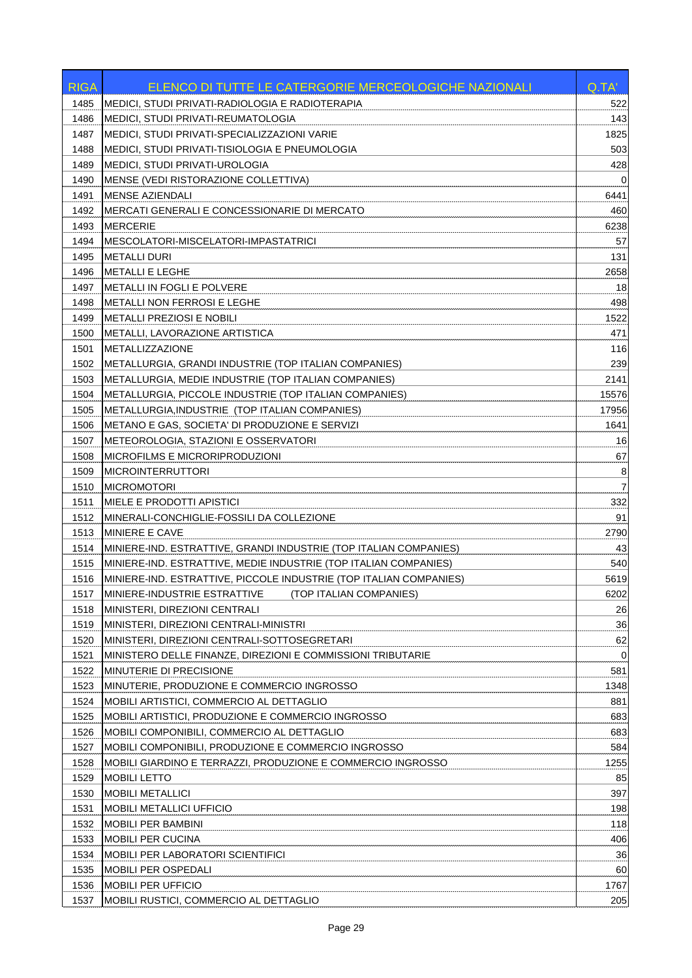| <b>RIGA</b> | <b>ELENCO DI TUTTE LE CATERGORIE MERCEOLOGICHE NAZIONALI</b>       | Q.TA' |
|-------------|--------------------------------------------------------------------|-------|
| 1485        | MEDICI, STUDI PRIVATI-RADIOLOGIA E RADIOTERAPIA                    | 522   |
| 1486        | MEDICI, STUDI PRIVATI-REUMATOLOGIA                                 | 143   |
| 1487        | MEDICI, STUDI PRIVATI-SPECIALIZZAZIONI VARIE                       | 1825  |
| 1488        | MEDICI, STUDI PRIVATI-TISIOLOGIA E PNEUMOLOGIA                     | 503   |
| 1489        | <b>MEDICI, STUDI PRIVATI-UROLOGIA</b>                              | 428   |
| 1490        | MENSE (VEDI RISTORAZIONE COLLETTIVA)                               | 0     |
| 1491        | <b>MENSE AZIENDALI</b>                                             | 6441  |
| 1492        | MERCATI GENERALI E CONCESSIONARIE DI MERCATO                       | 460   |
| 1493        | <b>MERCERIE</b>                                                    | 6238  |
| 1494        | MESCOLATORI-MISCELATORI-IMPASTATRICI                               | 57    |
| 1495        | <b>METALLI DURI</b>                                                | 131   |
| 1496        | <b>METALLI E LEGHE</b>                                             | 2658  |
| 1497        | <b>METALLI IN FOGLI E POLVERE</b>                                  | 18    |
| 1498        | <b>METALLI NON FERROSI E LEGHE</b>                                 | 498   |
| 1499        | <b>METALLI PREZIOSI E NOBILI</b>                                   | 1522  |
| 1500        | METALLI, LAVORAZIONE ARTISTICA                                     | 471   |
| 1501        | <b>METALLIZZAZIONE</b>                                             | 116   |
| 1502        | METALLURGIA, GRANDI INDUSTRIE (TOP ITALIAN COMPANIES)              | 239   |
| 1503        | METALLURGIA, MEDIE INDUSTRIE (TOP ITALIAN COMPANIES)               | 2141  |
| 1504        | METALLURGIA, PICCOLE INDUSTRIE (TOP ITALIAN COMPANIES)             | 15576 |
| 1505        | METALLURGIA, INDUSTRIE (TOP ITALIAN COMPANIES)                     | 17956 |
| 1506        | METANO E GAS, SOCIETA' DI PRODUZIONE E SERVIZI                     | 1641  |
| 1507        | METEOROLOGIA, STAZIONI E OSSERVATORI                               | 16    |
| 1508        | <b>MICROFILMS E MICRORIPRODUZIONI</b>                              | 67    |
| 1509        | <b>MICROINTERRUTTORI</b>                                           | 8     |
| 1510        | <b>MICROMOTORI</b>                                                 | 7     |
| 1511        | <b>MIELE E PRODOTTI APISTICI</b>                                   | 332   |
| 1512        | MINERALI-CONCHIGLIE-FOSSILI DA COLLEZIONE                          | 91    |
| 1513        | <b>IMINIERE E CAVE</b>                                             | 2790  |
| 1514        | MINIERE-IND. ESTRATTIVE, GRANDI INDUSTRIE (TOP ITALIAN COMPANIES)  | 43    |
| 1515        | MINIERE-IND. ESTRATTIVE, MEDIE INDUSTRIE (TOP ITALIAN COMPANIES)   | 540   |
| 1516        | MINIERE-IND. ESTRATTIVE, PICCOLE INDUSTRIE (TOP ITALIAN COMPANIES) | 5619  |
| 1517        | MINIERE-INDUSTRIE ESTRATTIVE (TOP ITALIAN COMPANIES)               | 6202  |
| 1518        | MINISTERI, DIREZIONI CENTRALI                                      | 26    |
| 1519        | MINISTERI, DIREZIONI CENTRALI-MINISTRI                             | 36    |
| 1520        | MINISTERI, DIREZIONI CENTRALI-SOTTOSEGRETARI                       | 62    |
| 1521        | MINISTERO DELLE FINANZE, DIREZIONI E COMMISSIONI TRIBUTARIE        | 0     |
| 1522        | <b>MINUTERIE DI PRECISIONE</b>                                     | 581   |
| 1523        | MINUTERIE, PRODUZIONE E COMMERCIO INGROSSO                         | 1348  |
| 1524        | <b>MOBILI ARTISTICI, COMMERCIO AL DETTAGLIO</b>                    | 881   |
| 1525        | MOBILI ARTISTICI, PRODUZIONE E COMMERCIO INGROSSO                  | 683   |
| 1526        | MOBILI COMPONIBILI, COMMERCIO AL DETTAGLIO                         | 683   |
| 1527        | MOBILI COMPONIBILI, PRODUZIONE E COMMERCIO INGROSSO                | 584   |
| 1528        | MOBILI GIARDINO E TERRAZZI, PRODUZIONE E COMMERCIO INGROSSO        | 1255  |
| 1529        | <b>MOBILI LETTO</b>                                                | 85    |
| 1530        | <b>MOBILI METALLICI</b>                                            | 397   |
| 1531        | <b>MOBILI METALLICI UFFICIO</b>                                    | 198   |
| 1532        | <b>MOBILI PER BAMBINI</b>                                          | 118   |
| 1533        | <b>MOBILI PER CUCINA</b>                                           | 406   |
| 1534        | <b>MOBILI PER LABORATORI SCIENTIFICI</b>                           | 36    |
| 1535        | MOBILI PER OSPEDALI                                                | 60    |
| 1536        | <b>MOBILI PER UFFICIO</b>                                          | 1767  |
| 1537        | MOBILI RUSTICI, COMMERCIO AL DETTAGLIO                             | 205   |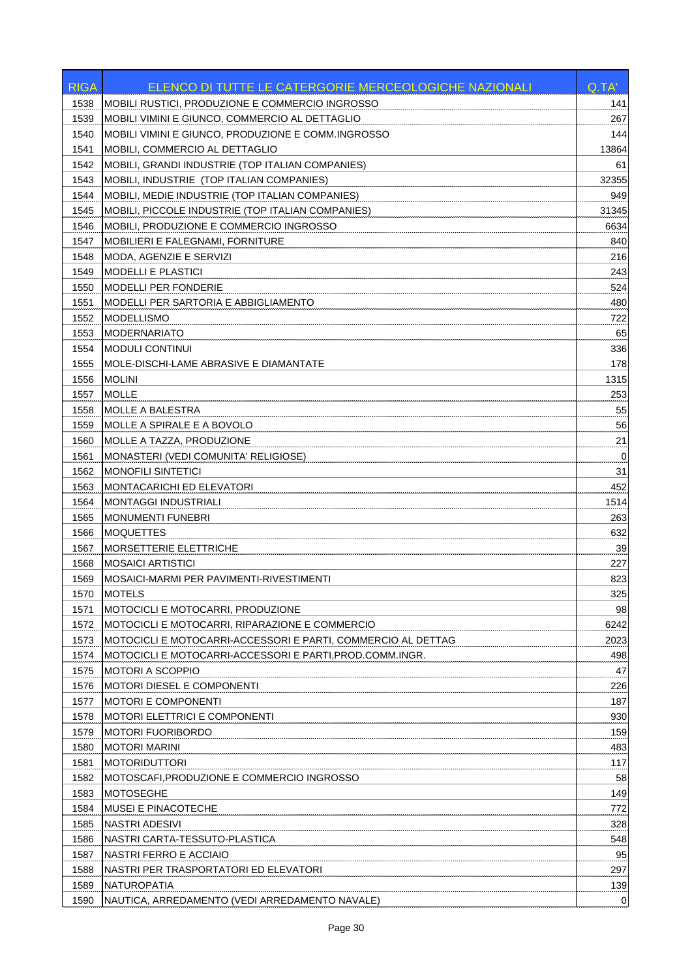| <b>RIGA</b> | ELENCO DI TUTTE LE CATERGORIE MERCEOLOGICHE NAZIONALI        | Q.TA'       |
|-------------|--------------------------------------------------------------|-------------|
| 1538        | MOBILI RUSTICI, PRODUZIONE E COMMERCIO INGROSSO              | 141         |
| 1539        | MOBILI VIMINI E GIUNCO, COMMERCIO AL DETTAGLIO               | 267         |
| 1540        | MOBILI VIMINI E GIUNCO, PRODUZIONE E COMM.INGROSSO           | 144         |
| 1541        | MOBILI, COMMERCIO AL DETTAGLIO                               | 13864       |
| 1542        | MOBILI, GRANDI INDUSTRIE (TOP ITALIAN COMPANIES)             | 61          |
| 1543        | MOBILI, INDUSTRIE (TOP ITALIAN COMPANIES)                    | 32355       |
| 1544        | MOBILI, MEDIE INDUSTRIE (TOP ITALIAN COMPANIES)              | 949         |
| 1545        | MOBILI, PICCOLE INDUSTRIE (TOP ITALIAN COMPANIES)            | 31345       |
| 1546        | MOBILI, PRODUZIONE E COMMERCIO INGROSSO                      | 6634        |
| 1547        | <b>MOBILIERI E FALEGNAMI, FORNITURE</b>                      | 840         |
| 1548        | MODA, AGENZIE E SERVIZI                                      | 216         |
| 1549        | <b>MODELLI E PLASTICI</b>                                    | 243         |
| 1550        | <b>MODELLI PER FONDERIE</b>                                  | 524         |
| 1551        | MODELLI PER SARTORIA E ABBIGLIAMENTO                         | 480         |
| 1552        | <b>MODELLISMO</b>                                            | 722         |
| 1553        | <b>MODERNARIATO</b>                                          | 65          |
| 1554        | <b>MODULI CONTINUI</b>                                       | 336         |
| 1555        | MOLE-DISCHI-LAME ABRASIVE E DIAMANTATE                       | 178         |
| 1556        | <b>MOLINI</b>                                                | 1315        |
| 1557        | <b>MOLLE</b>                                                 | 253         |
| 1558        | <b>MOLLE A BALESTRA</b>                                      | 55          |
| 1559        | MOLLE A SPIRALE E A BOVOLO                                   | 56          |
| 1560        | MOLLE A TAZZA, PRODUZIONE                                    | 21          |
| 1561        | MONASTERI (VEDI COMUNITA' RELIGIOSE)                         | 0           |
| 1562        | <b>MONOFILI SINTETICI</b>                                    | 31          |
| 1563        | <b>MONTACARICHI ED ELEVATORI</b>                             | 452         |
| 1564        | <b>MONTAGGI INDUSTRIALI</b>                                  | 1514        |
| 1565        | <b>MONUMENTI FUNEBRI</b>                                     | 263         |
| 1566        | <b>MOQUETTES</b>                                             | 632         |
| 1567        | <b>MORSETTERIE ELETTRICHE</b>                                | 39          |
| 1568        | <b>MOSAICI ARTISTICI</b>                                     | 227         |
| 1569        | MOSAICI-MARMI PER PAVIMENTI-RIVESTIMENTI                     | 823         |
| 1570        | <b>MOTELS</b>                                                | 325         |
| 1571        | MOTOCICLI E MOTOCARRI, PRODUZIONE                            | 98          |
| 1572        | MOTOCICLI E MOTOCARRI, RIPARAZIONE E COMMERCIO               | 6242        |
| 1573        | MOTOCICLI E MOTOCARRI-ACCESSORI E PARTI, COMMERCIO AL DETTAG | 2023        |
| 1574        | MOTOCICLI E MOTOCARRI-ACCESSORI E PARTI.PROD.COMM.INGR.      | 498         |
| 1575        | <b>MOTORI A SCOPPIO</b>                                      | 47          |
| 1576        | <b>MOTORI DIESEL E COMPONENTI</b>                            | 226         |
| 1577        | <b>MOTORI E COMPONENTI</b>                                   | 187         |
| 1578        | <b>MOTORI ELETTRICI E COMPONENTI</b>                         | 930         |
| 1579        | <b>MOTORI FUORIBORDO</b>                                     | 159         |
| 1580        | <b>MOTORI MARINI</b>                                         | 483         |
| 1581        | <b>MOTORIDUTTORI</b>                                         | 117         |
| 1582        | MOTOSCAFI,PRODUZIONE E COMMERCIO INGROSSO                    | 58          |
| 1583        | <b>MOTOSEGHE</b>                                             | 149         |
| 1584        | <b>MUSEI E PINACOTECHE</b>                                   | 772         |
| 1585        | <b>NASTRI ADESIVI</b>                                        | 328         |
| 1586        | NASTRI CARTA-TESSUTO-PLASTICA                                | 548         |
| 1587        | NASTRI FERRO E ACCIAIO                                       | 95          |
| 1588        | NASTRI PER TRASPORTATORI ED ELEVATORI                        | 297         |
| 1589        | NATUROPATIA                                                  | 139         |
| 1590        | NAUTICA, ARREDAMENTO (VEDI ARREDAMENTO NAVALE)               | $\mathbf 0$ |
|             |                                                              |             |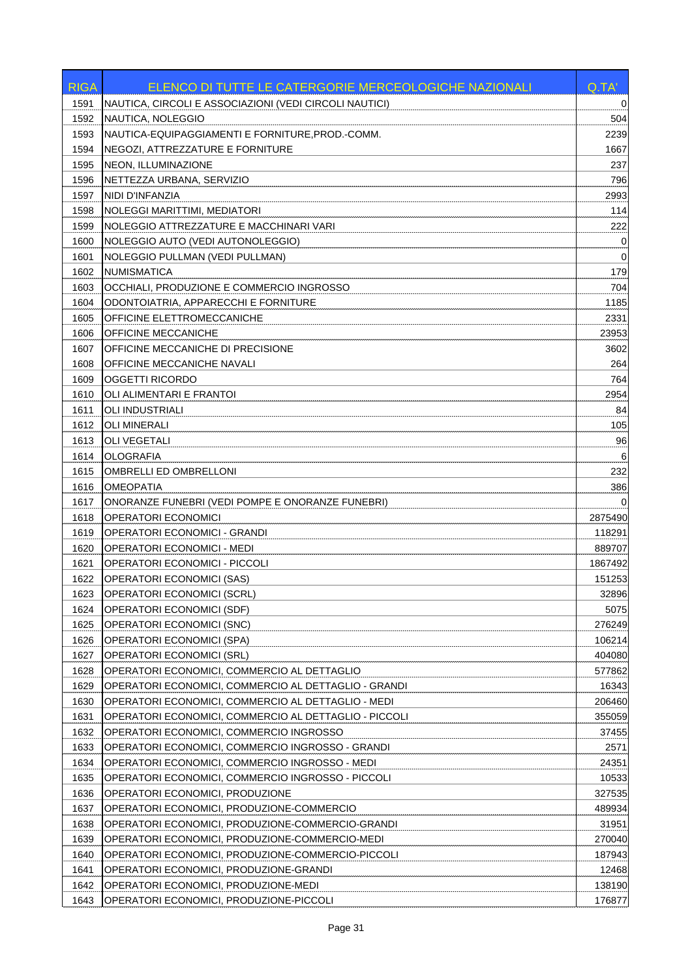| <b>RIGA</b> | ELENCO DI TUTTE LE CATERGORIE MERCEOLOGICHE NAZIONALI  | Q.TA'       |
|-------------|--------------------------------------------------------|-------------|
| 1591        | NAUTICA, CIRCOLI E ASSOCIAZIONI (VEDI CIRCOLI NAUTICI) | 0           |
| 1592        | NAUTICA, NOLEGGIO                                      | 504         |
| 1593        | NAUTICA-EQUIPAGGIAMENTI E FORNITURE, PROD.-COMM.       | 2239        |
| 1594        | NEGOZI, ATTREZZATURE E FORNITURE                       | 1667        |
| 1595        | NEON, ILLUMINAZIONE                                    | 237         |
| 1596        | NETTEZZA URBANA, SERVIZIO                              | 796         |
| 1597        | NIDI D'INFANZIA                                        | 2993        |
| 1598        | NOLEGGI MARITTIMI, MEDIATORI                           | 114         |
| 1599        | NOLEGGIO ATTREZZATURE E MACCHINARI VARI                | 222         |
| 1600        | NOLEGGIO AUTO (VEDI AUTONOLEGGIO)                      | 0           |
| 1601        | NOLEGGIO PULLMAN (VEDI PULLMAN)                        | $\mathbf 0$ |
| 1602        | NUMISMATICA                                            | 179         |
| 1603        | OCCHIALI, PRODUZIONE E COMMERCIO INGROSSO              | 704         |
| 1604        | ODONTOIATRIA, APPARECCHI E FORNITURE                   | 1185        |
| 1605        | OFFICINE ELETTROMECCANICHE                             | 2331        |
| 1606        | OFFICINE MECCANICHE                                    | 23953       |
| 1607        | OFFICINE MECCANICHE DI PRECISIONE                      | 3602        |
| 1608        | OFFICINE MECCANICHE NAVALI                             | 264         |
| 1609        | <b>OGGETTI RICORDO</b>                                 | 764         |
| 1610        | OLI ALIMENTARI E FRANTOI                               | 2954        |
| 1611        | OLI INDUSTRIALI                                        | 84          |
| 1612        | OLI MINERALI                                           | 105         |
| 1613        | OLI VEGETALI                                           | 96          |
| 1614        | <b>OLOGRAFIA</b>                                       | 6           |
| 1615        | OMBRELLI ED OMBRELLONI                                 | 232         |
| 1616        | <b>OMEOPATIA</b>                                       | 386         |
| 1617        | ONORANZE FUNEBRI (VEDI POMPE E ONORANZE FUNEBRI)       |             |
| 1618        | <b>OPERATORI ECONOMICI</b>                             | 2875490     |
| 1619        | <b>OPERATORI ECONOMICI - GRANDI</b>                    | 118291      |
| 1620        | OPERATORI ECONOMICI - MEDI                             | 889707      |
| 1621        | <b>OPERATORI ECONOMICI - PICCOLI</b>                   | 1867492     |
| 1622        | <b>OPERATORI ECONOMICI (SAS)</b>                       | 151253      |
| 1623        | OPERATORI ECONOMICI (SCRL)                             | 32896       |
| 1624        | <b>OPERATORI ECONOMICI (SDF)</b>                       | 5075        |
| 1625        | <b>OPERATORI ECONOMICI (SNC)</b>                       | 276249      |
| 1626        | OPERATORI ECONOMICI (SPA)                              | 106214      |
| 1627        | OPERATORI ECONOMICI (SRL)                              | 404080      |
| 1628        | OPERATORI ECONOMICI, COMMERCIO AL DETTAGLIO            | 577862      |
| 1629        | OPERATORI ECONOMICI, COMMERCIO AL DETTAGLIO - GRANDI   | 16343       |
| 1630        | OPERATORI ECONOMICI, COMMERCIO AL DETTAGLIO - MEDI     | 206460      |
| 1631        | OPERATORI ECONOMICI, COMMERCIO AL DETTAGLIO - PICCOLI  | 355059      |
| 1632        | OPERATORI ECONOMICI, COMMERCIO INGROSSO                | 37455       |
| 1633        | OPERATORI ECONOMICI, COMMERCIO INGROSSO - GRANDI       | 2571        |
| 1634        | OPERATORI ECONOMICI, COMMERCIO INGROSSO - MEDI         | 24351       |
| 1635        | OPERATORI ECONOMICI, COMMERCIO INGROSSO - PICCOLI      | 10533       |
| 1636        | OPERATORI ECONOMICI, PRODUZIONE                        | 327535      |
| 1637        | OPERATORI ECONOMICI, PRODUZIONE-COMMERCIO              | 489934      |
| 1638        | OPERATORI ECONOMICI, PRODUZIONE-COMMERCIO-GRANDI       | 31951       |
| 1639        | OPERATORI ECONOMICI, PRODUZIONE-COMMERCIO-MEDI         | 270040      |
| 1640        | OPERATORI ECONOMICI, PRODUZIONE-COMMERCIO-PICCOLI      | 187943      |
| 1641        | OPERATORI ECONOMICI, PRODUZIONE-GRANDI                 | 12468       |
| 1642        | OPERATORI ECONOMICI, PRODUZIONE-MEDI                   | 138190      |
| 1643        | OPERATORI ECONOMICI, PRODUZIONE-PICCOLI                | 176877      |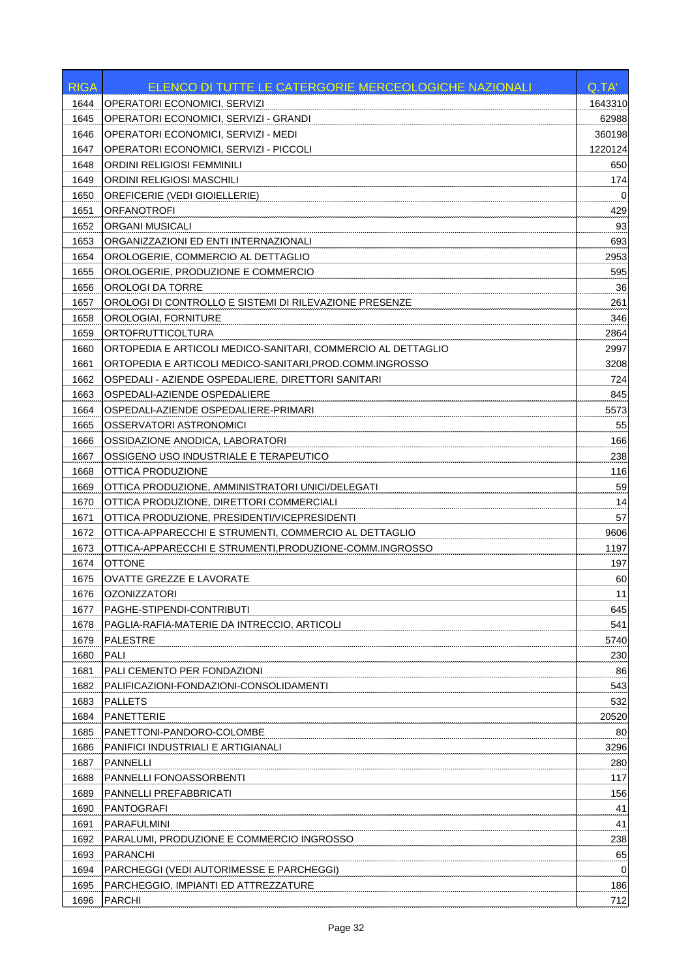| <b>RIGA</b>  | ELENCO DI TUTTE LE CATERGORIE MERCEOLOGICHE NAZIONALI        | Q.TA'       |
|--------------|--------------------------------------------------------------|-------------|
| 1644         | <b>OPERATORI ECONOMICI, SERVIZI</b>                          | 1643310     |
| 1645         | OPERATORI ECONOMICI, SERVIZI - GRANDI                        | 62988       |
| 1646         | OPERATORI ECONOMICI. SERVIZI - MEDI                          | 360198      |
| 1647         | OPERATORI ECONOMICI, SERVIZI - PICCOLI                       | 1220124     |
| 1648         | ORDINI RELIGIOSI FEMMINILI                                   | 650         |
| 1649         | ORDINI RELIGIOSI MASCHILI                                    | 174         |
| 1650         | <b>OREFICERIE (VEDI GIOIELLERIE)</b>                         | 0           |
| 1651         | <b>ORFANOTROFI</b>                                           | 429         |
| 1652         | <b>ORGANI MUSICALI</b>                                       | 93          |
| 1653         | ORGANIZZAZIONI ED ENTI INTERNAZIONALI                        | 693         |
| 1654         | OROLOGERIE, COMMERCIO AL DETTAGLIO                           | 2953        |
| 1655         | OROLOGERIE, PRODUZIONE E COMMERCIO                           | 595         |
| 1656         | OROLOGI DA TORRE                                             | 36          |
| 1657         | OROLOGI DI CONTROLLO E SISTEMI DI RILEVAZIONE PRESENZE       | 261         |
| 1658         | OROLOGIAI, FORNITURE                                         | 346         |
| 1659         | ORTOFRUTTICOLTURA                                            | 2864        |
| 1660         | ORTOPEDIA E ARTICOLI MEDICO-SANITARI. COMMERCIO AL DETTAGLIO | 2997        |
| 1661         | ORTOPEDIA E ARTICOLI MEDICO-SANITARI,PROD.COMM.INGROSSO      | 3208        |
| 1662         | OSPEDALI - AZIENDE OSPEDALIERE, DIRETTORI SANITARI           | 724         |
| 1663         | OSPEDALI-AZIENDE OSPEDALIERE                                 | 845         |
| 1664         | OSPEDALI-AZIENDE OSPEDALIERE-PRIMARI                         | 5573        |
| 1665         | OSSERVATORI ASTRONOMICI                                      | 55          |
| 1666         | OSSIDAZIONE ANODICA, LABORATORI                              | 166         |
| 1667         | OSSIGENO USO INDUSTRIALE E TERAPEUTICO                       | 238         |
| 1668         | OTTICA PRODUZIONE                                            | 116         |
| 1669         | OTTICA PRODUZIONE, AMMINISTRATORI UNICI/DELEGATI             | 59          |
| 1670         | OTTICA PRODUZIONE, DIRETTORI COMMERCIALI                     | 14          |
| 1671         | OTTICA PRODUZIONE, PRESIDENTI/VICEPRESIDENTI                 | 57          |
| 1672         | OTTICA-APPARECCHI E STRUMENTI, COMMERCIO AL DETTAGLIO        | 9606        |
| 1673         | OTTICA-APPARECCHI E STRUMENTI, PRODUZIONE-COMM. INGROSSO     | 1197        |
| 1674         | <b>OTTONE</b>                                                | 197         |
| 1675         | <b>OVATTE GREZZE E LAVORATE</b>                              | 60          |
| 1676         | <b>OZONIZZATORI</b>                                          | 11          |
| 1677         | PAGHE-STIPENDI-CONTRIBUTI                                    | 645         |
| 1678         | PAGLIA-RAFIA-MATERIE DA INTRECCIO, ARTICOLI                  | 541         |
| 1679         | PALESTRE                                                     | 5740        |
| 1680         | PALI                                                         | 230         |
| 1681         | PALI CEMENTO PER FONDAZIONI                                  | 86          |
| 1682         | PALIFICAZIONI-FONDAZIONI-CONSOLIDAMENTI                      | 543         |
| 1683         | <b>PALLETS</b>                                               | 532         |
| 1684         | <b>PANETTERIE</b>                                            | 20520       |
| 1685         | PANETTONI-PANDORO-COLOMBE                                    | 80          |
|              |                                                              |             |
| 1686<br>1687 | PANIFICI INDUSTRIALI E ARTIGIANALI<br><b>PANNELLI</b>        | 3296<br>280 |
|              |                                                              |             |
| 1688<br>1689 | <b>PANNELLI FONOASSORBENTI</b><br>PANNELLI PREFABBRICATI     | 117<br>156  |
| 1690         | PANTOGRAFI                                                   | 41          |
|              | PARAFULMINI                                                  |             |
| 1691         |                                                              | 41          |
| 1692         | PARALUMI, PRODUZIONE E COMMERCIO INGROSSO<br><b>PARANCHI</b> | 238         |
| 1693         |                                                              | 65          |
| 1694         | PARCHEGGI (VEDI AUTORIMESSE E PARCHEGGI)                     | 0           |
| 1695         | PARCHEGGIO, IMPIANTI ED ATTREZZATURE                         | 186         |
| 1696         | <b>PARCHI</b>                                                | 712         |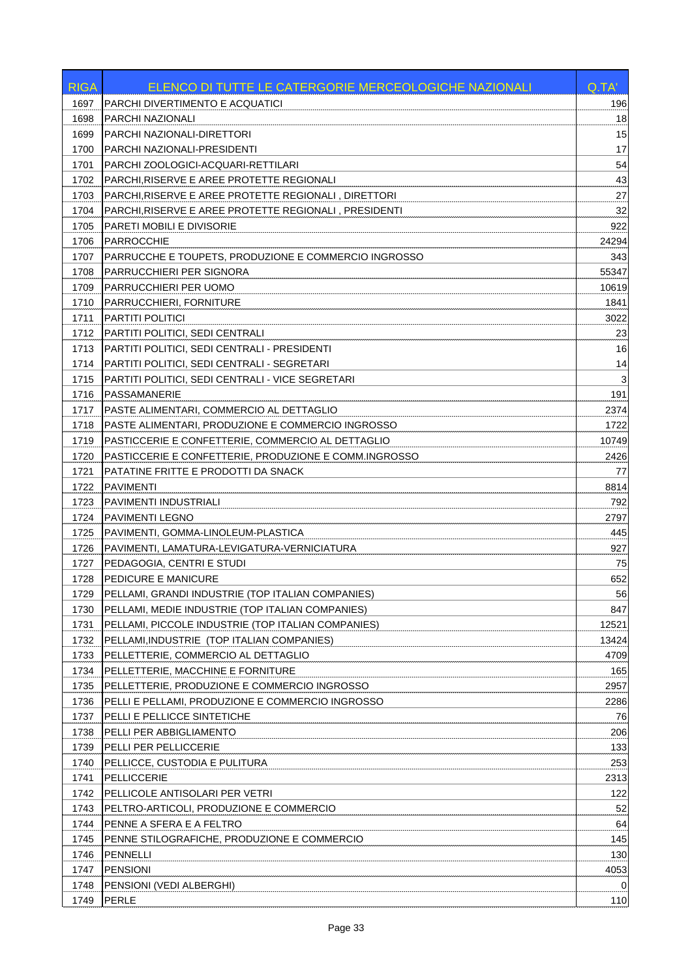| <b>RIGA</b> | ELENCO DI TUTTE LE CATERGORIE MERCEOLOGICHE NAZIONALI | Q.TA'                     |
|-------------|-------------------------------------------------------|---------------------------|
| 1697        | PARCHI DIVERTIMENTO E ACQUATICI                       | 196                       |
| 1698        | <b>PARCHI NAZIONALI</b>                               | 18                        |
| 1699        | PARCHI NAZIONALI-DIRETTORI                            | 15                        |
| 1700        | PARCHI NAZIONALI-PRESIDENTI                           | 17                        |
| 1701        | PARCHI ZOOLOGICI-ACQUARI-RETTILARI                    | 54                        |
| 1702        | PARCHI, RISERVE E AREE PROTETTE REGIONALI             | 43                        |
| 1703        | PARCHI,RISERVE E AREE PROTETTE REGIONALI, DIRETTORI   | 27                        |
| 1704        | PARCHI, RISERVE E AREE PROTETTE REGIONALI, PRESIDENTI | 32                        |
| 1705        | PARETI MOBILI E DIVISORIE                             | 922                       |
| 1706        | PARROCCHIE                                            | 24294                     |
| 1707        | PARRUCCHE E TOUPETS, PRODUZIONE E COMMERCIO INGROSSO  | 343                       |
| 1708        | <b>PARRUCCHIERI PER SIGNORA</b>                       | 55347                     |
| 1709        | PARRUCCHIERI PER UOMO                                 | 10619                     |
| 1710        | PARRUCCHIERI, FORNITURE                               | 1841                      |
| 1711        | PARTITI POLITICI                                      | 3022                      |
| 1712        | PARTITI POLITICI, SEDI CENTRALI                       | 23                        |
| 1713        | PARTITI POLITICI, SEDI CENTRALI - PRESIDENTI          | 16                        |
| 1714        | PARTITI POLITICI, SEDI CENTRALI - SEGRETARI           | 14                        |
| 1715        | PARTITI POLITICI, SEDI CENTRALI - VICE SEGRETARI      | $\ensuremath{\mathsf{3}}$ |
| 1716        | PASSAMANERIE                                          | 191                       |
| 1717        | PASTE ALIMENTARI, COMMERCIO AL DETTAGLIO              | 2374                      |
| 1718        | PASTE ALIMENTARI, PRODUZIONE E COMMERCIO INGROSSO     | 1722                      |
| 1719        | PASTICCERIE E CONFETTERIE, COMMERCIO AL DETTAGLIO     | 10749                     |
| 1720        | PASTICCERIE E CONFETTERIE, PRODUZIONE E COMM.INGROSSO | 2426                      |
| 1721        | PATATINE FRITTE E PRODOTTI DA SNACK                   | 77                        |
| 1722        | <b>PAVIMENTI</b>                                      | 8814                      |
| 1723        | <b>PAVIMENTI INDUSTRIALI</b>                          | 792                       |
| 1724        | PAVIMENTI LEGNO                                       | 2797                      |
| 1725        | PAVIMENTI, GOMMA-LINOLEUM-PLASTICA                    | 445                       |
| 1726        | PAVIMENTI, LAMATURA-LEVIGATURA-VERNICIATURA           | 927                       |
| 1727        | PEDAGOGIA, CENTRI E STUDI                             | 75                        |
| 1728        | <b>PEDICURE E MANICURE</b>                            | 652                       |
| 1729        | PELLAMI, GRANDI INDUSTRIE (TOP ITALIAN COMPANIES)     | 56                        |
| 1730        | PELLAMI, MEDIE INDUSTRIE (TOP ITALIAN COMPANIES)      | 847                       |
| 1731        | PELLAMI, PICCOLE INDUSTRIE (TOP ITALIAN COMPANIES)    | 12521                     |
| 1732        | PELLAMI, INDUSTRIE (TOP ITALIAN COMPANIES)            | 13424                     |
| 1733        | PELLETTERIE, COMMERCIO AL DETTAGLIO                   | 4709                      |
| 1734        | PELLETTERIE, MACCHINE E FORNITURE                     | 165                       |
| 1735        | PELLETTERIE, PRODUZIONE E COMMERCIO INGROSSO          | 2957                      |
| 1736        | PELLI E PELLAMI, PRODUZIONE E COMMERCIO INGROSSO      | 2286                      |
| 1737        | PELLI E PELLICCE SINTETICHE                           | 76                        |
| 1738        | PELLI PER ABBIGLIAMENTO                               | 206                       |
| 1739        | PELLI PER PELLICCERIE                                 | 133                       |
| 1740        | PELLICCE, CUSTODIA E PULITURA                         | 253                       |
| 1741        | PELLICCERIE                                           | 2313                      |
| 1742        | PELLICOLE ANTISOLARI PER VETRI                        | 122                       |
| 1743        | PELTRO-ARTICOLI, PRODUZIONE E COMMERCIO               | 52                        |
| 1744        | PENNE A SFERA E A FELTRO                              | 64                        |
| 1745        | PENNE STILOGRAFICHE, PRODUZIONE E COMMERCIO           | 145                       |
| 1746        | PENNELLI                                              | 130                       |
| 1747        | <b>PENSIONI</b>                                       | 4053                      |
| 1748        | PENSIONI (VEDI ALBERGHI)                              | 0                         |
| 1749        | PERLE                                                 | 110                       |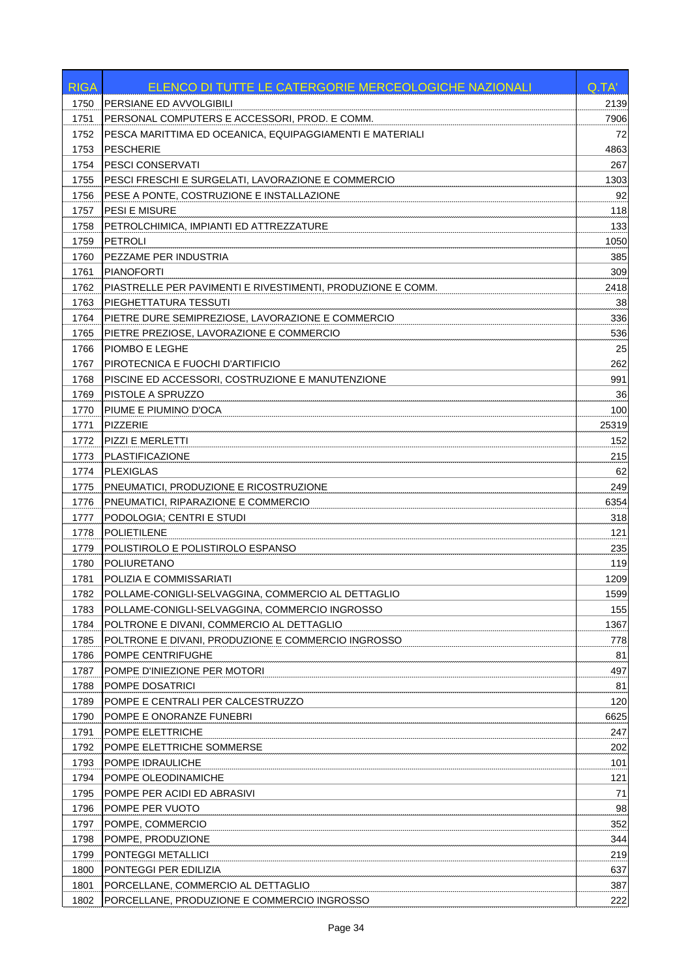| 1750<br>PERSIANE ED AVVOLGIBILI<br>2139<br>PERSONAL COMPUTERS E ACCESSORI, PROD. E COMM.<br>1751<br>7906<br>PESCA MARITTIMA ED OCEANICA, EQUIPAGGIAMENTI E MATERIALI<br>72<br>1752<br>1753<br><b>PESCHERIE</b><br>4863<br><b>PESCI CONSERVATI</b><br>267<br>1754<br>1755<br>PESCI FRESCHI E SURGELATI, LAVORAZIONE E COMMERCIO<br>1303<br>1756<br>PESE A PONTE, COSTRUZIONE E INSTALLAZIONE<br>92<br>PESI E MISURE<br>118<br>1757<br>PETROLCHIMICA, IMPIANTI ED ATTREZZATURE<br>133<br>1758<br>PETROLI<br>1050<br>1759<br>385<br>1760<br>PEZZAME PER INDUSTRIA<br>309<br>1761<br><b>PIANOFORTI</b><br>2418<br>1762<br>PIASTRELLE PER PAVIMENTI E RIVESTIMENTI, PRODUZIONE E COMM.<br>PIEGHETTATURA TESSUTI<br>38<br>1763<br>PIETRE DURE SEMIPREZIOSE, LAVORAZIONE E COMMERCIO<br>336<br>1764<br>PIETRE PREZIOSE, LAVORAZIONE E COMMERCIO<br>536<br>1765<br>1766<br>PIOMBO E LEGHE<br>25<br>262<br>1767<br>PIROTECNICA E FUOCHI D'ARTIFICIO<br>991<br>PISCINE ED ACCESSORI, COSTRUZIONE E MANUTENZIONE<br>1768<br>36<br>PISTOLE A SPRUZZO<br>1769<br>PIUME E PIUMINO D'OCA<br>100<br>1770<br><b>PIZZERIE</b><br>25319<br>1771<br>1772<br>PIZZI E MERLETTI<br>152<br>PLASTIFICAZIONE<br>215<br>1773<br>62<br><b>PLEXIGLAS</b><br>1774<br>249<br>1775<br>PNEUMATICI, PRODUZIONE E RICOSTRUZIONE<br>6354<br>1776<br>PNEUMATICI, RIPARAZIONE E COMMERCIO<br>1777<br>PODOLOGIA; CENTRI E STUDI<br>318<br><b>POLIETILENE</b><br>121<br>1778<br>235<br>1779<br>POLISTIROLO E POLISTIROLO ESPANSO<br>119<br>1780<br><b>POLIURETANO</b><br>1781<br>POLIZIA E COMMISSARIATI<br>1209<br>1599<br>1782<br>POLLAME-CONIGLI-SELVAGGINA, COMMERCIO AL DETTAGLIO<br>1783<br>POLLAME-CONIGLI-SELVAGGINA, COMMERCIO INGROSSO<br>155<br>1367<br>1784<br>POLTRONE E DIVANI, COMMERCIO AL DETTAGLIO<br>1785<br>POLTRONE E DIVANI, PRODUZIONE E COMMERCIO INGROSSO<br>778<br>1786<br>POMPE CENTRIFUGHE<br>81<br>497<br>1787<br>POMPE D'INIEZIONE PER MOTORI<br>1788<br>81<br>POMPE DOSATRICI<br>120<br>1789<br>POMPE E CENTRALI PER CALCESTRUZZO<br>1790<br>POMPE E ONORANZE FUNEBRI<br>6625<br>1791<br>247<br>POMPE ELETTRICHE<br>1792<br>POMPE ELETTRICHE SOMMERSE<br>202<br>101<br>1793<br>POMPE IDRAULICHE<br>121<br>1794<br>POMPE OLEODINAMICHE<br>71<br>1795<br>POMPE PER ACIDI ED ABRASIVI<br>1796<br>POMPE PER VUOTO<br>98<br>352<br>1797<br>POMPE, COMMERCIO<br>1798<br>POMPE, PRODUZIONE<br>344<br>219<br>1799<br>PONTEGGI METALLICI<br>1800<br>PONTEGGI PER EDILIZIA<br>637<br>1801<br>PORCELLANE, COMMERCIO AL DETTAGLIO<br>387<br>1802<br>PORCELLANE, PRODUZIONE E COMMERCIO INGROSSO | <b>RIGA</b> | ELENCO DI TUTTE LE CATERGORIE MERCEOLOGICHE NAZIONALI | Q.TA' |
|----------------------------------------------------------------------------------------------------------------------------------------------------------------------------------------------------------------------------------------------------------------------------------------------------------------------------------------------------------------------------------------------------------------------------------------------------------------------------------------------------------------------------------------------------------------------------------------------------------------------------------------------------------------------------------------------------------------------------------------------------------------------------------------------------------------------------------------------------------------------------------------------------------------------------------------------------------------------------------------------------------------------------------------------------------------------------------------------------------------------------------------------------------------------------------------------------------------------------------------------------------------------------------------------------------------------------------------------------------------------------------------------------------------------------------------------------------------------------------------------------------------------------------------------------------------------------------------------------------------------------------------------------------------------------------------------------------------------------------------------------------------------------------------------------------------------------------------------------------------------------------------------------------------------------------------------------------------------------------------------------------------------------------------------------------------------------------------------------------------------------------------------------------------------------------------------------------------------------------------------------------------------------------------------------------------------------------------------------------------------------------------------------------------------------------------------------------------------------------------------------------------------------------------------------------------------------|-------------|-------------------------------------------------------|-------|
|                                                                                                                                                                                                                                                                                                                                                                                                                                                                                                                                                                                                                                                                                                                                                                                                                                                                                                                                                                                                                                                                                                                                                                                                                                                                                                                                                                                                                                                                                                                                                                                                                                                                                                                                                                                                                                                                                                                                                                                                                                                                                                                                                                                                                                                                                                                                                                                                                                                                                                                                                                            |             |                                                       |       |
|                                                                                                                                                                                                                                                                                                                                                                                                                                                                                                                                                                                                                                                                                                                                                                                                                                                                                                                                                                                                                                                                                                                                                                                                                                                                                                                                                                                                                                                                                                                                                                                                                                                                                                                                                                                                                                                                                                                                                                                                                                                                                                                                                                                                                                                                                                                                                                                                                                                                                                                                                                            |             |                                                       |       |
|                                                                                                                                                                                                                                                                                                                                                                                                                                                                                                                                                                                                                                                                                                                                                                                                                                                                                                                                                                                                                                                                                                                                                                                                                                                                                                                                                                                                                                                                                                                                                                                                                                                                                                                                                                                                                                                                                                                                                                                                                                                                                                                                                                                                                                                                                                                                                                                                                                                                                                                                                                            |             |                                                       |       |
|                                                                                                                                                                                                                                                                                                                                                                                                                                                                                                                                                                                                                                                                                                                                                                                                                                                                                                                                                                                                                                                                                                                                                                                                                                                                                                                                                                                                                                                                                                                                                                                                                                                                                                                                                                                                                                                                                                                                                                                                                                                                                                                                                                                                                                                                                                                                                                                                                                                                                                                                                                            |             |                                                       |       |
|                                                                                                                                                                                                                                                                                                                                                                                                                                                                                                                                                                                                                                                                                                                                                                                                                                                                                                                                                                                                                                                                                                                                                                                                                                                                                                                                                                                                                                                                                                                                                                                                                                                                                                                                                                                                                                                                                                                                                                                                                                                                                                                                                                                                                                                                                                                                                                                                                                                                                                                                                                            |             |                                                       |       |
|                                                                                                                                                                                                                                                                                                                                                                                                                                                                                                                                                                                                                                                                                                                                                                                                                                                                                                                                                                                                                                                                                                                                                                                                                                                                                                                                                                                                                                                                                                                                                                                                                                                                                                                                                                                                                                                                                                                                                                                                                                                                                                                                                                                                                                                                                                                                                                                                                                                                                                                                                                            |             |                                                       |       |
|                                                                                                                                                                                                                                                                                                                                                                                                                                                                                                                                                                                                                                                                                                                                                                                                                                                                                                                                                                                                                                                                                                                                                                                                                                                                                                                                                                                                                                                                                                                                                                                                                                                                                                                                                                                                                                                                                                                                                                                                                                                                                                                                                                                                                                                                                                                                                                                                                                                                                                                                                                            |             |                                                       |       |
|                                                                                                                                                                                                                                                                                                                                                                                                                                                                                                                                                                                                                                                                                                                                                                                                                                                                                                                                                                                                                                                                                                                                                                                                                                                                                                                                                                                                                                                                                                                                                                                                                                                                                                                                                                                                                                                                                                                                                                                                                                                                                                                                                                                                                                                                                                                                                                                                                                                                                                                                                                            |             |                                                       |       |
|                                                                                                                                                                                                                                                                                                                                                                                                                                                                                                                                                                                                                                                                                                                                                                                                                                                                                                                                                                                                                                                                                                                                                                                                                                                                                                                                                                                                                                                                                                                                                                                                                                                                                                                                                                                                                                                                                                                                                                                                                                                                                                                                                                                                                                                                                                                                                                                                                                                                                                                                                                            |             |                                                       |       |
|                                                                                                                                                                                                                                                                                                                                                                                                                                                                                                                                                                                                                                                                                                                                                                                                                                                                                                                                                                                                                                                                                                                                                                                                                                                                                                                                                                                                                                                                                                                                                                                                                                                                                                                                                                                                                                                                                                                                                                                                                                                                                                                                                                                                                                                                                                                                                                                                                                                                                                                                                                            |             |                                                       |       |
|                                                                                                                                                                                                                                                                                                                                                                                                                                                                                                                                                                                                                                                                                                                                                                                                                                                                                                                                                                                                                                                                                                                                                                                                                                                                                                                                                                                                                                                                                                                                                                                                                                                                                                                                                                                                                                                                                                                                                                                                                                                                                                                                                                                                                                                                                                                                                                                                                                                                                                                                                                            |             |                                                       |       |
|                                                                                                                                                                                                                                                                                                                                                                                                                                                                                                                                                                                                                                                                                                                                                                                                                                                                                                                                                                                                                                                                                                                                                                                                                                                                                                                                                                                                                                                                                                                                                                                                                                                                                                                                                                                                                                                                                                                                                                                                                                                                                                                                                                                                                                                                                                                                                                                                                                                                                                                                                                            |             |                                                       |       |
|                                                                                                                                                                                                                                                                                                                                                                                                                                                                                                                                                                                                                                                                                                                                                                                                                                                                                                                                                                                                                                                                                                                                                                                                                                                                                                                                                                                                                                                                                                                                                                                                                                                                                                                                                                                                                                                                                                                                                                                                                                                                                                                                                                                                                                                                                                                                                                                                                                                                                                                                                                            |             |                                                       |       |
|                                                                                                                                                                                                                                                                                                                                                                                                                                                                                                                                                                                                                                                                                                                                                                                                                                                                                                                                                                                                                                                                                                                                                                                                                                                                                                                                                                                                                                                                                                                                                                                                                                                                                                                                                                                                                                                                                                                                                                                                                                                                                                                                                                                                                                                                                                                                                                                                                                                                                                                                                                            |             |                                                       |       |
|                                                                                                                                                                                                                                                                                                                                                                                                                                                                                                                                                                                                                                                                                                                                                                                                                                                                                                                                                                                                                                                                                                                                                                                                                                                                                                                                                                                                                                                                                                                                                                                                                                                                                                                                                                                                                                                                                                                                                                                                                                                                                                                                                                                                                                                                                                                                                                                                                                                                                                                                                                            |             |                                                       |       |
|                                                                                                                                                                                                                                                                                                                                                                                                                                                                                                                                                                                                                                                                                                                                                                                                                                                                                                                                                                                                                                                                                                                                                                                                                                                                                                                                                                                                                                                                                                                                                                                                                                                                                                                                                                                                                                                                                                                                                                                                                                                                                                                                                                                                                                                                                                                                                                                                                                                                                                                                                                            |             |                                                       |       |
|                                                                                                                                                                                                                                                                                                                                                                                                                                                                                                                                                                                                                                                                                                                                                                                                                                                                                                                                                                                                                                                                                                                                                                                                                                                                                                                                                                                                                                                                                                                                                                                                                                                                                                                                                                                                                                                                                                                                                                                                                                                                                                                                                                                                                                                                                                                                                                                                                                                                                                                                                                            |             |                                                       |       |
|                                                                                                                                                                                                                                                                                                                                                                                                                                                                                                                                                                                                                                                                                                                                                                                                                                                                                                                                                                                                                                                                                                                                                                                                                                                                                                                                                                                                                                                                                                                                                                                                                                                                                                                                                                                                                                                                                                                                                                                                                                                                                                                                                                                                                                                                                                                                                                                                                                                                                                                                                                            |             |                                                       |       |
|                                                                                                                                                                                                                                                                                                                                                                                                                                                                                                                                                                                                                                                                                                                                                                                                                                                                                                                                                                                                                                                                                                                                                                                                                                                                                                                                                                                                                                                                                                                                                                                                                                                                                                                                                                                                                                                                                                                                                                                                                                                                                                                                                                                                                                                                                                                                                                                                                                                                                                                                                                            |             |                                                       |       |
|                                                                                                                                                                                                                                                                                                                                                                                                                                                                                                                                                                                                                                                                                                                                                                                                                                                                                                                                                                                                                                                                                                                                                                                                                                                                                                                                                                                                                                                                                                                                                                                                                                                                                                                                                                                                                                                                                                                                                                                                                                                                                                                                                                                                                                                                                                                                                                                                                                                                                                                                                                            |             |                                                       |       |
|                                                                                                                                                                                                                                                                                                                                                                                                                                                                                                                                                                                                                                                                                                                                                                                                                                                                                                                                                                                                                                                                                                                                                                                                                                                                                                                                                                                                                                                                                                                                                                                                                                                                                                                                                                                                                                                                                                                                                                                                                                                                                                                                                                                                                                                                                                                                                                                                                                                                                                                                                                            |             |                                                       |       |
|                                                                                                                                                                                                                                                                                                                                                                                                                                                                                                                                                                                                                                                                                                                                                                                                                                                                                                                                                                                                                                                                                                                                                                                                                                                                                                                                                                                                                                                                                                                                                                                                                                                                                                                                                                                                                                                                                                                                                                                                                                                                                                                                                                                                                                                                                                                                                                                                                                                                                                                                                                            |             |                                                       |       |
|                                                                                                                                                                                                                                                                                                                                                                                                                                                                                                                                                                                                                                                                                                                                                                                                                                                                                                                                                                                                                                                                                                                                                                                                                                                                                                                                                                                                                                                                                                                                                                                                                                                                                                                                                                                                                                                                                                                                                                                                                                                                                                                                                                                                                                                                                                                                                                                                                                                                                                                                                                            |             |                                                       |       |
|                                                                                                                                                                                                                                                                                                                                                                                                                                                                                                                                                                                                                                                                                                                                                                                                                                                                                                                                                                                                                                                                                                                                                                                                                                                                                                                                                                                                                                                                                                                                                                                                                                                                                                                                                                                                                                                                                                                                                                                                                                                                                                                                                                                                                                                                                                                                                                                                                                                                                                                                                                            |             |                                                       |       |
|                                                                                                                                                                                                                                                                                                                                                                                                                                                                                                                                                                                                                                                                                                                                                                                                                                                                                                                                                                                                                                                                                                                                                                                                                                                                                                                                                                                                                                                                                                                                                                                                                                                                                                                                                                                                                                                                                                                                                                                                                                                                                                                                                                                                                                                                                                                                                                                                                                                                                                                                                                            |             |                                                       |       |
|                                                                                                                                                                                                                                                                                                                                                                                                                                                                                                                                                                                                                                                                                                                                                                                                                                                                                                                                                                                                                                                                                                                                                                                                                                                                                                                                                                                                                                                                                                                                                                                                                                                                                                                                                                                                                                                                                                                                                                                                                                                                                                                                                                                                                                                                                                                                                                                                                                                                                                                                                                            |             |                                                       |       |
|                                                                                                                                                                                                                                                                                                                                                                                                                                                                                                                                                                                                                                                                                                                                                                                                                                                                                                                                                                                                                                                                                                                                                                                                                                                                                                                                                                                                                                                                                                                                                                                                                                                                                                                                                                                                                                                                                                                                                                                                                                                                                                                                                                                                                                                                                                                                                                                                                                                                                                                                                                            |             |                                                       |       |
|                                                                                                                                                                                                                                                                                                                                                                                                                                                                                                                                                                                                                                                                                                                                                                                                                                                                                                                                                                                                                                                                                                                                                                                                                                                                                                                                                                                                                                                                                                                                                                                                                                                                                                                                                                                                                                                                                                                                                                                                                                                                                                                                                                                                                                                                                                                                                                                                                                                                                                                                                                            |             |                                                       |       |
|                                                                                                                                                                                                                                                                                                                                                                                                                                                                                                                                                                                                                                                                                                                                                                                                                                                                                                                                                                                                                                                                                                                                                                                                                                                                                                                                                                                                                                                                                                                                                                                                                                                                                                                                                                                                                                                                                                                                                                                                                                                                                                                                                                                                                                                                                                                                                                                                                                                                                                                                                                            |             |                                                       |       |
|                                                                                                                                                                                                                                                                                                                                                                                                                                                                                                                                                                                                                                                                                                                                                                                                                                                                                                                                                                                                                                                                                                                                                                                                                                                                                                                                                                                                                                                                                                                                                                                                                                                                                                                                                                                                                                                                                                                                                                                                                                                                                                                                                                                                                                                                                                                                                                                                                                                                                                                                                                            |             |                                                       |       |
|                                                                                                                                                                                                                                                                                                                                                                                                                                                                                                                                                                                                                                                                                                                                                                                                                                                                                                                                                                                                                                                                                                                                                                                                                                                                                                                                                                                                                                                                                                                                                                                                                                                                                                                                                                                                                                                                                                                                                                                                                                                                                                                                                                                                                                                                                                                                                                                                                                                                                                                                                                            |             |                                                       |       |
|                                                                                                                                                                                                                                                                                                                                                                                                                                                                                                                                                                                                                                                                                                                                                                                                                                                                                                                                                                                                                                                                                                                                                                                                                                                                                                                                                                                                                                                                                                                                                                                                                                                                                                                                                                                                                                                                                                                                                                                                                                                                                                                                                                                                                                                                                                                                                                                                                                                                                                                                                                            |             |                                                       |       |
|                                                                                                                                                                                                                                                                                                                                                                                                                                                                                                                                                                                                                                                                                                                                                                                                                                                                                                                                                                                                                                                                                                                                                                                                                                                                                                                                                                                                                                                                                                                                                                                                                                                                                                                                                                                                                                                                                                                                                                                                                                                                                                                                                                                                                                                                                                                                                                                                                                                                                                                                                                            |             |                                                       |       |
|                                                                                                                                                                                                                                                                                                                                                                                                                                                                                                                                                                                                                                                                                                                                                                                                                                                                                                                                                                                                                                                                                                                                                                                                                                                                                                                                                                                                                                                                                                                                                                                                                                                                                                                                                                                                                                                                                                                                                                                                                                                                                                                                                                                                                                                                                                                                                                                                                                                                                                                                                                            |             |                                                       |       |
|                                                                                                                                                                                                                                                                                                                                                                                                                                                                                                                                                                                                                                                                                                                                                                                                                                                                                                                                                                                                                                                                                                                                                                                                                                                                                                                                                                                                                                                                                                                                                                                                                                                                                                                                                                                                                                                                                                                                                                                                                                                                                                                                                                                                                                                                                                                                                                                                                                                                                                                                                                            |             |                                                       |       |
|                                                                                                                                                                                                                                                                                                                                                                                                                                                                                                                                                                                                                                                                                                                                                                                                                                                                                                                                                                                                                                                                                                                                                                                                                                                                                                                                                                                                                                                                                                                                                                                                                                                                                                                                                                                                                                                                                                                                                                                                                                                                                                                                                                                                                                                                                                                                                                                                                                                                                                                                                                            |             |                                                       |       |
|                                                                                                                                                                                                                                                                                                                                                                                                                                                                                                                                                                                                                                                                                                                                                                                                                                                                                                                                                                                                                                                                                                                                                                                                                                                                                                                                                                                                                                                                                                                                                                                                                                                                                                                                                                                                                                                                                                                                                                                                                                                                                                                                                                                                                                                                                                                                                                                                                                                                                                                                                                            |             |                                                       |       |
|                                                                                                                                                                                                                                                                                                                                                                                                                                                                                                                                                                                                                                                                                                                                                                                                                                                                                                                                                                                                                                                                                                                                                                                                                                                                                                                                                                                                                                                                                                                                                                                                                                                                                                                                                                                                                                                                                                                                                                                                                                                                                                                                                                                                                                                                                                                                                                                                                                                                                                                                                                            |             |                                                       |       |
|                                                                                                                                                                                                                                                                                                                                                                                                                                                                                                                                                                                                                                                                                                                                                                                                                                                                                                                                                                                                                                                                                                                                                                                                                                                                                                                                                                                                                                                                                                                                                                                                                                                                                                                                                                                                                                                                                                                                                                                                                                                                                                                                                                                                                                                                                                                                                                                                                                                                                                                                                                            |             |                                                       |       |
|                                                                                                                                                                                                                                                                                                                                                                                                                                                                                                                                                                                                                                                                                                                                                                                                                                                                                                                                                                                                                                                                                                                                                                                                                                                                                                                                                                                                                                                                                                                                                                                                                                                                                                                                                                                                                                                                                                                                                                                                                                                                                                                                                                                                                                                                                                                                                                                                                                                                                                                                                                            |             |                                                       |       |
|                                                                                                                                                                                                                                                                                                                                                                                                                                                                                                                                                                                                                                                                                                                                                                                                                                                                                                                                                                                                                                                                                                                                                                                                                                                                                                                                                                                                                                                                                                                                                                                                                                                                                                                                                                                                                                                                                                                                                                                                                                                                                                                                                                                                                                                                                                                                                                                                                                                                                                                                                                            |             |                                                       |       |
|                                                                                                                                                                                                                                                                                                                                                                                                                                                                                                                                                                                                                                                                                                                                                                                                                                                                                                                                                                                                                                                                                                                                                                                                                                                                                                                                                                                                                                                                                                                                                                                                                                                                                                                                                                                                                                                                                                                                                                                                                                                                                                                                                                                                                                                                                                                                                                                                                                                                                                                                                                            |             |                                                       |       |
|                                                                                                                                                                                                                                                                                                                                                                                                                                                                                                                                                                                                                                                                                                                                                                                                                                                                                                                                                                                                                                                                                                                                                                                                                                                                                                                                                                                                                                                                                                                                                                                                                                                                                                                                                                                                                                                                                                                                                                                                                                                                                                                                                                                                                                                                                                                                                                                                                                                                                                                                                                            |             |                                                       |       |
|                                                                                                                                                                                                                                                                                                                                                                                                                                                                                                                                                                                                                                                                                                                                                                                                                                                                                                                                                                                                                                                                                                                                                                                                                                                                                                                                                                                                                                                                                                                                                                                                                                                                                                                                                                                                                                                                                                                                                                                                                                                                                                                                                                                                                                                                                                                                                                                                                                                                                                                                                                            |             |                                                       |       |
|                                                                                                                                                                                                                                                                                                                                                                                                                                                                                                                                                                                                                                                                                                                                                                                                                                                                                                                                                                                                                                                                                                                                                                                                                                                                                                                                                                                                                                                                                                                                                                                                                                                                                                                                                                                                                                                                                                                                                                                                                                                                                                                                                                                                                                                                                                                                                                                                                                                                                                                                                                            |             |                                                       |       |
|                                                                                                                                                                                                                                                                                                                                                                                                                                                                                                                                                                                                                                                                                                                                                                                                                                                                                                                                                                                                                                                                                                                                                                                                                                                                                                                                                                                                                                                                                                                                                                                                                                                                                                                                                                                                                                                                                                                                                                                                                                                                                                                                                                                                                                                                                                                                                                                                                                                                                                                                                                            |             |                                                       |       |
|                                                                                                                                                                                                                                                                                                                                                                                                                                                                                                                                                                                                                                                                                                                                                                                                                                                                                                                                                                                                                                                                                                                                                                                                                                                                                                                                                                                                                                                                                                                                                                                                                                                                                                                                                                                                                                                                                                                                                                                                                                                                                                                                                                                                                                                                                                                                                                                                                                                                                                                                                                            |             |                                                       |       |
|                                                                                                                                                                                                                                                                                                                                                                                                                                                                                                                                                                                                                                                                                                                                                                                                                                                                                                                                                                                                                                                                                                                                                                                                                                                                                                                                                                                                                                                                                                                                                                                                                                                                                                                                                                                                                                                                                                                                                                                                                                                                                                                                                                                                                                                                                                                                                                                                                                                                                                                                                                            |             |                                                       |       |
|                                                                                                                                                                                                                                                                                                                                                                                                                                                                                                                                                                                                                                                                                                                                                                                                                                                                                                                                                                                                                                                                                                                                                                                                                                                                                                                                                                                                                                                                                                                                                                                                                                                                                                                                                                                                                                                                                                                                                                                                                                                                                                                                                                                                                                                                                                                                                                                                                                                                                                                                                                            |             |                                                       |       |
|                                                                                                                                                                                                                                                                                                                                                                                                                                                                                                                                                                                                                                                                                                                                                                                                                                                                                                                                                                                                                                                                                                                                                                                                                                                                                                                                                                                                                                                                                                                                                                                                                                                                                                                                                                                                                                                                                                                                                                                                                                                                                                                                                                                                                                                                                                                                                                                                                                                                                                                                                                            |             |                                                       |       |
|                                                                                                                                                                                                                                                                                                                                                                                                                                                                                                                                                                                                                                                                                                                                                                                                                                                                                                                                                                                                                                                                                                                                                                                                                                                                                                                                                                                                                                                                                                                                                                                                                                                                                                                                                                                                                                                                                                                                                                                                                                                                                                                                                                                                                                                                                                                                                                                                                                                                                                                                                                            |             |                                                       |       |
|                                                                                                                                                                                                                                                                                                                                                                                                                                                                                                                                                                                                                                                                                                                                                                                                                                                                                                                                                                                                                                                                                                                                                                                                                                                                                                                                                                                                                                                                                                                                                                                                                                                                                                                                                                                                                                                                                                                                                                                                                                                                                                                                                                                                                                                                                                                                                                                                                                                                                                                                                                            |             |                                                       |       |
|                                                                                                                                                                                                                                                                                                                                                                                                                                                                                                                                                                                                                                                                                                                                                                                                                                                                                                                                                                                                                                                                                                                                                                                                                                                                                                                                                                                                                                                                                                                                                                                                                                                                                                                                                                                                                                                                                                                                                                                                                                                                                                                                                                                                                                                                                                                                                                                                                                                                                                                                                                            |             |                                                       | 222   |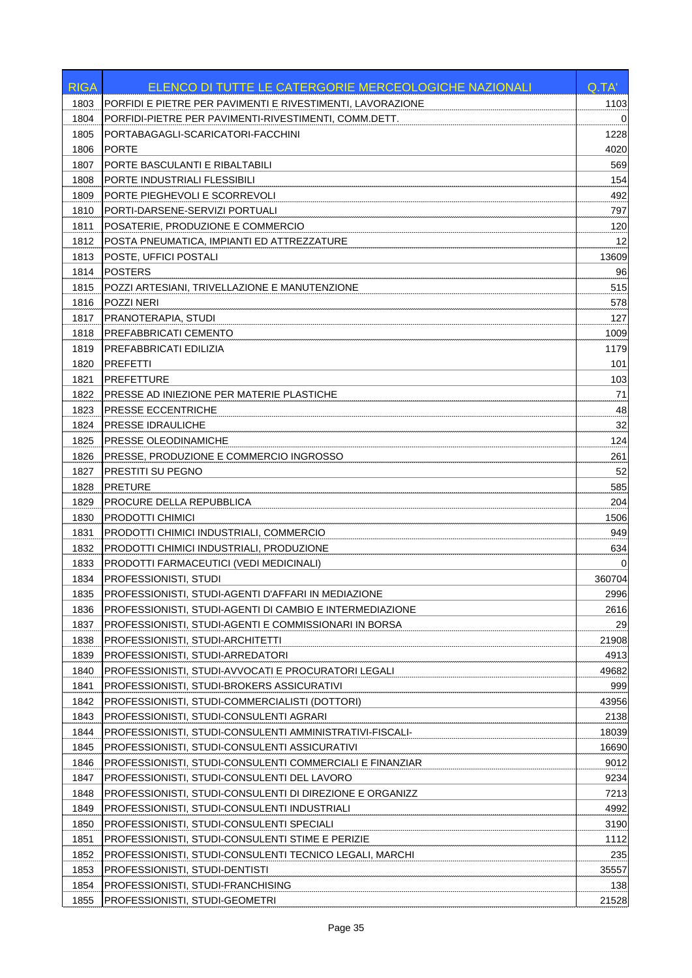| PORFIDI E PIETRE PER PAVIMENTI E RIVESTIMENTI, LAVORAZIONE<br>1803<br>1103<br>PORFIDI-PIETRE PER PAVIMENTI-RIVESTIMENTI, COMM.DETT.<br>1804<br>0<br>PORTABAGAGLI-SCARICATORI-FACCHINI<br>1228<br>1805<br><b>PORTE</b><br>1806<br>4020<br>PORTE BASCULANTI E RIBALTABILI<br>569<br>1807<br>154<br>1808<br>PORTE INDUSTRIALI FLESSIBILI<br>1809<br>PORTE PIEGHEVOLI E SCORREVOLI<br>492<br>1810<br>PORTI-DARSENE-SERVIZI PORTUALI<br>797<br>POSATERIE, PRODUZIONE E COMMERCIO<br>1811<br>120<br>12<br>1812<br>POSTA PNEUMATICA, IMPIANTI ED ATTREZZATURE<br>POSTE, UFFICI POSTALI<br>13609<br>1813<br><b>POSTERS</b><br>1814<br>96<br>POZZI ARTESIANI, TRIVELLAZIONE E MANUTENZIONE<br>515<br>1815<br>POZZI NERI<br>1816<br>578<br>PRANOTERAPIA, STUDI<br>127<br>1817<br>1009<br>1818<br>PREFABBRICATI CEMENTO<br>1819<br>PREFABBRICATI EDILIZIA<br>1179<br>101<br>1820<br><b>PREFETTI</b><br><b>PREFETTURE</b><br>1821<br>103<br>71<br>1822<br><b>PRESSE AD INIEZIONE PER MATERIE PLASTICHE</b><br>48<br>1823<br>PRESSE ECCENTRICHE<br>32<br>PRESSE IDRAULICHE<br>1824<br>124<br>1825<br>PRESSE OLEODINAMICHE<br>PRESSE, PRODUZIONE E COMMERCIO INGROSSO<br>261<br>1826<br>52<br>1827<br>PRESTITI SU PEGNO<br>585<br>1828<br><b>PRETURE</b><br>204<br>1829<br>PROCURE DELLA REPUBBLICA<br>PRODOTTI CHIMICI<br>1830<br>1506<br>PRODOTTI CHIMICI INDUSTRIALI, COMMERCIO<br>949<br>1831<br>1832<br>PRODOTTI CHIMICI INDUSTRIALI, PRODUZIONE<br>634<br>1833<br>PRODOTTI FARMACEUTICI (VEDI MEDICINALI)<br>1834<br>PROFESSIONISTI, STUDI<br>360704<br>1835<br>PROFESSIONISTI, STUDI-AGENTI D'AFFARI IN MEDIAZIONE<br>2996<br>PROFESSIONISTI, STUDI-AGENTI DI CAMBIO E INTERMEDIAZIONE<br>2616<br>1836<br>29<br>1837<br>PROFESSIONISTI, STUDI-AGENTI E COMMISSIONARI IN BORSA<br>21908<br>1838<br>PROFESSIONISTI, STUDI-ARCHITETTI<br>1839<br>PROFESSIONISTI, STUDI-ARREDATORI<br>4913<br>1840<br>PROFESSIONISTI, STUDI-AVVOCATI E PROCURATORI LEGALI<br>49682<br>PROFESSIONISTI, STUDI-BROKERS ASSICURATIVI<br>1841<br>999<br>1842<br>PROFESSIONISTI, STUDI-COMMERCIALISTI (DOTTORI)<br>43956<br>1843<br>PROFESSIONISTI, STUDI-CONSULENTI AGRARI<br>2138<br>1844<br>18039<br>PROFESSIONISTI, STUDI-CONSULENTI AMMINISTRATIVI-FISCALI-<br>1845<br>PROFESSIONISTI, STUDI-CONSULENTI ASSICURATIVI<br>16690<br>1846<br>PROFESSIONISTI, STUDI-CONSULENTI COMMERCIALI E FINANZIAR<br>9012<br>1847<br>9234<br>PROFESSIONISTI, STUDI-CONSULENTI DEL LAVORO<br>1848<br>PROFESSIONISTI, STUDI-CONSULENTI DI DIREZIONE E ORGANIZZ<br>7213<br>1849<br>PROFESSIONISTI, STUDI-CONSULENTI INDUSTRIALI<br>4992<br>1850<br>PROFESSIONISTI, STUDI-CONSULENTI SPECIALI<br>3190<br>1851<br>PROFESSIONISTI, STUDI-CONSULENTI STIME E PERIZIE<br>1112<br>1852<br>235<br>PROFESSIONISTI, STUDI-CONSULENTI TECNICO LEGALI, MARCHI<br>1853<br>35557<br>PROFESSIONISTI, STUDI-DENTISTI<br>1854<br>PROFESSIONISTI, STUDI-FRANCHISING<br>138<br>1855<br>PROFESSIONISTI, STUDI-GEOMETRI<br>21528 | <b>RIGA</b> | ELENCO DI TUTTE LE CATERGORIE MERCEOLOGICHE NAZIONALI | Q.TA' |
|---------------------------------------------------------------------------------------------------------------------------------------------------------------------------------------------------------------------------------------------------------------------------------------------------------------------------------------------------------------------------------------------------------------------------------------------------------------------------------------------------------------------------------------------------------------------------------------------------------------------------------------------------------------------------------------------------------------------------------------------------------------------------------------------------------------------------------------------------------------------------------------------------------------------------------------------------------------------------------------------------------------------------------------------------------------------------------------------------------------------------------------------------------------------------------------------------------------------------------------------------------------------------------------------------------------------------------------------------------------------------------------------------------------------------------------------------------------------------------------------------------------------------------------------------------------------------------------------------------------------------------------------------------------------------------------------------------------------------------------------------------------------------------------------------------------------------------------------------------------------------------------------------------------------------------------------------------------------------------------------------------------------------------------------------------------------------------------------------------------------------------------------------------------------------------------------------------------------------------------------------------------------------------------------------------------------------------------------------------------------------------------------------------------------------------------------------------------------------------------------------------------------------------------------------------------------------------------------------------------------------------------------------------------------------------------------------------------------------------------------------------------------------------------------------------------------------------------------------------------------------------------------------------------------------------------------------------------|-------------|-------------------------------------------------------|-------|
|                                                                                                                                                                                                                                                                                                                                                                                                                                                                                                                                                                                                                                                                                                                                                                                                                                                                                                                                                                                                                                                                                                                                                                                                                                                                                                                                                                                                                                                                                                                                                                                                                                                                                                                                                                                                                                                                                                                                                                                                                                                                                                                                                                                                                                                                                                                                                                                                                                                                                                                                                                                                                                                                                                                                                                                                                                                                                                                                                               |             |                                                       |       |
|                                                                                                                                                                                                                                                                                                                                                                                                                                                                                                                                                                                                                                                                                                                                                                                                                                                                                                                                                                                                                                                                                                                                                                                                                                                                                                                                                                                                                                                                                                                                                                                                                                                                                                                                                                                                                                                                                                                                                                                                                                                                                                                                                                                                                                                                                                                                                                                                                                                                                                                                                                                                                                                                                                                                                                                                                                                                                                                                                               |             |                                                       |       |
|                                                                                                                                                                                                                                                                                                                                                                                                                                                                                                                                                                                                                                                                                                                                                                                                                                                                                                                                                                                                                                                                                                                                                                                                                                                                                                                                                                                                                                                                                                                                                                                                                                                                                                                                                                                                                                                                                                                                                                                                                                                                                                                                                                                                                                                                                                                                                                                                                                                                                                                                                                                                                                                                                                                                                                                                                                                                                                                                                               |             |                                                       |       |
|                                                                                                                                                                                                                                                                                                                                                                                                                                                                                                                                                                                                                                                                                                                                                                                                                                                                                                                                                                                                                                                                                                                                                                                                                                                                                                                                                                                                                                                                                                                                                                                                                                                                                                                                                                                                                                                                                                                                                                                                                                                                                                                                                                                                                                                                                                                                                                                                                                                                                                                                                                                                                                                                                                                                                                                                                                                                                                                                                               |             |                                                       |       |
|                                                                                                                                                                                                                                                                                                                                                                                                                                                                                                                                                                                                                                                                                                                                                                                                                                                                                                                                                                                                                                                                                                                                                                                                                                                                                                                                                                                                                                                                                                                                                                                                                                                                                                                                                                                                                                                                                                                                                                                                                                                                                                                                                                                                                                                                                                                                                                                                                                                                                                                                                                                                                                                                                                                                                                                                                                                                                                                                                               |             |                                                       |       |
|                                                                                                                                                                                                                                                                                                                                                                                                                                                                                                                                                                                                                                                                                                                                                                                                                                                                                                                                                                                                                                                                                                                                                                                                                                                                                                                                                                                                                                                                                                                                                                                                                                                                                                                                                                                                                                                                                                                                                                                                                                                                                                                                                                                                                                                                                                                                                                                                                                                                                                                                                                                                                                                                                                                                                                                                                                                                                                                                                               |             |                                                       |       |
|                                                                                                                                                                                                                                                                                                                                                                                                                                                                                                                                                                                                                                                                                                                                                                                                                                                                                                                                                                                                                                                                                                                                                                                                                                                                                                                                                                                                                                                                                                                                                                                                                                                                                                                                                                                                                                                                                                                                                                                                                                                                                                                                                                                                                                                                                                                                                                                                                                                                                                                                                                                                                                                                                                                                                                                                                                                                                                                                                               |             |                                                       |       |
|                                                                                                                                                                                                                                                                                                                                                                                                                                                                                                                                                                                                                                                                                                                                                                                                                                                                                                                                                                                                                                                                                                                                                                                                                                                                                                                                                                                                                                                                                                                                                                                                                                                                                                                                                                                                                                                                                                                                                                                                                                                                                                                                                                                                                                                                                                                                                                                                                                                                                                                                                                                                                                                                                                                                                                                                                                                                                                                                                               |             |                                                       |       |
|                                                                                                                                                                                                                                                                                                                                                                                                                                                                                                                                                                                                                                                                                                                                                                                                                                                                                                                                                                                                                                                                                                                                                                                                                                                                                                                                                                                                                                                                                                                                                                                                                                                                                                                                                                                                                                                                                                                                                                                                                                                                                                                                                                                                                                                                                                                                                                                                                                                                                                                                                                                                                                                                                                                                                                                                                                                                                                                                                               |             |                                                       |       |
|                                                                                                                                                                                                                                                                                                                                                                                                                                                                                                                                                                                                                                                                                                                                                                                                                                                                                                                                                                                                                                                                                                                                                                                                                                                                                                                                                                                                                                                                                                                                                                                                                                                                                                                                                                                                                                                                                                                                                                                                                                                                                                                                                                                                                                                                                                                                                                                                                                                                                                                                                                                                                                                                                                                                                                                                                                                                                                                                                               |             |                                                       |       |
|                                                                                                                                                                                                                                                                                                                                                                                                                                                                                                                                                                                                                                                                                                                                                                                                                                                                                                                                                                                                                                                                                                                                                                                                                                                                                                                                                                                                                                                                                                                                                                                                                                                                                                                                                                                                                                                                                                                                                                                                                                                                                                                                                                                                                                                                                                                                                                                                                                                                                                                                                                                                                                                                                                                                                                                                                                                                                                                                                               |             |                                                       |       |
|                                                                                                                                                                                                                                                                                                                                                                                                                                                                                                                                                                                                                                                                                                                                                                                                                                                                                                                                                                                                                                                                                                                                                                                                                                                                                                                                                                                                                                                                                                                                                                                                                                                                                                                                                                                                                                                                                                                                                                                                                                                                                                                                                                                                                                                                                                                                                                                                                                                                                                                                                                                                                                                                                                                                                                                                                                                                                                                                                               |             |                                                       |       |
|                                                                                                                                                                                                                                                                                                                                                                                                                                                                                                                                                                                                                                                                                                                                                                                                                                                                                                                                                                                                                                                                                                                                                                                                                                                                                                                                                                                                                                                                                                                                                                                                                                                                                                                                                                                                                                                                                                                                                                                                                                                                                                                                                                                                                                                                                                                                                                                                                                                                                                                                                                                                                                                                                                                                                                                                                                                                                                                                                               |             |                                                       |       |
|                                                                                                                                                                                                                                                                                                                                                                                                                                                                                                                                                                                                                                                                                                                                                                                                                                                                                                                                                                                                                                                                                                                                                                                                                                                                                                                                                                                                                                                                                                                                                                                                                                                                                                                                                                                                                                                                                                                                                                                                                                                                                                                                                                                                                                                                                                                                                                                                                                                                                                                                                                                                                                                                                                                                                                                                                                                                                                                                                               |             |                                                       |       |
|                                                                                                                                                                                                                                                                                                                                                                                                                                                                                                                                                                                                                                                                                                                                                                                                                                                                                                                                                                                                                                                                                                                                                                                                                                                                                                                                                                                                                                                                                                                                                                                                                                                                                                                                                                                                                                                                                                                                                                                                                                                                                                                                                                                                                                                                                                                                                                                                                                                                                                                                                                                                                                                                                                                                                                                                                                                                                                                                                               |             |                                                       |       |
|                                                                                                                                                                                                                                                                                                                                                                                                                                                                                                                                                                                                                                                                                                                                                                                                                                                                                                                                                                                                                                                                                                                                                                                                                                                                                                                                                                                                                                                                                                                                                                                                                                                                                                                                                                                                                                                                                                                                                                                                                                                                                                                                                                                                                                                                                                                                                                                                                                                                                                                                                                                                                                                                                                                                                                                                                                                                                                                                                               |             |                                                       |       |
|                                                                                                                                                                                                                                                                                                                                                                                                                                                                                                                                                                                                                                                                                                                                                                                                                                                                                                                                                                                                                                                                                                                                                                                                                                                                                                                                                                                                                                                                                                                                                                                                                                                                                                                                                                                                                                                                                                                                                                                                                                                                                                                                                                                                                                                                                                                                                                                                                                                                                                                                                                                                                                                                                                                                                                                                                                                                                                                                                               |             |                                                       |       |
|                                                                                                                                                                                                                                                                                                                                                                                                                                                                                                                                                                                                                                                                                                                                                                                                                                                                                                                                                                                                                                                                                                                                                                                                                                                                                                                                                                                                                                                                                                                                                                                                                                                                                                                                                                                                                                                                                                                                                                                                                                                                                                                                                                                                                                                                                                                                                                                                                                                                                                                                                                                                                                                                                                                                                                                                                                                                                                                                                               |             |                                                       |       |
|                                                                                                                                                                                                                                                                                                                                                                                                                                                                                                                                                                                                                                                                                                                                                                                                                                                                                                                                                                                                                                                                                                                                                                                                                                                                                                                                                                                                                                                                                                                                                                                                                                                                                                                                                                                                                                                                                                                                                                                                                                                                                                                                                                                                                                                                                                                                                                                                                                                                                                                                                                                                                                                                                                                                                                                                                                                                                                                                                               |             |                                                       |       |
|                                                                                                                                                                                                                                                                                                                                                                                                                                                                                                                                                                                                                                                                                                                                                                                                                                                                                                                                                                                                                                                                                                                                                                                                                                                                                                                                                                                                                                                                                                                                                                                                                                                                                                                                                                                                                                                                                                                                                                                                                                                                                                                                                                                                                                                                                                                                                                                                                                                                                                                                                                                                                                                                                                                                                                                                                                                                                                                                                               |             |                                                       |       |
|                                                                                                                                                                                                                                                                                                                                                                                                                                                                                                                                                                                                                                                                                                                                                                                                                                                                                                                                                                                                                                                                                                                                                                                                                                                                                                                                                                                                                                                                                                                                                                                                                                                                                                                                                                                                                                                                                                                                                                                                                                                                                                                                                                                                                                                                                                                                                                                                                                                                                                                                                                                                                                                                                                                                                                                                                                                                                                                                                               |             |                                                       |       |
|                                                                                                                                                                                                                                                                                                                                                                                                                                                                                                                                                                                                                                                                                                                                                                                                                                                                                                                                                                                                                                                                                                                                                                                                                                                                                                                                                                                                                                                                                                                                                                                                                                                                                                                                                                                                                                                                                                                                                                                                                                                                                                                                                                                                                                                                                                                                                                                                                                                                                                                                                                                                                                                                                                                                                                                                                                                                                                                                                               |             |                                                       |       |
|                                                                                                                                                                                                                                                                                                                                                                                                                                                                                                                                                                                                                                                                                                                                                                                                                                                                                                                                                                                                                                                                                                                                                                                                                                                                                                                                                                                                                                                                                                                                                                                                                                                                                                                                                                                                                                                                                                                                                                                                                                                                                                                                                                                                                                                                                                                                                                                                                                                                                                                                                                                                                                                                                                                                                                                                                                                                                                                                                               |             |                                                       |       |
|                                                                                                                                                                                                                                                                                                                                                                                                                                                                                                                                                                                                                                                                                                                                                                                                                                                                                                                                                                                                                                                                                                                                                                                                                                                                                                                                                                                                                                                                                                                                                                                                                                                                                                                                                                                                                                                                                                                                                                                                                                                                                                                                                                                                                                                                                                                                                                                                                                                                                                                                                                                                                                                                                                                                                                                                                                                                                                                                                               |             |                                                       |       |
|                                                                                                                                                                                                                                                                                                                                                                                                                                                                                                                                                                                                                                                                                                                                                                                                                                                                                                                                                                                                                                                                                                                                                                                                                                                                                                                                                                                                                                                                                                                                                                                                                                                                                                                                                                                                                                                                                                                                                                                                                                                                                                                                                                                                                                                                                                                                                                                                                                                                                                                                                                                                                                                                                                                                                                                                                                                                                                                                                               |             |                                                       |       |
|                                                                                                                                                                                                                                                                                                                                                                                                                                                                                                                                                                                                                                                                                                                                                                                                                                                                                                                                                                                                                                                                                                                                                                                                                                                                                                                                                                                                                                                                                                                                                                                                                                                                                                                                                                                                                                                                                                                                                                                                                                                                                                                                                                                                                                                                                                                                                                                                                                                                                                                                                                                                                                                                                                                                                                                                                                                                                                                                                               |             |                                                       |       |
|                                                                                                                                                                                                                                                                                                                                                                                                                                                                                                                                                                                                                                                                                                                                                                                                                                                                                                                                                                                                                                                                                                                                                                                                                                                                                                                                                                                                                                                                                                                                                                                                                                                                                                                                                                                                                                                                                                                                                                                                                                                                                                                                                                                                                                                                                                                                                                                                                                                                                                                                                                                                                                                                                                                                                                                                                                                                                                                                                               |             |                                                       |       |
|                                                                                                                                                                                                                                                                                                                                                                                                                                                                                                                                                                                                                                                                                                                                                                                                                                                                                                                                                                                                                                                                                                                                                                                                                                                                                                                                                                                                                                                                                                                                                                                                                                                                                                                                                                                                                                                                                                                                                                                                                                                                                                                                                                                                                                                                                                                                                                                                                                                                                                                                                                                                                                                                                                                                                                                                                                                                                                                                                               |             |                                                       |       |
|                                                                                                                                                                                                                                                                                                                                                                                                                                                                                                                                                                                                                                                                                                                                                                                                                                                                                                                                                                                                                                                                                                                                                                                                                                                                                                                                                                                                                                                                                                                                                                                                                                                                                                                                                                                                                                                                                                                                                                                                                                                                                                                                                                                                                                                                                                                                                                                                                                                                                                                                                                                                                                                                                                                                                                                                                                                                                                                                                               |             |                                                       |       |
|                                                                                                                                                                                                                                                                                                                                                                                                                                                                                                                                                                                                                                                                                                                                                                                                                                                                                                                                                                                                                                                                                                                                                                                                                                                                                                                                                                                                                                                                                                                                                                                                                                                                                                                                                                                                                                                                                                                                                                                                                                                                                                                                                                                                                                                                                                                                                                                                                                                                                                                                                                                                                                                                                                                                                                                                                                                                                                                                                               |             |                                                       |       |
|                                                                                                                                                                                                                                                                                                                                                                                                                                                                                                                                                                                                                                                                                                                                                                                                                                                                                                                                                                                                                                                                                                                                                                                                                                                                                                                                                                                                                                                                                                                                                                                                                                                                                                                                                                                                                                                                                                                                                                                                                                                                                                                                                                                                                                                                                                                                                                                                                                                                                                                                                                                                                                                                                                                                                                                                                                                                                                                                                               |             |                                                       |       |
|                                                                                                                                                                                                                                                                                                                                                                                                                                                                                                                                                                                                                                                                                                                                                                                                                                                                                                                                                                                                                                                                                                                                                                                                                                                                                                                                                                                                                                                                                                                                                                                                                                                                                                                                                                                                                                                                                                                                                                                                                                                                                                                                                                                                                                                                                                                                                                                                                                                                                                                                                                                                                                                                                                                                                                                                                                                                                                                                                               |             |                                                       |       |
|                                                                                                                                                                                                                                                                                                                                                                                                                                                                                                                                                                                                                                                                                                                                                                                                                                                                                                                                                                                                                                                                                                                                                                                                                                                                                                                                                                                                                                                                                                                                                                                                                                                                                                                                                                                                                                                                                                                                                                                                                                                                                                                                                                                                                                                                                                                                                                                                                                                                                                                                                                                                                                                                                                                                                                                                                                                                                                                                                               |             |                                                       |       |
|                                                                                                                                                                                                                                                                                                                                                                                                                                                                                                                                                                                                                                                                                                                                                                                                                                                                                                                                                                                                                                                                                                                                                                                                                                                                                                                                                                                                                                                                                                                                                                                                                                                                                                                                                                                                                                                                                                                                                                                                                                                                                                                                                                                                                                                                                                                                                                                                                                                                                                                                                                                                                                                                                                                                                                                                                                                                                                                                                               |             |                                                       |       |
|                                                                                                                                                                                                                                                                                                                                                                                                                                                                                                                                                                                                                                                                                                                                                                                                                                                                                                                                                                                                                                                                                                                                                                                                                                                                                                                                                                                                                                                                                                                                                                                                                                                                                                                                                                                                                                                                                                                                                                                                                                                                                                                                                                                                                                                                                                                                                                                                                                                                                                                                                                                                                                                                                                                                                                                                                                                                                                                                                               |             |                                                       |       |
|                                                                                                                                                                                                                                                                                                                                                                                                                                                                                                                                                                                                                                                                                                                                                                                                                                                                                                                                                                                                                                                                                                                                                                                                                                                                                                                                                                                                                                                                                                                                                                                                                                                                                                                                                                                                                                                                                                                                                                                                                                                                                                                                                                                                                                                                                                                                                                                                                                                                                                                                                                                                                                                                                                                                                                                                                                                                                                                                                               |             |                                                       |       |
|                                                                                                                                                                                                                                                                                                                                                                                                                                                                                                                                                                                                                                                                                                                                                                                                                                                                                                                                                                                                                                                                                                                                                                                                                                                                                                                                                                                                                                                                                                                                                                                                                                                                                                                                                                                                                                                                                                                                                                                                                                                                                                                                                                                                                                                                                                                                                                                                                                                                                                                                                                                                                                                                                                                                                                                                                                                                                                                                                               |             |                                                       |       |
|                                                                                                                                                                                                                                                                                                                                                                                                                                                                                                                                                                                                                                                                                                                                                                                                                                                                                                                                                                                                                                                                                                                                                                                                                                                                                                                                                                                                                                                                                                                                                                                                                                                                                                                                                                                                                                                                                                                                                                                                                                                                                                                                                                                                                                                                                                                                                                                                                                                                                                                                                                                                                                                                                                                                                                                                                                                                                                                                                               |             |                                                       |       |
|                                                                                                                                                                                                                                                                                                                                                                                                                                                                                                                                                                                                                                                                                                                                                                                                                                                                                                                                                                                                                                                                                                                                                                                                                                                                                                                                                                                                                                                                                                                                                                                                                                                                                                                                                                                                                                                                                                                                                                                                                                                                                                                                                                                                                                                                                                                                                                                                                                                                                                                                                                                                                                                                                                                                                                                                                                                                                                                                                               |             |                                                       |       |
|                                                                                                                                                                                                                                                                                                                                                                                                                                                                                                                                                                                                                                                                                                                                                                                                                                                                                                                                                                                                                                                                                                                                                                                                                                                                                                                                                                                                                                                                                                                                                                                                                                                                                                                                                                                                                                                                                                                                                                                                                                                                                                                                                                                                                                                                                                                                                                                                                                                                                                                                                                                                                                                                                                                                                                                                                                                                                                                                                               |             |                                                       |       |
|                                                                                                                                                                                                                                                                                                                                                                                                                                                                                                                                                                                                                                                                                                                                                                                                                                                                                                                                                                                                                                                                                                                                                                                                                                                                                                                                                                                                                                                                                                                                                                                                                                                                                                                                                                                                                                                                                                                                                                                                                                                                                                                                                                                                                                                                                                                                                                                                                                                                                                                                                                                                                                                                                                                                                                                                                                                                                                                                                               |             |                                                       |       |
|                                                                                                                                                                                                                                                                                                                                                                                                                                                                                                                                                                                                                                                                                                                                                                                                                                                                                                                                                                                                                                                                                                                                                                                                                                                                                                                                                                                                                                                                                                                                                                                                                                                                                                                                                                                                                                                                                                                                                                                                                                                                                                                                                                                                                                                                                                                                                                                                                                                                                                                                                                                                                                                                                                                                                                                                                                                                                                                                                               |             |                                                       |       |
|                                                                                                                                                                                                                                                                                                                                                                                                                                                                                                                                                                                                                                                                                                                                                                                                                                                                                                                                                                                                                                                                                                                                                                                                                                                                                                                                                                                                                                                                                                                                                                                                                                                                                                                                                                                                                                                                                                                                                                                                                                                                                                                                                                                                                                                                                                                                                                                                                                                                                                                                                                                                                                                                                                                                                                                                                                                                                                                                                               |             |                                                       |       |
|                                                                                                                                                                                                                                                                                                                                                                                                                                                                                                                                                                                                                                                                                                                                                                                                                                                                                                                                                                                                                                                                                                                                                                                                                                                                                                                                                                                                                                                                                                                                                                                                                                                                                                                                                                                                                                                                                                                                                                                                                                                                                                                                                                                                                                                                                                                                                                                                                                                                                                                                                                                                                                                                                                                                                                                                                                                                                                                                                               |             |                                                       |       |
|                                                                                                                                                                                                                                                                                                                                                                                                                                                                                                                                                                                                                                                                                                                                                                                                                                                                                                                                                                                                                                                                                                                                                                                                                                                                                                                                                                                                                                                                                                                                                                                                                                                                                                                                                                                                                                                                                                                                                                                                                                                                                                                                                                                                                                                                                                                                                                                                                                                                                                                                                                                                                                                                                                                                                                                                                                                                                                                                                               |             |                                                       |       |
|                                                                                                                                                                                                                                                                                                                                                                                                                                                                                                                                                                                                                                                                                                                                                                                                                                                                                                                                                                                                                                                                                                                                                                                                                                                                                                                                                                                                                                                                                                                                                                                                                                                                                                                                                                                                                                                                                                                                                                                                                                                                                                                                                                                                                                                                                                                                                                                                                                                                                                                                                                                                                                                                                                                                                                                                                                                                                                                                                               |             |                                                       |       |
|                                                                                                                                                                                                                                                                                                                                                                                                                                                                                                                                                                                                                                                                                                                                                                                                                                                                                                                                                                                                                                                                                                                                                                                                                                                                                                                                                                                                                                                                                                                                                                                                                                                                                                                                                                                                                                                                                                                                                                                                                                                                                                                                                                                                                                                                                                                                                                                                                                                                                                                                                                                                                                                                                                                                                                                                                                                                                                                                                               |             |                                                       |       |
|                                                                                                                                                                                                                                                                                                                                                                                                                                                                                                                                                                                                                                                                                                                                                                                                                                                                                                                                                                                                                                                                                                                                                                                                                                                                                                                                                                                                                                                                                                                                                                                                                                                                                                                                                                                                                                                                                                                                                                                                                                                                                                                                                                                                                                                                                                                                                                                                                                                                                                                                                                                                                                                                                                                                                                                                                                                                                                                                                               |             |                                                       |       |
|                                                                                                                                                                                                                                                                                                                                                                                                                                                                                                                                                                                                                                                                                                                                                                                                                                                                                                                                                                                                                                                                                                                                                                                                                                                                                                                                                                                                                                                                                                                                                                                                                                                                                                                                                                                                                                                                                                                                                                                                                                                                                                                                                                                                                                                                                                                                                                                                                                                                                                                                                                                                                                                                                                                                                                                                                                                                                                                                                               |             |                                                       |       |
|                                                                                                                                                                                                                                                                                                                                                                                                                                                                                                                                                                                                                                                                                                                                                                                                                                                                                                                                                                                                                                                                                                                                                                                                                                                                                                                                                                                                                                                                                                                                                                                                                                                                                                                                                                                                                                                                                                                                                                                                                                                                                                                                                                                                                                                                                                                                                                                                                                                                                                                                                                                                                                                                                                                                                                                                                                                                                                                                                               |             |                                                       |       |
|                                                                                                                                                                                                                                                                                                                                                                                                                                                                                                                                                                                                                                                                                                                                                                                                                                                                                                                                                                                                                                                                                                                                                                                                                                                                                                                                                                                                                                                                                                                                                                                                                                                                                                                                                                                                                                                                                                                                                                                                                                                                                                                                                                                                                                                                                                                                                                                                                                                                                                                                                                                                                                                                                                                                                                                                                                                                                                                                                               |             |                                                       |       |
|                                                                                                                                                                                                                                                                                                                                                                                                                                                                                                                                                                                                                                                                                                                                                                                                                                                                                                                                                                                                                                                                                                                                                                                                                                                                                                                                                                                                                                                                                                                                                                                                                                                                                                                                                                                                                                                                                                                                                                                                                                                                                                                                                                                                                                                                                                                                                                                                                                                                                                                                                                                                                                                                                                                                                                                                                                                                                                                                                               |             |                                                       |       |
|                                                                                                                                                                                                                                                                                                                                                                                                                                                                                                                                                                                                                                                                                                                                                                                                                                                                                                                                                                                                                                                                                                                                                                                                                                                                                                                                                                                                                                                                                                                                                                                                                                                                                                                                                                                                                                                                                                                                                                                                                                                                                                                                                                                                                                                                                                                                                                                                                                                                                                                                                                                                                                                                                                                                                                                                                                                                                                                                                               |             |                                                       |       |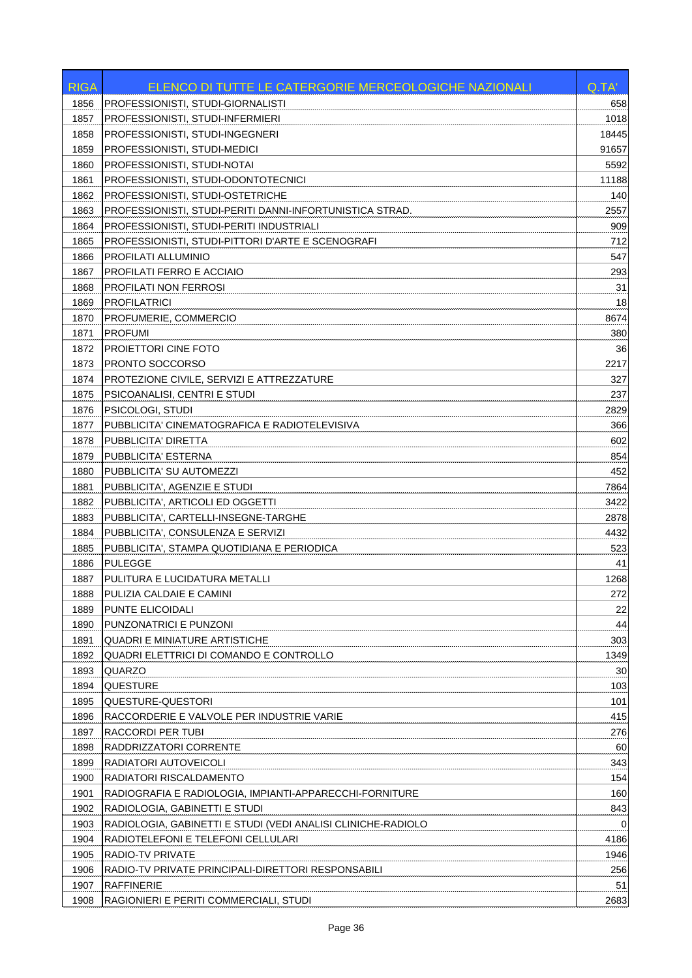| PROFESSIONISTI, STUDI-GIORNALISTI<br>1856<br>658<br>1857<br>1018<br>PROFESSIONISTI, STUDI-INFERMIERI<br>1858<br>PROFESSIONISTI, STUDI-INGEGNERI<br>18445<br>1859<br>PROFESSIONISTI, STUDI-MEDICI<br>91657<br>PROFESSIONISTI, STUDI-NOTAI<br>1860<br>5592<br>PROFESSIONISTI, STUDI-ODONTOTECNICI<br>1861<br>11188<br>140<br>1862<br>PROFESSIONISTI, STUDI-OSTETRICHE<br>1863<br>PROFESSIONISTI, STUDI-PERITI DANNI-INFORTUNISTICA STRAD.<br>2557<br>1864<br>PROFESSIONISTI, STUDI-PERITI INDUSTRIALI<br>909<br>PROFESSIONISTI, STUDI-PITTORI D'ARTE E SCENOGRAFI<br>712<br>1865<br>547<br>1866<br>PROFILATI ALLUMINIO<br>PROFILATI FERRO E ACCIAIO<br>293<br>1867<br>31<br>PROFILATI NON FERROSI<br>1868<br>1869<br><b>PROFILATRICI</b><br>18<br>PROFUMERIE, COMMERCIO<br>8674<br>1870<br><b>PROFUMI</b><br>1871<br>380<br>36<br>1872<br>PROIETTORI CINE FOTO<br>PRONTO SOCCORSO<br>2217<br>1873<br>PROTEZIONE CIVILE, SERVIZI E ATTREZZATURE<br>327<br>1874<br>PSICOANALISI, CENTRI E STUDI<br>237<br>1875<br>1876<br><b>PSICOLOGI, STUDI</b><br>2829<br>PUBBLICITA' CINEMATOGRAFICA E RADIOTELEVISIVA<br>366<br>1877<br>602<br>1878<br>PUBBLICITA' DIRETTA<br>1879<br>PUBBLICITA' ESTERNA<br>854<br>452<br>1880<br>PUBBLICITA' SU AUTOMEZZI<br>1881<br>PUBBLICITA', AGENZIE E STUDI<br>7864<br>1882<br>3422<br>PUBBLICITA', ARTICOLI ED OGGETTI<br>1883<br>PUBBLICITA', CARTELLI-INSEGNE-TARGHE<br>2878<br>1884<br>PUBBLICITA', CONSULENZA E SERVIZI<br>4432<br>PUBBLICITA', STAMPA QUOTIDIANA E PERIODICA<br>523<br>1885<br><b>PULEGGE</b><br>41<br>1886<br>1887<br>PULITURA E LUCIDATURA METALLI<br>1268<br>272<br>1888<br> PULIZIA CALDAIE E CAMINI <br>PUNTE ELICOIDALI<br>22<br>1889<br>44<br>PUNZONATRICI E PUNZONI<br>1890<br>303<br>1891<br><b>QUADRI E MINIATURE ARTISTICHE</b><br>1892<br>QUADRI ELETTRICI DI COMANDO E CONTROLLO<br>1349<br>1893<br>30<br>QUARZO<br>103<br>1894<br><b>QUESTURE</b><br>1895<br><b>QUESTURE-QUESTORI</b><br>101<br>415<br>1896<br>RACCORDERIE E VALVOLE PER INDUSTRIE VARIE<br>1897<br>RACCORDI PER TUBI<br>276<br>1898<br>RADDRIZZATORI CORRENTE<br>60<br>1899<br>RADIATORI AUTOVEICOLI<br>343<br>154<br>RADIATORI RISCALDAMENTO<br>1900<br>160<br>1901<br>RADIOGRAFIA E RADIOLOGIA, IMPIANTI-APPARECCHI-FORNITURE<br>843<br>1902<br>RADIOLOGIA, GABINETTI E STUDI<br>1903<br>RADIOLOGIA, GABINETTI E STUDI (VEDI ANALISI CLINICHE-RADIOLO<br>0<br>1904<br>RADIOTELEFONI E TELEFONI CELLULARI<br>4186<br>1946<br>1905<br>RADIO-TV PRIVATE<br>1906<br>RADIO-TV PRIVATE PRINCIPALI-DIRETTORI RESPONSABILI<br>256<br>1907<br>RAFFINERIE<br>51<br>1908<br>2683<br>RAGIONIERI E PERITI COMMERCIALI, STUDI | <b>RIGA</b> | ELENCO DI TUTTE LE CATERGORIE MERCEOLOGICHE NAZIONALI | Q.TA' |
|-------------------------------------------------------------------------------------------------------------------------------------------------------------------------------------------------------------------------------------------------------------------------------------------------------------------------------------------------------------------------------------------------------------------------------------------------------------------------------------------------------------------------------------------------------------------------------------------------------------------------------------------------------------------------------------------------------------------------------------------------------------------------------------------------------------------------------------------------------------------------------------------------------------------------------------------------------------------------------------------------------------------------------------------------------------------------------------------------------------------------------------------------------------------------------------------------------------------------------------------------------------------------------------------------------------------------------------------------------------------------------------------------------------------------------------------------------------------------------------------------------------------------------------------------------------------------------------------------------------------------------------------------------------------------------------------------------------------------------------------------------------------------------------------------------------------------------------------------------------------------------------------------------------------------------------------------------------------------------------------------------------------------------------------------------------------------------------------------------------------------------------------------------------------------------------------------------------------------------------------------------------------------------------------------------------------------------------------------------------------------------------------------------------------------------------------------------------------------------------------------------------------------------------------------------------------------------------------------------------------------------------------------|-------------|-------------------------------------------------------|-------|
|                                                                                                                                                                                                                                                                                                                                                                                                                                                                                                                                                                                                                                                                                                                                                                                                                                                                                                                                                                                                                                                                                                                                                                                                                                                                                                                                                                                                                                                                                                                                                                                                                                                                                                                                                                                                                                                                                                                                                                                                                                                                                                                                                                                                                                                                                                                                                                                                                                                                                                                                                                                                                                                 |             |                                                       |       |
|                                                                                                                                                                                                                                                                                                                                                                                                                                                                                                                                                                                                                                                                                                                                                                                                                                                                                                                                                                                                                                                                                                                                                                                                                                                                                                                                                                                                                                                                                                                                                                                                                                                                                                                                                                                                                                                                                                                                                                                                                                                                                                                                                                                                                                                                                                                                                                                                                                                                                                                                                                                                                                                 |             |                                                       |       |
|                                                                                                                                                                                                                                                                                                                                                                                                                                                                                                                                                                                                                                                                                                                                                                                                                                                                                                                                                                                                                                                                                                                                                                                                                                                                                                                                                                                                                                                                                                                                                                                                                                                                                                                                                                                                                                                                                                                                                                                                                                                                                                                                                                                                                                                                                                                                                                                                                                                                                                                                                                                                                                                 |             |                                                       |       |
|                                                                                                                                                                                                                                                                                                                                                                                                                                                                                                                                                                                                                                                                                                                                                                                                                                                                                                                                                                                                                                                                                                                                                                                                                                                                                                                                                                                                                                                                                                                                                                                                                                                                                                                                                                                                                                                                                                                                                                                                                                                                                                                                                                                                                                                                                                                                                                                                                                                                                                                                                                                                                                                 |             |                                                       |       |
|                                                                                                                                                                                                                                                                                                                                                                                                                                                                                                                                                                                                                                                                                                                                                                                                                                                                                                                                                                                                                                                                                                                                                                                                                                                                                                                                                                                                                                                                                                                                                                                                                                                                                                                                                                                                                                                                                                                                                                                                                                                                                                                                                                                                                                                                                                                                                                                                                                                                                                                                                                                                                                                 |             |                                                       |       |
|                                                                                                                                                                                                                                                                                                                                                                                                                                                                                                                                                                                                                                                                                                                                                                                                                                                                                                                                                                                                                                                                                                                                                                                                                                                                                                                                                                                                                                                                                                                                                                                                                                                                                                                                                                                                                                                                                                                                                                                                                                                                                                                                                                                                                                                                                                                                                                                                                                                                                                                                                                                                                                                 |             |                                                       |       |
|                                                                                                                                                                                                                                                                                                                                                                                                                                                                                                                                                                                                                                                                                                                                                                                                                                                                                                                                                                                                                                                                                                                                                                                                                                                                                                                                                                                                                                                                                                                                                                                                                                                                                                                                                                                                                                                                                                                                                                                                                                                                                                                                                                                                                                                                                                                                                                                                                                                                                                                                                                                                                                                 |             |                                                       |       |
|                                                                                                                                                                                                                                                                                                                                                                                                                                                                                                                                                                                                                                                                                                                                                                                                                                                                                                                                                                                                                                                                                                                                                                                                                                                                                                                                                                                                                                                                                                                                                                                                                                                                                                                                                                                                                                                                                                                                                                                                                                                                                                                                                                                                                                                                                                                                                                                                                                                                                                                                                                                                                                                 |             |                                                       |       |
|                                                                                                                                                                                                                                                                                                                                                                                                                                                                                                                                                                                                                                                                                                                                                                                                                                                                                                                                                                                                                                                                                                                                                                                                                                                                                                                                                                                                                                                                                                                                                                                                                                                                                                                                                                                                                                                                                                                                                                                                                                                                                                                                                                                                                                                                                                                                                                                                                                                                                                                                                                                                                                                 |             |                                                       |       |
|                                                                                                                                                                                                                                                                                                                                                                                                                                                                                                                                                                                                                                                                                                                                                                                                                                                                                                                                                                                                                                                                                                                                                                                                                                                                                                                                                                                                                                                                                                                                                                                                                                                                                                                                                                                                                                                                                                                                                                                                                                                                                                                                                                                                                                                                                                                                                                                                                                                                                                                                                                                                                                                 |             |                                                       |       |
|                                                                                                                                                                                                                                                                                                                                                                                                                                                                                                                                                                                                                                                                                                                                                                                                                                                                                                                                                                                                                                                                                                                                                                                                                                                                                                                                                                                                                                                                                                                                                                                                                                                                                                                                                                                                                                                                                                                                                                                                                                                                                                                                                                                                                                                                                                                                                                                                                                                                                                                                                                                                                                                 |             |                                                       |       |
|                                                                                                                                                                                                                                                                                                                                                                                                                                                                                                                                                                                                                                                                                                                                                                                                                                                                                                                                                                                                                                                                                                                                                                                                                                                                                                                                                                                                                                                                                                                                                                                                                                                                                                                                                                                                                                                                                                                                                                                                                                                                                                                                                                                                                                                                                                                                                                                                                                                                                                                                                                                                                                                 |             |                                                       |       |
|                                                                                                                                                                                                                                                                                                                                                                                                                                                                                                                                                                                                                                                                                                                                                                                                                                                                                                                                                                                                                                                                                                                                                                                                                                                                                                                                                                                                                                                                                                                                                                                                                                                                                                                                                                                                                                                                                                                                                                                                                                                                                                                                                                                                                                                                                                                                                                                                                                                                                                                                                                                                                                                 |             |                                                       |       |
|                                                                                                                                                                                                                                                                                                                                                                                                                                                                                                                                                                                                                                                                                                                                                                                                                                                                                                                                                                                                                                                                                                                                                                                                                                                                                                                                                                                                                                                                                                                                                                                                                                                                                                                                                                                                                                                                                                                                                                                                                                                                                                                                                                                                                                                                                                                                                                                                                                                                                                                                                                                                                                                 |             |                                                       |       |
|                                                                                                                                                                                                                                                                                                                                                                                                                                                                                                                                                                                                                                                                                                                                                                                                                                                                                                                                                                                                                                                                                                                                                                                                                                                                                                                                                                                                                                                                                                                                                                                                                                                                                                                                                                                                                                                                                                                                                                                                                                                                                                                                                                                                                                                                                                                                                                                                                                                                                                                                                                                                                                                 |             |                                                       |       |
|                                                                                                                                                                                                                                                                                                                                                                                                                                                                                                                                                                                                                                                                                                                                                                                                                                                                                                                                                                                                                                                                                                                                                                                                                                                                                                                                                                                                                                                                                                                                                                                                                                                                                                                                                                                                                                                                                                                                                                                                                                                                                                                                                                                                                                                                                                                                                                                                                                                                                                                                                                                                                                                 |             |                                                       |       |
|                                                                                                                                                                                                                                                                                                                                                                                                                                                                                                                                                                                                                                                                                                                                                                                                                                                                                                                                                                                                                                                                                                                                                                                                                                                                                                                                                                                                                                                                                                                                                                                                                                                                                                                                                                                                                                                                                                                                                                                                                                                                                                                                                                                                                                                                                                                                                                                                                                                                                                                                                                                                                                                 |             |                                                       |       |
|                                                                                                                                                                                                                                                                                                                                                                                                                                                                                                                                                                                                                                                                                                                                                                                                                                                                                                                                                                                                                                                                                                                                                                                                                                                                                                                                                                                                                                                                                                                                                                                                                                                                                                                                                                                                                                                                                                                                                                                                                                                                                                                                                                                                                                                                                                                                                                                                                                                                                                                                                                                                                                                 |             |                                                       |       |
|                                                                                                                                                                                                                                                                                                                                                                                                                                                                                                                                                                                                                                                                                                                                                                                                                                                                                                                                                                                                                                                                                                                                                                                                                                                                                                                                                                                                                                                                                                                                                                                                                                                                                                                                                                                                                                                                                                                                                                                                                                                                                                                                                                                                                                                                                                                                                                                                                                                                                                                                                                                                                                                 |             |                                                       |       |
|                                                                                                                                                                                                                                                                                                                                                                                                                                                                                                                                                                                                                                                                                                                                                                                                                                                                                                                                                                                                                                                                                                                                                                                                                                                                                                                                                                                                                                                                                                                                                                                                                                                                                                                                                                                                                                                                                                                                                                                                                                                                                                                                                                                                                                                                                                                                                                                                                                                                                                                                                                                                                                                 |             |                                                       |       |
|                                                                                                                                                                                                                                                                                                                                                                                                                                                                                                                                                                                                                                                                                                                                                                                                                                                                                                                                                                                                                                                                                                                                                                                                                                                                                                                                                                                                                                                                                                                                                                                                                                                                                                                                                                                                                                                                                                                                                                                                                                                                                                                                                                                                                                                                                                                                                                                                                                                                                                                                                                                                                                                 |             |                                                       |       |
|                                                                                                                                                                                                                                                                                                                                                                                                                                                                                                                                                                                                                                                                                                                                                                                                                                                                                                                                                                                                                                                                                                                                                                                                                                                                                                                                                                                                                                                                                                                                                                                                                                                                                                                                                                                                                                                                                                                                                                                                                                                                                                                                                                                                                                                                                                                                                                                                                                                                                                                                                                                                                                                 |             |                                                       |       |
|                                                                                                                                                                                                                                                                                                                                                                                                                                                                                                                                                                                                                                                                                                                                                                                                                                                                                                                                                                                                                                                                                                                                                                                                                                                                                                                                                                                                                                                                                                                                                                                                                                                                                                                                                                                                                                                                                                                                                                                                                                                                                                                                                                                                                                                                                                                                                                                                                                                                                                                                                                                                                                                 |             |                                                       |       |
|                                                                                                                                                                                                                                                                                                                                                                                                                                                                                                                                                                                                                                                                                                                                                                                                                                                                                                                                                                                                                                                                                                                                                                                                                                                                                                                                                                                                                                                                                                                                                                                                                                                                                                                                                                                                                                                                                                                                                                                                                                                                                                                                                                                                                                                                                                                                                                                                                                                                                                                                                                                                                                                 |             |                                                       |       |
|                                                                                                                                                                                                                                                                                                                                                                                                                                                                                                                                                                                                                                                                                                                                                                                                                                                                                                                                                                                                                                                                                                                                                                                                                                                                                                                                                                                                                                                                                                                                                                                                                                                                                                                                                                                                                                                                                                                                                                                                                                                                                                                                                                                                                                                                                                                                                                                                                                                                                                                                                                                                                                                 |             |                                                       |       |
|                                                                                                                                                                                                                                                                                                                                                                                                                                                                                                                                                                                                                                                                                                                                                                                                                                                                                                                                                                                                                                                                                                                                                                                                                                                                                                                                                                                                                                                                                                                                                                                                                                                                                                                                                                                                                                                                                                                                                                                                                                                                                                                                                                                                                                                                                                                                                                                                                                                                                                                                                                                                                                                 |             |                                                       |       |
|                                                                                                                                                                                                                                                                                                                                                                                                                                                                                                                                                                                                                                                                                                                                                                                                                                                                                                                                                                                                                                                                                                                                                                                                                                                                                                                                                                                                                                                                                                                                                                                                                                                                                                                                                                                                                                                                                                                                                                                                                                                                                                                                                                                                                                                                                                                                                                                                                                                                                                                                                                                                                                                 |             |                                                       |       |
|                                                                                                                                                                                                                                                                                                                                                                                                                                                                                                                                                                                                                                                                                                                                                                                                                                                                                                                                                                                                                                                                                                                                                                                                                                                                                                                                                                                                                                                                                                                                                                                                                                                                                                                                                                                                                                                                                                                                                                                                                                                                                                                                                                                                                                                                                                                                                                                                                                                                                                                                                                                                                                                 |             |                                                       |       |
|                                                                                                                                                                                                                                                                                                                                                                                                                                                                                                                                                                                                                                                                                                                                                                                                                                                                                                                                                                                                                                                                                                                                                                                                                                                                                                                                                                                                                                                                                                                                                                                                                                                                                                                                                                                                                                                                                                                                                                                                                                                                                                                                                                                                                                                                                                                                                                                                                                                                                                                                                                                                                                                 |             |                                                       |       |
|                                                                                                                                                                                                                                                                                                                                                                                                                                                                                                                                                                                                                                                                                                                                                                                                                                                                                                                                                                                                                                                                                                                                                                                                                                                                                                                                                                                                                                                                                                                                                                                                                                                                                                                                                                                                                                                                                                                                                                                                                                                                                                                                                                                                                                                                                                                                                                                                                                                                                                                                                                                                                                                 |             |                                                       |       |
|                                                                                                                                                                                                                                                                                                                                                                                                                                                                                                                                                                                                                                                                                                                                                                                                                                                                                                                                                                                                                                                                                                                                                                                                                                                                                                                                                                                                                                                                                                                                                                                                                                                                                                                                                                                                                                                                                                                                                                                                                                                                                                                                                                                                                                                                                                                                                                                                                                                                                                                                                                                                                                                 |             |                                                       |       |
|                                                                                                                                                                                                                                                                                                                                                                                                                                                                                                                                                                                                                                                                                                                                                                                                                                                                                                                                                                                                                                                                                                                                                                                                                                                                                                                                                                                                                                                                                                                                                                                                                                                                                                                                                                                                                                                                                                                                                                                                                                                                                                                                                                                                                                                                                                                                                                                                                                                                                                                                                                                                                                                 |             |                                                       |       |
|                                                                                                                                                                                                                                                                                                                                                                                                                                                                                                                                                                                                                                                                                                                                                                                                                                                                                                                                                                                                                                                                                                                                                                                                                                                                                                                                                                                                                                                                                                                                                                                                                                                                                                                                                                                                                                                                                                                                                                                                                                                                                                                                                                                                                                                                                                                                                                                                                                                                                                                                                                                                                                                 |             |                                                       |       |
|                                                                                                                                                                                                                                                                                                                                                                                                                                                                                                                                                                                                                                                                                                                                                                                                                                                                                                                                                                                                                                                                                                                                                                                                                                                                                                                                                                                                                                                                                                                                                                                                                                                                                                                                                                                                                                                                                                                                                                                                                                                                                                                                                                                                                                                                                                                                                                                                                                                                                                                                                                                                                                                 |             |                                                       |       |
|                                                                                                                                                                                                                                                                                                                                                                                                                                                                                                                                                                                                                                                                                                                                                                                                                                                                                                                                                                                                                                                                                                                                                                                                                                                                                                                                                                                                                                                                                                                                                                                                                                                                                                                                                                                                                                                                                                                                                                                                                                                                                                                                                                                                                                                                                                                                                                                                                                                                                                                                                                                                                                                 |             |                                                       |       |
|                                                                                                                                                                                                                                                                                                                                                                                                                                                                                                                                                                                                                                                                                                                                                                                                                                                                                                                                                                                                                                                                                                                                                                                                                                                                                                                                                                                                                                                                                                                                                                                                                                                                                                                                                                                                                                                                                                                                                                                                                                                                                                                                                                                                                                                                                                                                                                                                                                                                                                                                                                                                                                                 |             |                                                       |       |
|                                                                                                                                                                                                                                                                                                                                                                                                                                                                                                                                                                                                                                                                                                                                                                                                                                                                                                                                                                                                                                                                                                                                                                                                                                                                                                                                                                                                                                                                                                                                                                                                                                                                                                                                                                                                                                                                                                                                                                                                                                                                                                                                                                                                                                                                                                                                                                                                                                                                                                                                                                                                                                                 |             |                                                       |       |
|                                                                                                                                                                                                                                                                                                                                                                                                                                                                                                                                                                                                                                                                                                                                                                                                                                                                                                                                                                                                                                                                                                                                                                                                                                                                                                                                                                                                                                                                                                                                                                                                                                                                                                                                                                                                                                                                                                                                                                                                                                                                                                                                                                                                                                                                                                                                                                                                                                                                                                                                                                                                                                                 |             |                                                       |       |
|                                                                                                                                                                                                                                                                                                                                                                                                                                                                                                                                                                                                                                                                                                                                                                                                                                                                                                                                                                                                                                                                                                                                                                                                                                                                                                                                                                                                                                                                                                                                                                                                                                                                                                                                                                                                                                                                                                                                                                                                                                                                                                                                                                                                                                                                                                                                                                                                                                                                                                                                                                                                                                                 |             |                                                       |       |
|                                                                                                                                                                                                                                                                                                                                                                                                                                                                                                                                                                                                                                                                                                                                                                                                                                                                                                                                                                                                                                                                                                                                                                                                                                                                                                                                                                                                                                                                                                                                                                                                                                                                                                                                                                                                                                                                                                                                                                                                                                                                                                                                                                                                                                                                                                                                                                                                                                                                                                                                                                                                                                                 |             |                                                       |       |
|                                                                                                                                                                                                                                                                                                                                                                                                                                                                                                                                                                                                                                                                                                                                                                                                                                                                                                                                                                                                                                                                                                                                                                                                                                                                                                                                                                                                                                                                                                                                                                                                                                                                                                                                                                                                                                                                                                                                                                                                                                                                                                                                                                                                                                                                                                                                                                                                                                                                                                                                                                                                                                                 |             |                                                       |       |
|                                                                                                                                                                                                                                                                                                                                                                                                                                                                                                                                                                                                                                                                                                                                                                                                                                                                                                                                                                                                                                                                                                                                                                                                                                                                                                                                                                                                                                                                                                                                                                                                                                                                                                                                                                                                                                                                                                                                                                                                                                                                                                                                                                                                                                                                                                                                                                                                                                                                                                                                                                                                                                                 |             |                                                       |       |
|                                                                                                                                                                                                                                                                                                                                                                                                                                                                                                                                                                                                                                                                                                                                                                                                                                                                                                                                                                                                                                                                                                                                                                                                                                                                                                                                                                                                                                                                                                                                                                                                                                                                                                                                                                                                                                                                                                                                                                                                                                                                                                                                                                                                                                                                                                                                                                                                                                                                                                                                                                                                                                                 |             |                                                       |       |
|                                                                                                                                                                                                                                                                                                                                                                                                                                                                                                                                                                                                                                                                                                                                                                                                                                                                                                                                                                                                                                                                                                                                                                                                                                                                                                                                                                                                                                                                                                                                                                                                                                                                                                                                                                                                                                                                                                                                                                                                                                                                                                                                                                                                                                                                                                                                                                                                                                                                                                                                                                                                                                                 |             |                                                       |       |
|                                                                                                                                                                                                                                                                                                                                                                                                                                                                                                                                                                                                                                                                                                                                                                                                                                                                                                                                                                                                                                                                                                                                                                                                                                                                                                                                                                                                                                                                                                                                                                                                                                                                                                                                                                                                                                                                                                                                                                                                                                                                                                                                                                                                                                                                                                                                                                                                                                                                                                                                                                                                                                                 |             |                                                       |       |
|                                                                                                                                                                                                                                                                                                                                                                                                                                                                                                                                                                                                                                                                                                                                                                                                                                                                                                                                                                                                                                                                                                                                                                                                                                                                                                                                                                                                                                                                                                                                                                                                                                                                                                                                                                                                                                                                                                                                                                                                                                                                                                                                                                                                                                                                                                                                                                                                                                                                                                                                                                                                                                                 |             |                                                       |       |
|                                                                                                                                                                                                                                                                                                                                                                                                                                                                                                                                                                                                                                                                                                                                                                                                                                                                                                                                                                                                                                                                                                                                                                                                                                                                                                                                                                                                                                                                                                                                                                                                                                                                                                                                                                                                                                                                                                                                                                                                                                                                                                                                                                                                                                                                                                                                                                                                                                                                                                                                                                                                                                                 |             |                                                       |       |
|                                                                                                                                                                                                                                                                                                                                                                                                                                                                                                                                                                                                                                                                                                                                                                                                                                                                                                                                                                                                                                                                                                                                                                                                                                                                                                                                                                                                                                                                                                                                                                                                                                                                                                                                                                                                                                                                                                                                                                                                                                                                                                                                                                                                                                                                                                                                                                                                                                                                                                                                                                                                                                                 |             |                                                       |       |
|                                                                                                                                                                                                                                                                                                                                                                                                                                                                                                                                                                                                                                                                                                                                                                                                                                                                                                                                                                                                                                                                                                                                                                                                                                                                                                                                                                                                                                                                                                                                                                                                                                                                                                                                                                                                                                                                                                                                                                                                                                                                                                                                                                                                                                                                                                                                                                                                                                                                                                                                                                                                                                                 |             |                                                       |       |
|                                                                                                                                                                                                                                                                                                                                                                                                                                                                                                                                                                                                                                                                                                                                                                                                                                                                                                                                                                                                                                                                                                                                                                                                                                                                                                                                                                                                                                                                                                                                                                                                                                                                                                                                                                                                                                                                                                                                                                                                                                                                                                                                                                                                                                                                                                                                                                                                                                                                                                                                                                                                                                                 |             |                                                       |       |
|                                                                                                                                                                                                                                                                                                                                                                                                                                                                                                                                                                                                                                                                                                                                                                                                                                                                                                                                                                                                                                                                                                                                                                                                                                                                                                                                                                                                                                                                                                                                                                                                                                                                                                                                                                                                                                                                                                                                                                                                                                                                                                                                                                                                                                                                                                                                                                                                                                                                                                                                                                                                                                                 |             |                                                       |       |
|                                                                                                                                                                                                                                                                                                                                                                                                                                                                                                                                                                                                                                                                                                                                                                                                                                                                                                                                                                                                                                                                                                                                                                                                                                                                                                                                                                                                                                                                                                                                                                                                                                                                                                                                                                                                                                                                                                                                                                                                                                                                                                                                                                                                                                                                                                                                                                                                                                                                                                                                                                                                                                                 |             |                                                       |       |
|                                                                                                                                                                                                                                                                                                                                                                                                                                                                                                                                                                                                                                                                                                                                                                                                                                                                                                                                                                                                                                                                                                                                                                                                                                                                                                                                                                                                                                                                                                                                                                                                                                                                                                                                                                                                                                                                                                                                                                                                                                                                                                                                                                                                                                                                                                                                                                                                                                                                                                                                                                                                                                                 |             |                                                       |       |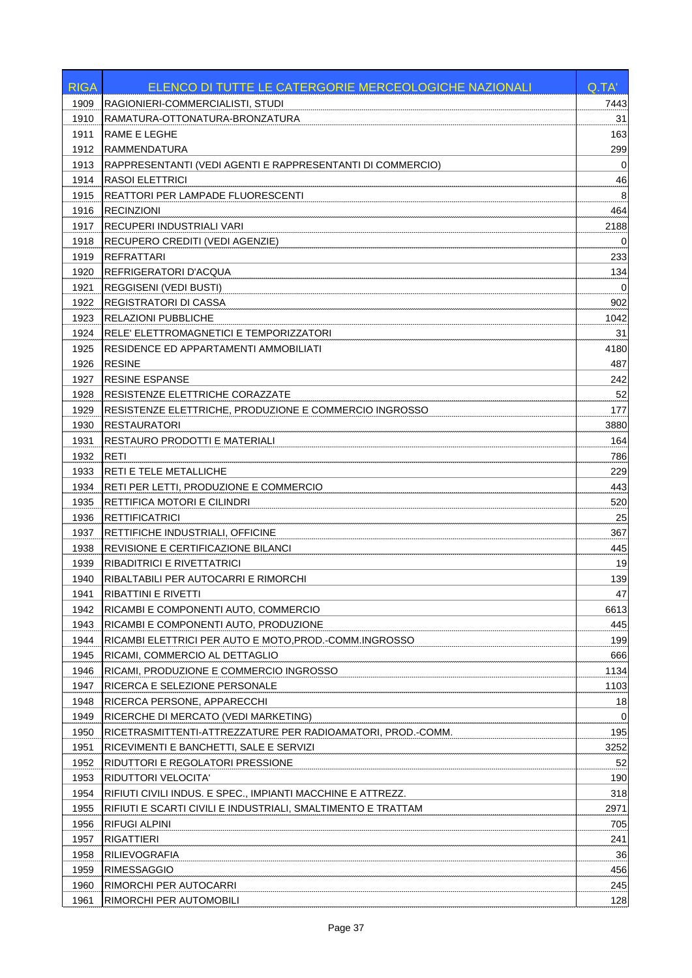| <b>RIGA</b> | ELENCO DI TUTTE LE CATERGORIE MERCEOLOGICHE NAZIONALI        | Q.TA'       |
|-------------|--------------------------------------------------------------|-------------|
| 1909        | RAGIONIERI-COMMERCIALISTI, STUDI                             | 7443        |
| 1910        | RAMATURA-OTTONATURA-BRONZATURA                               | 31          |
| 1911        | <b>RAME E LEGHE</b>                                          | 163         |
| 1912        | <b>RAMMENDATURA</b>                                          | 299         |
| 1913        | RAPPRESENTANTI (VEDI AGENTI E RAPPRESENTANTI DI COMMERCIO)   | $\mathbf 0$ |
| 1914        | <b>RASOI ELETTRICI</b>                                       | 46          |
| 1915        | REATTORI PER LAMPADE FLUORESCENTI                            | 8           |
| 1916        | <b>RECINZIONI</b>                                            | 464         |
| 1917        | RECUPERI INDUSTRIALI VARI                                    | 2188        |
| 1918        | RECUPERO CREDITI (VEDI AGENZIE)                              | 0           |
| 1919        | REFRATTARI                                                   | 233         |
| 1920        | REFRIGERATORI D'ACQUA                                        | 134         |
| 1921        | <b>REGGISENI (VEDI BUSTI)</b>                                | 0           |
| 1922        | <b>REGISTRATORI DI CASSA</b>                                 | 902         |
| 1923        | <b>RELAZIONI PUBBLICHE</b>                                   | 1042        |
| 1924        | RELE' ELETTROMAGNETICI E TEMPORIZZATORI                      | 31          |
| 1925        | RESIDENCE ED APPARTAMENTI AMMOBILIATI                        | 4180        |
| 1926        | <b>RESINE</b>                                                | 487         |
| 1927        | <b>RESINE ESPANSE</b>                                        | 242         |
| 1928        | <b>RESISTENZE ELETTRICHE CORAZZATE</b>                       | 52          |
| 1929        | RESISTENZE ELETTRICHE, PRODUZIONE E COMMERCIO INGROSSO       | 177         |
| 1930        | <b>RESTAURATORI</b>                                          | 3880        |
| 1931        | <b>RESTAURO PRODOTTI E MATERIALI</b>                         | 164         |
| 1932        | <b>RETI</b>                                                  | 786         |
| 1933        | <b>RETI E TELE METALLICHE</b>                                | 229         |
| 1934        | RETI PER LETTI, PRODUZIONE E COMMERCIO                       | 443         |
| 1935        | RETTIFICA MOTORI E CILINDRI                                  | 520         |
| 1936        | <b>RETTIFICATRICI</b>                                        | 25          |
| 1937        | RETTIFICHE INDUSTRIALI, OFFICINE                             | 367         |
| 1938        | <b>REVISIONE E CERTIFICAZIONE BILANCI</b>                    | 445         |
| 1939        | RIBADITRICI E RIVETTATRICI                                   | 19          |
| 1940        | RIBALTABILI PER AUTOCARRI E RIMORCHI                         | 139         |
| 1941        | RIBATTINI E RIVETTI                                          | 47          |
| 1942        | RICAMBI E COMPONENTI AUTO, COMMERCIO                         | 6613        |
| 1943        | RICAMBI E COMPONENTI AUTO, PRODUZIONE                        | 445         |
| 1944        | RICAMBI ELETTRICI PER AUTO E MOTO, PROD.-COMM.INGROSSO       | 199         |
| 1945        | RICAMI, COMMERCIO AL DETTAGLIO                               | 666         |
| 1946        | RICAMI, PRODUZIONE E COMMERCIO INGROSSO                      | 1134        |
| 1947        | RICERCA E SELEZIONE PERSONALE                                | 1103        |
| 1948        | RICERCA PERSONE, APPARECCHI                                  | 18          |
| 1949        | RICERCHE DI MERCATO (VEDI MARKETING)                         | 0           |
| 1950        | RICETRASMITTENTI-ATTREZZATURE PER RADIOAMATORI, PROD.-COMM.  | 195         |
| 1951        | RICEVIMENTI E BANCHETTI, SALE E SERVIZI                      | 3252        |
| 1952        | RIDUTTORI E REGOLATORI PRESSIONE                             | 52          |
| 1953        | <b>RIDUTTORI VELOCITA'</b>                                   | 190         |
| 1954        | RIFIUTI CIVILI INDUS. E SPEC., IMPIANTI MACCHINE E ATTREZZ.  | 318         |
| 1955        | RIFIUTI E SCARTI CIVILI E INDUSTRIALI, SMALTIMENTO E TRATTAM | 2971        |
| 1956        | <b>RIFUGI ALPINI</b>                                         | 705         |
| 1957        | <b>RIGATTIERI</b>                                            | 241         |
| 1958        | RILIEVOGRAFIA                                                | 36          |
| 1959        | <b>RIMESSAGGIO</b>                                           | 456         |
| 1960        | RIMORCHI PER AUTOCARRI                                       | 245         |
| 1961        | RIMORCHI PER AUTOMOBILI                                      | 128         |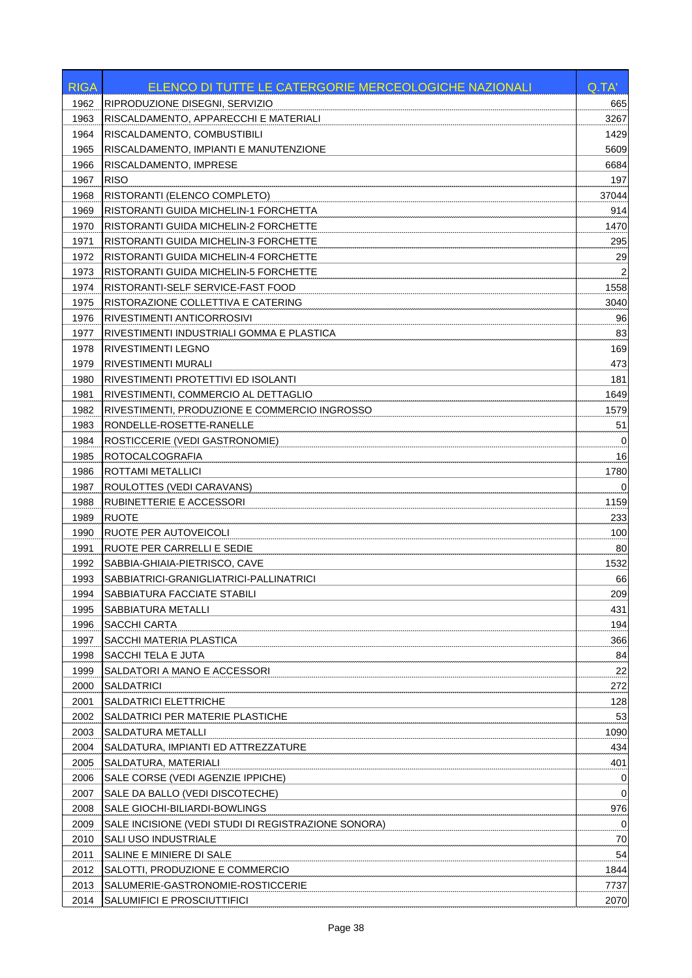| 1962<br>RIPRODUZIONE DISEGNI, SERVIZIO<br>665<br>RISCALDAMENTO, APPARECCHI E MATERIALI<br>1963<br>3267<br>RISCALDAMENTO, COMBUSTIBILI<br>1964<br>1429<br>RISCALDAMENTO, IMPIANTI E MANUTENZIONE<br>5609<br>1965<br>RISCALDAMENTO, IMPRESE<br>1966<br>6684<br><b>RISO</b><br>197<br>1967<br>1968<br>RISTORANTI (ELENCO COMPLETO)<br>37044<br>1969<br>RISTORANTI GUIDA MICHELIN-1 FORCHETTA<br>914<br>1970<br>RISTORANTI GUIDA MICHELIN-2 FORCHETTE<br>1470<br>1971<br>RISTORANTI GUIDA MICHELIN-3 FORCHETTE<br>295<br>29<br>1972<br>RISTORANTI GUIDA MICHELIN-4 FORCHETTE<br>1973<br>RISTORANTI GUIDA MICHELIN-5 FORCHETTE<br>1558<br>1974<br>RISTORANTI-SELF SERVICE-FAST FOOD<br>RISTORAZIONE COLLETTIVA E CATERING<br>3040<br>1975<br>RIVESTIMENTI ANTICORROSIVI<br>96<br>1976<br>83<br>1977<br>RIVESTIMENTI INDUSTRIALI GOMMA E PLASTICA<br>169<br>1978<br>RIVESTIMENTI LEGNO<br><b>RIVESTIMENTI MURALI</b><br>473<br>1979<br>RIVESTIMENTI PROTETTIVI ED ISOLANTI<br>181<br>1980<br>1649<br>1981<br>RIVESTIMENTI, COMMERCIO AL DETTAGLIO<br>1982<br>RIVESTIMENTI, PRODUZIONE E COMMERCIO INGROSSO<br>1579<br>RONDELLE-ROSETTE-RANELLE<br>51<br>1983<br>1984<br>ROSTICCERIE (VEDI GASTRONOMIE)<br>0<br><b>ROTOCALCOGRAFIA</b><br>16<br>1985<br>1986<br><b>ROTTAMI METALLICI</b><br>1780<br>1987<br>ROULOTTES (VEDI CARAVANS)<br>$\Omega$<br>RUBINETTERIE E ACCESSORI<br>1159<br>1988<br><b>RUOTE</b><br>1989<br>233<br>RUOTE PER AUTOVEICOLI<br>100<br>1990<br>80<br>1991<br>RUOTE PER CARRELLI E SEDIE<br>1532<br>1992<br>SABBIA-GHIAIA-PIETRISCO, CAVE<br>SABBIATRICI-GRANIGLIATRICI-PALLINATRICI<br>1993<br>66<br>209<br>1994<br> SABBIATURA FACCIATE STABILI<br>431<br>1995<br>SABBIATURA METALLI<br>194<br>1996<br>SACCHI CARTA<br>366<br>1997<br>SACCHI MATERIA PLASTICA<br>84<br>1998<br>SACCHI TELA E JUTA<br>1999<br>22<br>SALDATORI A MANO E ACCESSORI<br><b>SALDATRICI</b><br>2000<br>272<br>128<br>2001<br>SALDATRICI ELETTRICHE<br>53<br>2002<br>SALDATRICI PER MATERIE PLASTICHE<br>2003<br>SALDATURA METALLI<br>1090<br>434<br>2004<br>SALDATURA, IMPIANTI ED ATTREZZATURE<br>401<br>2005<br>SALDATURA, MATERIALI<br>2006<br>SALE CORSE (VEDI AGENZIE IPPICHE)<br>0<br>$\mathbf 0$<br>2007<br>SALE DA BALLO (VEDI DISCOTECHE)<br>976<br>2008<br>SALE GIOCHI-BILIARDI-BOWLINGS<br>SALE INCISIONE (VEDI STUDI DI REGISTRAZIONE SONORA)<br>$\mathbf 0$<br>2009<br>SALI USO INDUSTRIALE<br>70<br>2010<br>54<br>2011<br>SALINE E MINIERE DI SALE<br>1844<br>2012<br>SALOTTI, PRODUZIONE E COMMERCIO<br>2013<br>SALUMERIE-GASTRONOMIE-ROSTICCERIE<br>7737<br>2014<br>SALUMIFICI E PROSCIUTTIFICI<br>2070 | <b>RIGA</b> | ELENCO DI TUTTE LE CATERGORIE MERCEOLOGICHE NAZIONALI | Q.TA' |
|---------------------------------------------------------------------------------------------------------------------------------------------------------------------------------------------------------------------------------------------------------------------------------------------------------------------------------------------------------------------------------------------------------------------------------------------------------------------------------------------------------------------------------------------------------------------------------------------------------------------------------------------------------------------------------------------------------------------------------------------------------------------------------------------------------------------------------------------------------------------------------------------------------------------------------------------------------------------------------------------------------------------------------------------------------------------------------------------------------------------------------------------------------------------------------------------------------------------------------------------------------------------------------------------------------------------------------------------------------------------------------------------------------------------------------------------------------------------------------------------------------------------------------------------------------------------------------------------------------------------------------------------------------------------------------------------------------------------------------------------------------------------------------------------------------------------------------------------------------------------------------------------------------------------------------------------------------------------------------------------------------------------------------------------------------------------------------------------------------------------------------------------------------------------------------------------------------------------------------------------------------------------------------------------------------------------------------------------------------------------------------------------------------------------------------------------------------------------------------------------------------------------------------------------------------------------------------------------------------------------|-------------|-------------------------------------------------------|-------|
|                                                                                                                                                                                                                                                                                                                                                                                                                                                                                                                                                                                                                                                                                                                                                                                                                                                                                                                                                                                                                                                                                                                                                                                                                                                                                                                                                                                                                                                                                                                                                                                                                                                                                                                                                                                                                                                                                                                                                                                                                                                                                                                                                                                                                                                                                                                                                                                                                                                                                                                                                                                                                     |             |                                                       |       |
|                                                                                                                                                                                                                                                                                                                                                                                                                                                                                                                                                                                                                                                                                                                                                                                                                                                                                                                                                                                                                                                                                                                                                                                                                                                                                                                                                                                                                                                                                                                                                                                                                                                                                                                                                                                                                                                                                                                                                                                                                                                                                                                                                                                                                                                                                                                                                                                                                                                                                                                                                                                                                     |             |                                                       |       |
|                                                                                                                                                                                                                                                                                                                                                                                                                                                                                                                                                                                                                                                                                                                                                                                                                                                                                                                                                                                                                                                                                                                                                                                                                                                                                                                                                                                                                                                                                                                                                                                                                                                                                                                                                                                                                                                                                                                                                                                                                                                                                                                                                                                                                                                                                                                                                                                                                                                                                                                                                                                                                     |             |                                                       |       |
|                                                                                                                                                                                                                                                                                                                                                                                                                                                                                                                                                                                                                                                                                                                                                                                                                                                                                                                                                                                                                                                                                                                                                                                                                                                                                                                                                                                                                                                                                                                                                                                                                                                                                                                                                                                                                                                                                                                                                                                                                                                                                                                                                                                                                                                                                                                                                                                                                                                                                                                                                                                                                     |             |                                                       |       |
|                                                                                                                                                                                                                                                                                                                                                                                                                                                                                                                                                                                                                                                                                                                                                                                                                                                                                                                                                                                                                                                                                                                                                                                                                                                                                                                                                                                                                                                                                                                                                                                                                                                                                                                                                                                                                                                                                                                                                                                                                                                                                                                                                                                                                                                                                                                                                                                                                                                                                                                                                                                                                     |             |                                                       |       |
|                                                                                                                                                                                                                                                                                                                                                                                                                                                                                                                                                                                                                                                                                                                                                                                                                                                                                                                                                                                                                                                                                                                                                                                                                                                                                                                                                                                                                                                                                                                                                                                                                                                                                                                                                                                                                                                                                                                                                                                                                                                                                                                                                                                                                                                                                                                                                                                                                                                                                                                                                                                                                     |             |                                                       |       |
|                                                                                                                                                                                                                                                                                                                                                                                                                                                                                                                                                                                                                                                                                                                                                                                                                                                                                                                                                                                                                                                                                                                                                                                                                                                                                                                                                                                                                                                                                                                                                                                                                                                                                                                                                                                                                                                                                                                                                                                                                                                                                                                                                                                                                                                                                                                                                                                                                                                                                                                                                                                                                     |             |                                                       |       |
|                                                                                                                                                                                                                                                                                                                                                                                                                                                                                                                                                                                                                                                                                                                                                                                                                                                                                                                                                                                                                                                                                                                                                                                                                                                                                                                                                                                                                                                                                                                                                                                                                                                                                                                                                                                                                                                                                                                                                                                                                                                                                                                                                                                                                                                                                                                                                                                                                                                                                                                                                                                                                     |             |                                                       |       |
|                                                                                                                                                                                                                                                                                                                                                                                                                                                                                                                                                                                                                                                                                                                                                                                                                                                                                                                                                                                                                                                                                                                                                                                                                                                                                                                                                                                                                                                                                                                                                                                                                                                                                                                                                                                                                                                                                                                                                                                                                                                                                                                                                                                                                                                                                                                                                                                                                                                                                                                                                                                                                     |             |                                                       |       |
|                                                                                                                                                                                                                                                                                                                                                                                                                                                                                                                                                                                                                                                                                                                                                                                                                                                                                                                                                                                                                                                                                                                                                                                                                                                                                                                                                                                                                                                                                                                                                                                                                                                                                                                                                                                                                                                                                                                                                                                                                                                                                                                                                                                                                                                                                                                                                                                                                                                                                                                                                                                                                     |             |                                                       |       |
|                                                                                                                                                                                                                                                                                                                                                                                                                                                                                                                                                                                                                                                                                                                                                                                                                                                                                                                                                                                                                                                                                                                                                                                                                                                                                                                                                                                                                                                                                                                                                                                                                                                                                                                                                                                                                                                                                                                                                                                                                                                                                                                                                                                                                                                                                                                                                                                                                                                                                                                                                                                                                     |             |                                                       |       |
|                                                                                                                                                                                                                                                                                                                                                                                                                                                                                                                                                                                                                                                                                                                                                                                                                                                                                                                                                                                                                                                                                                                                                                                                                                                                                                                                                                                                                                                                                                                                                                                                                                                                                                                                                                                                                                                                                                                                                                                                                                                                                                                                                                                                                                                                                                                                                                                                                                                                                                                                                                                                                     |             |                                                       |       |
|                                                                                                                                                                                                                                                                                                                                                                                                                                                                                                                                                                                                                                                                                                                                                                                                                                                                                                                                                                                                                                                                                                                                                                                                                                                                                                                                                                                                                                                                                                                                                                                                                                                                                                                                                                                                                                                                                                                                                                                                                                                                                                                                                                                                                                                                                                                                                                                                                                                                                                                                                                                                                     |             |                                                       |       |
|                                                                                                                                                                                                                                                                                                                                                                                                                                                                                                                                                                                                                                                                                                                                                                                                                                                                                                                                                                                                                                                                                                                                                                                                                                                                                                                                                                                                                                                                                                                                                                                                                                                                                                                                                                                                                                                                                                                                                                                                                                                                                                                                                                                                                                                                                                                                                                                                                                                                                                                                                                                                                     |             |                                                       |       |
|                                                                                                                                                                                                                                                                                                                                                                                                                                                                                                                                                                                                                                                                                                                                                                                                                                                                                                                                                                                                                                                                                                                                                                                                                                                                                                                                                                                                                                                                                                                                                                                                                                                                                                                                                                                                                                                                                                                                                                                                                                                                                                                                                                                                                                                                                                                                                                                                                                                                                                                                                                                                                     |             |                                                       |       |
|                                                                                                                                                                                                                                                                                                                                                                                                                                                                                                                                                                                                                                                                                                                                                                                                                                                                                                                                                                                                                                                                                                                                                                                                                                                                                                                                                                                                                                                                                                                                                                                                                                                                                                                                                                                                                                                                                                                                                                                                                                                                                                                                                                                                                                                                                                                                                                                                                                                                                                                                                                                                                     |             |                                                       |       |
|                                                                                                                                                                                                                                                                                                                                                                                                                                                                                                                                                                                                                                                                                                                                                                                                                                                                                                                                                                                                                                                                                                                                                                                                                                                                                                                                                                                                                                                                                                                                                                                                                                                                                                                                                                                                                                                                                                                                                                                                                                                                                                                                                                                                                                                                                                                                                                                                                                                                                                                                                                                                                     |             |                                                       |       |
|                                                                                                                                                                                                                                                                                                                                                                                                                                                                                                                                                                                                                                                                                                                                                                                                                                                                                                                                                                                                                                                                                                                                                                                                                                                                                                                                                                                                                                                                                                                                                                                                                                                                                                                                                                                                                                                                                                                                                                                                                                                                                                                                                                                                                                                                                                                                                                                                                                                                                                                                                                                                                     |             |                                                       |       |
|                                                                                                                                                                                                                                                                                                                                                                                                                                                                                                                                                                                                                                                                                                                                                                                                                                                                                                                                                                                                                                                                                                                                                                                                                                                                                                                                                                                                                                                                                                                                                                                                                                                                                                                                                                                                                                                                                                                                                                                                                                                                                                                                                                                                                                                                                                                                                                                                                                                                                                                                                                                                                     |             |                                                       |       |
|                                                                                                                                                                                                                                                                                                                                                                                                                                                                                                                                                                                                                                                                                                                                                                                                                                                                                                                                                                                                                                                                                                                                                                                                                                                                                                                                                                                                                                                                                                                                                                                                                                                                                                                                                                                                                                                                                                                                                                                                                                                                                                                                                                                                                                                                                                                                                                                                                                                                                                                                                                                                                     |             |                                                       |       |
|                                                                                                                                                                                                                                                                                                                                                                                                                                                                                                                                                                                                                                                                                                                                                                                                                                                                                                                                                                                                                                                                                                                                                                                                                                                                                                                                                                                                                                                                                                                                                                                                                                                                                                                                                                                                                                                                                                                                                                                                                                                                                                                                                                                                                                                                                                                                                                                                                                                                                                                                                                                                                     |             |                                                       |       |
|                                                                                                                                                                                                                                                                                                                                                                                                                                                                                                                                                                                                                                                                                                                                                                                                                                                                                                                                                                                                                                                                                                                                                                                                                                                                                                                                                                                                                                                                                                                                                                                                                                                                                                                                                                                                                                                                                                                                                                                                                                                                                                                                                                                                                                                                                                                                                                                                                                                                                                                                                                                                                     |             |                                                       |       |
|                                                                                                                                                                                                                                                                                                                                                                                                                                                                                                                                                                                                                                                                                                                                                                                                                                                                                                                                                                                                                                                                                                                                                                                                                                                                                                                                                                                                                                                                                                                                                                                                                                                                                                                                                                                                                                                                                                                                                                                                                                                                                                                                                                                                                                                                                                                                                                                                                                                                                                                                                                                                                     |             |                                                       |       |
|                                                                                                                                                                                                                                                                                                                                                                                                                                                                                                                                                                                                                                                                                                                                                                                                                                                                                                                                                                                                                                                                                                                                                                                                                                                                                                                                                                                                                                                                                                                                                                                                                                                                                                                                                                                                                                                                                                                                                                                                                                                                                                                                                                                                                                                                                                                                                                                                                                                                                                                                                                                                                     |             |                                                       |       |
|                                                                                                                                                                                                                                                                                                                                                                                                                                                                                                                                                                                                                                                                                                                                                                                                                                                                                                                                                                                                                                                                                                                                                                                                                                                                                                                                                                                                                                                                                                                                                                                                                                                                                                                                                                                                                                                                                                                                                                                                                                                                                                                                                                                                                                                                                                                                                                                                                                                                                                                                                                                                                     |             |                                                       |       |
|                                                                                                                                                                                                                                                                                                                                                                                                                                                                                                                                                                                                                                                                                                                                                                                                                                                                                                                                                                                                                                                                                                                                                                                                                                                                                                                                                                                                                                                                                                                                                                                                                                                                                                                                                                                                                                                                                                                                                                                                                                                                                                                                                                                                                                                                                                                                                                                                                                                                                                                                                                                                                     |             |                                                       |       |
|                                                                                                                                                                                                                                                                                                                                                                                                                                                                                                                                                                                                                                                                                                                                                                                                                                                                                                                                                                                                                                                                                                                                                                                                                                                                                                                                                                                                                                                                                                                                                                                                                                                                                                                                                                                                                                                                                                                                                                                                                                                                                                                                                                                                                                                                                                                                                                                                                                                                                                                                                                                                                     |             |                                                       |       |
|                                                                                                                                                                                                                                                                                                                                                                                                                                                                                                                                                                                                                                                                                                                                                                                                                                                                                                                                                                                                                                                                                                                                                                                                                                                                                                                                                                                                                                                                                                                                                                                                                                                                                                                                                                                                                                                                                                                                                                                                                                                                                                                                                                                                                                                                                                                                                                                                                                                                                                                                                                                                                     |             |                                                       |       |
|                                                                                                                                                                                                                                                                                                                                                                                                                                                                                                                                                                                                                                                                                                                                                                                                                                                                                                                                                                                                                                                                                                                                                                                                                                                                                                                                                                                                                                                                                                                                                                                                                                                                                                                                                                                                                                                                                                                                                                                                                                                                                                                                                                                                                                                                                                                                                                                                                                                                                                                                                                                                                     |             |                                                       |       |
|                                                                                                                                                                                                                                                                                                                                                                                                                                                                                                                                                                                                                                                                                                                                                                                                                                                                                                                                                                                                                                                                                                                                                                                                                                                                                                                                                                                                                                                                                                                                                                                                                                                                                                                                                                                                                                                                                                                                                                                                                                                                                                                                                                                                                                                                                                                                                                                                                                                                                                                                                                                                                     |             |                                                       |       |
|                                                                                                                                                                                                                                                                                                                                                                                                                                                                                                                                                                                                                                                                                                                                                                                                                                                                                                                                                                                                                                                                                                                                                                                                                                                                                                                                                                                                                                                                                                                                                                                                                                                                                                                                                                                                                                                                                                                                                                                                                                                                                                                                                                                                                                                                                                                                                                                                                                                                                                                                                                                                                     |             |                                                       |       |
|                                                                                                                                                                                                                                                                                                                                                                                                                                                                                                                                                                                                                                                                                                                                                                                                                                                                                                                                                                                                                                                                                                                                                                                                                                                                                                                                                                                                                                                                                                                                                                                                                                                                                                                                                                                                                                                                                                                                                                                                                                                                                                                                                                                                                                                                                                                                                                                                                                                                                                                                                                                                                     |             |                                                       |       |
|                                                                                                                                                                                                                                                                                                                                                                                                                                                                                                                                                                                                                                                                                                                                                                                                                                                                                                                                                                                                                                                                                                                                                                                                                                                                                                                                                                                                                                                                                                                                                                                                                                                                                                                                                                                                                                                                                                                                                                                                                                                                                                                                                                                                                                                                                                                                                                                                                                                                                                                                                                                                                     |             |                                                       |       |
|                                                                                                                                                                                                                                                                                                                                                                                                                                                                                                                                                                                                                                                                                                                                                                                                                                                                                                                                                                                                                                                                                                                                                                                                                                                                                                                                                                                                                                                                                                                                                                                                                                                                                                                                                                                                                                                                                                                                                                                                                                                                                                                                                                                                                                                                                                                                                                                                                                                                                                                                                                                                                     |             |                                                       |       |
|                                                                                                                                                                                                                                                                                                                                                                                                                                                                                                                                                                                                                                                                                                                                                                                                                                                                                                                                                                                                                                                                                                                                                                                                                                                                                                                                                                                                                                                                                                                                                                                                                                                                                                                                                                                                                                                                                                                                                                                                                                                                                                                                                                                                                                                                                                                                                                                                                                                                                                                                                                                                                     |             |                                                       |       |
|                                                                                                                                                                                                                                                                                                                                                                                                                                                                                                                                                                                                                                                                                                                                                                                                                                                                                                                                                                                                                                                                                                                                                                                                                                                                                                                                                                                                                                                                                                                                                                                                                                                                                                                                                                                                                                                                                                                                                                                                                                                                                                                                                                                                                                                                                                                                                                                                                                                                                                                                                                                                                     |             |                                                       |       |
|                                                                                                                                                                                                                                                                                                                                                                                                                                                                                                                                                                                                                                                                                                                                                                                                                                                                                                                                                                                                                                                                                                                                                                                                                                                                                                                                                                                                                                                                                                                                                                                                                                                                                                                                                                                                                                                                                                                                                                                                                                                                                                                                                                                                                                                                                                                                                                                                                                                                                                                                                                                                                     |             |                                                       |       |
|                                                                                                                                                                                                                                                                                                                                                                                                                                                                                                                                                                                                                                                                                                                                                                                                                                                                                                                                                                                                                                                                                                                                                                                                                                                                                                                                                                                                                                                                                                                                                                                                                                                                                                                                                                                                                                                                                                                                                                                                                                                                                                                                                                                                                                                                                                                                                                                                                                                                                                                                                                                                                     |             |                                                       |       |
|                                                                                                                                                                                                                                                                                                                                                                                                                                                                                                                                                                                                                                                                                                                                                                                                                                                                                                                                                                                                                                                                                                                                                                                                                                                                                                                                                                                                                                                                                                                                                                                                                                                                                                                                                                                                                                                                                                                                                                                                                                                                                                                                                                                                                                                                                                                                                                                                                                                                                                                                                                                                                     |             |                                                       |       |
|                                                                                                                                                                                                                                                                                                                                                                                                                                                                                                                                                                                                                                                                                                                                                                                                                                                                                                                                                                                                                                                                                                                                                                                                                                                                                                                                                                                                                                                                                                                                                                                                                                                                                                                                                                                                                                                                                                                                                                                                                                                                                                                                                                                                                                                                                                                                                                                                                                                                                                                                                                                                                     |             |                                                       |       |
|                                                                                                                                                                                                                                                                                                                                                                                                                                                                                                                                                                                                                                                                                                                                                                                                                                                                                                                                                                                                                                                                                                                                                                                                                                                                                                                                                                                                                                                                                                                                                                                                                                                                                                                                                                                                                                                                                                                                                                                                                                                                                                                                                                                                                                                                                                                                                                                                                                                                                                                                                                                                                     |             |                                                       |       |
|                                                                                                                                                                                                                                                                                                                                                                                                                                                                                                                                                                                                                                                                                                                                                                                                                                                                                                                                                                                                                                                                                                                                                                                                                                                                                                                                                                                                                                                                                                                                                                                                                                                                                                                                                                                                                                                                                                                                                                                                                                                                                                                                                                                                                                                                                                                                                                                                                                                                                                                                                                                                                     |             |                                                       |       |
|                                                                                                                                                                                                                                                                                                                                                                                                                                                                                                                                                                                                                                                                                                                                                                                                                                                                                                                                                                                                                                                                                                                                                                                                                                                                                                                                                                                                                                                                                                                                                                                                                                                                                                                                                                                                                                                                                                                                                                                                                                                                                                                                                                                                                                                                                                                                                                                                                                                                                                                                                                                                                     |             |                                                       |       |
|                                                                                                                                                                                                                                                                                                                                                                                                                                                                                                                                                                                                                                                                                                                                                                                                                                                                                                                                                                                                                                                                                                                                                                                                                                                                                                                                                                                                                                                                                                                                                                                                                                                                                                                                                                                                                                                                                                                                                                                                                                                                                                                                                                                                                                                                                                                                                                                                                                                                                                                                                                                                                     |             |                                                       |       |
|                                                                                                                                                                                                                                                                                                                                                                                                                                                                                                                                                                                                                                                                                                                                                                                                                                                                                                                                                                                                                                                                                                                                                                                                                                                                                                                                                                                                                                                                                                                                                                                                                                                                                                                                                                                                                                                                                                                                                                                                                                                                                                                                                                                                                                                                                                                                                                                                                                                                                                                                                                                                                     |             |                                                       |       |
|                                                                                                                                                                                                                                                                                                                                                                                                                                                                                                                                                                                                                                                                                                                                                                                                                                                                                                                                                                                                                                                                                                                                                                                                                                                                                                                                                                                                                                                                                                                                                                                                                                                                                                                                                                                                                                                                                                                                                                                                                                                                                                                                                                                                                                                                                                                                                                                                                                                                                                                                                                                                                     |             |                                                       |       |
|                                                                                                                                                                                                                                                                                                                                                                                                                                                                                                                                                                                                                                                                                                                                                                                                                                                                                                                                                                                                                                                                                                                                                                                                                                                                                                                                                                                                                                                                                                                                                                                                                                                                                                                                                                                                                                                                                                                                                                                                                                                                                                                                                                                                                                                                                                                                                                                                                                                                                                                                                                                                                     |             |                                                       |       |
|                                                                                                                                                                                                                                                                                                                                                                                                                                                                                                                                                                                                                                                                                                                                                                                                                                                                                                                                                                                                                                                                                                                                                                                                                                                                                                                                                                                                                                                                                                                                                                                                                                                                                                                                                                                                                                                                                                                                                                                                                                                                                                                                                                                                                                                                                                                                                                                                                                                                                                                                                                                                                     |             |                                                       |       |
|                                                                                                                                                                                                                                                                                                                                                                                                                                                                                                                                                                                                                                                                                                                                                                                                                                                                                                                                                                                                                                                                                                                                                                                                                                                                                                                                                                                                                                                                                                                                                                                                                                                                                                                                                                                                                                                                                                                                                                                                                                                                                                                                                                                                                                                                                                                                                                                                                                                                                                                                                                                                                     |             |                                                       |       |
|                                                                                                                                                                                                                                                                                                                                                                                                                                                                                                                                                                                                                                                                                                                                                                                                                                                                                                                                                                                                                                                                                                                                                                                                                                                                                                                                                                                                                                                                                                                                                                                                                                                                                                                                                                                                                                                                                                                                                                                                                                                                                                                                                                                                                                                                                                                                                                                                                                                                                                                                                                                                                     |             |                                                       |       |
|                                                                                                                                                                                                                                                                                                                                                                                                                                                                                                                                                                                                                                                                                                                                                                                                                                                                                                                                                                                                                                                                                                                                                                                                                                                                                                                                                                                                                                                                                                                                                                                                                                                                                                                                                                                                                                                                                                                                                                                                                                                                                                                                                                                                                                                                                                                                                                                                                                                                                                                                                                                                                     |             |                                                       |       |
|                                                                                                                                                                                                                                                                                                                                                                                                                                                                                                                                                                                                                                                                                                                                                                                                                                                                                                                                                                                                                                                                                                                                                                                                                                                                                                                                                                                                                                                                                                                                                                                                                                                                                                                                                                                                                                                                                                                                                                                                                                                                                                                                                                                                                                                                                                                                                                                                                                                                                                                                                                                                                     |             |                                                       |       |
|                                                                                                                                                                                                                                                                                                                                                                                                                                                                                                                                                                                                                                                                                                                                                                                                                                                                                                                                                                                                                                                                                                                                                                                                                                                                                                                                                                                                                                                                                                                                                                                                                                                                                                                                                                                                                                                                                                                                                                                                                                                                                                                                                                                                                                                                                                                                                                                                                                                                                                                                                                                                                     |             |                                                       |       |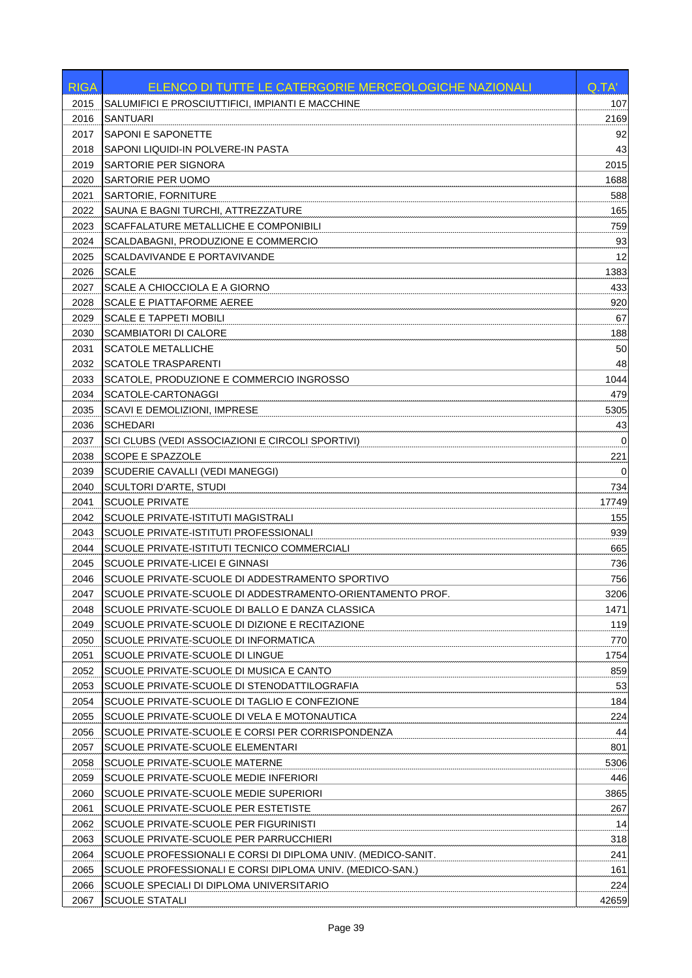| <b>RIGA</b>  | ELENCO DI TUTTE LE CATERGORIE MERCEOLOGICHE NAZIONALI                                             | Q.TA'       |
|--------------|---------------------------------------------------------------------------------------------------|-------------|
| 2015         | SALUMIFICI E PROSCIUTTIFICI, IMPIANTI E MACCHINE                                                  | 107         |
| 2016         | <b>SANTUARI</b>                                                                                   | 2169        |
| 2017         | <b>SAPONI E SAPONETTE</b>                                                                         | 92          |
| 2018         | SAPONI LIQUIDI-IN POLVERE-IN PASTA                                                                | 43          |
| 2019         | SARTORIE PER SIGNORA                                                                              | 2015        |
| 2020         | SARTORIE PER UOMO                                                                                 | 1688        |
| 2021         | SARTORIE, FORNITURE                                                                               | 588         |
| 2022         | SAUNA E BAGNI TURCHI, ATTREZZATURE                                                                | 165         |
| 2023         | SCAFFALATURE METALLICHE E COMPONIBILI                                                             | 759         |
| 2024         | SCALDABAGNI, PRODUZIONE E COMMERCIO                                                               | 93          |
| 2025         | SCALDAVIVANDE E PORTAVIVANDE                                                                      | 12          |
| 2026         | <b>SCALE</b>                                                                                      | 1383        |
| 2027         | SCALE A CHIOCCIOLA E A GIORNO                                                                     | 433         |
| 2028         | <b>SCALE E PIATTAFORME AEREE</b>                                                                  | 920         |
| 2029         | <b>SCALE E TAPPETI MOBILI</b>                                                                     | 67          |
| 2030         | <b>SCAMBIATORI DI CALORE</b>                                                                      | 188         |
| 2031         | <b>SCATOLE METALLICHE</b>                                                                         | 50          |
| 2032         | <b>SCATOLE TRASPARENTI</b>                                                                        | 48          |
| 2033         | SCATOLE, PRODUZIONE E COMMERCIO INGROSSO                                                          | 1044        |
| 2034         | SCATOLE-CARTONAGGI                                                                                | 479         |
| 2035         | SCAVI E DEMOLIZIONI, IMPRESE                                                                      | 5305        |
| 2036         | <b>SCHEDARI</b>                                                                                   | 43          |
| 2037         | SCI CLUBS (VEDI ASSOCIAZIONI E CIRCOLI SPORTIVI)                                                  | $\Omega$    |
| 2038         | SCOPE E SPAZZOLE                                                                                  | 221         |
| 2039         | SCUDERIE CAVALLI (VEDI MANEGGI)                                                                   | $\Omega$    |
| 2040         | SCULTORI D'ARTE, STUDI                                                                            | 734         |
| 2041         | <b>SCUOLE PRIVATE</b>                                                                             | 17749       |
| 2042         | SCUOLE PRIVATE-ISTITUTI MAGISTRALI                                                                | 155         |
| 2043         | SCUOLE PRIVATE-ISTITUTI PROFESSIONALI                                                             | 939         |
| 2044         | SCUOLE PRIVATE-ISTITUTI TECNICO COMMERCIALI                                                       | 665         |
| 2045         | SCUOLE PRIVATE-LICEI E GINNASI<br>SCUOLE PRIVATE-SCUOLE DI ADDESTRAMENTO SPORTIVO                 | 736<br>756  |
| 2046         |                                                                                                   |             |
| 2047         | SCUOLE PRIVATE-SCUOLE DI ADDESTRAMENTO-ORIENTAMENTO PROF.                                         | 3206        |
| 2048<br>2049 | SCUOLE PRIVATE-SCUOLE DI BALLO E DANZA CLASSICA<br>SCUOLE PRIVATE-SCUOLE DI DIZIONE E RECITAZIONE | 1471<br>119 |
| 2050         | SCUOLE PRIVATE-SCUOLE DI INFORMATICA                                                              | 770         |
| 2051         | SCUOLE PRIVATE-SCUOLE DI LINGUE                                                                   | 1754        |
| 2052         | SCUOLE PRIVATE-SCUOLE DI MUSICA E CANTO                                                           | 859         |
| 2053         | SCUOLE PRIVATE-SCUOLE DI STENODATTILOGRAFIA                                                       | 53          |
| 2054         | SCUOLE PRIVATE-SCUOLE DI TAGLIO E CONFEZIONE                                                      | 184         |
| 2055         | SCUOLE PRIVATE-SCUOLE DI VELA E MOTONAUTICA                                                       | 224         |
| 2056         | SCUOLE PRIVATE-SCUOLE E CORSI PER CORRISPONDENZA                                                  | 44          |
| 2057         | SCUOLE PRIVATE-SCUOLE ELEMENTARI                                                                  | 801         |
| 2058         | SCUOLE PRIVATE-SCUOLE MATERNE                                                                     | 5306        |
| 2059         | SCUOLE PRIVATE-SCUOLE MEDIE INFERIORI                                                             | 446         |
| 2060         | SCUOLE PRIVATE-SCUOLE MEDIE SUPERIORI                                                             | 3865        |
| 2061         | SCUOLE PRIVATE-SCUOLE PER ESTETISTE                                                               | 267         |
| 2062         | SCUOLE PRIVATE-SCUOLE PER FIGURINISTI                                                             | 14          |
| 2063         | SCUOLE PRIVATE-SCUOLE PER PARRUCCHIERI                                                            | 318         |
| 2064         | SCUOLE PROFESSIONALI E CORSI DI DIPLOMA UNIV. (MEDICO-SANIT.                                      | 241         |
| 2065         | SCUOLE PROFESSIONALI E CORSI DIPLOMA UNIV. (MEDICO-SAN.)                                          | 161         |
| 2066         | SCUOLE SPECIALI DI DIPLOMA UNIVERSITARIO                                                          | 224         |
| 2067         | <b>SCUOLE STATALI</b>                                                                             | 42659       |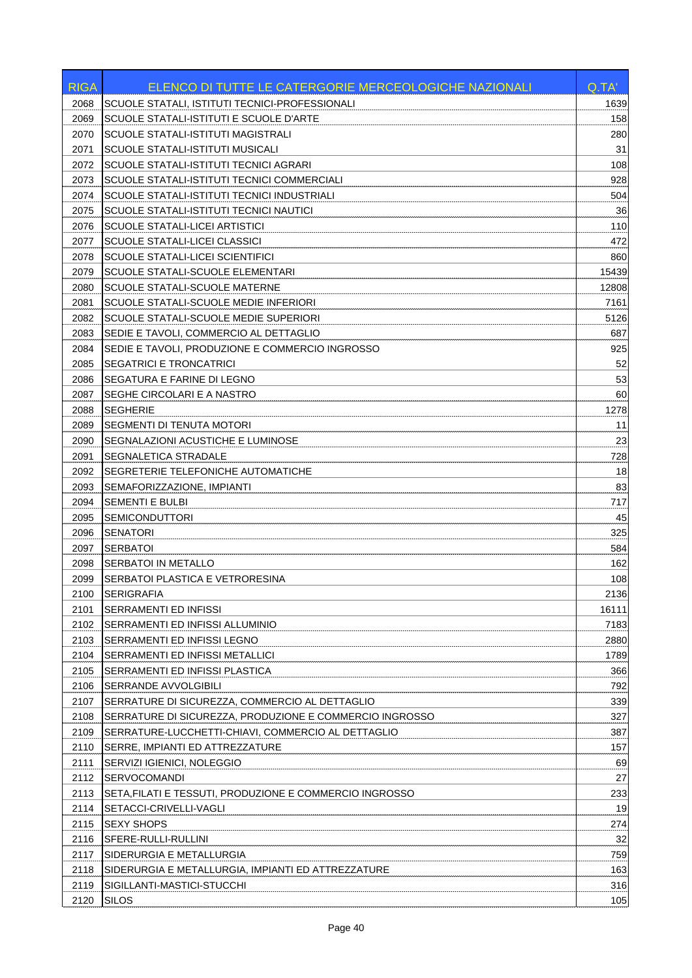| 2068<br>SCUOLE STATALI, ISTITUTI TECNICI-PROFESSIONALI<br>1639<br><b>SCUOLE STATALI-ISTITUTI E SCUOLE D'ARTE</b><br>158<br>2069<br><b>SCUOLE STATALI-ISTITUTI MAGISTRALI</b><br>280<br>2070<br>31<br>SCUOLE STATALI-ISTITUTI MUSICALI<br>2071<br>SCUOLE STATALI-ISTITUTI TECNICI AGRARI<br>108<br>2072<br>928<br>2073<br>SCUOLE STATALI-ISTITUTI TECNICI COMMERCIALI<br>2074<br>SCUOLE STATALI-ISTITUTI TECNICI INDUSTRIALI<br>504<br>36<br>2075<br>SCUOLE STATALI-ISTITUTI TECNICI NAUTICI<br>110<br>2076<br><b>SCUOLE STATALI-LICEI ARTISTICI</b><br>472<br>2077<br>SCUOLE STATALI-LICEI CLASSICI<br>2078<br>SCUOLE STATALI-LICEI SCIENTIFICI<br>860<br>2079<br>SCUOLE STATALI-SCUOLE ELEMENTARI<br>15439<br>SCUOLE STATALI-SCUOLE MATERNE<br>2080<br>12808<br>SCUOLE STATALI-SCUOLE MEDIE INFERIORI<br>7161<br>2081<br>SCUOLE STATALI-SCUOLE MEDIE SUPERIORI<br>2082<br>5126<br>687<br>2083<br>SEDIE E TAVOLI, COMMERCIO AL DETTAGLIO<br>2084<br>SEDIE E TAVOLI, PRODUZIONE E COMMERCIO INGROSSO<br>925<br>52<br>2085<br><b>SEGATRICI E TRONCATRICI</b><br>53<br>2086<br>SEGATURA E FARINE DI LEGNO<br>60<br>2087<br>SEGHE CIRCOLARI E A NASTRO<br>2088<br><b>SEGHERIE</b><br>1278<br>2089<br>SEGMENTI DI TENUTA MOTORI<br>11<br>SEGNALAZIONI ACUSTICHE E LUMINOSE<br>23<br>2090<br>SEGNALETICA STRADALE<br>2091<br>728<br>SEGRETERIE TELEFONICHE AUTOMATICHE<br>18<br>2092<br>83<br>2093<br>SEMAFORIZZAZIONE, IMPIANTI<br>717<br>2094<br><b>SEMENTI E BULBI</b><br>2095<br><b>SEMICONDUTTORI</b><br>45<br><b>SENATORI</b><br>2096<br>325<br>SERBATOI<br>584<br>2097<br>162<br>2098<br><b>SERBATOI IN METALLO</b><br>SERBATOI PLASTICA E VETRORESINA<br>108<br>2099<br>SERIGRAFIA<br>2136<br>2100<br><b>SERRAMENTI ED INFISSI</b><br>16111<br>2101<br>2102<br>SERRAMENTI ED INFISSI ALLUMINIO<br>7183<br>2103<br>SERRAMENTI ED INFISSI LEGNO<br>2880<br>2104<br>SERRAMENTI ED INFISSI METALLICI<br>1789<br>2105<br>SERRAMENTI ED INFISSI PLASTICA<br>366<br>SERRANDE AVVOLGIBILI<br>792<br>2106<br>339<br>2107<br>SERRATURE DI SICUREZZA, COMMERCIO AL DETTAGLIO<br>327<br>2108<br>SERRATURE DI SICUREZZA, PRODUZIONE E COMMERCIO INGROSSO<br>2109<br>SERRATURE-LUCCHETTI-CHIAVI, COMMERCIO AL DETTAGLIO<br>387<br>2110<br>SERRE, IMPIANTI ED ATTREZZATURE<br>157<br>2111<br>SERVIZI IGIENICI, NOLEGGIO<br>69<br>27<br>2112<br><b>SERVOCOMANDI</b><br>2113<br>233<br>SETA, FILATI E TESSUTI, PRODUZIONE E COMMERCIO INGROSSO<br>2114<br>19<br>SETACCI-CRIVELLI-VAGLI<br>2115<br><b>SEXY SHOPS</b><br>274<br>SFERE-RULLI-RULLINI<br>32<br>2116<br>2117<br>SIDERURGIA E METALLURGIA<br>759<br>163<br>2118<br>SIDERURGIA E METALLURGIA, IMPIANTI ED ATTREZZATURE<br>2119<br>316<br>SIGILLANTI-MASTICI-STUCCHI<br>2120<br><b>SILOS</b><br>105 | <b>RIGA</b> | ELENCO DI TUTTE LE CATERGORIE MERCEOLOGICHE NAZIONALI | Q.TA' |
|----------------------------------------------------------------------------------------------------------------------------------------------------------------------------------------------------------------------------------------------------------------------------------------------------------------------------------------------------------------------------------------------------------------------------------------------------------------------------------------------------------------------------------------------------------------------------------------------------------------------------------------------------------------------------------------------------------------------------------------------------------------------------------------------------------------------------------------------------------------------------------------------------------------------------------------------------------------------------------------------------------------------------------------------------------------------------------------------------------------------------------------------------------------------------------------------------------------------------------------------------------------------------------------------------------------------------------------------------------------------------------------------------------------------------------------------------------------------------------------------------------------------------------------------------------------------------------------------------------------------------------------------------------------------------------------------------------------------------------------------------------------------------------------------------------------------------------------------------------------------------------------------------------------------------------------------------------------------------------------------------------------------------------------------------------------------------------------------------------------------------------------------------------------------------------------------------------------------------------------------------------------------------------------------------------------------------------------------------------------------------------------------------------------------------------------------------------------------------------------------------------------------------------------------------------------------------------------------------------------------------------------------------------------------------------------------------------------------------------------------|-------------|-------------------------------------------------------|-------|
|                                                                                                                                                                                                                                                                                                                                                                                                                                                                                                                                                                                                                                                                                                                                                                                                                                                                                                                                                                                                                                                                                                                                                                                                                                                                                                                                                                                                                                                                                                                                                                                                                                                                                                                                                                                                                                                                                                                                                                                                                                                                                                                                                                                                                                                                                                                                                                                                                                                                                                                                                                                                                                                                                                                                              |             |                                                       |       |
|                                                                                                                                                                                                                                                                                                                                                                                                                                                                                                                                                                                                                                                                                                                                                                                                                                                                                                                                                                                                                                                                                                                                                                                                                                                                                                                                                                                                                                                                                                                                                                                                                                                                                                                                                                                                                                                                                                                                                                                                                                                                                                                                                                                                                                                                                                                                                                                                                                                                                                                                                                                                                                                                                                                                              |             |                                                       |       |
|                                                                                                                                                                                                                                                                                                                                                                                                                                                                                                                                                                                                                                                                                                                                                                                                                                                                                                                                                                                                                                                                                                                                                                                                                                                                                                                                                                                                                                                                                                                                                                                                                                                                                                                                                                                                                                                                                                                                                                                                                                                                                                                                                                                                                                                                                                                                                                                                                                                                                                                                                                                                                                                                                                                                              |             |                                                       |       |
|                                                                                                                                                                                                                                                                                                                                                                                                                                                                                                                                                                                                                                                                                                                                                                                                                                                                                                                                                                                                                                                                                                                                                                                                                                                                                                                                                                                                                                                                                                                                                                                                                                                                                                                                                                                                                                                                                                                                                                                                                                                                                                                                                                                                                                                                                                                                                                                                                                                                                                                                                                                                                                                                                                                                              |             |                                                       |       |
|                                                                                                                                                                                                                                                                                                                                                                                                                                                                                                                                                                                                                                                                                                                                                                                                                                                                                                                                                                                                                                                                                                                                                                                                                                                                                                                                                                                                                                                                                                                                                                                                                                                                                                                                                                                                                                                                                                                                                                                                                                                                                                                                                                                                                                                                                                                                                                                                                                                                                                                                                                                                                                                                                                                                              |             |                                                       |       |
|                                                                                                                                                                                                                                                                                                                                                                                                                                                                                                                                                                                                                                                                                                                                                                                                                                                                                                                                                                                                                                                                                                                                                                                                                                                                                                                                                                                                                                                                                                                                                                                                                                                                                                                                                                                                                                                                                                                                                                                                                                                                                                                                                                                                                                                                                                                                                                                                                                                                                                                                                                                                                                                                                                                                              |             |                                                       |       |
|                                                                                                                                                                                                                                                                                                                                                                                                                                                                                                                                                                                                                                                                                                                                                                                                                                                                                                                                                                                                                                                                                                                                                                                                                                                                                                                                                                                                                                                                                                                                                                                                                                                                                                                                                                                                                                                                                                                                                                                                                                                                                                                                                                                                                                                                                                                                                                                                                                                                                                                                                                                                                                                                                                                                              |             |                                                       |       |
|                                                                                                                                                                                                                                                                                                                                                                                                                                                                                                                                                                                                                                                                                                                                                                                                                                                                                                                                                                                                                                                                                                                                                                                                                                                                                                                                                                                                                                                                                                                                                                                                                                                                                                                                                                                                                                                                                                                                                                                                                                                                                                                                                                                                                                                                                                                                                                                                                                                                                                                                                                                                                                                                                                                                              |             |                                                       |       |
|                                                                                                                                                                                                                                                                                                                                                                                                                                                                                                                                                                                                                                                                                                                                                                                                                                                                                                                                                                                                                                                                                                                                                                                                                                                                                                                                                                                                                                                                                                                                                                                                                                                                                                                                                                                                                                                                                                                                                                                                                                                                                                                                                                                                                                                                                                                                                                                                                                                                                                                                                                                                                                                                                                                                              |             |                                                       |       |
|                                                                                                                                                                                                                                                                                                                                                                                                                                                                                                                                                                                                                                                                                                                                                                                                                                                                                                                                                                                                                                                                                                                                                                                                                                                                                                                                                                                                                                                                                                                                                                                                                                                                                                                                                                                                                                                                                                                                                                                                                                                                                                                                                                                                                                                                                                                                                                                                                                                                                                                                                                                                                                                                                                                                              |             |                                                       |       |
|                                                                                                                                                                                                                                                                                                                                                                                                                                                                                                                                                                                                                                                                                                                                                                                                                                                                                                                                                                                                                                                                                                                                                                                                                                                                                                                                                                                                                                                                                                                                                                                                                                                                                                                                                                                                                                                                                                                                                                                                                                                                                                                                                                                                                                                                                                                                                                                                                                                                                                                                                                                                                                                                                                                                              |             |                                                       |       |
|                                                                                                                                                                                                                                                                                                                                                                                                                                                                                                                                                                                                                                                                                                                                                                                                                                                                                                                                                                                                                                                                                                                                                                                                                                                                                                                                                                                                                                                                                                                                                                                                                                                                                                                                                                                                                                                                                                                                                                                                                                                                                                                                                                                                                                                                                                                                                                                                                                                                                                                                                                                                                                                                                                                                              |             |                                                       |       |
|                                                                                                                                                                                                                                                                                                                                                                                                                                                                                                                                                                                                                                                                                                                                                                                                                                                                                                                                                                                                                                                                                                                                                                                                                                                                                                                                                                                                                                                                                                                                                                                                                                                                                                                                                                                                                                                                                                                                                                                                                                                                                                                                                                                                                                                                                                                                                                                                                                                                                                                                                                                                                                                                                                                                              |             |                                                       |       |
|                                                                                                                                                                                                                                                                                                                                                                                                                                                                                                                                                                                                                                                                                                                                                                                                                                                                                                                                                                                                                                                                                                                                                                                                                                                                                                                                                                                                                                                                                                                                                                                                                                                                                                                                                                                                                                                                                                                                                                                                                                                                                                                                                                                                                                                                                                                                                                                                                                                                                                                                                                                                                                                                                                                                              |             |                                                       |       |
|                                                                                                                                                                                                                                                                                                                                                                                                                                                                                                                                                                                                                                                                                                                                                                                                                                                                                                                                                                                                                                                                                                                                                                                                                                                                                                                                                                                                                                                                                                                                                                                                                                                                                                                                                                                                                                                                                                                                                                                                                                                                                                                                                                                                                                                                                                                                                                                                                                                                                                                                                                                                                                                                                                                                              |             |                                                       |       |
|                                                                                                                                                                                                                                                                                                                                                                                                                                                                                                                                                                                                                                                                                                                                                                                                                                                                                                                                                                                                                                                                                                                                                                                                                                                                                                                                                                                                                                                                                                                                                                                                                                                                                                                                                                                                                                                                                                                                                                                                                                                                                                                                                                                                                                                                                                                                                                                                                                                                                                                                                                                                                                                                                                                                              |             |                                                       |       |
|                                                                                                                                                                                                                                                                                                                                                                                                                                                                                                                                                                                                                                                                                                                                                                                                                                                                                                                                                                                                                                                                                                                                                                                                                                                                                                                                                                                                                                                                                                                                                                                                                                                                                                                                                                                                                                                                                                                                                                                                                                                                                                                                                                                                                                                                                                                                                                                                                                                                                                                                                                                                                                                                                                                                              |             |                                                       |       |
|                                                                                                                                                                                                                                                                                                                                                                                                                                                                                                                                                                                                                                                                                                                                                                                                                                                                                                                                                                                                                                                                                                                                                                                                                                                                                                                                                                                                                                                                                                                                                                                                                                                                                                                                                                                                                                                                                                                                                                                                                                                                                                                                                                                                                                                                                                                                                                                                                                                                                                                                                                                                                                                                                                                                              |             |                                                       |       |
|                                                                                                                                                                                                                                                                                                                                                                                                                                                                                                                                                                                                                                                                                                                                                                                                                                                                                                                                                                                                                                                                                                                                                                                                                                                                                                                                                                                                                                                                                                                                                                                                                                                                                                                                                                                                                                                                                                                                                                                                                                                                                                                                                                                                                                                                                                                                                                                                                                                                                                                                                                                                                                                                                                                                              |             |                                                       |       |
|                                                                                                                                                                                                                                                                                                                                                                                                                                                                                                                                                                                                                                                                                                                                                                                                                                                                                                                                                                                                                                                                                                                                                                                                                                                                                                                                                                                                                                                                                                                                                                                                                                                                                                                                                                                                                                                                                                                                                                                                                                                                                                                                                                                                                                                                                                                                                                                                                                                                                                                                                                                                                                                                                                                                              |             |                                                       |       |
|                                                                                                                                                                                                                                                                                                                                                                                                                                                                                                                                                                                                                                                                                                                                                                                                                                                                                                                                                                                                                                                                                                                                                                                                                                                                                                                                                                                                                                                                                                                                                                                                                                                                                                                                                                                                                                                                                                                                                                                                                                                                                                                                                                                                                                                                                                                                                                                                                                                                                                                                                                                                                                                                                                                                              |             |                                                       |       |
|                                                                                                                                                                                                                                                                                                                                                                                                                                                                                                                                                                                                                                                                                                                                                                                                                                                                                                                                                                                                                                                                                                                                                                                                                                                                                                                                                                                                                                                                                                                                                                                                                                                                                                                                                                                                                                                                                                                                                                                                                                                                                                                                                                                                                                                                                                                                                                                                                                                                                                                                                                                                                                                                                                                                              |             |                                                       |       |
|                                                                                                                                                                                                                                                                                                                                                                                                                                                                                                                                                                                                                                                                                                                                                                                                                                                                                                                                                                                                                                                                                                                                                                                                                                                                                                                                                                                                                                                                                                                                                                                                                                                                                                                                                                                                                                                                                                                                                                                                                                                                                                                                                                                                                                                                                                                                                                                                                                                                                                                                                                                                                                                                                                                                              |             |                                                       |       |
|                                                                                                                                                                                                                                                                                                                                                                                                                                                                                                                                                                                                                                                                                                                                                                                                                                                                                                                                                                                                                                                                                                                                                                                                                                                                                                                                                                                                                                                                                                                                                                                                                                                                                                                                                                                                                                                                                                                                                                                                                                                                                                                                                                                                                                                                                                                                                                                                                                                                                                                                                                                                                                                                                                                                              |             |                                                       |       |
|                                                                                                                                                                                                                                                                                                                                                                                                                                                                                                                                                                                                                                                                                                                                                                                                                                                                                                                                                                                                                                                                                                                                                                                                                                                                                                                                                                                                                                                                                                                                                                                                                                                                                                                                                                                                                                                                                                                                                                                                                                                                                                                                                                                                                                                                                                                                                                                                                                                                                                                                                                                                                                                                                                                                              |             |                                                       |       |
|                                                                                                                                                                                                                                                                                                                                                                                                                                                                                                                                                                                                                                                                                                                                                                                                                                                                                                                                                                                                                                                                                                                                                                                                                                                                                                                                                                                                                                                                                                                                                                                                                                                                                                                                                                                                                                                                                                                                                                                                                                                                                                                                                                                                                                                                                                                                                                                                                                                                                                                                                                                                                                                                                                                                              |             |                                                       |       |
|                                                                                                                                                                                                                                                                                                                                                                                                                                                                                                                                                                                                                                                                                                                                                                                                                                                                                                                                                                                                                                                                                                                                                                                                                                                                                                                                                                                                                                                                                                                                                                                                                                                                                                                                                                                                                                                                                                                                                                                                                                                                                                                                                                                                                                                                                                                                                                                                                                                                                                                                                                                                                                                                                                                                              |             |                                                       |       |
|                                                                                                                                                                                                                                                                                                                                                                                                                                                                                                                                                                                                                                                                                                                                                                                                                                                                                                                                                                                                                                                                                                                                                                                                                                                                                                                                                                                                                                                                                                                                                                                                                                                                                                                                                                                                                                                                                                                                                                                                                                                                                                                                                                                                                                                                                                                                                                                                                                                                                                                                                                                                                                                                                                                                              |             |                                                       |       |
|                                                                                                                                                                                                                                                                                                                                                                                                                                                                                                                                                                                                                                                                                                                                                                                                                                                                                                                                                                                                                                                                                                                                                                                                                                                                                                                                                                                                                                                                                                                                                                                                                                                                                                                                                                                                                                                                                                                                                                                                                                                                                                                                                                                                                                                                                                                                                                                                                                                                                                                                                                                                                                                                                                                                              |             |                                                       |       |
|                                                                                                                                                                                                                                                                                                                                                                                                                                                                                                                                                                                                                                                                                                                                                                                                                                                                                                                                                                                                                                                                                                                                                                                                                                                                                                                                                                                                                                                                                                                                                                                                                                                                                                                                                                                                                                                                                                                                                                                                                                                                                                                                                                                                                                                                                                                                                                                                                                                                                                                                                                                                                                                                                                                                              |             |                                                       |       |
|                                                                                                                                                                                                                                                                                                                                                                                                                                                                                                                                                                                                                                                                                                                                                                                                                                                                                                                                                                                                                                                                                                                                                                                                                                                                                                                                                                                                                                                                                                                                                                                                                                                                                                                                                                                                                                                                                                                                                                                                                                                                                                                                                                                                                                                                                                                                                                                                                                                                                                                                                                                                                                                                                                                                              |             |                                                       |       |
|                                                                                                                                                                                                                                                                                                                                                                                                                                                                                                                                                                                                                                                                                                                                                                                                                                                                                                                                                                                                                                                                                                                                                                                                                                                                                                                                                                                                                                                                                                                                                                                                                                                                                                                                                                                                                                                                                                                                                                                                                                                                                                                                                                                                                                                                                                                                                                                                                                                                                                                                                                                                                                                                                                                                              |             |                                                       |       |
|                                                                                                                                                                                                                                                                                                                                                                                                                                                                                                                                                                                                                                                                                                                                                                                                                                                                                                                                                                                                                                                                                                                                                                                                                                                                                                                                                                                                                                                                                                                                                                                                                                                                                                                                                                                                                                                                                                                                                                                                                                                                                                                                                                                                                                                                                                                                                                                                                                                                                                                                                                                                                                                                                                                                              |             |                                                       |       |
|                                                                                                                                                                                                                                                                                                                                                                                                                                                                                                                                                                                                                                                                                                                                                                                                                                                                                                                                                                                                                                                                                                                                                                                                                                                                                                                                                                                                                                                                                                                                                                                                                                                                                                                                                                                                                                                                                                                                                                                                                                                                                                                                                                                                                                                                                                                                                                                                                                                                                                                                                                                                                                                                                                                                              |             |                                                       |       |
|                                                                                                                                                                                                                                                                                                                                                                                                                                                                                                                                                                                                                                                                                                                                                                                                                                                                                                                                                                                                                                                                                                                                                                                                                                                                                                                                                                                                                                                                                                                                                                                                                                                                                                                                                                                                                                                                                                                                                                                                                                                                                                                                                                                                                                                                                                                                                                                                                                                                                                                                                                                                                                                                                                                                              |             |                                                       |       |
|                                                                                                                                                                                                                                                                                                                                                                                                                                                                                                                                                                                                                                                                                                                                                                                                                                                                                                                                                                                                                                                                                                                                                                                                                                                                                                                                                                                                                                                                                                                                                                                                                                                                                                                                                                                                                                                                                                                                                                                                                                                                                                                                                                                                                                                                                                                                                                                                                                                                                                                                                                                                                                                                                                                                              |             |                                                       |       |
|                                                                                                                                                                                                                                                                                                                                                                                                                                                                                                                                                                                                                                                                                                                                                                                                                                                                                                                                                                                                                                                                                                                                                                                                                                                                                                                                                                                                                                                                                                                                                                                                                                                                                                                                                                                                                                                                                                                                                                                                                                                                                                                                                                                                                                                                                                                                                                                                                                                                                                                                                                                                                                                                                                                                              |             |                                                       |       |
|                                                                                                                                                                                                                                                                                                                                                                                                                                                                                                                                                                                                                                                                                                                                                                                                                                                                                                                                                                                                                                                                                                                                                                                                                                                                                                                                                                                                                                                                                                                                                                                                                                                                                                                                                                                                                                                                                                                                                                                                                                                                                                                                                                                                                                                                                                                                                                                                                                                                                                                                                                                                                                                                                                                                              |             |                                                       |       |
|                                                                                                                                                                                                                                                                                                                                                                                                                                                                                                                                                                                                                                                                                                                                                                                                                                                                                                                                                                                                                                                                                                                                                                                                                                                                                                                                                                                                                                                                                                                                                                                                                                                                                                                                                                                                                                                                                                                                                                                                                                                                                                                                                                                                                                                                                                                                                                                                                                                                                                                                                                                                                                                                                                                                              |             |                                                       |       |
|                                                                                                                                                                                                                                                                                                                                                                                                                                                                                                                                                                                                                                                                                                                                                                                                                                                                                                                                                                                                                                                                                                                                                                                                                                                                                                                                                                                                                                                                                                                                                                                                                                                                                                                                                                                                                                                                                                                                                                                                                                                                                                                                                                                                                                                                                                                                                                                                                                                                                                                                                                                                                                                                                                                                              |             |                                                       |       |
|                                                                                                                                                                                                                                                                                                                                                                                                                                                                                                                                                                                                                                                                                                                                                                                                                                                                                                                                                                                                                                                                                                                                                                                                                                                                                                                                                                                                                                                                                                                                                                                                                                                                                                                                                                                                                                                                                                                                                                                                                                                                                                                                                                                                                                                                                                                                                                                                                                                                                                                                                                                                                                                                                                                                              |             |                                                       |       |
|                                                                                                                                                                                                                                                                                                                                                                                                                                                                                                                                                                                                                                                                                                                                                                                                                                                                                                                                                                                                                                                                                                                                                                                                                                                                                                                                                                                                                                                                                                                                                                                                                                                                                                                                                                                                                                                                                                                                                                                                                                                                                                                                                                                                                                                                                                                                                                                                                                                                                                                                                                                                                                                                                                                                              |             |                                                       |       |
|                                                                                                                                                                                                                                                                                                                                                                                                                                                                                                                                                                                                                                                                                                                                                                                                                                                                                                                                                                                                                                                                                                                                                                                                                                                                                                                                                                                                                                                                                                                                                                                                                                                                                                                                                                                                                                                                                                                                                                                                                                                                                                                                                                                                                                                                                                                                                                                                                                                                                                                                                                                                                                                                                                                                              |             |                                                       |       |
|                                                                                                                                                                                                                                                                                                                                                                                                                                                                                                                                                                                                                                                                                                                                                                                                                                                                                                                                                                                                                                                                                                                                                                                                                                                                                                                                                                                                                                                                                                                                                                                                                                                                                                                                                                                                                                                                                                                                                                                                                                                                                                                                                                                                                                                                                                                                                                                                                                                                                                                                                                                                                                                                                                                                              |             |                                                       |       |
|                                                                                                                                                                                                                                                                                                                                                                                                                                                                                                                                                                                                                                                                                                                                                                                                                                                                                                                                                                                                                                                                                                                                                                                                                                                                                                                                                                                                                                                                                                                                                                                                                                                                                                                                                                                                                                                                                                                                                                                                                                                                                                                                                                                                                                                                                                                                                                                                                                                                                                                                                                                                                                                                                                                                              |             |                                                       |       |
|                                                                                                                                                                                                                                                                                                                                                                                                                                                                                                                                                                                                                                                                                                                                                                                                                                                                                                                                                                                                                                                                                                                                                                                                                                                                                                                                                                                                                                                                                                                                                                                                                                                                                                                                                                                                                                                                                                                                                                                                                                                                                                                                                                                                                                                                                                                                                                                                                                                                                                                                                                                                                                                                                                                                              |             |                                                       |       |
|                                                                                                                                                                                                                                                                                                                                                                                                                                                                                                                                                                                                                                                                                                                                                                                                                                                                                                                                                                                                                                                                                                                                                                                                                                                                                                                                                                                                                                                                                                                                                                                                                                                                                                                                                                                                                                                                                                                                                                                                                                                                                                                                                                                                                                                                                                                                                                                                                                                                                                                                                                                                                                                                                                                                              |             |                                                       |       |
|                                                                                                                                                                                                                                                                                                                                                                                                                                                                                                                                                                                                                                                                                                                                                                                                                                                                                                                                                                                                                                                                                                                                                                                                                                                                                                                                                                                                                                                                                                                                                                                                                                                                                                                                                                                                                                                                                                                                                                                                                                                                                                                                                                                                                                                                                                                                                                                                                                                                                                                                                                                                                                                                                                                                              |             |                                                       |       |
|                                                                                                                                                                                                                                                                                                                                                                                                                                                                                                                                                                                                                                                                                                                                                                                                                                                                                                                                                                                                                                                                                                                                                                                                                                                                                                                                                                                                                                                                                                                                                                                                                                                                                                                                                                                                                                                                                                                                                                                                                                                                                                                                                                                                                                                                                                                                                                                                                                                                                                                                                                                                                                                                                                                                              |             |                                                       |       |
|                                                                                                                                                                                                                                                                                                                                                                                                                                                                                                                                                                                                                                                                                                                                                                                                                                                                                                                                                                                                                                                                                                                                                                                                                                                                                                                                                                                                                                                                                                                                                                                                                                                                                                                                                                                                                                                                                                                                                                                                                                                                                                                                                                                                                                                                                                                                                                                                                                                                                                                                                                                                                                                                                                                                              |             |                                                       |       |
|                                                                                                                                                                                                                                                                                                                                                                                                                                                                                                                                                                                                                                                                                                                                                                                                                                                                                                                                                                                                                                                                                                                                                                                                                                                                                                                                                                                                                                                                                                                                                                                                                                                                                                                                                                                                                                                                                                                                                                                                                                                                                                                                                                                                                                                                                                                                                                                                                                                                                                                                                                                                                                                                                                                                              |             |                                                       |       |
|                                                                                                                                                                                                                                                                                                                                                                                                                                                                                                                                                                                                                                                                                                                                                                                                                                                                                                                                                                                                                                                                                                                                                                                                                                                                                                                                                                                                                                                                                                                                                                                                                                                                                                                                                                                                                                                                                                                                                                                                                                                                                                                                                                                                                                                                                                                                                                                                                                                                                                                                                                                                                                                                                                                                              |             |                                                       |       |
|                                                                                                                                                                                                                                                                                                                                                                                                                                                                                                                                                                                                                                                                                                                                                                                                                                                                                                                                                                                                                                                                                                                                                                                                                                                                                                                                                                                                                                                                                                                                                                                                                                                                                                                                                                                                                                                                                                                                                                                                                                                                                                                                                                                                                                                                                                                                                                                                                                                                                                                                                                                                                                                                                                                                              |             |                                                       |       |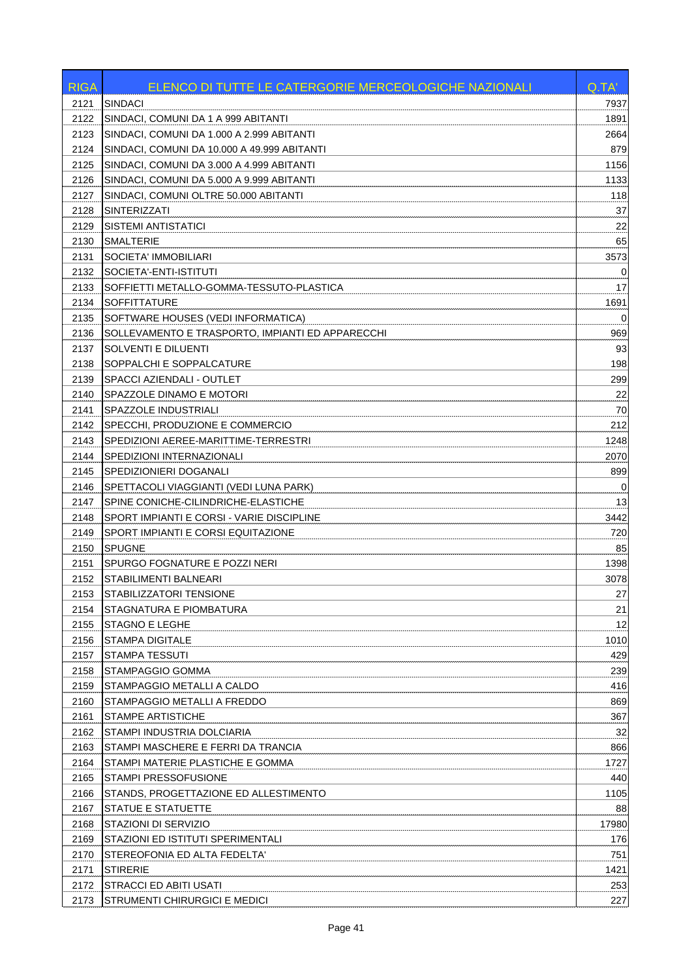| <b>RIGA</b> | <b>ELENCO DI TUTTE LE CATERGORIE MERCEOLOGICHE NAZIONALI</b> | Q.TA'       |
|-------------|--------------------------------------------------------------|-------------|
| 2121        | <b>SINDACI</b>                                               | 7937        |
| 2122        | SINDACI, COMUNI DA 1 A 999 ABITANTI                          | 1891        |
| 2123        | SINDACI, COMUNI DA 1.000 A 2.999 ABITANTI                    | 2664        |
| 2124        | SINDACI, COMUNI DA 10.000 A 49.999 ABITANTI                  | 879         |
| 2125        | SINDACI, COMUNI DA 3.000 A 4.999 ABITANTI                    | 1156        |
| 2126        | SINDACI, COMUNI DA 5.000 A 9.999 ABITANTI                    | 1133        |
| 2127        | SINDACI, COMUNI OLTRE 50.000 ABITANTI                        | 118         |
| 2128        | <b>SINTERIZZATI</b>                                          | 37          |
| 2129        | <b>SISTEMI ANTISTATICI</b>                                   | 22          |
| 2130        | <b>SMALTERIE</b>                                             | 65          |
| 2131        | SOCIETA' IMMOBILIARI                                         | 3573        |
| 2132        | SOCIETA'-ENTI-ISTITUTI                                       | 0           |
| 2133        | SOFFIETTI METALLO-GOMMA-TESSUTO-PLASTICA                     | 17          |
| 2134        | <b>SOFFITTATURE</b>                                          | 1691        |
| 2135        | SOFTWARE HOUSES (VEDI INFORMATICA)                           | $\mathbf 0$ |
| 2136        | SOLLEVAMENTO E TRASPORTO, IMPIANTI ED APPARECCHI             | 969         |
| 2137        | SOLVENTI E DILUENTI                                          | 93          |
| 2138        | SOPPALCHI E SOPPALCATURE                                     | 198         |
| 2139        | SPACCI AZIENDALI - OUTLET                                    | 299         |
| 2140        | SPAZZOLE DINAMO E MOTORI                                     | 22          |
| 2141        | SPAZZOLE INDUSTRIALI                                         | 70          |
| 2142        | SPECCHI, PRODUZIONE E COMMERCIO                              | 212         |
| 2143        | SPEDIZIONI AEREE-MARITTIME-TERRESTRI                         | 1248        |
| 2144        | SPEDIZIONI INTERNAZIONALI                                    | 2070        |
| 2145        | SPEDIZIONIERI DOGANALI                                       | 899         |
| 2146        | SPETTACOLI VIAGGIANTI (VEDI LUNA PARK)                       |             |
| 2147        | SPINE CONICHE-CILINDRICHE-ELASTICHE                          | 0<br>13     |
|             | SPORT IMPIANTI E CORSI - VARIE DISCIPLINE                    | 3442        |
| 2148        | SPORT IMPIANTI E CORSI EQUITAZIONE                           |             |
| 2149        |                                                              | 720         |
| 2150        | <b>SPUGNE</b>                                                | 85          |
| 2151        | SPURGO FOGNATURE E POZZI NERI                                | 1398        |
| 2152        | STABILIMENTI BALNEARI                                        | 3078        |
| 2153        | STABILIZZATORI TENSIONE                                      | 27          |
| 2154        | STAGNATURA E PIOMBATURA                                      | 21          |
| 2155        | <b>STAGNO E LEGHE</b>                                        | 12          |
| 2156        | <b>STAMPA DIGITALE</b>                                       | 1010        |
| 2157        | <b>STAMPA TESSUTI</b>                                        | 429         |
| 2158        | STAMPAGGIO GOMMA                                             | 239         |
| 2159        | STAMPAGGIO METALLI A CALDO                                   | 416         |
| 2160        | STAMPAGGIO METALLI A FREDDO                                  | 869         |
| 2161        | <b>STAMPE ARTISTICHE</b>                                     | 367         |
| 2162        | STAMPI INDUSTRIA DOLCIARIA                                   | 32          |
| 2163        | STAMPI MASCHERE E FERRI DA TRANCIA                           | 866         |
| 2164        | STAMPI MATERIE PLASTICHE E GOMMA                             | 1727        |
| 2165        | STAMPI PRESSOFUSIONE                                         | 440         |
| 2166        | STANDS, PROGETTAZIONE ED ALLESTIMENTO                        | 1105        |
| 2167        | STATUE E STATUETTE                                           | 88          |
| 2168        | STAZIONI DI SERVIZIO                                         | 17980       |
| 2169        | STAZIONI ED ISTITUTI SPERIMENTALI                            | 176         |
| 2170        | STEREOFONIA ED ALTA FEDELTA'                                 | 751         |
| 2171        | <b>STIRERIE</b>                                              | 1421        |
| 2172        | <b>STRACCI ED ABITI USATI</b>                                | 253         |
| 2173        | STRUMENTI CHIRURGICI E MEDICI                                | 227         |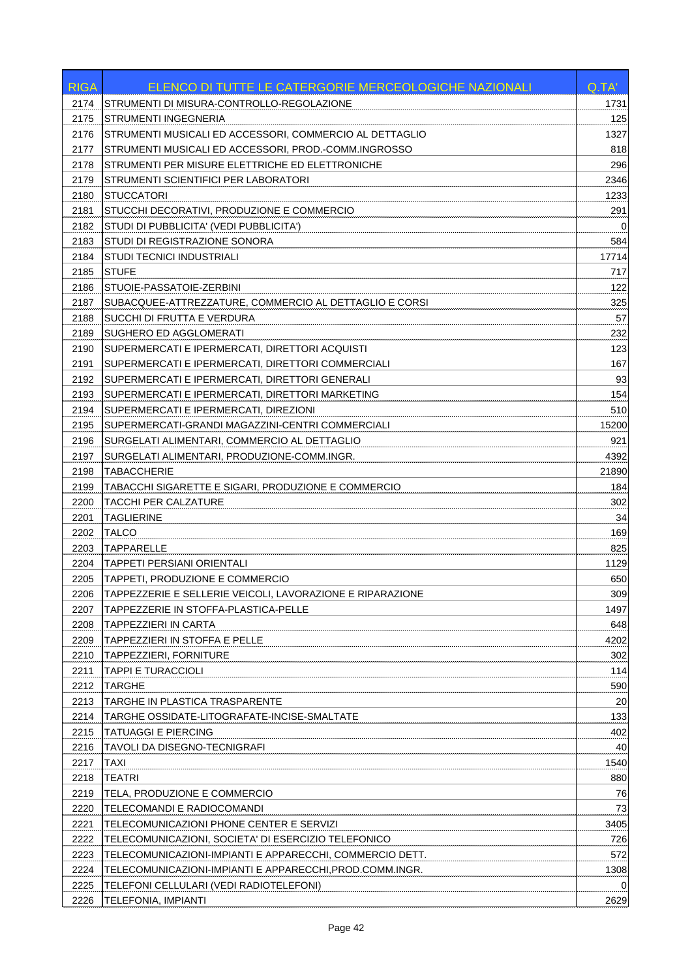| STRUMENTI DI MISURA-CONTROLLO-REGOLAZIONE<br>2174<br>1731<br>125<br>2175<br><b>STRUMENTI INGEGNERIA</b><br>1327<br>2176<br>STRUMENTI MUSICALI ED ACCESSORI, COMMERCIO AL DETTAGLIO<br>818<br>2177<br>STRUMENTI MUSICALI ED ACCESSORI, PROD.-COMM.INGROSSO<br>STRUMENTI PER MISURE ELETTRICHE ED ELETTRONICHE<br>296<br>2178<br>2179<br>STRUMENTI SCIENTIFICI PER LABORATORI<br>2346<br>2180<br><b>STUCCATORI</b><br>1233<br>291<br>2181<br>STUCCHI DECORATIVI, PRODUZIONE E COMMERCIO<br>2182<br>STUDI DI PUBBLICITA' (VEDI PUBBLICITA')<br>0<br>STUDI DI REGISTRAZIONE SONORA<br>584<br>2183<br>2184<br>STUDI TECNICI INDUSTRIALI<br>17714<br>2185<br><b>STUFE</b><br>717<br>122<br>2186<br>STUOIE-PASSATOIE-ZERBINI<br>2187<br>325<br>SUBACQUEE-ATTREZZATURE, COMMERCIO AL DETTAGLIO E CORSI<br>SUCCHI DI FRUTTA E VERDURA<br>57<br>2188<br>SUGHERO ED AGGLOMERATI<br>2189<br>232<br>2190<br>SUPERMERCATI E IPERMERCATI, DIRETTORI ACQUISTI<br>123<br>167<br>2191<br>SUPERMERCATI E IPERMERCATI, DIRETTORI COMMERCIALI<br>93<br>2192<br>SUPERMERCATI E IPERMERCATI, DIRETTORI GENERALI<br>154<br>2193<br>SUPERMERCATI E IPERMERCATI, DIRETTORI MARKETING<br>510<br>2194<br>SUPERMERCATI E IPERMERCATI, DIREZIONI<br>2195<br>SUPERMERCATI-GRANDI MAGAZZINI-CENTRI COMMERCIALI<br>15200<br>2196<br>SURGELATI ALIMENTARI, COMMERCIO AL DETTAGLIO<br>921<br>2197<br>SURGELATI ALIMENTARI, PRODUZIONE-COMM.INGR.<br>4392<br><b>TABACCHERIE</b><br>2198<br>21890<br>2199<br>TABACCHI SIGARETTE E SIGARI, PRODUZIONE E COMMERCIO<br>184<br>2200<br>TACCHI PER CALZATURE<br>302<br>34<br>2201<br><b>TAGLIERINE</b><br>2202<br><b>TALCO</b><br>169<br>2203<br><b>TAPPARELLE</b><br>825<br>2204<br><b>TAPPETI PERSIANI ORIENTALI</b><br>1129<br>2205<br>TAPPETI, PRODUZIONE E COMMERCIO<br>650<br>309<br>2206<br>TAPPEZZERIE E SELLERIE VEICOLI, LAVORAZIONE E RIPARAZIONE<br>1497<br>2207<br>TAPPEZZERIE IN STOFFA-PLASTICA-PELLE<br>648<br>2208<br>TAPPEZZIERI IN CARTA<br>2209<br>TAPPEZZIERI IN STOFFA E PELLE<br>4202<br>2210<br>TAPPEZZIERI, FORNITURE<br>302<br>2211<br><b>TAPPI E TURACCIOLI</b><br>114<br>2212<br><b>TARGHE</b><br>590<br>20<br>2213<br>TARGHE IN PLASTICA TRASPARENTE<br>2214<br>133<br>TARGHE OSSIDATE-LITOGRAFATE-INCISE-SMALTATE<br>2215<br><b>TATUAGGI E PIERCING</b><br>402<br>2216<br>TAVOLI DA DISEGNO-TECNIGRAFI<br>40<br>2217<br><b>TAXI</b><br>1540<br>880<br>2218<br><b>TEATRI</b><br>76<br>2219<br>TELA, PRODUZIONE E COMMERCIO<br>2220<br>TELECOMANDI E RADIOCOMANDI<br>73<br>3405<br>2221<br>TELECOMUNICAZIONI PHONE CENTER E SERVIZI<br>2222<br>TELECOMUNICAZIONI, SOCIETA' DI ESERCIZIO TELEFONICO<br>726<br>572<br>2223<br>TELECOMUNICAZIONI-IMPIANTI E APPARECCHI, COMMERCIO DETT.<br>2224<br>TELECOMUNICAZIONI-IMPIANTI E APPARECCHI, PROD.COMM.INGR.<br>1308<br>2225<br>TELEFONI CELLULARI (VEDI RADIOTELEFONI)<br>0<br>2226<br>2629<br><b>TELEFONIA, IMPIANTI</b> | <b>RIGA</b> | ELENCO DI TUTTE LE CATERGORIE MERCEOLOGICHE NAZIONALI | Q.TA' |
|----------------------------------------------------------------------------------------------------------------------------------------------------------------------------------------------------------------------------------------------------------------------------------------------------------------------------------------------------------------------------------------------------------------------------------------------------------------------------------------------------------------------------------------------------------------------------------------------------------------------------------------------------------------------------------------------------------------------------------------------------------------------------------------------------------------------------------------------------------------------------------------------------------------------------------------------------------------------------------------------------------------------------------------------------------------------------------------------------------------------------------------------------------------------------------------------------------------------------------------------------------------------------------------------------------------------------------------------------------------------------------------------------------------------------------------------------------------------------------------------------------------------------------------------------------------------------------------------------------------------------------------------------------------------------------------------------------------------------------------------------------------------------------------------------------------------------------------------------------------------------------------------------------------------------------------------------------------------------------------------------------------------------------------------------------------------------------------------------------------------------------------------------------------------------------------------------------------------------------------------------------------------------------------------------------------------------------------------------------------------------------------------------------------------------------------------------------------------------------------------------------------------------------------------------------------------------------------------------------------------------------------------------------------------------------------------------------------------------------------------------------------------------------------------------------------------------------------------------------------------------------------------------------|-------------|-------------------------------------------------------|-------|
|                                                                                                                                                                                                                                                                                                                                                                                                                                                                                                                                                                                                                                                                                                                                                                                                                                                                                                                                                                                                                                                                                                                                                                                                                                                                                                                                                                                                                                                                                                                                                                                                                                                                                                                                                                                                                                                                                                                                                                                                                                                                                                                                                                                                                                                                                                                                                                                                                                                                                                                                                                                                                                                                                                                                                                                                                                                                                                          |             |                                                       |       |
|                                                                                                                                                                                                                                                                                                                                                                                                                                                                                                                                                                                                                                                                                                                                                                                                                                                                                                                                                                                                                                                                                                                                                                                                                                                                                                                                                                                                                                                                                                                                                                                                                                                                                                                                                                                                                                                                                                                                                                                                                                                                                                                                                                                                                                                                                                                                                                                                                                                                                                                                                                                                                                                                                                                                                                                                                                                                                                          |             |                                                       |       |
|                                                                                                                                                                                                                                                                                                                                                                                                                                                                                                                                                                                                                                                                                                                                                                                                                                                                                                                                                                                                                                                                                                                                                                                                                                                                                                                                                                                                                                                                                                                                                                                                                                                                                                                                                                                                                                                                                                                                                                                                                                                                                                                                                                                                                                                                                                                                                                                                                                                                                                                                                                                                                                                                                                                                                                                                                                                                                                          |             |                                                       |       |
|                                                                                                                                                                                                                                                                                                                                                                                                                                                                                                                                                                                                                                                                                                                                                                                                                                                                                                                                                                                                                                                                                                                                                                                                                                                                                                                                                                                                                                                                                                                                                                                                                                                                                                                                                                                                                                                                                                                                                                                                                                                                                                                                                                                                                                                                                                                                                                                                                                                                                                                                                                                                                                                                                                                                                                                                                                                                                                          |             |                                                       |       |
|                                                                                                                                                                                                                                                                                                                                                                                                                                                                                                                                                                                                                                                                                                                                                                                                                                                                                                                                                                                                                                                                                                                                                                                                                                                                                                                                                                                                                                                                                                                                                                                                                                                                                                                                                                                                                                                                                                                                                                                                                                                                                                                                                                                                                                                                                                                                                                                                                                                                                                                                                                                                                                                                                                                                                                                                                                                                                                          |             |                                                       |       |
|                                                                                                                                                                                                                                                                                                                                                                                                                                                                                                                                                                                                                                                                                                                                                                                                                                                                                                                                                                                                                                                                                                                                                                                                                                                                                                                                                                                                                                                                                                                                                                                                                                                                                                                                                                                                                                                                                                                                                                                                                                                                                                                                                                                                                                                                                                                                                                                                                                                                                                                                                                                                                                                                                                                                                                                                                                                                                                          |             |                                                       |       |
|                                                                                                                                                                                                                                                                                                                                                                                                                                                                                                                                                                                                                                                                                                                                                                                                                                                                                                                                                                                                                                                                                                                                                                                                                                                                                                                                                                                                                                                                                                                                                                                                                                                                                                                                                                                                                                                                                                                                                                                                                                                                                                                                                                                                                                                                                                                                                                                                                                                                                                                                                                                                                                                                                                                                                                                                                                                                                                          |             |                                                       |       |
|                                                                                                                                                                                                                                                                                                                                                                                                                                                                                                                                                                                                                                                                                                                                                                                                                                                                                                                                                                                                                                                                                                                                                                                                                                                                                                                                                                                                                                                                                                                                                                                                                                                                                                                                                                                                                                                                                                                                                                                                                                                                                                                                                                                                                                                                                                                                                                                                                                                                                                                                                                                                                                                                                                                                                                                                                                                                                                          |             |                                                       |       |
|                                                                                                                                                                                                                                                                                                                                                                                                                                                                                                                                                                                                                                                                                                                                                                                                                                                                                                                                                                                                                                                                                                                                                                                                                                                                                                                                                                                                                                                                                                                                                                                                                                                                                                                                                                                                                                                                                                                                                                                                                                                                                                                                                                                                                                                                                                                                                                                                                                                                                                                                                                                                                                                                                                                                                                                                                                                                                                          |             |                                                       |       |
|                                                                                                                                                                                                                                                                                                                                                                                                                                                                                                                                                                                                                                                                                                                                                                                                                                                                                                                                                                                                                                                                                                                                                                                                                                                                                                                                                                                                                                                                                                                                                                                                                                                                                                                                                                                                                                                                                                                                                                                                                                                                                                                                                                                                                                                                                                                                                                                                                                                                                                                                                                                                                                                                                                                                                                                                                                                                                                          |             |                                                       |       |
|                                                                                                                                                                                                                                                                                                                                                                                                                                                                                                                                                                                                                                                                                                                                                                                                                                                                                                                                                                                                                                                                                                                                                                                                                                                                                                                                                                                                                                                                                                                                                                                                                                                                                                                                                                                                                                                                                                                                                                                                                                                                                                                                                                                                                                                                                                                                                                                                                                                                                                                                                                                                                                                                                                                                                                                                                                                                                                          |             |                                                       |       |
|                                                                                                                                                                                                                                                                                                                                                                                                                                                                                                                                                                                                                                                                                                                                                                                                                                                                                                                                                                                                                                                                                                                                                                                                                                                                                                                                                                                                                                                                                                                                                                                                                                                                                                                                                                                                                                                                                                                                                                                                                                                                                                                                                                                                                                                                                                                                                                                                                                                                                                                                                                                                                                                                                                                                                                                                                                                                                                          |             |                                                       |       |
|                                                                                                                                                                                                                                                                                                                                                                                                                                                                                                                                                                                                                                                                                                                                                                                                                                                                                                                                                                                                                                                                                                                                                                                                                                                                                                                                                                                                                                                                                                                                                                                                                                                                                                                                                                                                                                                                                                                                                                                                                                                                                                                                                                                                                                                                                                                                                                                                                                                                                                                                                                                                                                                                                                                                                                                                                                                                                                          |             |                                                       |       |
|                                                                                                                                                                                                                                                                                                                                                                                                                                                                                                                                                                                                                                                                                                                                                                                                                                                                                                                                                                                                                                                                                                                                                                                                                                                                                                                                                                                                                                                                                                                                                                                                                                                                                                                                                                                                                                                                                                                                                                                                                                                                                                                                                                                                                                                                                                                                                                                                                                                                                                                                                                                                                                                                                                                                                                                                                                                                                                          |             |                                                       |       |
|                                                                                                                                                                                                                                                                                                                                                                                                                                                                                                                                                                                                                                                                                                                                                                                                                                                                                                                                                                                                                                                                                                                                                                                                                                                                                                                                                                                                                                                                                                                                                                                                                                                                                                                                                                                                                                                                                                                                                                                                                                                                                                                                                                                                                                                                                                                                                                                                                                                                                                                                                                                                                                                                                                                                                                                                                                                                                                          |             |                                                       |       |
|                                                                                                                                                                                                                                                                                                                                                                                                                                                                                                                                                                                                                                                                                                                                                                                                                                                                                                                                                                                                                                                                                                                                                                                                                                                                                                                                                                                                                                                                                                                                                                                                                                                                                                                                                                                                                                                                                                                                                                                                                                                                                                                                                                                                                                                                                                                                                                                                                                                                                                                                                                                                                                                                                                                                                                                                                                                                                                          |             |                                                       |       |
|                                                                                                                                                                                                                                                                                                                                                                                                                                                                                                                                                                                                                                                                                                                                                                                                                                                                                                                                                                                                                                                                                                                                                                                                                                                                                                                                                                                                                                                                                                                                                                                                                                                                                                                                                                                                                                                                                                                                                                                                                                                                                                                                                                                                                                                                                                                                                                                                                                                                                                                                                                                                                                                                                                                                                                                                                                                                                                          |             |                                                       |       |
|                                                                                                                                                                                                                                                                                                                                                                                                                                                                                                                                                                                                                                                                                                                                                                                                                                                                                                                                                                                                                                                                                                                                                                                                                                                                                                                                                                                                                                                                                                                                                                                                                                                                                                                                                                                                                                                                                                                                                                                                                                                                                                                                                                                                                                                                                                                                                                                                                                                                                                                                                                                                                                                                                                                                                                                                                                                                                                          |             |                                                       |       |
|                                                                                                                                                                                                                                                                                                                                                                                                                                                                                                                                                                                                                                                                                                                                                                                                                                                                                                                                                                                                                                                                                                                                                                                                                                                                                                                                                                                                                                                                                                                                                                                                                                                                                                                                                                                                                                                                                                                                                                                                                                                                                                                                                                                                                                                                                                                                                                                                                                                                                                                                                                                                                                                                                                                                                                                                                                                                                                          |             |                                                       |       |
|                                                                                                                                                                                                                                                                                                                                                                                                                                                                                                                                                                                                                                                                                                                                                                                                                                                                                                                                                                                                                                                                                                                                                                                                                                                                                                                                                                                                                                                                                                                                                                                                                                                                                                                                                                                                                                                                                                                                                                                                                                                                                                                                                                                                                                                                                                                                                                                                                                                                                                                                                                                                                                                                                                                                                                                                                                                                                                          |             |                                                       |       |
|                                                                                                                                                                                                                                                                                                                                                                                                                                                                                                                                                                                                                                                                                                                                                                                                                                                                                                                                                                                                                                                                                                                                                                                                                                                                                                                                                                                                                                                                                                                                                                                                                                                                                                                                                                                                                                                                                                                                                                                                                                                                                                                                                                                                                                                                                                                                                                                                                                                                                                                                                                                                                                                                                                                                                                                                                                                                                                          |             |                                                       |       |
|                                                                                                                                                                                                                                                                                                                                                                                                                                                                                                                                                                                                                                                                                                                                                                                                                                                                                                                                                                                                                                                                                                                                                                                                                                                                                                                                                                                                                                                                                                                                                                                                                                                                                                                                                                                                                                                                                                                                                                                                                                                                                                                                                                                                                                                                                                                                                                                                                                                                                                                                                                                                                                                                                                                                                                                                                                                                                                          |             |                                                       |       |
|                                                                                                                                                                                                                                                                                                                                                                                                                                                                                                                                                                                                                                                                                                                                                                                                                                                                                                                                                                                                                                                                                                                                                                                                                                                                                                                                                                                                                                                                                                                                                                                                                                                                                                                                                                                                                                                                                                                                                                                                                                                                                                                                                                                                                                                                                                                                                                                                                                                                                                                                                                                                                                                                                                                                                                                                                                                                                                          |             |                                                       |       |
|                                                                                                                                                                                                                                                                                                                                                                                                                                                                                                                                                                                                                                                                                                                                                                                                                                                                                                                                                                                                                                                                                                                                                                                                                                                                                                                                                                                                                                                                                                                                                                                                                                                                                                                                                                                                                                                                                                                                                                                                                                                                                                                                                                                                                                                                                                                                                                                                                                                                                                                                                                                                                                                                                                                                                                                                                                                                                                          |             |                                                       |       |
|                                                                                                                                                                                                                                                                                                                                                                                                                                                                                                                                                                                                                                                                                                                                                                                                                                                                                                                                                                                                                                                                                                                                                                                                                                                                                                                                                                                                                                                                                                                                                                                                                                                                                                                                                                                                                                                                                                                                                                                                                                                                                                                                                                                                                                                                                                                                                                                                                                                                                                                                                                                                                                                                                                                                                                                                                                                                                                          |             |                                                       |       |
|                                                                                                                                                                                                                                                                                                                                                                                                                                                                                                                                                                                                                                                                                                                                                                                                                                                                                                                                                                                                                                                                                                                                                                                                                                                                                                                                                                                                                                                                                                                                                                                                                                                                                                                                                                                                                                                                                                                                                                                                                                                                                                                                                                                                                                                                                                                                                                                                                                                                                                                                                                                                                                                                                                                                                                                                                                                                                                          |             |                                                       |       |
|                                                                                                                                                                                                                                                                                                                                                                                                                                                                                                                                                                                                                                                                                                                                                                                                                                                                                                                                                                                                                                                                                                                                                                                                                                                                                                                                                                                                                                                                                                                                                                                                                                                                                                                                                                                                                                                                                                                                                                                                                                                                                                                                                                                                                                                                                                                                                                                                                                                                                                                                                                                                                                                                                                                                                                                                                                                                                                          |             |                                                       |       |
|                                                                                                                                                                                                                                                                                                                                                                                                                                                                                                                                                                                                                                                                                                                                                                                                                                                                                                                                                                                                                                                                                                                                                                                                                                                                                                                                                                                                                                                                                                                                                                                                                                                                                                                                                                                                                                                                                                                                                                                                                                                                                                                                                                                                                                                                                                                                                                                                                                                                                                                                                                                                                                                                                                                                                                                                                                                                                                          |             |                                                       |       |
|                                                                                                                                                                                                                                                                                                                                                                                                                                                                                                                                                                                                                                                                                                                                                                                                                                                                                                                                                                                                                                                                                                                                                                                                                                                                                                                                                                                                                                                                                                                                                                                                                                                                                                                                                                                                                                                                                                                                                                                                                                                                                                                                                                                                                                                                                                                                                                                                                                                                                                                                                                                                                                                                                                                                                                                                                                                                                                          |             |                                                       |       |
|                                                                                                                                                                                                                                                                                                                                                                                                                                                                                                                                                                                                                                                                                                                                                                                                                                                                                                                                                                                                                                                                                                                                                                                                                                                                                                                                                                                                                                                                                                                                                                                                                                                                                                                                                                                                                                                                                                                                                                                                                                                                                                                                                                                                                                                                                                                                                                                                                                                                                                                                                                                                                                                                                                                                                                                                                                                                                                          |             |                                                       |       |
|                                                                                                                                                                                                                                                                                                                                                                                                                                                                                                                                                                                                                                                                                                                                                                                                                                                                                                                                                                                                                                                                                                                                                                                                                                                                                                                                                                                                                                                                                                                                                                                                                                                                                                                                                                                                                                                                                                                                                                                                                                                                                                                                                                                                                                                                                                                                                                                                                                                                                                                                                                                                                                                                                                                                                                                                                                                                                                          |             |                                                       |       |
|                                                                                                                                                                                                                                                                                                                                                                                                                                                                                                                                                                                                                                                                                                                                                                                                                                                                                                                                                                                                                                                                                                                                                                                                                                                                                                                                                                                                                                                                                                                                                                                                                                                                                                                                                                                                                                                                                                                                                                                                                                                                                                                                                                                                                                                                                                                                                                                                                                                                                                                                                                                                                                                                                                                                                                                                                                                                                                          |             |                                                       |       |
|                                                                                                                                                                                                                                                                                                                                                                                                                                                                                                                                                                                                                                                                                                                                                                                                                                                                                                                                                                                                                                                                                                                                                                                                                                                                                                                                                                                                                                                                                                                                                                                                                                                                                                                                                                                                                                                                                                                                                                                                                                                                                                                                                                                                                                                                                                                                                                                                                                                                                                                                                                                                                                                                                                                                                                                                                                                                                                          |             |                                                       |       |
|                                                                                                                                                                                                                                                                                                                                                                                                                                                                                                                                                                                                                                                                                                                                                                                                                                                                                                                                                                                                                                                                                                                                                                                                                                                                                                                                                                                                                                                                                                                                                                                                                                                                                                                                                                                                                                                                                                                                                                                                                                                                                                                                                                                                                                                                                                                                                                                                                                                                                                                                                                                                                                                                                                                                                                                                                                                                                                          |             |                                                       |       |
|                                                                                                                                                                                                                                                                                                                                                                                                                                                                                                                                                                                                                                                                                                                                                                                                                                                                                                                                                                                                                                                                                                                                                                                                                                                                                                                                                                                                                                                                                                                                                                                                                                                                                                                                                                                                                                                                                                                                                                                                                                                                                                                                                                                                                                                                                                                                                                                                                                                                                                                                                                                                                                                                                                                                                                                                                                                                                                          |             |                                                       |       |
|                                                                                                                                                                                                                                                                                                                                                                                                                                                                                                                                                                                                                                                                                                                                                                                                                                                                                                                                                                                                                                                                                                                                                                                                                                                                                                                                                                                                                                                                                                                                                                                                                                                                                                                                                                                                                                                                                                                                                                                                                                                                                                                                                                                                                                                                                                                                                                                                                                                                                                                                                                                                                                                                                                                                                                                                                                                                                                          |             |                                                       |       |
|                                                                                                                                                                                                                                                                                                                                                                                                                                                                                                                                                                                                                                                                                                                                                                                                                                                                                                                                                                                                                                                                                                                                                                                                                                                                                                                                                                                                                                                                                                                                                                                                                                                                                                                                                                                                                                                                                                                                                                                                                                                                                                                                                                                                                                                                                                                                                                                                                                                                                                                                                                                                                                                                                                                                                                                                                                                                                                          |             |                                                       |       |
|                                                                                                                                                                                                                                                                                                                                                                                                                                                                                                                                                                                                                                                                                                                                                                                                                                                                                                                                                                                                                                                                                                                                                                                                                                                                                                                                                                                                                                                                                                                                                                                                                                                                                                                                                                                                                                                                                                                                                                                                                                                                                                                                                                                                                                                                                                                                                                                                                                                                                                                                                                                                                                                                                                                                                                                                                                                                                                          |             |                                                       |       |
|                                                                                                                                                                                                                                                                                                                                                                                                                                                                                                                                                                                                                                                                                                                                                                                                                                                                                                                                                                                                                                                                                                                                                                                                                                                                                                                                                                                                                                                                                                                                                                                                                                                                                                                                                                                                                                                                                                                                                                                                                                                                                                                                                                                                                                                                                                                                                                                                                                                                                                                                                                                                                                                                                                                                                                                                                                                                                                          |             |                                                       |       |
|                                                                                                                                                                                                                                                                                                                                                                                                                                                                                                                                                                                                                                                                                                                                                                                                                                                                                                                                                                                                                                                                                                                                                                                                                                                                                                                                                                                                                                                                                                                                                                                                                                                                                                                                                                                                                                                                                                                                                                                                                                                                                                                                                                                                                                                                                                                                                                                                                                                                                                                                                                                                                                                                                                                                                                                                                                                                                                          |             |                                                       |       |
|                                                                                                                                                                                                                                                                                                                                                                                                                                                                                                                                                                                                                                                                                                                                                                                                                                                                                                                                                                                                                                                                                                                                                                                                                                                                                                                                                                                                                                                                                                                                                                                                                                                                                                                                                                                                                                                                                                                                                                                                                                                                                                                                                                                                                                                                                                                                                                                                                                                                                                                                                                                                                                                                                                                                                                                                                                                                                                          |             |                                                       |       |
|                                                                                                                                                                                                                                                                                                                                                                                                                                                                                                                                                                                                                                                                                                                                                                                                                                                                                                                                                                                                                                                                                                                                                                                                                                                                                                                                                                                                                                                                                                                                                                                                                                                                                                                                                                                                                                                                                                                                                                                                                                                                                                                                                                                                                                                                                                                                                                                                                                                                                                                                                                                                                                                                                                                                                                                                                                                                                                          |             |                                                       |       |
|                                                                                                                                                                                                                                                                                                                                                                                                                                                                                                                                                                                                                                                                                                                                                                                                                                                                                                                                                                                                                                                                                                                                                                                                                                                                                                                                                                                                                                                                                                                                                                                                                                                                                                                                                                                                                                                                                                                                                                                                                                                                                                                                                                                                                                                                                                                                                                                                                                                                                                                                                                                                                                                                                                                                                                                                                                                                                                          |             |                                                       |       |
|                                                                                                                                                                                                                                                                                                                                                                                                                                                                                                                                                                                                                                                                                                                                                                                                                                                                                                                                                                                                                                                                                                                                                                                                                                                                                                                                                                                                                                                                                                                                                                                                                                                                                                                                                                                                                                                                                                                                                                                                                                                                                                                                                                                                                                                                                                                                                                                                                                                                                                                                                                                                                                                                                                                                                                                                                                                                                                          |             |                                                       |       |
|                                                                                                                                                                                                                                                                                                                                                                                                                                                                                                                                                                                                                                                                                                                                                                                                                                                                                                                                                                                                                                                                                                                                                                                                                                                                                                                                                                                                                                                                                                                                                                                                                                                                                                                                                                                                                                                                                                                                                                                                                                                                                                                                                                                                                                                                                                                                                                                                                                                                                                                                                                                                                                                                                                                                                                                                                                                                                                          |             |                                                       |       |
|                                                                                                                                                                                                                                                                                                                                                                                                                                                                                                                                                                                                                                                                                                                                                                                                                                                                                                                                                                                                                                                                                                                                                                                                                                                                                                                                                                                                                                                                                                                                                                                                                                                                                                                                                                                                                                                                                                                                                                                                                                                                                                                                                                                                                                                                                                                                                                                                                                                                                                                                                                                                                                                                                                                                                                                                                                                                                                          |             |                                                       |       |
|                                                                                                                                                                                                                                                                                                                                                                                                                                                                                                                                                                                                                                                                                                                                                                                                                                                                                                                                                                                                                                                                                                                                                                                                                                                                                                                                                                                                                                                                                                                                                                                                                                                                                                                                                                                                                                                                                                                                                                                                                                                                                                                                                                                                                                                                                                                                                                                                                                                                                                                                                                                                                                                                                                                                                                                                                                                                                                          |             |                                                       |       |
|                                                                                                                                                                                                                                                                                                                                                                                                                                                                                                                                                                                                                                                                                                                                                                                                                                                                                                                                                                                                                                                                                                                                                                                                                                                                                                                                                                                                                                                                                                                                                                                                                                                                                                                                                                                                                                                                                                                                                                                                                                                                                                                                                                                                                                                                                                                                                                                                                                                                                                                                                                                                                                                                                                                                                                                                                                                                                                          |             |                                                       |       |
|                                                                                                                                                                                                                                                                                                                                                                                                                                                                                                                                                                                                                                                                                                                                                                                                                                                                                                                                                                                                                                                                                                                                                                                                                                                                                                                                                                                                                                                                                                                                                                                                                                                                                                                                                                                                                                                                                                                                                                                                                                                                                                                                                                                                                                                                                                                                                                                                                                                                                                                                                                                                                                                                                                                                                                                                                                                                                                          |             |                                                       |       |
|                                                                                                                                                                                                                                                                                                                                                                                                                                                                                                                                                                                                                                                                                                                                                                                                                                                                                                                                                                                                                                                                                                                                                                                                                                                                                                                                                                                                                                                                                                                                                                                                                                                                                                                                                                                                                                                                                                                                                                                                                                                                                                                                                                                                                                                                                                                                                                                                                                                                                                                                                                                                                                                                                                                                                                                                                                                                                                          |             |                                                       |       |
|                                                                                                                                                                                                                                                                                                                                                                                                                                                                                                                                                                                                                                                                                                                                                                                                                                                                                                                                                                                                                                                                                                                                                                                                                                                                                                                                                                                                                                                                                                                                                                                                                                                                                                                                                                                                                                                                                                                                                                                                                                                                                                                                                                                                                                                                                                                                                                                                                                                                                                                                                                                                                                                                                                                                                                                                                                                                                                          |             |                                                       |       |
|                                                                                                                                                                                                                                                                                                                                                                                                                                                                                                                                                                                                                                                                                                                                                                                                                                                                                                                                                                                                                                                                                                                                                                                                                                                                                                                                                                                                                                                                                                                                                                                                                                                                                                                                                                                                                                                                                                                                                                                                                                                                                                                                                                                                                                                                                                                                                                                                                                                                                                                                                                                                                                                                                                                                                                                                                                                                                                          |             |                                                       |       |
|                                                                                                                                                                                                                                                                                                                                                                                                                                                                                                                                                                                                                                                                                                                                                                                                                                                                                                                                                                                                                                                                                                                                                                                                                                                                                                                                                                                                                                                                                                                                                                                                                                                                                                                                                                                                                                                                                                                                                                                                                                                                                                                                                                                                                                                                                                                                                                                                                                                                                                                                                                                                                                                                                                                                                                                                                                                                                                          |             |                                                       |       |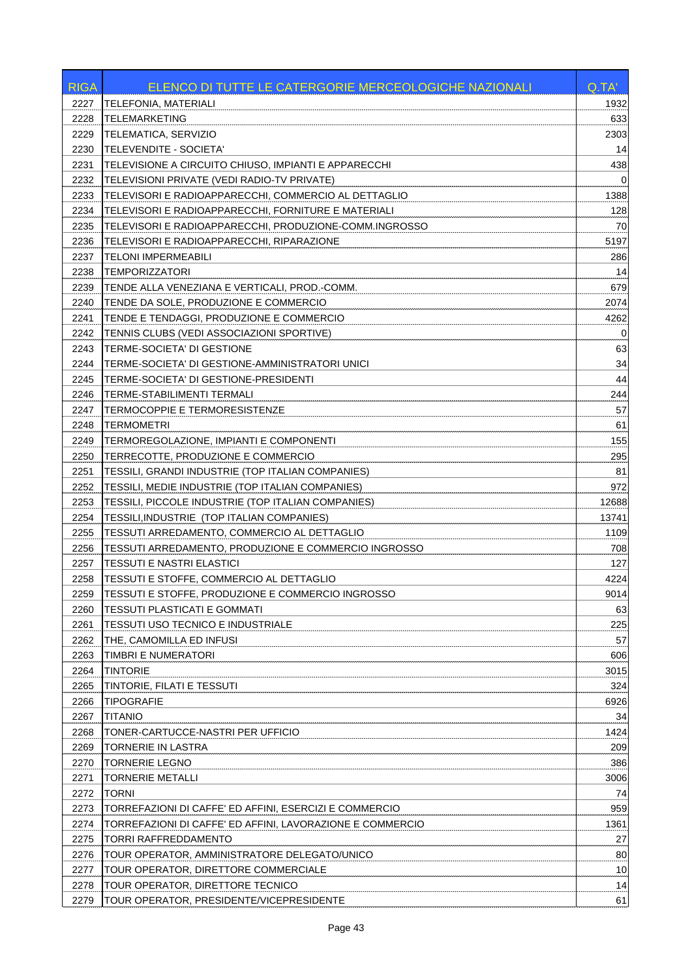| <b>RIGA</b> | ELENCO DI TUTTE LE CATERGORIE MERCEOLOGICHE NAZIONALI     | Q.TA'       |
|-------------|-----------------------------------------------------------|-------------|
| 2227        | <b>TELEFONIA, MATERIALI</b>                               | 1932        |
| 2228        | <b>TELEMARKETING</b>                                      | 633         |
| 2229        | TELEMATICA, SERVIZIO                                      | 2303        |
| 2230        | <b>TELEVENDITE - SOCIETA'</b>                             | 14          |
| 2231        | TELEVISIONE A CIRCUITO CHIUSO, IMPIANTI E APPARECCHI      | 438         |
| 2232        | TELEVISIONI PRIVATE (VEDI RADIO-TV PRIVATE)               | $\mathbf 0$ |
| 2233        | TELEVISORI E RADIOAPPARECCHI, COMMERCIO AL DETTAGLIO      | 1388        |
| 2234        | TELEVISORI E RADIOAPPARECCHI, FORNITURE E MATERIALI       | 128         |
| 2235        | TELEVISORI E RADIOAPPARECCHI, PRODUZIONE-COMM.INGROSSO    | 70          |
| 2236        | TELEVISORI E RADIOAPPARECCHI, RIPARAZIONE                 | 5197        |
| 2237        | <b>TELONI IMPERMEABILI</b>                                | 286         |
| 2238        | <b>TEMPORIZZATORI</b>                                     | 14          |
| 2239        | TENDE ALLA VENEZIANA E VERTICALI, PROD.-COMM.             | 679         |
| 2240        | TENDE DA SOLE, PRODUZIONE E COMMERCIO                     | 2074        |
| 2241        | TENDE E TENDAGGI, PRODUZIONE E COMMERCIO                  | 4262        |
| 2242        | TENNIS CLUBS (VEDI ASSOCIAZIONI SPORTIVE)                 | 0           |
| 2243        | TERME-SOCIETA' DI GESTIONE                                | 63          |
| 2244        | TERME-SOCIETA' DI GESTIONE-AMMINISTRATORI UNICI           | 34          |
| 2245        | TERME-SOCIETA' DI GESTIONE-PRESIDENTI                     | 44          |
| 2246        | <b>TERME-STABILIMENTI TERMALI</b>                         | 244         |
| 2247        | TERMOCOPPIE E TERMORESISTENZE                             | 57          |
| 2248        | <b>TERMOMETRI</b>                                         | 61          |
| 2249        | TERMOREGOLAZIONE, IMPIANTI E COMPONENTI                   | 155         |
| 2250        | TERRECOTTE, PRODUZIONE E COMMERCIO                        | 295         |
| 2251        | TESSILI, GRANDI INDUSTRIE (TOP ITALIAN COMPANIES)         | 81          |
| 2252        | TESSILI, MEDIE INDUSTRIE (TOP ITALIAN COMPANIES)          | 972         |
| 2253        | TESSILI, PICCOLE INDUSTRIE (TOP ITALIAN COMPANIES)        | 12688       |
| 2254        | TESSILI, INDUSTRIE (TOP ITALIAN COMPANIES)                | 13741       |
| 2255        | TESSUTI ARREDAMENTO, COMMERCIO AL DETTAGLIO               | 1109        |
| 2256        | TESSUTI ARREDAMENTO, PRODUZIONE E COMMERCIO INGROSSO      | 708         |
| 2257        | TESSUTI E NASTRI ELASTICI                                 | 127         |
| 2258        | TESSUTI E STOFFE, COMMERCIO AL DETTAGLIO                  | 4224        |
| 2259        | TESSUTI E STOFFE, PRODUZIONE E COMMERCIO INGROSSO         | 9014        |
| 2260        | <b>TESSUTI PLASTICATI E GOMMATI</b>                       | 63          |
| 2261        | <b>TESSUTI USO TECNICO E INDUSTRIALE</b>                  | 225         |
| 2262        | THE, CAMOMILLA ED INFUSI                                  | 57          |
| 2263        | TIMBRI E NUMERATORI                                       | 606         |
| 2264        | <b>TINTORIE</b>                                           | 3015        |
| 2265        | TINTORIE, FILATI E TESSUTI                                | 324         |
| 2266        | <b>TIPOGRAFIE</b>                                         | 6926        |
| 2267        | <b>TITANIO</b>                                            | 34          |
| 2268        | TONER-CARTUCCE-NASTRI PER UFFICIO                         | 1424        |
| 2269        | TORNERIE IN LASTRA                                        | 209         |
| 2270        | <b>TORNERIE LEGNO</b>                                     | 386         |
| 2271        | <b>TORNERIE METALLI</b>                                   | 3006        |
| 2272        | <b>TORNI</b>                                              | 74          |
| 2273        | TORREFAZIONI DI CAFFE' ED AFFINI, ESERCIZI E COMMERCIO    | 959         |
| 2274        | TORREFAZIONI DI CAFFE' ED AFFINI, LAVORAZIONE E COMMERCIO | 1361        |
| 2275        | <b>TORRI RAFFREDDAMENTO</b>                               | 27          |
| 2276        | TOUR OPERATOR, AMMINISTRATORE DELEGATO/UNICO              | 80          |
| 2277        | TOUR OPERATOR, DIRETTORE COMMERCIALE                      | 10          |
| 2278        | TOUR OPERATOR, DIRETTORE TECNICO                          | 14          |
| 2279        | TOUR OPERATOR, PRESIDENTE/VICEPRESIDENTE                  | 61          |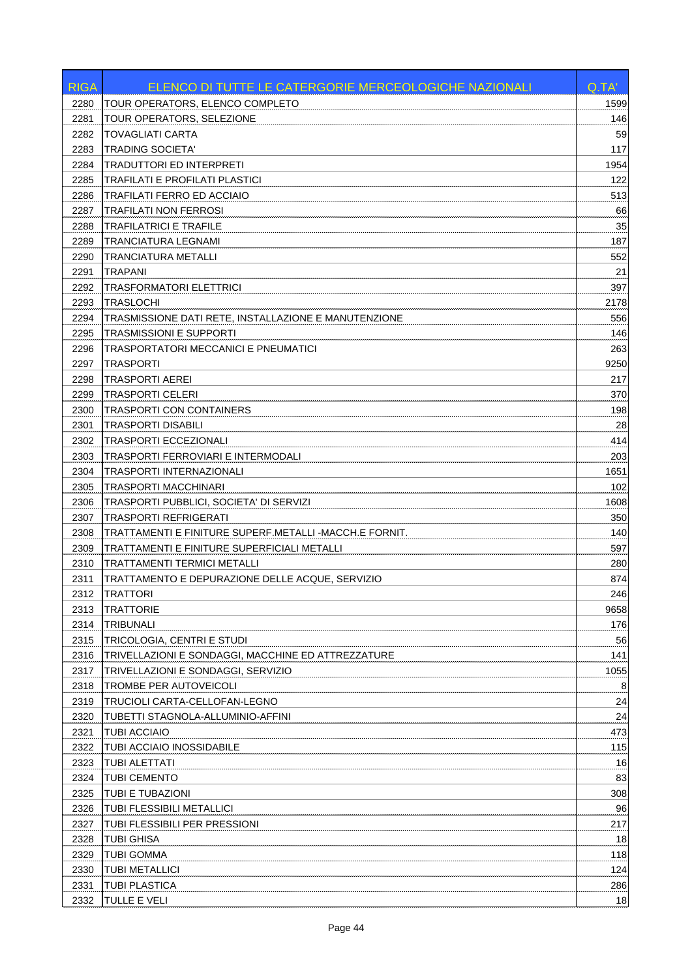| <b>RIGA</b> | ELENCO DI TUTTE LE CATERGORIE MERCEOLOGICHE NAZIONALI  | Q.TA' |
|-------------|--------------------------------------------------------|-------|
| 2280        | TOUR OPERATORS, ELENCO COMPLETO                        | 1599  |
| 2281        | TOUR OPERATORS, SELEZIONE                              | 146   |
| 2282        | TOVAGLIATI CARTA                                       | 59    |
| 2283        | <b>TRADING SOCIETA'</b>                                | 117   |
| 2284        | TRADUTTORI ED INTERPRETI                               | 1954  |
| 2285        | TRAFILATI E PROFILATI PLASTICI                         | 122   |
| 2286        | TRAFILATI FERRO ED ACCIAIO                             | 513   |
| 2287        | TRAFILATI NON FERROSI                                  | 66    |
| 2288        | <b>TRAFILATRICI E TRAFILE</b>                          | 35    |
| 2289        | TRANCIATURA LEGNAMI                                    | 187   |
| 2290        | TRANCIATURA METALLI                                    | 552   |
| 2291        | TRAPANI                                                | 21    |
| 2292        | TRASFORMATORI ELETTRICI                                | 397   |
| 2293        | <b>TRASLOCHI</b>                                       | 2178  |
| 2294        | TRASMISSIONE DATI RETE, INSTALLAZIONE E MANUTENZIONE   | 556   |
| 2295        | TRASMISSIONI E SUPPORTI                                | 146   |
| 2296        | TRASPORTATORI MECCANICI E PNEUMATICI                   | 263   |
| 2297        | TRASPORTI                                              | 9250  |
| 2298        | <b>TRASPORTI AEREI</b>                                 | 217   |
| 2299        | TRASPORTI CELERI                                       | 370   |
| 2300        | TRASPORTI CON CONTAINERS                               | 198   |
| 2301        | TRASPORTI DISABILI                                     | 28    |
| 2302        | <b>TRASPORTI ECCEZIONALI</b>                           | 414   |
| 2303        | TRASPORTI FERROVIARI E INTERMODALI                     | 203   |
| 2304        | TRASPORTI INTERNAZIONALI                               | 1651  |
| 2305        | TRASPORTI MACCHINARI                                   | 102   |
|             |                                                        |       |
| 2306        | TRASPORTI PUBBLICI, SOCIETA' DI SERVIZI                | 1608  |
| 2307        | TRASPORTI REFRIGERATI                                  | 350   |
| 2308        | TRATTAMENTI E FINITURE SUPERF.METALLI -MACCH.E FORNIT. | 140   |
| 2309        | TRATTAMENTI E FINITURE SUPERFICIALI METALLI            | 597   |
| 2310        | TRATTAMENTI TERMICI METALLI                            | 280   |
| 2311        | TRATTAMENTO E DEPURAZIONE DELLE ACQUE, SERVIZIO        | 874   |
| 2312        | <b>TRATTORI</b>                                        | 246   |
| 2313        | <b>TRATTORIE</b>                                       | 9658  |
| 2314        | <b>TRIBUNALI</b>                                       | 176   |
| 2315        | TRICOLOGIA, CENTRI E STUDI                             | 56    |
| 2316        | TRIVELLAZIONI E SONDAGGI, MACCHINE ED ATTREZZATURE     | 141   |
| 2317        | TRIVELLAZIONI E SONDAGGI, SERVIZIO                     | 1055  |
| 2318        | TROMBE PER AUTOVEICOLI                                 | 8     |
| 2319        | TRUCIOLI CARTA-CELLOFAN-LEGNO                          | 24    |
| 2320        | TUBETTI STAGNOLA-ALLUMINIO-AFFINI                      | 24    |
| 2321        | <b>TUBI ACCIAIO</b>                                    | 473   |
| 2322        | TUBI ACCIAIO INOSSIDABILE                              | 115   |
| 2323        | <b>TUBI ALETTATI</b>                                   | 16    |
| 2324        | <b>TUBI CEMENTO</b>                                    | 83    |
| 2325        | TUBI E TUBAZIONI                                       | 308   |
| 2326        | TUBI FLESSIBILI METALLICI                              | 96    |
| 2327        | TUBI FLESSIBILI PER PRESSIONI                          | 217   |
| 2328        | <b>TUBI GHISA</b>                                      | 18    |
| 2329        | <b>TUBI GOMMA</b>                                      | 118   |
| 2330        | <b>TUBI METALLICI</b>                                  | 124   |
| 2331        | <b>TUBI PLASTICA</b>                                   | 286   |
| 2332        | TULLE E VELI                                           | 18    |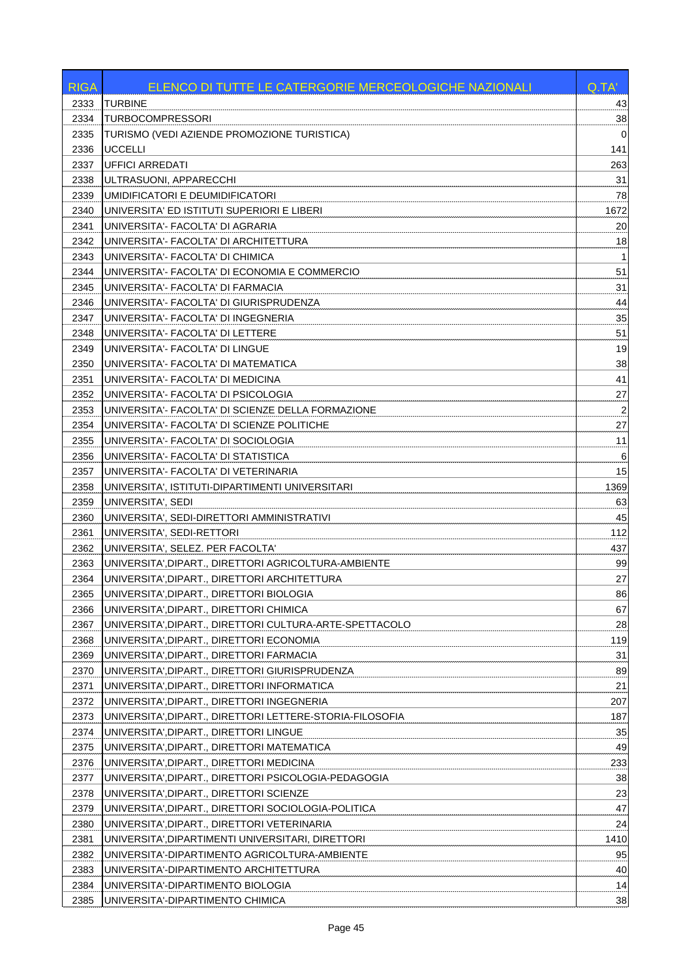| <b>RIGA</b> | ELENCO DI TUTTE LE CATERGORIE MERCEOLOGICHE NAZIONALI   | Q.TA'                   |
|-------------|---------------------------------------------------------|-------------------------|
| 2333        | <b>TURBINE</b>                                          | 43                      |
| 2334        | <b>TURBOCOMPRESSORI</b>                                 | 38                      |
| 2335        | TURISMO (VEDI AZIENDE PROMOZIONE TURISTICA)             | $\Omega$                |
| 2336        | <b>UCCELLI</b>                                          | 141                     |
| 2337        | <b>UFFICI ARREDATI</b>                                  | 263                     |
| 2338        | ULTRASUONI, APPARECCHI                                  | 31                      |
| 2339        | UMIDIFICATORI E DEUMIDIFICATORI                         | 78                      |
| 2340        | UNIVERSITA' ED ISTITUTI SUPERIORI E LIBERI              | 1672                    |
| 2341        | UNIVERSITA'- FACOLTA' DI AGRARIA                        | 20                      |
| 2342        | UNIVERSITA'- FACOLTA' DI ARCHITETTURA                   | 18                      |
| 2343        | UNIVERSITA'- FACOLTA' DI CHIMICA                        | -1                      |
| 2344        | UNIVERSITA'- FACOLTA' DI ECONOMIA E COMMERCIO           | 51                      |
| 2345        | UNIVERSITA'- FACOLTA' DI FARMACIA                       | 31                      |
| 2346        | UNIVERSITA'- FACOLTA' DI GIURISPRUDENZA                 | 44                      |
| 2347        | UNIVERSITA'- FACOLTA' DI INGEGNERIA                     | 35                      |
| 2348        | UNIVERSITA'- FACOLTA' DI LETTERE                        | 51                      |
| 2349        | UNIVERSITA'- FACOLTA' DI LINGUE                         | 19                      |
| 2350        | UNIVERSITA'- FACOLTA' DI MATEMATICA                     | 38                      |
| 2351        | UNIVERSITA'- FACOLTA' DI MEDICINA                       | 41                      |
| 2352        | UNIVERSITA'- FACOLTA' DI PSICOLOGIA                     | 27                      |
| 2353        | UNIVERSITA'- FACOLTA' DI SCIENZE DELLA FORMAZIONE       | $\overline{\mathbf{c}}$ |
| 2354        | UNIVERSITA'- FACOLTA' DI SCIENZE POLITICHE              | 27                      |
| 2355        | UNIVERSITA'- FACOLTA' DI SOCIOLOGIA                     | 11                      |
| 2356        | UNIVERSITA'- FACOLTA' DI STATISTICA                     | 6                       |
| 2357        | UNIVERSITA'- FACOLTA' DI VETERINARIA                    | 15                      |
| 2358        | UNIVERSITA', ISTITUTI-DIPARTIMENTI UNIVERSITARI         | 1369                    |
| 2359        | UNIVERSITA', SEDI                                       | 63                      |
| 2360        | UNIVERSITA', SEDI-DIRETTORI AMMINISTRATIVI              | 45                      |
| 2361        | UNIVERSITA', SEDI-RETTORI                               | 112                     |
| 2362        | UNIVERSITA', SELEZ. PER FACOLTA'                        | 437                     |
| 2363        | UNIVERSITA', DIPART., DIRETTORI AGRICOLTURA-AMBIENTE    | 99                      |
| 2364        | UNIVERSITA', DIPART., DIRETTORI ARCHITETTURA            | 27                      |
| 2365        | IUNIVERSITA',DIPART., DIRETTORI BIOLOGIA                | 86                      |
| 2366        | UNIVERSITA', DIPART., DIRETTORI CHIMICA                 | 67                      |
| 2367        | UNIVERSITA', DIPART., DIRETTORI CULTURA-ARTE-SPETTACOLO | 28                      |
| 2368        | UNIVERSITA',DIPART., DIRETTORI ECONOMIA                 | 119                     |
| 2369        | UNIVERSITA',DIPART., DIRETTORI FARMACIA                 | 31                      |
| 2370        | UNIVERSITA',DIPART., DIRETTORI GIURISPRUDENZA           | 89                      |
| 2371        | UNIVERSITA', DIPART., DIRETTORI INFORMATICA             | 21                      |
| 2372        | UNIVERSITA', DIPART., DIRETTORI INGEGNERIA              | 207                     |
| 2373        | UNIVERSITA',DIPART., DIRETTORI LETTERE-STORIA-FILOSOFIA | 187                     |
| 2374        | UNIVERSITA', DIPART., DIRETTORI LINGUE                  | 35                      |
| 2375        | UNIVERSITA', DIPART., DIRETTORI MATEMATICA              | 49                      |
| 2376        | UNIVERSITA', DIPART., DIRETTORI MEDICINA                | 233                     |
| 2377        | UNIVERSITA', DIPART., DIRETTORI PSICOLOGIA-PEDAGOGIA    | 38                      |
| 2378        | UNIVERSITA',DIPART., DIRETTORI SCIENZE                  | 23                      |
| 2379        | UNIVERSITA',DIPART., DIRETTORI SOCIOLOGIA-POLITICA      | 47                      |
| 2380        | UNIVERSITA',DIPART., DIRETTORI VETERINARIA              | 24                      |
| 2381        | UNIVERSITA', DIPARTIMENTI UNIVERSITARI, DIRETTORI       | 1410                    |
| 2382        | UNIVERSITA'-DIPARTIMENTO AGRICOLTURA-AMBIENTE           | 95                      |
| 2383        | UNIVERSITA'-DIPARTIMENTO ARCHITETTURA                   | 40                      |
| 2384        | UNIVERSITA'-DIPARTIMENTO BIOLOGIA                       | 14                      |
| 2385        | UNIVERSITA'-DIPARTIMENTO CHIMICA                        | 38                      |
|             |                                                         |                         |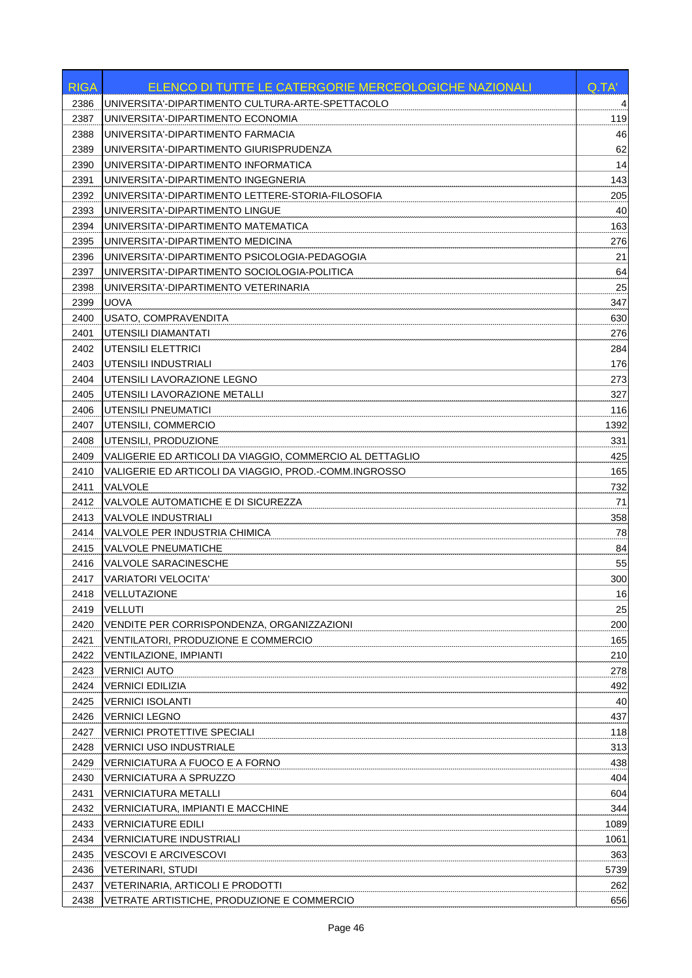| <b>RIGA</b> | <b>ELENCO DI TUTTE LE CATERGORIE MERCEOLOGICHE NAZIONALI</b> | Q.TA' |
|-------------|--------------------------------------------------------------|-------|
| 2386        | UNIVERSITA'-DIPARTIMENTO CULTURA-ARTE-SPETTACOLO             | 4     |
| 2387        | UNIVERSITA'-DIPARTIMENTO ECONOMIA                            | 119   |
| 2388        | UNIVERSITA'-DIPARTIMENTO FARMACIA                            | 46    |
| 2389        | UNIVERSITA'-DIPARTIMENTO GIURISPRUDENZA                      | 62    |
| 2390        | UNIVERSITA'-DIPARTIMENTO INFORMATICA                         | 14    |
| 2391        | UNIVERSITA'-DIPARTIMENTO INGEGNERIA                          | 143   |
| 2392        | UNIVERSITA'-DIPARTIMENTO LETTERE-STORIA-FILOSOFIA            | 205   |
| 2393        | UNIVERSITA'-DIPARTIMENTO LINGUE                              | 40    |
| 2394        | UNIVERSITA'-DIPARTIMENTO MATEMATICA                          | 163   |
| 2395        | UNIVERSITA'-DIPARTIMENTO MEDICINA                            | 276   |
| 2396        | UNIVERSITA'-DIPARTIMENTO PSICOLOGIA-PEDAGOGIA                | 21    |
| 2397        | UNIVERSITA'-DIPARTIMENTO SOCIOLOGIA-POLITICA                 | 64    |
| 2398        | UNIVERSITA'-DIPARTIMENTO VETERINARIA                         | 25    |
| 2399        | <b>UOVA</b>                                                  | 347   |
| 2400        | USATO, COMPRAVENDITA                                         | 630   |
| 2401        | UTENSILI DIAMANTATI                                          | 276   |
| 2402        | <b>UTENSILI ELETTRICI</b>                                    | 284   |
| 2403        | UTENSILI INDUSTRIALI                                         | 176   |
| 2404        | UTENSILI LAVORAZIONE LEGNO                                   | 273   |
| 2405        | UTENSILI LAVORAZIONE METALLI                                 | 327   |
| 2406        | UTENSILI PNEUMATICI                                          | 116   |
| 2407        | UTENSILI, COMMERCIO                                          | 1392  |
| 2408        | UTENSILI, PRODUZIONE                                         | 331   |
| 2409        | VALIGERIE ED ARTICOLI DA VIAGGIO, COMMERCIO AL DETTAGLIO     | 425   |
| 2410        | VALIGERIE ED ARTICOLI DA VIAGGIO, PROD.-COMM.INGROSSO        | 165   |
| 2411        | VALVOLE                                                      | 732   |
| 2412        | VALVOLE AUTOMATICHE E DI SICUREZZA                           | 71    |
| 2413        | <b>VALVOLE INDUSTRIALI</b>                                   | 358   |
| 2414        | VALVOLE PER INDUSTRIA CHIMICA                                | 78    |
| 2415        | <b>VALVOLE PNEUMATICHE</b>                                   | 84    |
| 2416        | <b>VALVOLE SARACINESCHE</b>                                  | 55    |
| 2417        | <b>VARIATORI VELOCITA'</b>                                   | 300   |
| 2418        | VELLUTAZIONE                                                 | 16    |
| 2419        | <b>VELLUTI</b>                                               | 25    |
| 2420        | VENDITE PER CORRISPONDENZA, ORGANIZZAZIONI                   | 200   |
| 2421        | VENTILATORI, PRODUZIONE E COMMERCIO                          | 165   |
| 2422        | <b>VENTILAZIONE, IMPIANTI</b>                                | 210   |
| 2423        | <b>VERNICI AUTO</b>                                          | 278   |
| 2424        | <b>VERNICI EDILIZIA</b>                                      | 492   |
| 2425        | <b>VERNICI ISOLANTI</b>                                      | 40    |
| 2426        | <b>VERNICI LEGNO</b>                                         | 437   |
| 2427        | <b>VERNICI PROTETTIVE SPECIALI</b>                           | 118   |
| 2428        | <b>VERNICI USO INDUSTRIALE</b>                               | 313   |
| 2429        | VERNICIATURA A FUOCO E A FORNO                               | 438   |
| 2430        | VERNICIATURA A SPRUZZO                                       | 404   |
| 2431        | <b>VERNICIATURA METALLI</b>                                  | 604   |
| 2432        | VERNICIATURA, IMPIANTI E MACCHINE                            | 344   |
| 2433        | <b>VERNICIATURE EDILI</b>                                    | 1089  |
| 2434        | <b>VERNICIATURE INDUSTRIALI</b>                              | 1061  |
| 2435        | <b>VESCOVI E ARCIVESCOVI</b>                                 | 363   |
| 2436        | <b>VETERINARI, STUDI</b>                                     | 5739  |
| 2437        | VETERINARIA, ARTICOLI E PRODOTTI                             | 262   |
| 2438        | VETRATE ARTISTICHE, PRODUZIONE E COMMERCIO                   | 656   |
|             |                                                              |       |